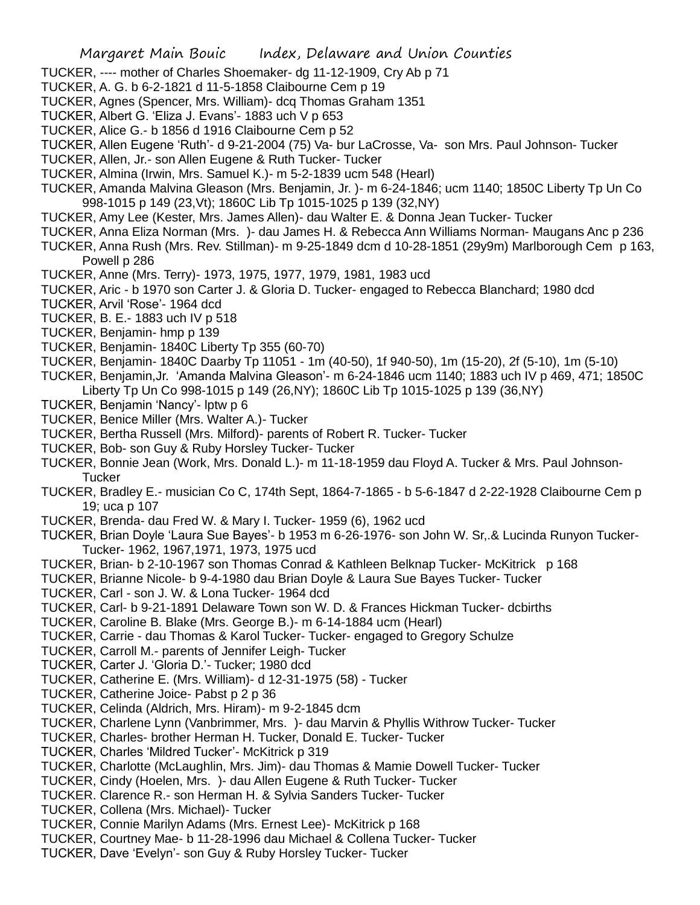- TUCKER, ---- mother of Charles Shoemaker- dg 11-12-1909, Cry Ab p 71
- TUCKER, A. G. b 6-2-1821 d 11-5-1858 Claibourne Cem p 19
- TUCKER, Agnes (Spencer, Mrs. William)- dcq Thomas Graham 1351
- TUCKER, Albert G. 'Eliza J. Evans'- 1883 uch V p 653
- TUCKER, Alice G.- b 1856 d 1916 Claibourne Cem p 52
- TUCKER, Allen Eugene 'Ruth'- d 9-21-2004 (75) Va- bur LaCrosse, Va- son Mrs. Paul Johnson- Tucker
- TUCKER, Allen, Jr.- son Allen Eugene & Ruth Tucker- Tucker
- TUCKER, Almina (Irwin, Mrs. Samuel K.)- m 5-2-1839 ucm 548 (Hearl)
- TUCKER, Amanda Malvina Gleason (Mrs. Benjamin, Jr. )- m 6-24-1846; ucm 1140; 1850C Liberty Tp Un Co 998-1015 p 149 (23,Vt); 1860C Lib Tp 1015-1025 p 139 (32,NY)
- TUCKER, Amy Lee (Kester, Mrs. James Allen)- dau Walter E. & Donna Jean Tucker- Tucker
- TUCKER, Anna Eliza Norman (Mrs. )- dau James H. & Rebecca Ann Williams Norman- Maugans Anc p 236
- TUCKER, Anna Rush (Mrs. Rev. Stillman)- m 9-25-1849 dcm d 10-28-1851 (29y9m) Marlborough Cem p 163, Powell p 286
- TUCKER, Anne (Mrs. Terry)- 1973, 1975, 1977, 1979, 1981, 1983 ucd
- TUCKER, Aric b 1970 son Carter J. & Gloria D. Tucker- engaged to Rebecca Blanchard; 1980 dcd
- TUCKER, Arvil 'Rose'- 1964 dcd
- TUCKER, B. E.- 1883 uch IV p 518
- TUCKER, Benjamin- hmp p 139
- TUCKER, Benjamin- 1840C Liberty Tp 355 (60-70)
- TUCKER, Benjamin- 1840C Daarby Tp 11051 1m (40-50), 1f 940-50), 1m (15-20), 2f (5-10), 1m (5-10)
- TUCKER, Benjamin,Jr. 'Amanda Malvina Gleason'- m 6-24-1846 ucm 1140; 1883 uch IV p 469, 471; 1850C Liberty Tp Un Co 998-1015 p 149 (26,NY); 1860C Lib Tp 1015-1025 p 139 (36,NY)
- TUCKER, Benjamin 'Nancy'- lptw p 6
- TUCKER, Benice Miller (Mrs. Walter A.)- Tucker
- TUCKER, Bertha Russell (Mrs. Milford)- parents of Robert R. Tucker- Tucker
- TUCKER, Bob- son Guy & Ruby Horsley Tucker- Tucker
- TUCKER, Bonnie Jean (Work, Mrs. Donald L.)- m 11-18-1959 dau Floyd A. Tucker & Mrs. Paul Johnson-**Tucker**
- TUCKER, Bradley E.- musician Co C, 174th Sept, 1864-7-1865 b 5-6-1847 d 2-22-1928 Claibourne Cem p 19; uca p 107
- TUCKER, Brenda- dau Fred W. & Mary I. Tucker- 1959 (6), 1962 ucd
- TUCKER, Brian Doyle 'Laura Sue Bayes'- b 1953 m 6-26-1976- son John W. Sr,.& Lucinda Runyon Tucker-Tucker- 1962, 1967,1971, 1973, 1975 ucd
- TUCKER, Brian- b 2-10-1967 son Thomas Conrad & Kathleen Belknap Tucker- McKitrick p 168
- TUCKER, Brianne Nicole- b 9-4-1980 dau Brian Doyle & Laura Sue Bayes Tucker- Tucker
- TUCKER, Carl son J. W. & Lona Tucker- 1964 dcd
- TUCKER, Carl- b 9-21-1891 Delaware Town son W. D. & Frances Hickman Tucker- dcbirths
- TUCKER, Caroline B. Blake (Mrs. George B.)- m 6-14-1884 ucm (Hearl)
- TUCKER, Carrie dau Thomas & Karol Tucker- Tucker- engaged to Gregory Schulze
- TUCKER, Carroll M.- parents of Jennifer Leigh- Tucker
- TUCKER, Carter J. 'Gloria D.'- Tucker; 1980 dcd
- TUCKER, Catherine E. (Mrs. William)- d 12-31-1975 (58) Tucker
- TUCKER, Catherine Joice- Pabst p 2 p 36
- TUCKER, Celinda (Aldrich, Mrs. Hiram)- m 9-2-1845 dcm
- TUCKER, Charlene Lynn (Vanbrimmer, Mrs. )- dau Marvin & Phyllis Withrow Tucker- Tucker
- TUCKER, Charles- brother Herman H. Tucker, Donald E. Tucker- Tucker
- TUCKER, Charles 'Mildred Tucker'- McKitrick p 319
- TUCKER, Charlotte (McLaughlin, Mrs. Jim)- dau Thomas & Mamie Dowell Tucker- Tucker
- TUCKER, Cindy (Hoelen, Mrs. )- dau Allen Eugene & Ruth Tucker- Tucker
- TUCKER. Clarence R.- son Herman H. & Sylvia Sanders Tucker- Tucker
- TUCKER, Collena (Mrs. Michael)- Tucker
- TUCKER, Connie Marilyn Adams (Mrs. Ernest Lee)- McKitrick p 168
- TUCKER, Courtney Mae- b 11-28-1996 dau Michael & Collena Tucker- Tucker
- TUCKER, Dave 'Evelyn'- son Guy & Ruby Horsley Tucker- Tucker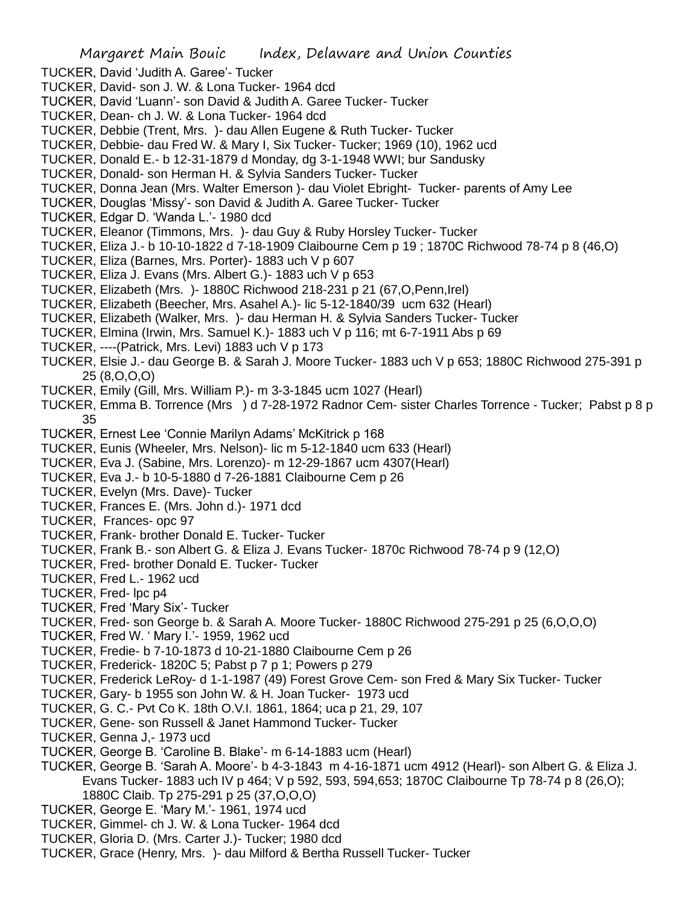- TUCKER, David 'Judith A. Garee'- Tucker
- TUCKER, David- son J. W. & Lona Tucker- 1964 dcd
- TUCKER, David 'Luann'- son David & Judith A. Garee Tucker- Tucker
- TUCKER, Dean- ch J. W. & Lona Tucker- 1964 dcd
- TUCKER, Debbie (Trent, Mrs. )- dau Allen Eugene & Ruth Tucker- Tucker
- TUCKER, Debbie- dau Fred W. & Mary I, Six Tucker- Tucker; 1969 (10), 1962 ucd
- TUCKER, Donald E.- b 12-31-1879 d Monday, dg 3-1-1948 WWI; bur Sandusky
- TUCKER, Donald- son Herman H. & Sylvia Sanders Tucker- Tucker
- TUCKER, Donna Jean (Mrs. Walter Emerson )- dau Violet Ebright- Tucker- parents of Amy Lee
- TUCKER, Douglas 'Missy'- son David & Judith A. Garee Tucker- Tucker
- TUCKER, Edgar D. 'Wanda L.'- 1980 dcd
- TUCKER, Eleanor (Timmons, Mrs. )- dau Guy & Ruby Horsley Tucker- Tucker
- TUCKER, Eliza J.- b 10-10-1822 d 7-18-1909 Claibourne Cem p 19 ; 1870C Richwood 78-74 p 8 (46,O)
- TUCKER, Eliza (Barnes, Mrs. Porter)- 1883 uch V p 607
- TUCKER, Eliza J. Evans (Mrs. Albert G.)- 1883 uch V p 653
- TUCKER, Elizabeth (Mrs. )- 1880C Richwood 218-231 p 21 (67,O,Penn,Irel)
- TUCKER, Elizabeth (Beecher, Mrs. Asahel A.)- lic 5-12-1840/39 ucm 632 (Hearl)
- TUCKER, Elizabeth (Walker, Mrs. )- dau Herman H. & Sylvia Sanders Tucker- Tucker
- TUCKER, Elmina (Irwin, Mrs. Samuel K.)- 1883 uch V p 116; mt 6-7-1911 Abs p 69
- TUCKER, ----(Patrick, Mrs. Levi) 1883 uch V p 173
- TUCKER, Elsie J.- dau George B. & Sarah J. Moore Tucker- 1883 uch V p 653; 1880C Richwood 275-391 p 25 (8,O,O,O)
- TUCKER, Emily (Gill, Mrs. William P.)- m 3-3-1845 ucm 1027 (Hearl)
- TUCKER, Emma B. Torrence (Mrs ) d 7-28-1972 Radnor Cem- sister Charles Torrence Tucker; Pabst p 8 p 35
- TUCKER, Ernest Lee 'Connie Marilyn Adams' McKitrick p 168
- TUCKER, Eunis (Wheeler, Mrs. Nelson)- lic m 5-12-1840 ucm 633 (Hearl)
- TUCKER, Eva J. (Sabine, Mrs. Lorenzo)- m 12-29-1867 ucm 4307(Hearl)
- TUCKER, Eva J.- b 10-5-1880 d 7-26-1881 Claibourne Cem p 26
- TUCKER, Evelyn (Mrs. Dave)- Tucker
- TUCKER, Frances E. (Mrs. John d.)- 1971 dcd
- TUCKER, Frances- opc 97
- TUCKER, Frank- brother Donald E. Tucker- Tucker
- TUCKER, Frank B.- son Albert G. & Eliza J. Evans Tucker- 1870c Richwood 78-74 p 9 (12,O)
- TUCKER, Fred- brother Donald E. Tucker- Tucker
- TUCKER, Fred L.- 1962 ucd
- TUCKER, Fred- lpc p4
- TUCKER, Fred 'Mary Six'- Tucker
- TUCKER, Fred- son George b. & Sarah A. Moore Tucker- 1880C Richwood 275-291 p 25 (6,O,O,O)
- TUCKER, Fred W. ' Mary I.'- 1959, 1962 ucd
- TUCKER, Fredie- b 7-10-1873 d 10-21-1880 Claibourne Cem p 26
- TUCKER, Frederick- 1820C 5; Pabst p 7 p 1; Powers p 279
- TUCKER, Frederick LeRoy- d 1-1-1987 (49) Forest Grove Cem- son Fred & Mary Six Tucker- Tucker
- TUCKER, Gary- b 1955 son John W. & H. Joan Tucker- 1973 ucd
- TUCKER, G. C.- Pvt Co K. 18th O.V.I. 1861, 1864; uca p 21, 29, 107
- TUCKER, Gene- son Russell & Janet Hammond Tucker- Tucker
- TUCKER, Genna J,- 1973 ucd
- TUCKER, George B. 'Caroline B. Blake'- m 6-14-1883 ucm (Hearl)
- TUCKER, George B. 'Sarah A. Moore'- b 4-3-1843 m 4-16-1871 ucm 4912 (Hearl)- son Albert G. & Eliza J. Evans Tucker- 1883 uch IV p 464; V p 592, 593, 594,653; 1870C Claibourne Tp 78-74 p 8 (26,O); 1880C Claib. Tp 275-291 p 25 (37,O,O,O)
- TUCKER, George E. 'Mary M.'- 1961, 1974 ucd
- TUCKER, Gimmel- ch J. W. & Lona Tucker- 1964 dcd
- TUCKER, Gloria D. (Mrs. Carter J.)- Tucker; 1980 dcd
- TUCKER, Grace (Henry, Mrs. )- dau Milford & Bertha Russell Tucker- Tucker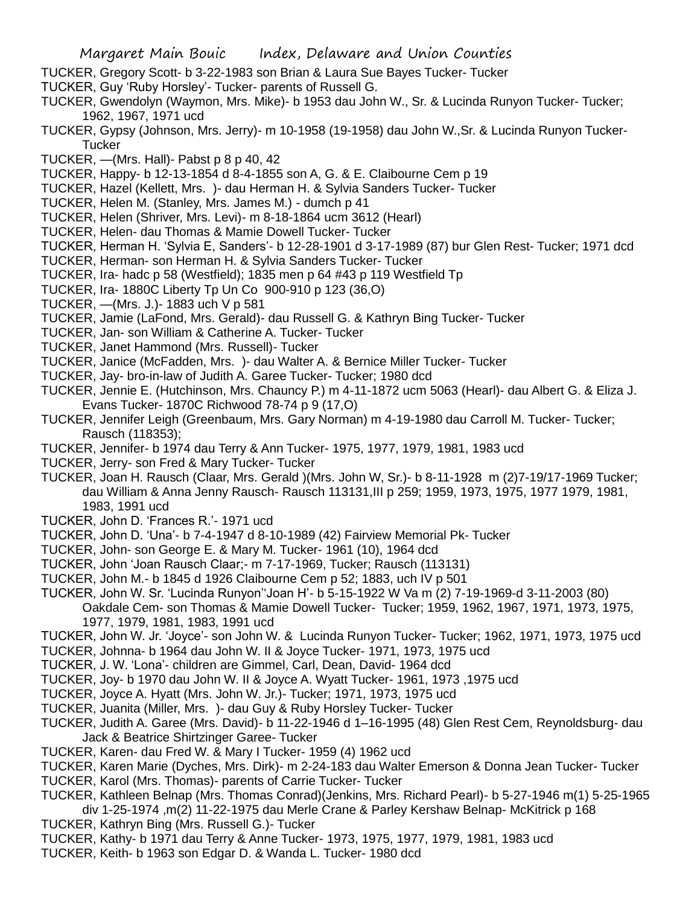- TUCKER, Gregory Scott- b 3-22-1983 son Brian & Laura Sue Bayes Tucker- Tucker
- TUCKER, Guy 'Ruby Horsley'- Tucker- parents of Russell G.
- TUCKER, Gwendolyn (Waymon, Mrs. Mike)- b 1953 dau John W., Sr. & Lucinda Runyon Tucker- Tucker; 1962, 1967, 1971 ucd
- TUCKER, Gypsy (Johnson, Mrs. Jerry)- m 10-1958 (19-1958) dau John W.,Sr. & Lucinda Runyon Tucker-**Tucker**
- TUCKER, —(Mrs. Hall)- Pabst p 8 p 40, 42
- TUCKER, Happy- b 12-13-1854 d 8-4-1855 son A, G. & E. Claibourne Cem p 19
- TUCKER, Hazel (Kellett, Mrs. )- dau Herman H. & Sylvia Sanders Tucker- Tucker
- TUCKER, Helen M. (Stanley, Mrs. James M.) dumch p 41
- TUCKER, Helen (Shriver, Mrs. Levi)- m 8-18-1864 ucm 3612 (Hearl)
- TUCKER, Helen- dau Thomas & Mamie Dowell Tucker- Tucker
- TUCKER, Herman H. 'Sylvia E, Sanders'- b 12-28-1901 d 3-17-1989 (87) bur Glen Rest- Tucker; 1971 dcd
- TUCKER, Herman- son Herman H. & Sylvia Sanders Tucker- Tucker
- TUCKER, Ira- hadc p 58 (Westfield); 1835 men p 64 #43 p 119 Westfield Tp
- TUCKER, Ira- 1880C Liberty Tp Un Co 900-910 p 123 (36,O)
- TUCKER, —(Mrs. J.)- 1883 uch V p 581
- TUCKER, Jamie (LaFond, Mrs. Gerald)- dau Russell G. & Kathryn Bing Tucker- Tucker
- TUCKER, Jan- son William & Catherine A. Tucker- Tucker
- TUCKER, Janet Hammond (Mrs. Russell)- Tucker
- TUCKER, Janice (McFadden, Mrs. )- dau Walter A. & Bernice Miller Tucker- Tucker
- TUCKER, Jay- bro-in-law of Judith A. Garee Tucker- Tucker; 1980 dcd
- TUCKER, Jennie E. (Hutchinson, Mrs. Chauncy P.) m 4-11-1872 ucm 5063 (Hearl)- dau Albert G. & Eliza J. Evans Tucker- 1870C Richwood 78-74 p 9 (17,O)
- TUCKER, Jennifer Leigh (Greenbaum, Mrs. Gary Norman) m 4-19-1980 dau Carroll M. Tucker- Tucker; Rausch (118353);
- TUCKER, Jennifer- b 1974 dau Terry & Ann Tucker- 1975, 1977, 1979, 1981, 1983 ucd
- TUCKER, Jerry- son Fred & Mary Tucker- Tucker
- TUCKER, Joan H. Rausch (Claar, Mrs. Gerald )(Mrs. John W, Sr.)- b 8-11-1928 m (2)7-19/17-1969 Tucker; dau William & Anna Jenny Rausch- Rausch 113131,III p 259; 1959, 1973, 1975, 1977 1979, 1981, 1983, 1991 ucd
- TUCKER, John D. 'Frances R.'- 1971 ucd
- TUCKER, John D. 'Una'- b 7-4-1947 d 8-10-1989 (42) Fairview Memorial Pk- Tucker
- TUCKER, John- son George E. & Mary M. Tucker- 1961 (10), 1964 dcd
- TUCKER, John 'Joan Rausch Claar;- m 7-17-1969, Tucker; Rausch (113131)
- TUCKER, John M.- b 1845 d 1926 Claibourne Cem p 52; 1883, uch IV p 501
- TUCKER, John W. Sr. 'Lucinda Runyon''Joan H'- b 5-15-1922 W Va m (2) 7-19-1969-d 3-11-2003 (80) Oakdale Cem- son Thomas & Mamie Dowell Tucker- Tucker; 1959, 1962, 1967, 1971, 1973, 1975, 1977, 1979, 1981, 1983, 1991 ucd
- TUCKER, John W. Jr. 'Joyce'- son John W. & Lucinda Runyon Tucker- Tucker; 1962, 1971, 1973, 1975 ucd
- TUCKER, Johnna- b 1964 dau John W. II & Joyce Tucker- 1971, 1973, 1975 ucd
- TUCKER, J. W. 'Lona'- children are Gimmel, Carl, Dean, David- 1964 dcd
- TUCKER, Joy- b 1970 dau John W. II & Joyce A. Wyatt Tucker- 1961, 1973 ,1975 ucd
- TUCKER, Joyce A. Hyatt (Mrs. John W. Jr.)- Tucker; 1971, 1973, 1975 ucd
- TUCKER, Juanita (Miller, Mrs. )- dau Guy & Ruby Horsley Tucker- Tucker
- TUCKER, Judith A. Garee (Mrs. David)- b 11-22-1946 d 1–16-1995 (48) Glen Rest Cem, Reynoldsburg- dau Jack & Beatrice Shirtzinger Garee- Tucker
- TUCKER, Karen- dau Fred W. & Mary I Tucker- 1959 (4) 1962 ucd
- TUCKER, Karen Marie (Dyches, Mrs. Dirk)- m 2-24-183 dau Walter Emerson & Donna Jean Tucker- Tucker TUCKER, Karol (Mrs. Thomas)- parents of Carrie Tucker- Tucker
- 
- TUCKER, Kathleen Belnap (Mrs. Thomas Conrad)(Jenkins, Mrs. Richard Pearl)- b 5-27-1946 m(1) 5-25-1965 div 1-25-1974 ,m(2) 11-22-1975 dau Merle Crane & Parley Kershaw Belnap- McKitrick p 168
- TUCKER, Kathryn Bing (Mrs. Russell G.)- Tucker
- TUCKER, Kathy- b 1971 dau Terry & Anne Tucker- 1973, 1975, 1977, 1979, 1981, 1983 ucd
- TUCKER, Keith- b 1963 son Edgar D. & Wanda L. Tucker- 1980 dcd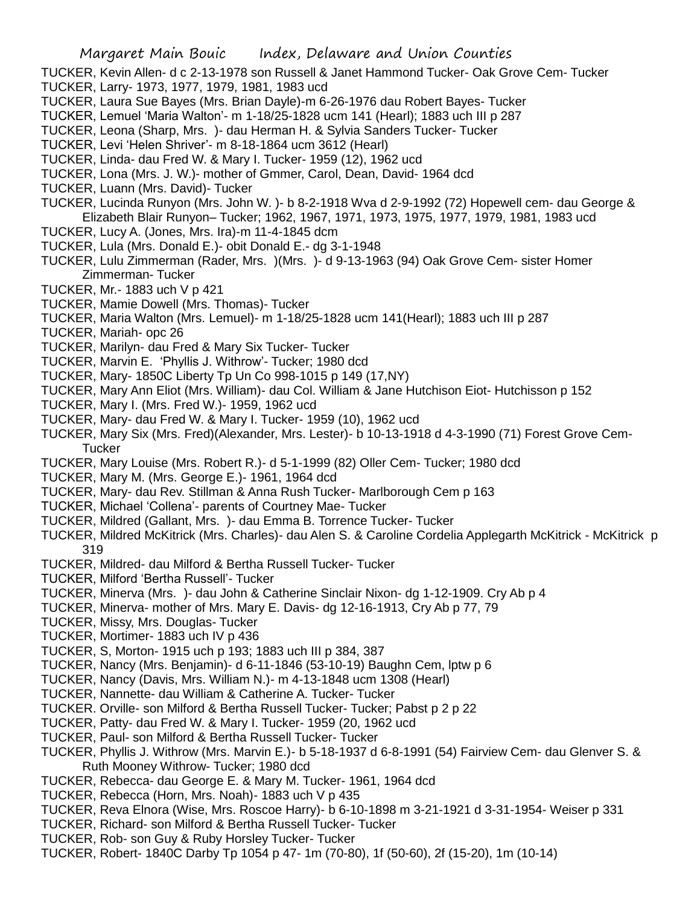- TUCKER, Kevin Allen- d c 2-13-1978 son Russell & Janet Hammond Tucker- Oak Grove Cem- Tucker
- TUCKER, Larry- 1973, 1977, 1979, 1981, 1983 ucd
- TUCKER, Laura Sue Bayes (Mrs. Brian Dayle)-m 6-26-1976 dau Robert Bayes- Tucker
- TUCKER, Lemuel 'Maria Walton'- m 1-18/25-1828 ucm 141 (Hearl); 1883 uch III p 287
- TUCKER, Leona (Sharp, Mrs. )- dau Herman H. & Sylvia Sanders Tucker- Tucker
- TUCKER, Levi 'Helen Shriver'- m 8-18-1864 ucm 3612 (Hearl)
- TUCKER, Linda- dau Fred W. & Mary I. Tucker- 1959 (12), 1962 ucd
- TUCKER, Lona (Mrs. J. W.)- mother of Gmmer, Carol, Dean, David- 1964 dcd
- TUCKER, Luann (Mrs. David)- Tucker
- TUCKER, Lucinda Runyon (Mrs. John W. )- b 8-2-1918 Wva d 2-9-1992 (72) Hopewell cem- dau George & Elizabeth Blair Runyon– Tucker; 1962, 1967, 1971, 1973, 1975, 1977, 1979, 1981, 1983 ucd
- TUCKER, Lucy A. (Jones, Mrs. Ira)-m 11-4-1845 dcm
- TUCKER, Lula (Mrs. Donald E.)- obit Donald E.- dg 3-1-1948
- TUCKER, Lulu Zimmerman (Rader, Mrs. )(Mrs. )- d 9-13-1963 (94) Oak Grove Cem- sister Homer Zimmerman- Tucker
- TUCKER, Mr.- 1883 uch V p 421
- TUCKER, Mamie Dowell (Mrs. Thomas)- Tucker
- TUCKER, Maria Walton (Mrs. Lemuel)- m 1-18/25-1828 ucm 141(Hearl); 1883 uch III p 287
- TUCKER, Mariah- opc 26
- TUCKER, Marilyn- dau Fred & Mary Six Tucker- Tucker
- TUCKER, Marvin E. 'Phyllis J. Withrow'- Tucker; 1980 dcd
- TUCKER, Mary- 1850C Liberty Tp Un Co 998-1015 p 149 (17,NY)
- TUCKER, Mary Ann Eliot (Mrs. William)- dau Col. William & Jane Hutchison Eiot- Hutchisson p 152
- TUCKER, Mary I. (Mrs. Fred W.)- 1959, 1962 ucd
- TUCKER, Mary- dau Fred W. & Mary I. Tucker- 1959 (10), 1962 ucd
- TUCKER, Mary Six (Mrs. Fred)(Alexander, Mrs. Lester)- b 10-13-1918 d 4-3-1990 (71) Forest Grove Cem-**Tucker**
- TUCKER, Mary Louise (Mrs. Robert R.)- d 5-1-1999 (82) Oller Cem- Tucker; 1980 dcd
- TUCKER, Mary M. (Mrs. George E.)- 1961, 1964 dcd
- TUCKER, Mary- dau Rev. Stillman & Anna Rush Tucker- Marlborough Cem p 163
- TUCKER, Michael 'Collena'- parents of Courtney Mae- Tucker
- TUCKER, Mildred (Gallant, Mrs. )- dau Emma B. Torrence Tucker- Tucker
- TUCKER, Mildred McKitrick (Mrs. Charles)- dau Alen S. & Caroline Cordelia Applegarth McKitrick McKitrick p 319
- TUCKER, Mildred- dau Milford & Bertha Russell Tucker- Tucker
- TUCKER, Milford 'Bertha Russell'- Tucker
- TUCKER, Minerva (Mrs. )- dau John & Catherine Sinclair Nixon- dg 1-12-1909. Cry Ab p 4
- TUCKER, Minerva- mother of Mrs. Mary E. Davis- dg 12-16-1913, Cry Ab p 77, 79
- TUCKER, Missy, Mrs. Douglas- Tucker
- TUCKER, Mortimer- 1883 uch IV p 436
- TUCKER, S, Morton- 1915 uch p 193; 1883 uch III p 384, 387
- TUCKER, Nancy (Mrs. Benjamin)- d 6-11-1846 (53-10-19) Baughn Cem, lptw p 6
- TUCKER, Nancy (Davis, Mrs. William N.)- m 4-13-1848 ucm 1308 (Hearl)
- TUCKER, Nannette- dau William & Catherine A. Tucker- Tucker
- TUCKER. Orville- son Milford & Bertha Russell Tucker- Tucker; Pabst p 2 p 22
- TUCKER, Patty- dau Fred W. & Mary I. Tucker- 1959 (20, 1962 ucd
- TUCKER, Paul- son Milford & Bertha Russell Tucker- Tucker
- TUCKER, Phyllis J. Withrow (Mrs. Marvin E.)- b 5-18-1937 d 6-8-1991 (54) Fairview Cem- dau Glenver S. & Ruth Mooney Withrow- Tucker; 1980 dcd
- TUCKER, Rebecca- dau George E. & Mary M. Tucker- 1961, 1964 dcd
- TUCKER, Rebecca (Horn, Mrs. Noah)- 1883 uch V p 435
- TUCKER, Reva Elnora (Wise, Mrs. Roscoe Harry)- b 6-10-1898 m 3-21-1921 d 3-31-1954- Weiser p 331
- TUCKER, Richard- son Milford & Bertha Russell Tucker- Tucker
- TUCKER, Rob- son Guy & Ruby Horsley Tucker- Tucker
- TUCKER, Robert- 1840C Darby Tp 1054 p 47- 1m (70-80), 1f (50-60), 2f (15-20), 1m (10-14)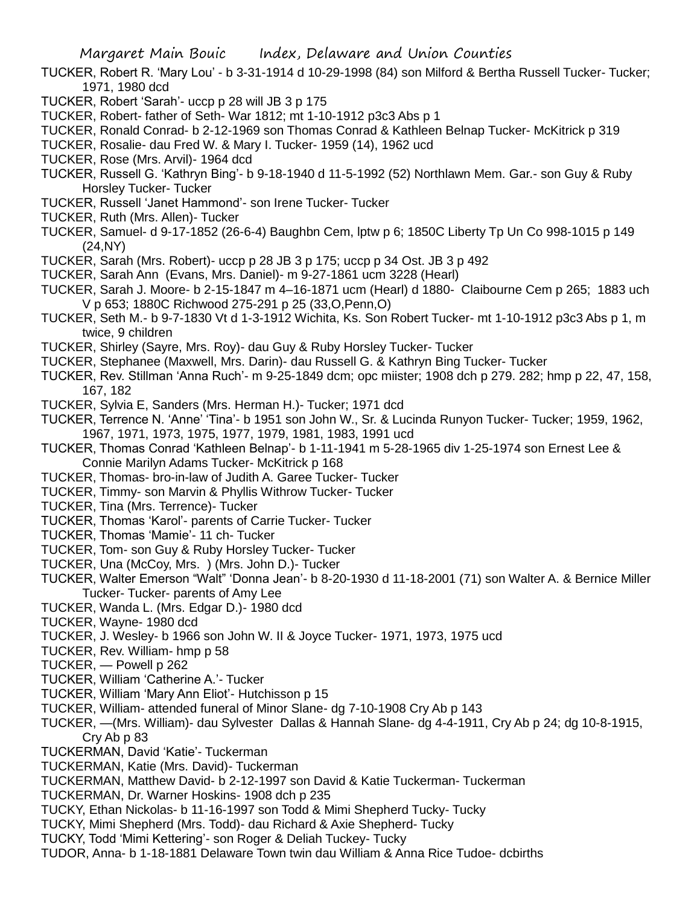- TUCKER, Robert R. 'Mary Lou' b 3-31-1914 d 10-29-1998 (84) son Milford & Bertha Russell Tucker- Tucker; 1971, 1980 dcd
- TUCKER, Robert 'Sarah'- uccp p 28 will JB 3 p 175
- TUCKER, Robert- father of Seth- War 1812; mt 1-10-1912 p3c3 Abs p 1
- TUCKER, Ronald Conrad- b 2-12-1969 son Thomas Conrad & Kathleen Belnap Tucker- McKitrick p 319
- TUCKER, Rosalie- dau Fred W. & Mary I. Tucker- 1959 (14), 1962 ucd
- TUCKER, Rose (Mrs. Arvil)- 1964 dcd
- TUCKER, Russell G. 'Kathryn Bing'- b 9-18-1940 d 11-5-1992 (52) Northlawn Mem. Gar.- son Guy & Ruby Horsley Tucker- Tucker
- TUCKER, Russell 'Janet Hammond'- son Irene Tucker- Tucker
- TUCKER, Ruth (Mrs. Allen)- Tucker
- TUCKER, Samuel- d 9-17-1852 (26-6-4) Baughbn Cem, lptw p 6; 1850C Liberty Tp Un Co 998-1015 p 149 (24,NY)
- TUCKER, Sarah (Mrs. Robert)- uccp p 28 JB 3 p 175; uccp p 34 Ost. JB 3 p 492
- TUCKER, Sarah Ann (Evans, Mrs. Daniel)- m 9-27-1861 ucm 3228 (Hearl)
- TUCKER, Sarah J. Moore- b 2-15-1847 m 4–16-1871 ucm (Hearl) d 1880- Claibourne Cem p 265; 1883 uch V p 653; 1880C Richwood 275-291 p 25 (33,O,Penn,O)
- TUCKER, Seth M.- b 9-7-1830 Vt d 1-3-1912 Wichita, Ks. Son Robert Tucker- mt 1-10-1912 p3c3 Abs p 1, m twice, 9 children
- TUCKER, Shirley (Sayre, Mrs. Roy)- dau Guy & Ruby Horsley Tucker- Tucker
- TUCKER, Stephanee (Maxwell, Mrs. Darin)- dau Russell G. & Kathryn Bing Tucker- Tucker
- TUCKER, Rev. Stillman 'Anna Ruch'- m 9-25-1849 dcm; opc miister; 1908 dch p 279. 282; hmp p 22, 47, 158, 167, 182
- TUCKER, Sylvia E, Sanders (Mrs. Herman H.)- Tucker; 1971 dcd
- TUCKER, Terrence N. 'Anne' 'Tina'- b 1951 son John W., Sr. & Lucinda Runyon Tucker- Tucker; 1959, 1962, 1967, 1971, 1973, 1975, 1977, 1979, 1981, 1983, 1991 ucd
- TUCKER, Thomas Conrad 'Kathleen Belnap'- b 1-11-1941 m 5-28-1965 div 1-25-1974 son Ernest Lee & Connie Marilyn Adams Tucker- McKitrick p 168
- TUCKER, Thomas- bro-in-law of Judith A. Garee Tucker- Tucker
- TUCKER, Timmy- son Marvin & Phyllis Withrow Tucker- Tucker
- TUCKER, Tina (Mrs. Terrence)- Tucker
- TUCKER, Thomas 'Karol'- parents of Carrie Tucker- Tucker
- TUCKER, Thomas 'Mamie'- 11 ch- Tucker
- TUCKER, Tom- son Guy & Ruby Horsley Tucker- Tucker
- TUCKER, Una (McCoy, Mrs. ) (Mrs. John D.)- Tucker
- TUCKER, Walter Emerson "Walt" 'Donna Jean'- b 8-20-1930 d 11-18-2001 (71) son Walter A. & Bernice Miller Tucker- Tucker- parents of Amy Lee
- TUCKER, Wanda L. (Mrs. Edgar D.)- 1980 dcd
- TUCKER, Wayne- 1980 dcd
- TUCKER, J. Wesley- b 1966 son John W. II & Joyce Tucker- 1971, 1973, 1975 ucd
- TUCKER, Rev. William- hmp p 58
- TUCKER, Powell p 262
- TUCKER, William 'Catherine A.'- Tucker
- TUCKER, William 'Mary Ann Eliot'- Hutchisson p 15
- TUCKER, William- attended funeral of Minor Slane- dg 7-10-1908 Cry Ab p 143
- TUCKER, —(Mrs. William)- dau Sylvester Dallas & Hannah Slane- dg 4-4-1911, Cry Ab p 24; dg 10-8-1915, Cry Ab p 83
- TUCKERMAN, David 'Katie'- Tuckerman
- TUCKERMAN, Katie (Mrs. David)- Tuckerman
- TUCKERMAN, Matthew David- b 2-12-1997 son David & Katie Tuckerman- Tuckerman
- TUCKERMAN, Dr. Warner Hoskins- 1908 dch p 235
- TUCKY, Ethan Nickolas- b 11-16-1997 son Todd & Mimi Shepherd Tucky- Tucky
- TUCKY, Mimi Shepherd (Mrs. Todd)- dau Richard & Axie Shepherd- Tucky
- TUCKY, Todd 'Mimi Kettering'- son Roger & Deliah Tuckey- Tucky
- TUDOR, Anna- b 1-18-1881 Delaware Town twin dau William & Anna Rice Tudoe- dcbirths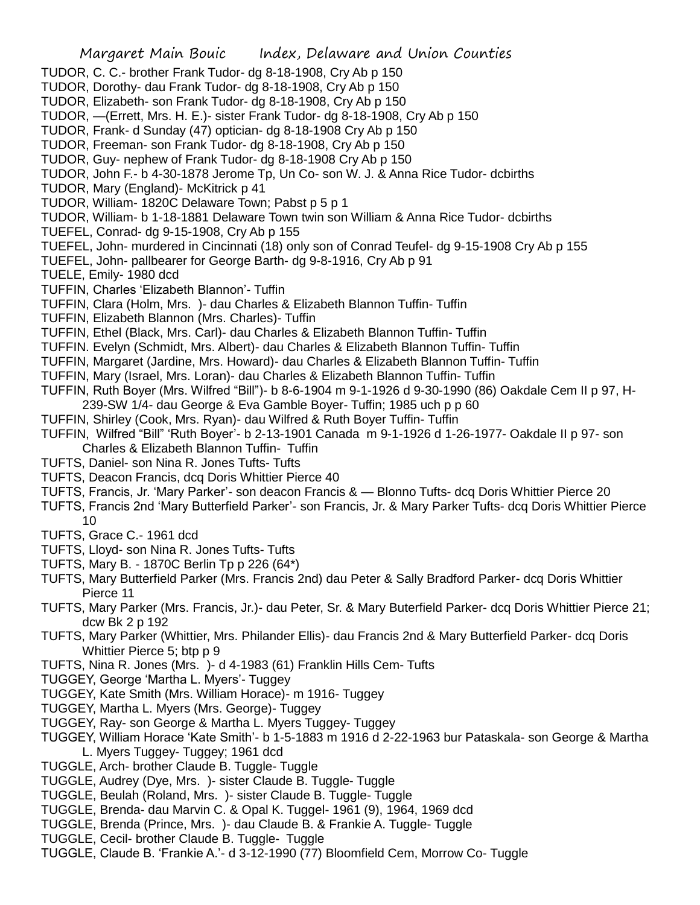Margaret Main Bouic Index, Delaware and Union Counties TUDOR, C. C.- brother Frank Tudor- dg 8-18-1908, Cry Ab p 150 TUDOR, Dorothy- dau Frank Tudor- dg 8-18-1908, Cry Ab p 150 TUDOR, Elizabeth- son Frank Tudor- dg 8-18-1908, Cry Ab p 150 TUDOR, —(Errett, Mrs. H. E.)- sister Frank Tudor- dg 8-18-1908, Cry Ab p 150 TUDOR, Frank- d Sunday (47) optician- dg 8-18-1908 Cry Ab p 150 TUDOR, Freeman- son Frank Tudor- dg 8-18-1908, Cry Ab p 150 TUDOR, Guy- nephew of Frank Tudor- dg 8-18-1908 Cry Ab p 150 TUDOR, John F.- b 4-30-1878 Jerome Tp, Un Co- son W. J. & Anna Rice Tudor- dcbirths TUDOR, Mary (England)- McKitrick p 41 TUDOR, William- 1820C Delaware Town; Pabst p 5 p 1 TUDOR, William- b 1-18-1881 Delaware Town twin son William & Anna Rice Tudor- dcbirths TUEFEL, Conrad- dg 9-15-1908, Cry Ab p 155 TUEFEL, John- murdered in Cincinnati (18) only son of Conrad Teufel- dg 9-15-1908 Cry Ab p 155 TUEFEL, John- pallbearer for George Barth- dg 9-8-1916, Cry Ab p 91 TUELE, Emily- 1980 dcd TUFFIN, Charles 'Elizabeth Blannon'- Tuffin TUFFIN, Clara (Holm, Mrs. )- dau Charles & Elizabeth Blannon Tuffin- Tuffin TUFFIN, Elizabeth Blannon (Mrs. Charles)- Tuffin TUFFIN, Ethel (Black, Mrs. Carl)- dau Charles & Elizabeth Blannon Tuffin- Tuffin TUFFIN. Evelyn (Schmidt, Mrs. Albert)- dau Charles & Elizabeth Blannon Tuffin- Tuffin TUFFIN, Margaret (Jardine, Mrs. Howard)- dau Charles & Elizabeth Blannon Tuffin- Tuffin TUFFIN, Mary (Israel, Mrs. Loran)- dau Charles & Elizabeth Blannon Tuffin- Tuffin TUFFIN, Ruth Boyer (Mrs. Wilfred "Bill")- b 8-6-1904 m 9-1-1926 d 9-30-1990 (86) Oakdale Cem II p 97, H-239-SW 1/4- dau George & Eva Gamble Boyer- Tuffin; 1985 uch p p 60 TUFFIN, Shirley (Cook, Mrs. Ryan)- dau Wilfred & Ruth Boyer Tuffin- Tuffin TUFFIN, Wilfred "Bill" 'Ruth Boyer'- b 2-13-1901 Canada m 9-1-1926 d 1-26-1977- Oakdale II p 97- son Charles & Elizabeth Blannon Tuffin- Tuffin TUFTS, Daniel- son Nina R. Jones Tufts- Tufts TUFTS, Deacon Francis, dcq Doris Whittier Pierce 40 TUFTS, Francis, Jr. 'Mary Parker'- son deacon Francis & — Blonno Tufts- dcq Doris Whittier Pierce 20 TUFTS, Francis 2nd 'Mary Butterfield Parker'- son Francis, Jr. & Mary Parker Tufts- dcq Doris Whittier Pierce 10 TUFTS, Grace C.- 1961 dcd TUFTS, Lloyd- son Nina R. Jones Tufts- Tufts TUFTS, Mary B. - 1870C Berlin Tp p 226 (64\*) TUFTS, Mary Butterfield Parker (Mrs. Francis 2nd) dau Peter & Sally Bradford Parker- dcq Doris Whittier Pierce 11 TUFTS, Mary Parker (Mrs. Francis, Jr.)- dau Peter, Sr. & Mary Buterfield Parker- dcq Doris Whittier Pierce 21; dcw Bk 2 p 192 TUFTS, Mary Parker (Whittier, Mrs. Philander Ellis)- dau Francis 2nd & Mary Butterfield Parker- dcq Doris Whittier Pierce 5; btp p 9 TUFTS, Nina R. Jones (Mrs. )- d 4-1983 (61) Franklin Hills Cem- Tufts TUGGEY, George 'Martha L. Myers'- Tuggey TUGGEY, Kate Smith (Mrs. William Horace)- m 1916- Tuggey

- TUGGEY, Martha L. Myers (Mrs. George)- Tuggey
- TUGGEY, Ray- son George & Martha L. Myers Tuggey- Tuggey
- TUGGEY, William Horace 'Kate Smith'- b 1-5-1883 m 1916 d 2-22-1963 bur Pataskala- son George & Martha L. Myers Tuggey- Tuggey; 1961 dcd
- TUGGLE, Arch- brother Claude B. Tuggle- Tuggle
- TUGGLE, Audrey (Dye, Mrs. )- sister Claude B. Tuggle- Tuggle
- TUGGLE, Beulah (Roland, Mrs. )- sister Claude B. Tuggle- Tuggle
- TUGGLE, Brenda- dau Marvin C. & Opal K. Tuggel- 1961 (9), 1964, 1969 dcd
- TUGGLE, Brenda (Prince, Mrs. )- dau Claude B. & Frankie A. Tuggle- Tuggle
- TUGGLE, Cecil- brother Claude B. Tuggle- Tuggle
- TUGGLE, Claude B. 'Frankie A.'- d 3-12-1990 (77) Bloomfield Cem, Morrow Co- Tuggle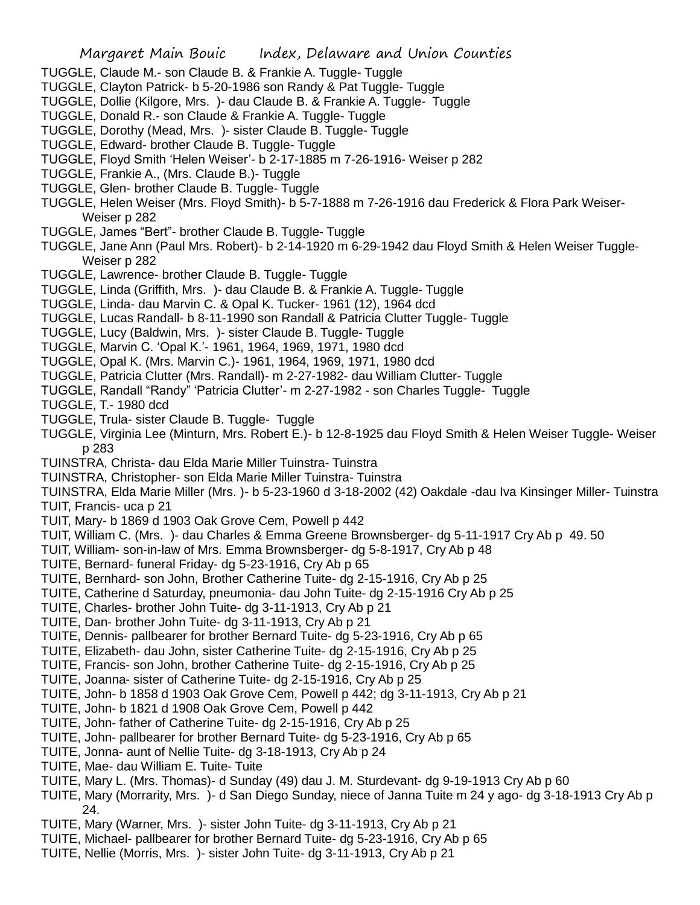- TUGGLE, Claude M.- son Claude B. & Frankie A. Tuggle- Tuggle
- TUGGLE, Clayton Patrick- b 5-20-1986 son Randy & Pat Tuggle- Tuggle
- TUGGLE, Dollie (Kilgore, Mrs. )- dau Claude B. & Frankie A. Tuggle- Tuggle
- TUGGLE, Donald R.- son Claude & Frankie A. Tuggle- Tuggle
- TUGGLE, Dorothy (Mead, Mrs. )- sister Claude B. Tuggle- Tuggle
- TUGGLE, Edward- brother Claude B. Tuggle- Tuggle
- TUGGLE, Floyd Smith 'Helen Weiser'- b 2-17-1885 m 7-26-1916- Weiser p 282
- TUGGLE, Frankie A., (Mrs. Claude B.)- Tuggle
- TUGGLE, Glen- brother Claude B. Tuggle- Tuggle
- TUGGLE, Helen Weiser (Mrs. Floyd Smith)- b 5-7-1888 m 7-26-1916 dau Frederick & Flora Park Weiser-Weiser p 282
- TUGGLE, James "Bert"- brother Claude B. Tuggle- Tuggle
- TUGGLE, Jane Ann (Paul Mrs. Robert)- b 2-14-1920 m 6-29-1942 dau Floyd Smith & Helen Weiser Tuggle-Weiser p 282
- TUGGLE, Lawrence- brother Claude B. Tuggle- Tuggle
- TUGGLE, Linda (Griffith, Mrs. )- dau Claude B. & Frankie A. Tuggle- Tuggle
- TUGGLE, Linda- dau Marvin C. & Opal K. Tucker- 1961 (12), 1964 dcd
- TUGGLE, Lucas Randall- b 8-11-1990 son Randall & Patricia Clutter Tuggle- Tuggle
- TUGGLE, Lucy (Baldwin, Mrs. )- sister Claude B. Tuggle- Tuggle
- TUGGLE, Marvin C. 'Opal K.'- 1961, 1964, 1969, 1971, 1980 dcd
- TUGGLE, Opal K. (Mrs. Marvin C.)- 1961, 1964, 1969, 1971, 1980 dcd
- TUGGLE, Patricia Clutter (Mrs. Randall)- m 2-27-1982- dau William Clutter- Tuggle
- TUGGLE, Randall "Randy" 'Patricia Clutter'- m 2-27-1982 son Charles Tuggle- Tuggle
- TUGGLE, T.- 1980 dcd
- TUGGLE, Trula- sister Claude B. Tuggle- Tuggle
- TUGGLE, Virginia Lee (Minturn, Mrs. Robert E.)- b 12-8-1925 dau Floyd Smith & Helen Weiser Tuggle- Weiser p 283
- TUINSTRA, Christa- dau Elda Marie Miller Tuinstra- Tuinstra
- TUINSTRA, Christopher- son Elda Marie Miller Tuinstra- Tuinstra
- TUINSTRA, Elda Marie Miller (Mrs. )- b 5-23-1960 d 3-18-2002 (42) Oakdale -dau Iva Kinsinger Miller- Tuinstra TUIT, Francis- uca p 21
- TUIT, Mary- b 1869 d 1903 Oak Grove Cem, Powell p 442
- TUIT, William C. (Mrs. )- dau Charles & Emma Greene Brownsberger- dg 5-11-1917 Cry Ab p 49. 50
- TUIT, William- son-in-law of Mrs. Emma Brownsberger- dg 5-8-1917, Cry Ab p 48
- TUITE, Bernard- funeral Friday- dg 5-23-1916, Cry Ab p 65
- TUITE, Bernhard- son John, Brother Catherine Tuite- dg 2-15-1916, Cry Ab p 25
- TUITE, Catherine d Saturday, pneumonia- dau John Tuite- dg 2-15-1916 Cry Ab p 25
- TUITE, Charles- brother John Tuite- dg 3-11-1913, Cry Ab p 21
- TUITE, Dan- brother John Tuite- dg 3-11-1913, Cry Ab p 21
- TUITE, Dennis- pallbearer for brother Bernard Tuite- dg 5-23-1916, Cry Ab p 65
- TUITE, Elizabeth- dau John, sister Catherine Tuite- dg 2-15-1916, Cry Ab p 25
- TUITE, Francis- son John, brother Catherine Tuite- dg 2-15-1916, Cry Ab p 25
- TUITE, Joanna- sister of Catherine Tuite- dg 2-15-1916, Cry Ab p 25
- TUITE, John- b 1858 d 1903 Oak Grove Cem, Powell p 442; dg 3-11-1913, Cry Ab p 21
- TUITE, John- b 1821 d 1908 Oak Grove Cem, Powell p 442
- TUITE, John- father of Catherine Tuite- dg 2-15-1916, Cry Ab p 25
- TUITE, John- pallbearer for brother Bernard Tuite- dg 5-23-1916, Cry Ab p 65
- TUITE, Jonna- aunt of Nellie Tuite- dg 3-18-1913, Cry Ab p 24
- TUITE, Mae- dau William E. Tuite- Tuite
- TUITE, Mary L. (Mrs. Thomas)- d Sunday (49) dau J. M. Sturdevant- dg 9-19-1913 Cry Ab p 60
- TUITE, Mary (Morrarity, Mrs. )- d San Diego Sunday, niece of Janna Tuite m 24 y ago- dg 3-18-1913 Cry Ab p 24.
- TUITE, Mary (Warner, Mrs. )- sister John Tuite- dg 3-11-1913, Cry Ab p 21
- TUITE, Michael- pallbearer for brother Bernard Tuite- dg 5-23-1916, Cry Ab p 65
- TUITE, Nellie (Morris, Mrs. )- sister John Tuite- dg 3-11-1913, Cry Ab p 21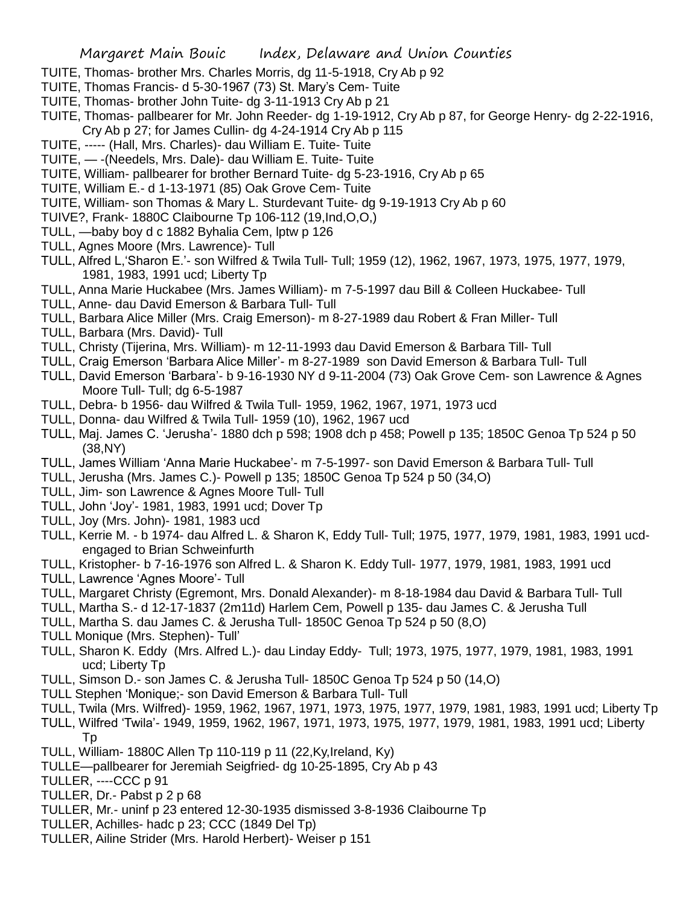- TUITE, Thomas- brother Mrs. Charles Morris, dg 11-5-1918, Cry Ab p 92
- TUITE, Thomas Francis- d 5-30-1967 (73) St. Mary's Cem- Tuite
- TUITE, Thomas- brother John Tuite- dg 3-11-1913 Cry Ab p 21
- TUITE, Thomas- pallbearer for Mr. John Reeder- dg 1-19-1912, Cry Ab p 87, for George Henry- dg 2-22-1916, Cry Ab p 27; for James Cullin- dg 4-24-1914 Cry Ab p 115
- TUITE, ----- (Hall, Mrs. Charles)- dau William E. Tuite- Tuite
- TUITE, -(Needels, Mrs. Dale)- dau William E. Tuite- Tuite
- TUITE, William- pallbearer for brother Bernard Tuite- dg 5-23-1916, Cry Ab p 65
- TUITE, William E.- d 1-13-1971 (85) Oak Grove Cem- Tuite
- TUITE, William- son Thomas & Mary L. Sturdevant Tuite- dg 9-19-1913 Cry Ab p 60
- TUIVE?, Frank- 1880C Claibourne Tp 106-112 (19,Ind,O,O,)
- TULL, —baby boy d c 1882 Byhalia Cem, lptw p 126
- TULL, Agnes Moore (Mrs. Lawrence)- Tull
- TULL, Alfred L,'Sharon E.'- son Wilfred & Twila Tull- Tull; 1959 (12), 1962, 1967, 1973, 1975, 1977, 1979, 1981, 1983, 1991 ucd; Liberty Tp
- TULL, Anna Marie Huckabee (Mrs. James William)- m 7-5-1997 dau Bill & Colleen Huckabee- Tull
- TULL, Anne- dau David Emerson & Barbara Tull- Tull
- TULL, Barbara Alice Miller (Mrs. Craig Emerson)- m 8-27-1989 dau Robert & Fran Miller- Tull
- TULL, Barbara (Mrs. David)- Tull
- TULL, Christy (Tijerina, Mrs. William)- m 12-11-1993 dau David Emerson & Barbara Till- Tull
- TULL, Craig Emerson 'Barbara Alice Miller'- m 8-27-1989 son David Emerson & Barbara Tull- Tull
- TULL, David Emerson 'Barbara'- b 9-16-1930 NY d 9-11-2004 (73) Oak Grove Cem- son Lawrence & Agnes Moore Tull- Tull; dg 6-5-1987
- TULL, Debra- b 1956- dau Wilfred & Twila Tull- 1959, 1962, 1967, 1971, 1973 ucd
- TULL, Donna- dau Wilfred & Twila Tull- 1959 (10), 1962, 1967 ucd
- TULL, Maj. James C. 'Jerusha'- 1880 dch p 598; 1908 dch p 458; Powell p 135; 1850C Genoa Tp 524 p 50 (38,NY)
- TULL, James William 'Anna Marie Huckabee'- m 7-5-1997- son David Emerson & Barbara Tull- Tull
- TULL, Jerusha (Mrs. James C.)- Powell p 135; 1850C Genoa Tp 524 p 50 (34,O)
- TULL, Jim- son Lawrence & Agnes Moore Tull- Tull
- TULL, John 'Joy'- 1981, 1983, 1991 ucd; Dover Tp
- TULL, Joy (Mrs. John)- 1981, 1983 ucd
- TULL, Kerrie M. b 1974- dau Alfred L. & Sharon K, Eddy Tull- Tull; 1975, 1977, 1979, 1981, 1983, 1991 ucdengaged to Brian Schweinfurth
- TULL, Kristopher- b 7-16-1976 son Alfred L. & Sharon K. Eddy Tull- 1977, 1979, 1981, 1983, 1991 ucd
- TULL, Lawrence 'Agnes Moore'- Tull
- TULL, Margaret Christy (Egremont, Mrs. Donald Alexander)- m 8-18-1984 dau David & Barbara Tull- Tull
- TULL, Martha S.- d 12-17-1837 (2m11d) Harlem Cem, Powell p 135- dau James C. & Jerusha Tull
- TULL, Martha S. dau James C. & Jerusha Tull- 1850C Genoa Tp 524 p 50 (8,O)
- TULL Monique (Mrs. Stephen)- Tull'
- TULL, Sharon K. Eddy (Mrs. Alfred L.)- dau Linday Eddy- Tull; 1973, 1975, 1977, 1979, 1981, 1983, 1991 ucd; Liberty Tp
- TULL, Simson D.- son James C. & Jerusha Tull- 1850C Genoa Tp 524 p 50 (14,O)
- TULL Stephen 'Monique;- son David Emerson & Barbara Tull- Tull
- TULL, Twila (Mrs. Wilfred)- 1959, 1962, 1967, 1971, 1973, 1975, 1977, 1979, 1981, 1983, 1991 ucd; Liberty Tp
- TULL, Wilfred 'Twila'- 1949, 1959, 1962, 1967, 1971, 1973, 1975, 1977, 1979, 1981, 1983, 1991 ucd; Liberty Tp
- TULL, William- 1880C Allen Tp 110-119 p 11 (22,Ky,Ireland, Ky)
- TULLE—pallbearer for Jeremiah Seigfried- dg 10-25-1895, Cry Ab p 43
- TULLER, ----CCC p 91
- TULLER, Dr.- Pabst p 2 p 68
- TULLER, Mr.- uninf p 23 entered 12-30-1935 dismissed 3-8-1936 Claibourne Tp
- TULLER, Achilles- hadc p 23; CCC (1849 Del Tp)
- TULLER, Ailine Strider (Mrs. Harold Herbert)- Weiser p 151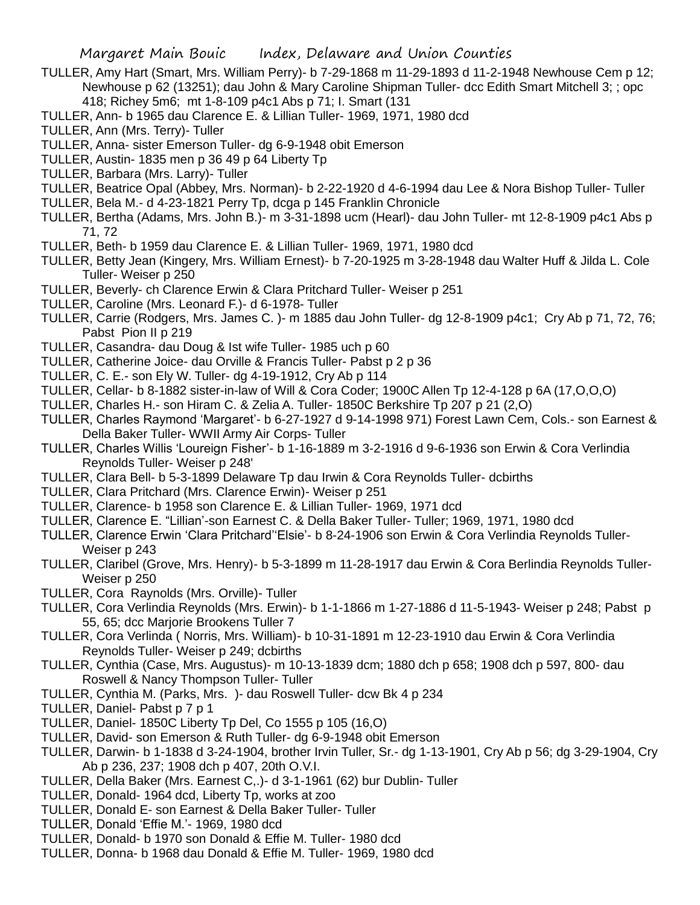- TULLER, Amy Hart (Smart, Mrs. William Perry)- b 7-29-1868 m 11-29-1893 d 11-2-1948 Newhouse Cem p 12; Newhouse p 62 (13251); dau John & Mary Caroline Shipman Tuller- dcc Edith Smart Mitchell 3; ; opc 418; Richey 5m6; mt 1-8-109 p4c1 Abs p 71; I. Smart (131
- TULLER, Ann- b 1965 dau Clarence E. & Lillian Tuller- 1969, 1971, 1980 dcd
- TULLER, Ann (Mrs. Terry)- Tuller
- TULLER, Anna- sister Emerson Tuller- dg 6-9-1948 obit Emerson
- TULLER, Austin- 1835 men p 36 49 p 64 Liberty Tp
- TULLER, Barbara (Mrs. Larry)- Tuller
- TULLER, Beatrice Opal (Abbey, Mrs. Norman)- b 2-22-1920 d 4-6-1994 dau Lee & Nora Bishop Tuller- Tuller
- TULLER, Bela M.- d 4-23-1821 Perry Tp, dcga p 145 Franklin Chronicle
- TULLER, Bertha (Adams, Mrs. John B.)- m 3-31-1898 ucm (Hearl)- dau John Tuller- mt 12-8-1909 p4c1 Abs p 71, 72
- TULLER, Beth- b 1959 dau Clarence E. & Lillian Tuller- 1969, 1971, 1980 dcd
- TULLER, Betty Jean (Kingery, Mrs. William Ernest)- b 7-20-1925 m 3-28-1948 dau Walter Huff & Jilda L. Cole Tuller- Weiser p 250
- TULLER, Beverly- ch Clarence Erwin & Clara Pritchard Tuller- Weiser p 251
- TULLER, Caroline (Mrs. Leonard F.)- d 6-1978- Tuller
- TULLER, Carrie (Rodgers, Mrs. James C. )- m 1885 dau John Tuller- dg 12-8-1909 p4c1; Cry Ab p 71, 72, 76; Pabst Pion II p 219
- TULLER, Casandra- dau Doug & Ist wife Tuller- 1985 uch p 60
- TULLER, Catherine Joice- dau Orville & Francis Tuller- Pabst p 2 p 36
- TULLER, C. E.- son Ely W. Tuller- dg 4-19-1912, Cry Ab p 114
- TULLER, Cellar- b 8-1882 sister-in-law of Will & Cora Coder; 1900C Allen Tp 12-4-128 p 6A (17,O,O,O)
- TULLER, Charles H.- son Hiram C. & Zelia A. Tuller- 1850C Berkshire Tp 207 p 21 (2,O)
- TULLER, Charles Raymond 'Margaret'- b 6-27-1927 d 9-14-1998 971) Forest Lawn Cem, Cols.- son Earnest & Della Baker Tuller- WWII Army Air Corps- Tuller
- TULLER, Charles Willis 'Loureign Fisher'- b 1-16-1889 m 3-2-1916 d 9-6-1936 son Erwin & Cora Verlindia Reynolds Tuller- Weiser p 248'
- TULLER, Clara Bell- b 5-3-1899 Delaware Tp dau Irwin & Cora Reynolds Tuller- dcbirths
- TULLER, Clara Pritchard (Mrs. Clarence Erwin)- Weiser p 251
- TULLER, Clarence- b 1958 son Clarence E. & Lillian Tuller- 1969, 1971 dcd
- TULLER, Clarence E. "Lillian'-son Earnest C. & Della Baker Tuller- Tuller; 1969, 1971, 1980 dcd
- TULLER, Clarence Erwin 'Clara Pritchard''Elsie'- b 8-24-1906 son Erwin & Cora Verlindia Reynolds Tuller-Weiser p 243
- TULLER, Claribel (Grove, Mrs. Henry)- b 5-3-1899 m 11-28-1917 dau Erwin & Cora Berlindia Reynolds Tuller-Weiser p 250
- TULLER, Cora Raynolds (Mrs. Orville)- Tuller
- TULLER, Cora Verlindia Reynolds (Mrs. Erwin)- b 1-1-1866 m 1-27-1886 d 11-5-1943- Weiser p 248; Pabst p 55, 65; dcc Marjorie Brookens Tuller 7
- TULLER, Cora Verlinda ( Norris, Mrs. William)- b 10-31-1891 m 12-23-1910 dau Erwin & Cora Verlindia Reynolds Tuller- Weiser p 249; dcbirths
- TULLER, Cynthia (Case, Mrs. Augustus)- m 10-13-1839 dcm; 1880 dch p 658; 1908 dch p 597, 800- dau Roswell & Nancy Thompson Tuller- Tuller
- TULLER, Cynthia M. (Parks, Mrs. )- dau Roswell Tuller- dcw Bk 4 p 234
- TULLER, Daniel- Pabst p 7 p 1
- TULLER, Daniel- 1850C Liberty Tp Del, Co 1555 p 105 (16,O)
- TULLER, David- son Emerson & Ruth Tuller- dg 6-9-1948 obit Emerson
- TULLER, Darwin- b 1-1838 d 3-24-1904, brother Irvin Tuller, Sr.- dg 1-13-1901, Cry Ab p 56; dg 3-29-1904, Cry Ab p 236, 237; 1908 dch p 407, 20th O.V.I.
- TULLER, Della Baker (Mrs. Earnest C,.)- d 3-1-1961 (62) bur Dublin- Tuller
- TULLER, Donald- 1964 dcd, Liberty Tp, works at zoo
- TULLER, Donald E- son Earnest & Della Baker Tuller- Tuller
- TULLER, Donald 'Effie M.'- 1969, 1980 dcd
- TULLER, Donald- b 1970 son Donald & Effie M. Tuller- 1980 dcd
- TULLER, Donna- b 1968 dau Donald & Effie M. Tuller- 1969, 1980 dcd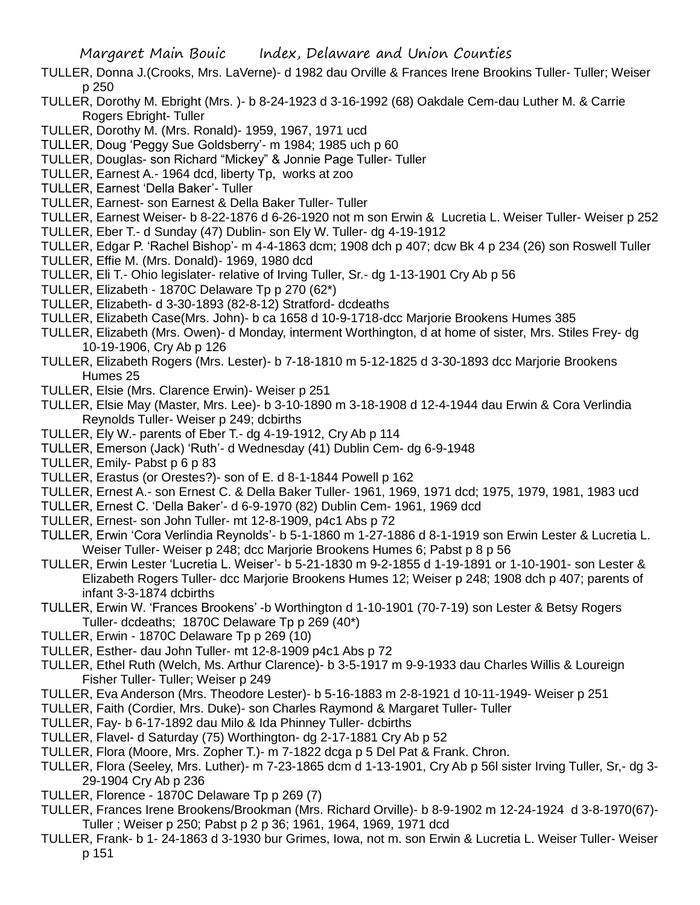- TULLER, Donna J.(Crooks, Mrs. LaVerne)- d 1982 dau Orville & Frances Irene Brookins Tuller- Tuller; Weiser p 250
- TULLER, Dorothy M. Ebright (Mrs. )- b 8-24-1923 d 3-16-1992 (68) Oakdale Cem-dau Luther M. & Carrie Rogers Ebright- Tuller
- TULLER, Dorothy M. (Mrs. Ronald)- 1959, 1967, 1971 ucd
- TULLER, Doug 'Peggy Sue Goldsberry'- m 1984; 1985 uch p 60
- TULLER, Douglas- son Richard "Mickey" & Jonnie Page Tuller- Tuller
- TULLER, Earnest A.- 1964 dcd, liberty Tp, works at zoo
- TULLER, Earnest 'Della Baker'- Tuller
- TULLER, Earnest- son Earnest & Della Baker Tuller- Tuller
- TULLER, Earnest Weiser- b 8-22-1876 d 6-26-1920 not m son Erwin & Lucretia L. Weiser Tuller- Weiser p 252 TULLER, Eber T.- d Sunday (47) Dublin- son Ely W. Tuller- dg 4-19-1912
- TULLER, Edgar P. 'Rachel Bishop'- m 4-4-1863 dcm; 1908 dch p 407; dcw Bk 4 p 234 (26) son Roswell Tuller
- TULLER, Effie M. (Mrs. Donald)- 1969, 1980 dcd
- TULLER, Eli T.- Ohio legislater- relative of Irving Tuller, Sr.- dg 1-13-1901 Cry Ab p 56
- TULLER, Elizabeth 1870C Delaware Tp p 270 (62\*)
- TULLER, Elizabeth- d 3-30-1893 (82-8-12) Stratford- dcdeaths
- TULLER, Elizabeth Case(Mrs. John)- b ca 1658 d 10-9-1718-dcc Marjorie Brookens Humes 385
- TULLER, Elizabeth (Mrs. Owen)- d Monday, interment Worthington, d at home of sister, Mrs. Stiles Frey- dg 10-19-1906, Cry Ab p 126
- TULLER, Elizabeth Rogers (Mrs. Lester)- b 7-18-1810 m 5-12-1825 d 3-30-1893 dcc Marjorie Brookens Humes 25
- TULLER, Elsie (Mrs. Clarence Erwin)- Weiser p 251
- TULLER, Elsie May (Master, Mrs. Lee)- b 3-10-1890 m 3-18-1908 d 12-4-1944 dau Erwin & Cora Verlindia Reynolds Tuller- Weiser p 249; dcbirths
- TULLER, Ely W.- parents of Eber T.- dg 4-19-1912, Cry Ab p 114
- TULLER, Emerson (Jack) 'Ruth'- d Wednesday (41) Dublin Cem- dg 6-9-1948
- TULLER, Emily- Pabst p 6 p 83
- TULLER, Erastus (or Orestes?)- son of E. d 8-1-1844 Powell p 162
- TULLER, Ernest A.- son Ernest C. & Della Baker Tuller- 1961, 1969, 1971 dcd; 1975, 1979, 1981, 1983 ucd
- TULLER, Ernest C. 'Della Baker'- d 6-9-1970 (82) Dublin Cem- 1961, 1969 dcd
- TULLER, Ernest- son John Tuller- mt 12-8-1909, p4c1 Abs p 72
- TULLER, Erwin 'Cora Verlindia Reynolds'- b 5-1-1860 m 1-27-1886 d 8-1-1919 son Erwin Lester & Lucretia L. Weiser Tuller- Weiser p 248; dcc Marjorie Brookens Humes 6; Pabst p 8 p 56
- TULLER, Erwin Lester 'Lucretia L. Weiser'- b 5-21-1830 m 9-2-1855 d 1-19-1891 or 1-10-1901- son Lester & Elizabeth Rogers Tuller- dcc Marjorie Brookens Humes 12; Weiser p 248; 1908 dch p 407; parents of infant 3-3-1874 dcbirths
- TULLER, Erwin W. 'Frances Brookens' -b Worthington d 1-10-1901 (70-7-19) son Lester & Betsy Rogers Tuller- dcdeaths; 1870C Delaware Tp p 269 (40\*)
- TULLER, Erwin 1870C Delaware Tp p 269 (10)
- TULLER, Esther- dau John Tuller- mt 12-8-1909 p4c1 Abs p 72
- TULLER, Ethel Ruth (Welch, Ms. Arthur Clarence)- b 3-5-1917 m 9-9-1933 dau Charles Willis & Loureign Fisher Tuller- Tuller; Weiser p 249
- TULLER, Eva Anderson (Mrs. Theodore Lester)- b 5-16-1883 m 2-8-1921 d 10-11-1949- Weiser p 251
- TULLER, Faith (Cordier, Mrs. Duke)- son Charles Raymond & Margaret Tuller- Tuller
- TULLER, Fay- b 6-17-1892 dau Milo & Ida Phinney Tuller- dcbirths
- TULLER, Flavel- d Saturday (75) Worthington- dg 2-17-1881 Cry Ab p 52
- TULLER, Flora (Moore, Mrs. Zopher T.)- m 7-1822 dcga p 5 Del Pat & Frank. Chron.
- TULLER, Flora (Seeley, Mrs. Luther)- m 7-23-1865 dcm d 1-13-1901, Cry Ab p 56l sister Irving Tuller, Sr,- dg 3- 29-1904 Cry Ab p 236
- TULLER, Florence 1870C Delaware Tp p 269 (7)
- TULLER, Frances Irene Brookens/Brookman (Mrs. Richard Orville)- b 8-9-1902 m 12-24-1924 d 3-8-1970(67)- Tuller ; Weiser p 250; Pabst p 2 p 36; 1961, 1964, 1969, 1971 dcd
- TULLER, Frank- b 1- 24-1863 d 3-1930 bur Grimes, Iowa, not m. son Erwin & Lucretia L. Weiser Tuller- Weiser p 151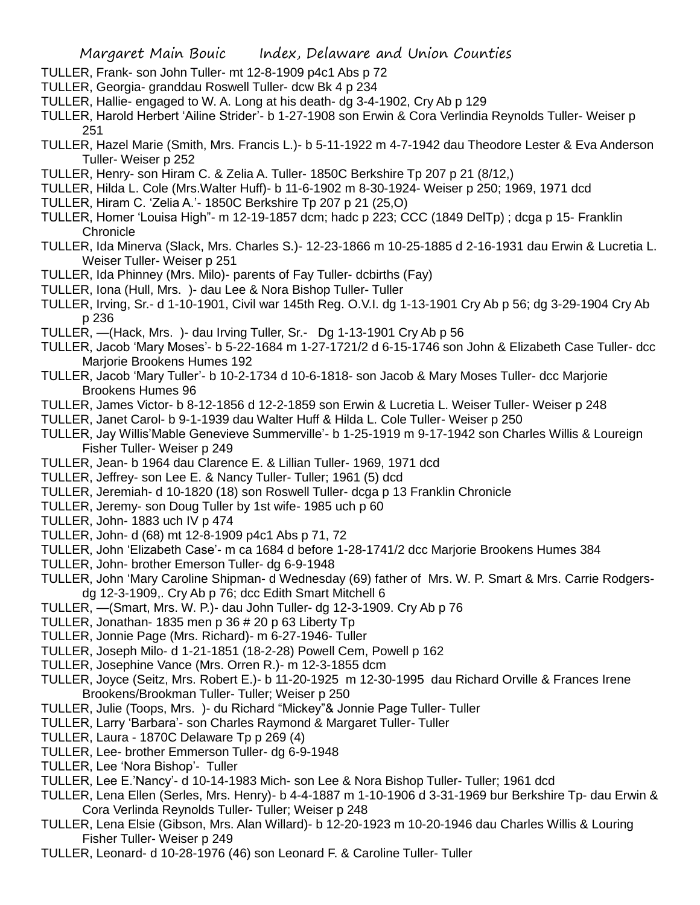- TULLER, Frank- son John Tuller- mt 12-8-1909 p4c1 Abs p 72
- TULLER, Georgia- granddau Roswell Tuller- dcw Bk 4 p 234
- TULLER, Hallie- engaged to W. A. Long at his death- dg 3-4-1902, Cry Ab p 129
- TULLER, Harold Herbert 'Ailine Strider'- b 1-27-1908 son Erwin & Cora Verlindia Reynolds Tuller- Weiser p 251
- TULLER, Hazel Marie (Smith, Mrs. Francis L.)- b 5-11-1922 m 4-7-1942 dau Theodore Lester & Eva Anderson Tuller- Weiser p 252
- TULLER, Henry- son Hiram C. & Zelia A. Tuller- 1850C Berkshire Tp 207 p 21 (8/12,)
- TULLER, Hilda L. Cole (Mrs.Walter Huff)- b 11-6-1902 m 8-30-1924- Weiser p 250; 1969, 1971 dcd
- TULLER, Hiram C. 'Zelia A.'- 1850C Berkshire Tp 207 p 21 (25,O)
- TULLER, Homer 'Louisa High"- m 12-19-1857 dcm; hadc p 223; CCC (1849 DelTp) ; dcga p 15- Franklin **Chronicle**
- TULLER, Ida Minerva (Slack, Mrs. Charles S.)- 12-23-1866 m 10-25-1885 d 2-16-1931 dau Erwin & Lucretia L. Weiser Tuller- Weiser p 251
- TULLER, Ida Phinney (Mrs. Milo)- parents of Fay Tuller- dcbirths (Fay)
- TULLER, Iona (Hull, Mrs. )- dau Lee & Nora Bishop Tuller- Tuller
- TULLER, Irving, Sr.- d 1-10-1901, Civil war 145th Reg. O.V.I. dg 1-13-1901 Cry Ab p 56; dg 3-29-1904 Cry Ab p 236
- TULLER, —(Hack, Mrs. )- dau Irving Tuller, Sr.- Dg 1-13-1901 Cry Ab p 56
- TULLER, Jacob 'Mary Moses'- b 5-22-1684 m 1-27-1721/2 d 6-15-1746 son John & Elizabeth Case Tuller- dcc Marjorie Brookens Humes 192
- TULLER, Jacob 'Mary Tuller'- b 10-2-1734 d 10-6-1818- son Jacob & Mary Moses Tuller- dcc Marjorie Brookens Humes 96
- TULLER, James Victor- b 8-12-1856 d 12-2-1859 son Erwin & Lucretia L. Weiser Tuller- Weiser p 248
- TULLER, Janet Carol- b 9-1-1939 dau Walter Huff & Hilda L. Cole Tuller- Weiser p 250
- TULLER, Jay Willis'Mable Genevieve Summerville'- b 1-25-1919 m 9-17-1942 son Charles Willis & Loureign Fisher Tuller- Weiser p 249
- TULLER, Jean- b 1964 dau Clarence E. & Lillian Tuller- 1969, 1971 dcd
- TULLER, Jeffrey- son Lee E. & Nancy Tuller- Tuller; 1961 (5) dcd
- TULLER, Jeremiah- d 10-1820 (18) son Roswell Tuller- dcga p 13 Franklin Chronicle
- TULLER, Jeremy- son Doug Tuller by 1st wife- 1985 uch p 60
- TULLER, John- 1883 uch IV p 474
- TULLER, John- d (68) mt 12-8-1909 p4c1 Abs p 71, 72
- TULLER, John 'Elizabeth Case'- m ca 1684 d before 1-28-1741/2 dcc Marjorie Brookens Humes 384
- TULLER, John- brother Emerson Tuller- dg 6-9-1948
- TULLER, John 'Mary Caroline Shipman- d Wednesday (69) father of Mrs. W. P. Smart & Mrs. Carrie Rodgersdg 12-3-1909,. Cry Ab p 76; dcc Edith Smart Mitchell 6
- TULLER, —(Smart, Mrs. W. P.)- dau John Tuller- dg 12-3-1909. Cry Ab p 76
- TULLER, Jonathan- 1835 men p 36 # 20 p 63 Liberty Tp
- TULLER, Jonnie Page (Mrs. Richard)- m 6-27-1946- Tuller
- TULLER, Joseph Milo- d 1-21-1851 (18-2-28) Powell Cem, Powell p 162
- TULLER, Josephine Vance (Mrs. Orren R.)- m 12-3-1855 dcm
- TULLER, Joyce (Seitz, Mrs. Robert E.)- b 11-20-1925 m 12-30-1995 dau Richard Orville & Frances Irene Brookens/Brookman Tuller- Tuller; Weiser p 250
- TULLER, Julie (Toops, Mrs. )- du Richard "Mickey"& Jonnie Page Tuller- Tuller
- TULLER, Larry 'Barbara'- son Charles Raymond & Margaret Tuller- Tuller
- TULLER, Laura 1870C Delaware Tp p 269 (4)
- TULLER, Lee- brother Emmerson Tuller- dg 6-9-1948
- TULLER, Lee 'Nora Bishop'- Tuller
- TULLER, Lee E.'Nancy'- d 10-14-1983 Mich- son Lee & Nora Bishop Tuller- Tuller; 1961 dcd
- TULLER, Lena Ellen (Serles, Mrs. Henry)- b 4-4-1887 m 1-10-1906 d 3-31-1969 bur Berkshire Tp- dau Erwin & Cora Verlinda Reynolds Tuller- Tuller; Weiser p 248
- TULLER, Lena Elsie (Gibson, Mrs. Alan Willard)- b 12-20-1923 m 10-20-1946 dau Charles Willis & Louring Fisher Tuller- Weiser p 249
- TULLER, Leonard- d 10-28-1976 (46) son Leonard F. & Caroline Tuller- Tuller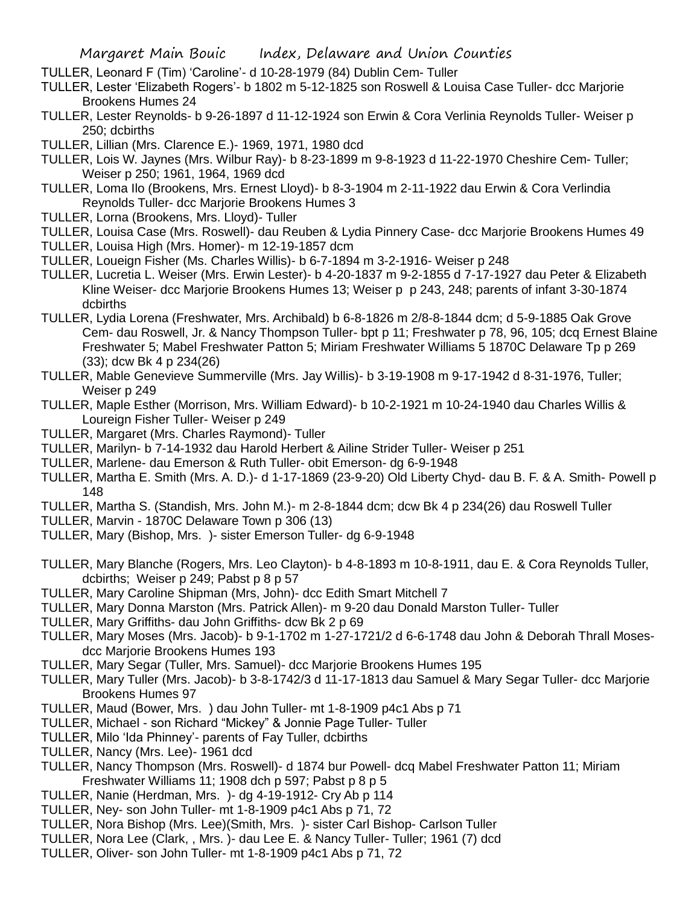- TULLER, Leonard F (Tim) 'Caroline'- d 10-28-1979 (84) Dublin Cem- Tuller
- TULLER, Lester 'Elizabeth Rogers'- b 1802 m 5-12-1825 son Roswell & Louisa Case Tuller- dcc Marjorie Brookens Humes 24
- TULLER, Lester Reynolds- b 9-26-1897 d 11-12-1924 son Erwin & Cora Verlinia Reynolds Tuller- Weiser p 250; dcbirths
- TULLER, Lillian (Mrs. Clarence E.)- 1969, 1971, 1980 dcd
- TULLER, Lois W. Jaynes (Mrs. Wilbur Ray)- b 8-23-1899 m 9-8-1923 d 11-22-1970 Cheshire Cem- Tuller; Weiser p 250; 1961, 1964, 1969 dcd
- TULLER, Loma Ilo (Brookens, Mrs. Ernest Lloyd)- b 8-3-1904 m 2-11-1922 dau Erwin & Cora Verlindia Reynolds Tuller- dcc Marjorie Brookens Humes 3
- TULLER, Lorna (Brookens, Mrs. Lloyd)- Tuller
- TULLER, Louisa Case (Mrs. Roswell)- dau Reuben & Lydia Pinnery Case- dcc Marjorie Brookens Humes 49
- TULLER, Louisa High (Mrs. Homer)- m 12-19-1857 dcm
- TULLER, Loueign Fisher (Ms. Charles Willis)- b 6-7-1894 m 3-2-1916- Weiser p 248
- TULLER, Lucretia L. Weiser (Mrs. Erwin Lester)- b 4-20-1837 m 9-2-1855 d 7-17-1927 dau Peter & Elizabeth Kline Weiser- dcc Marjorie Brookens Humes 13; Weiser p p 243, 248; parents of infant 3-30-1874 dcbirths
- TULLER, Lydia Lorena (Freshwater, Mrs. Archibald) b 6-8-1826 m 2/8-8-1844 dcm; d 5-9-1885 Oak Grove Cem- dau Roswell, Jr. & Nancy Thompson Tuller- bpt p 11; Freshwater p 78, 96, 105; dcq Ernest Blaine Freshwater 5; Mabel Freshwater Patton 5; Miriam Freshwater Williams 5 1870C Delaware Tp p 269 (33); dcw Bk 4 p 234(26)
- TULLER, Mable Genevieve Summerville (Mrs. Jay Willis)- b 3-19-1908 m 9-17-1942 d 8-31-1976, Tuller; Weiser p 249
- TULLER, Maple Esther (Morrison, Mrs. William Edward)- b 10-2-1921 m 10-24-1940 dau Charles Willis & Loureign Fisher Tuller- Weiser p 249
- TULLER, Margaret (Mrs. Charles Raymond)- Tuller
- TULLER, Marilyn- b 7-14-1932 dau Harold Herbert & Ailine Strider Tuller- Weiser p 251
- TULLER, Marlene- dau Emerson & Ruth Tuller- obit Emerson- dg 6-9-1948
- TULLER, Martha E. Smith (Mrs. A. D.)- d 1-17-1869 (23-9-20) Old Liberty Chyd- dau B. F. & A. Smith- Powell p 148
- TULLER, Martha S. (Standish, Mrs. John M.)- m 2-8-1844 dcm; dcw Bk 4 p 234(26) dau Roswell Tuller
- TULLER, Marvin 1870C Delaware Town p 306 (13)
- TULLER, Mary (Bishop, Mrs. )- sister Emerson Tuller- dg 6-9-1948
- TULLER, Mary Blanche (Rogers, Mrs. Leo Clayton)- b 4-8-1893 m 10-8-1911, dau E. & Cora Reynolds Tuller, dcbirths; Weiser p 249; Pabst p 8 p 57
- TULLER, Mary Caroline Shipman (Mrs, John)- dcc Edith Smart Mitchell 7
- TULLER, Mary Donna Marston (Mrs. Patrick Allen)- m 9-20 dau Donald Marston Tuller- Tuller
- TULLER, Mary Griffiths- dau John Griffiths- dcw Bk 2 p 69
- TULLER, Mary Moses (Mrs. Jacob)- b 9-1-1702 m 1-27-1721/2 d 6-6-1748 dau John & Deborah Thrall Mosesdcc Marjorie Brookens Humes 193
- TULLER, Mary Segar (Tuller, Mrs. Samuel)- dcc Marjorie Brookens Humes 195
- TULLER, Mary Tuller (Mrs. Jacob)- b 3-8-1742/3 d 11-17-1813 dau Samuel & Mary Segar Tuller- dcc Marjorie Brookens Humes 97
- TULLER, Maud (Bower, Mrs. ) dau John Tuller- mt 1-8-1909 p4c1 Abs p 71
- TULLER, Michael son Richard "Mickey" & Jonnie Page Tuller- Tuller
- TULLER, Milo 'Ida Phinney'- parents of Fay Tuller, dcbirths
- TULLER, Nancy (Mrs. Lee)- 1961 dcd
- TULLER, Nancy Thompson (Mrs. Roswell)- d 1874 bur Powell- dcq Mabel Freshwater Patton 11; Miriam Freshwater Williams 11; 1908 dch p 597; Pabst p 8 p 5
- TULLER, Nanie (Herdman, Mrs. )- dg 4-19-1912- Cry Ab p 114
- TULLER, Ney- son John Tuller- mt 1-8-1909 p4c1 Abs p 71, 72
- TULLER, Nora Bishop (Mrs. Lee)(Smith, Mrs. )- sister Carl Bishop- Carlson Tuller
- TULLER, Nora Lee (Clark, , Mrs. )- dau Lee E. & Nancy Tuller- Tuller; 1961 (7) dcd
- TULLER, Oliver- son John Tuller- mt 1-8-1909 p4c1 Abs p 71, 72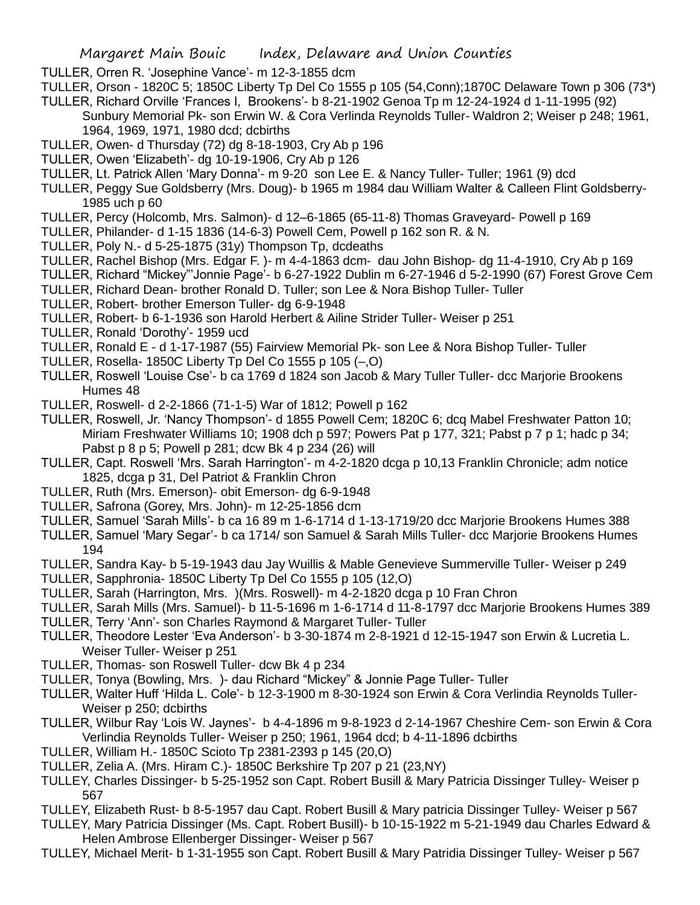- TULLER, Orren R. 'Josephine Vance'- m 12-3-1855 dcm
- TULLER, Orson 1820C 5; 1850C Liberty Tp Del Co 1555 p 105 (54,Conn);1870C Delaware Town p 306 (73\*)
- TULLER, Richard Orville 'Frances I, Brookens'- b 8-21-1902 Genoa Tp m 12-24-1924 d 1-11-1995 (92) Sunbury Memorial Pk- son Erwin W. & Cora Verlinda Reynolds Tuller- Waldron 2; Weiser p 248; 1961, 1964, 1969, 1971, 1980 dcd; dcbirths
- TULLER, Owen- d Thursday (72) dg 8-18-1903, Cry Ab p 196
- TULLER, Owen 'Elizabeth'- dg 10-19-1906, Cry Ab p 126
- TULLER, Lt. Patrick Allen 'Mary Donna'- m 9-20 son Lee E. & Nancy Tuller- Tuller; 1961 (9) dcd
- TULLER, Peggy Sue Goldsberry (Mrs. Doug)- b 1965 m 1984 dau William Walter & Calleen Flint Goldsberry-1985 uch p 60
- TULLER, Percy (Holcomb, Mrs. Salmon)- d 12–6-1865 (65-11-8) Thomas Graveyard- Powell p 169
- TULLER, Philander- d 1-15 1836 (14-6-3) Powell Cem, Powell p 162 son R. & N.
- TULLER, Poly N.- d 5-25-1875 (31y) Thompson Tp, dcdeaths
- TULLER, Rachel Bishop (Mrs. Edgar F. )- m 4-4-1863 dcm- dau John Bishop- dg 11-4-1910, Cry Ab p 169
- TULLER, Richard "Mickey"'Jonnie Page'- b 6-27-1922 Dublin m 6-27-1946 d 5-2-1990 (67) Forest Grove Cem
- TULLER, Richard Dean- brother Ronald D. Tuller; son Lee & Nora Bishop Tuller- Tuller
- TULLER, Robert- brother Emerson Tuller- dg 6-9-1948
- TULLER, Robert- b 6-1-1936 son Harold Herbert & Ailine Strider Tuller- Weiser p 251
- TULLER, Ronald 'Dorothy'- 1959 ucd
- TULLER, Ronald E d 1-17-1987 (55) Fairview Memorial Pk- son Lee & Nora Bishop Tuller- Tuller
- TULLER, Rosella- 1850C Liberty Tp Del Co 1555 p 105 (–,O)
- TULLER, Roswell 'Louise Cse'- b ca 1769 d 1824 son Jacob & Mary Tuller Tuller- dcc Marjorie Brookens Humes 48
- TULLER, Roswell- d 2-2-1866 (71-1-5) War of 1812; Powell p 162
- TULLER, Roswell, Jr. 'Nancy Thompson'- d 1855 Powell Cem; 1820C 6; dcq Mabel Freshwater Patton 10; Miriam Freshwater Williams 10; 1908 dch p 597; Powers Pat p 177, 321; Pabst p 7 p 1; hadc p 34; Pabst p 8 p 5; Powell p 281; dcw Bk 4 p 234 (26) will
- TULLER, Capt. Roswell 'Mrs. Sarah Harrington'- m 4-2-1820 dcga p 10,13 Franklin Chronicle; adm notice 1825, dcga p 31, Del Patriot & Franklin Chron
- TULLER, Ruth (Mrs. Emerson)- obit Emerson- dg 6-9-1948
- TULLER, Safrona (Gorey, Mrs. John)- m 12-25-1856 dcm
- TULLER, Samuel 'Sarah Mills'- b ca 16 89 m 1-6-1714 d 1-13-1719/20 dcc Marjorie Brookens Humes 388
- TULLER, Samuel 'Mary Segar'- b ca 1714/ son Samuel & Sarah Mills Tuller- dcc Marjorie Brookens Humes 194
- TULLER, Sandra Kay- b 5-19-1943 dau Jay Wuillis & Mable Genevieve Summerville Tuller- Weiser p 249
- TULLER, Sapphronia- 1850C Liberty Tp Del Co 1555 p 105 (12,O)
- TULLER, Sarah (Harrington, Mrs. )(Mrs. Roswell)- m 4-2-1820 dcga p 10 Fran Chron
- TULLER, Sarah Mills (Mrs. Samuel)- b 11-5-1696 m 1-6-1714 d 11-8-1797 dcc Marjorie Brookens Humes 389
- TULLER, Terry 'Ann'- son Charles Raymond & Margaret Tuller- Tuller
- TULLER, Theodore Lester 'Eva Anderson'- b 3-30-1874 m 2-8-1921 d 12-15-1947 son Erwin & Lucretia L. Weiser Tuller- Weiser p 251
- TULLER, Thomas- son Roswell Tuller- dcw Bk 4 p 234
- TULLER, Tonya (Bowling, Mrs. )- dau Richard "Mickey" & Jonnie Page Tuller- Tuller
- TULLER, Walter Huff 'Hilda L. Cole'- b 12-3-1900 m 8-30-1924 son Erwin & Cora Verlindia Reynolds Tuller-Weiser p 250; dcbirths
- TULLER, Wilbur Ray 'Lois W. Jaynes'- b 4-4-1896 m 9-8-1923 d 2-14-1967 Cheshire Cem- son Erwin & Cora Verlindia Reynolds Tuller- Weiser p 250; 1961, 1964 dcd; b 4-11-1896 dcbirths
- TULLER, William H.- 1850C Scioto Tp 2381-2393 p 145 (20,O)
- TULLER, Zelia A. (Mrs. Hiram C.)- 1850C Berkshire Tp 207 p 21 (23,NY)
- TULLEY, Charles Dissinger- b 5-25-1952 son Capt. Robert Busill & Mary Patricia Dissinger Tulley- Weiser p 567
- TULLEY, Elizabeth Rust- b 8-5-1957 dau Capt. Robert Busill & Mary patricia Dissinger Tulley- Weiser p 567
- TULLEY, Mary Patricia Dissinger (Ms. Capt. Robert Busill)- b 10-15-1922 m 5-21-1949 dau Charles Edward & Helen Ambrose Ellenberger Dissinger- Weiser p 567
- TULLEY, Michael Merit- b 1-31-1955 son Capt. Robert Busill & Mary Patridia Dissinger Tulley- Weiser p 567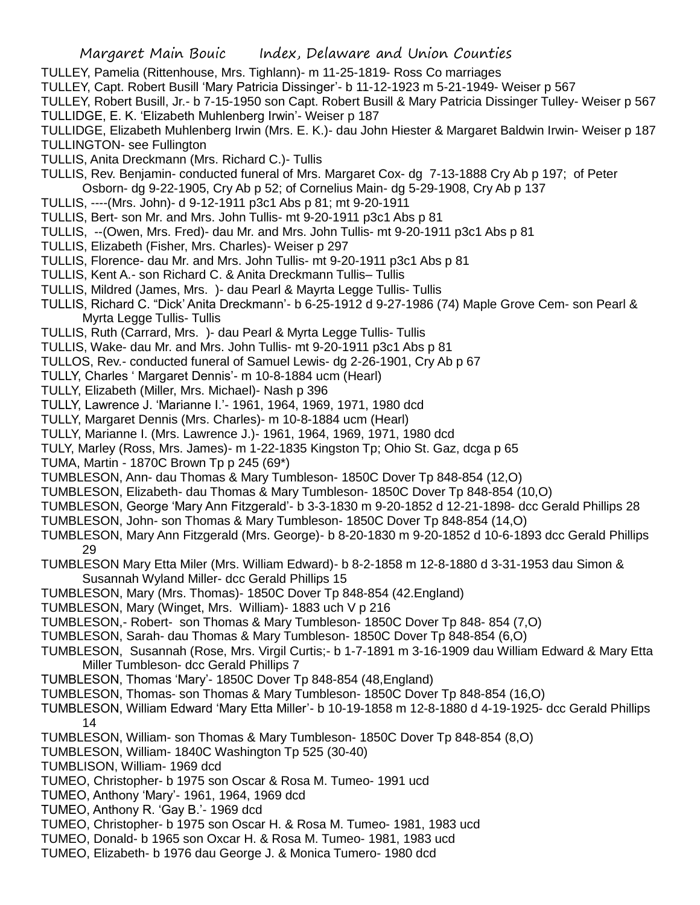- TULLEY, Pamelia (Rittenhouse, Mrs. Tighlann)- m 11-25-1819- Ross Co marriages
- TULLEY, Capt. Robert Busill 'Mary Patricia Dissinger'- b 11-12-1923 m 5-21-1949- Weiser p 567

TULLEY, Robert Busill, Jr.- b 7-15-1950 son Capt. Robert Busill & Mary Patricia Dissinger Tulley- Weiser p 567 TULLIDGE, E. K. 'Elizabeth Muhlenberg Irwin'- Weiser p 187

- TULLIDGE, Elizabeth Muhlenberg Irwin (Mrs. E. K.)- dau John Hiester & Margaret Baldwin Irwin- Weiser p 187 TULLINGTON- see Fullington
- TULLIS, Anita Dreckmann (Mrs. Richard C.)- Tullis
- TULLIS, Rev. Benjamin- conducted funeral of Mrs. Margaret Cox- dg 7-13-1888 Cry Ab p 197; of Peter Osborn- dg 9-22-1905, Cry Ab p 52; of Cornelius Main- dg 5-29-1908, Cry Ab p 137
- TULLIS, ----(Mrs. John)- d 9-12-1911 p3c1 Abs p 81; mt 9-20-1911
- TULLIS, Bert- son Mr. and Mrs. John Tullis- mt 9-20-1911 p3c1 Abs p 81
- TULLIS, --(Owen, Mrs. Fred)- dau Mr. and Mrs. John Tullis- mt 9-20-1911 p3c1 Abs p 81
- TULLIS, Elizabeth (Fisher, Mrs. Charles)- Weiser p 297
- TULLIS, Florence- dau Mr. and Mrs. John Tullis- mt 9-20-1911 p3c1 Abs p 81
- TULLIS, Kent A.- son Richard C. & Anita Dreckmann Tullis– Tullis
- TULLIS, Mildred (James, Mrs. )- dau Pearl & Mayrta Legge Tullis- Tullis
- TULLIS, Richard C. "Dick' Anita Dreckmann'- b 6-25-1912 d 9-27-1986 (74) Maple Grove Cem- son Pearl & Myrta Legge Tullis- Tullis
- TULLIS, Ruth (Carrard, Mrs. )- dau Pearl & Myrta Legge Tullis- Tullis
- TULLIS, Wake- dau Mr. and Mrs. John Tullis- mt 9-20-1911 p3c1 Abs p 81
- TULLOS, Rev.- conducted funeral of Samuel Lewis- dg 2-26-1901, Cry Ab p 67
- TULLY, Charles ' Margaret Dennis'- m 10-8-1884 ucm (Hearl)
- TULLY, Elizabeth (Miller, Mrs. Michael)- Nash p 396
- TULLY, Lawrence J. 'Marianne I.'- 1961, 1964, 1969, 1971, 1980 dcd
- TULLY, Margaret Dennis (Mrs. Charles)- m 10-8-1884 ucm (Hearl)
- TULLY, Marianne I. (Mrs. Lawrence J.)- 1961, 1964, 1969, 1971, 1980 dcd
- TULY, Marley (Ross, Mrs. James)- m 1-22-1835 Kingston Tp; Ohio St. Gaz, dcga p 65
- TUMA, Martin 1870C Brown Tp p 245 (69\*)
- TUMBLESON, Ann- dau Thomas & Mary Tumbleson- 1850C Dover Tp 848-854 (12,O)
- TUMBLESON, Elizabeth- dau Thomas & Mary Tumbleson- 1850C Dover Tp 848-854 (10,O)
- TUMBLESON, George 'Mary Ann Fitzgerald'- b 3-3-1830 m 9-20-1852 d 12-21-1898- dcc Gerald Phillips 28
- TUMBLESON, John- son Thomas & Mary Tumbleson- 1850C Dover Tp 848-854 (14,O)
- TUMBLESON, Mary Ann Fitzgerald (Mrs. George)- b 8-20-1830 m 9-20-1852 d 10-6-1893 dcc Gerald Phillips 29
- TUMBLESON Mary Etta Miler (Mrs. William Edward)- b 8-2-1858 m 12-8-1880 d 3-31-1953 dau Simon & Susannah Wyland Miller- dcc Gerald Phillips 15
- TUMBLESON, Mary (Mrs. Thomas)- 1850C Dover Tp 848-854 (42.England)
- TUMBLESON, Mary (Winget, Mrs. William)- 1883 uch V p 216
- TUMBLESON,- Robert- son Thomas & Mary Tumbleson- 1850C Dover Tp 848- 854 (7,O)
- TUMBLESON, Sarah- dau Thomas & Mary Tumbleson- 1850C Dover Tp 848-854 (6,O)
- TUMBLESON, Susannah (Rose, Mrs. Virgil Curtis;- b 1-7-1891 m 3-16-1909 dau William Edward & Mary Etta Miller Tumbleson- dcc Gerald Phillips 7
- TUMBLESON, Thomas 'Mary'- 1850C Dover Tp 848-854 (48,England)
- TUMBLESON, Thomas- son Thomas & Mary Tumbleson- 1850C Dover Tp 848-854 (16,O)
- TUMBLESON, William Edward 'Mary Etta Miller'- b 10-19-1858 m 12-8-1880 d 4-19-1925- dcc Gerald Phillips 14
- TUMBLESON, William- son Thomas & Mary Tumbleson- 1850C Dover Tp 848-854 (8,O)
- TUMBLESON, William- 1840C Washington Tp 525 (30-40)
- TUMBLISON, William- 1969 dcd
- TUMEO, Christopher- b 1975 son Oscar & Rosa M. Tumeo- 1991 ucd
- TUMEO, Anthony 'Mary'- 1961, 1964, 1969 dcd
- TUMEO, Anthony R. 'Gay B.'- 1969 dcd
- TUMEO, Christopher- b 1975 son Oscar H. & Rosa M. Tumeo- 1981, 1983 ucd
- TUMEO, Donald- b 1965 son Oxcar H. & Rosa M. Tumeo- 1981, 1983 ucd
- TUMEO, Elizabeth- b 1976 dau George J. & Monica Tumero- 1980 dcd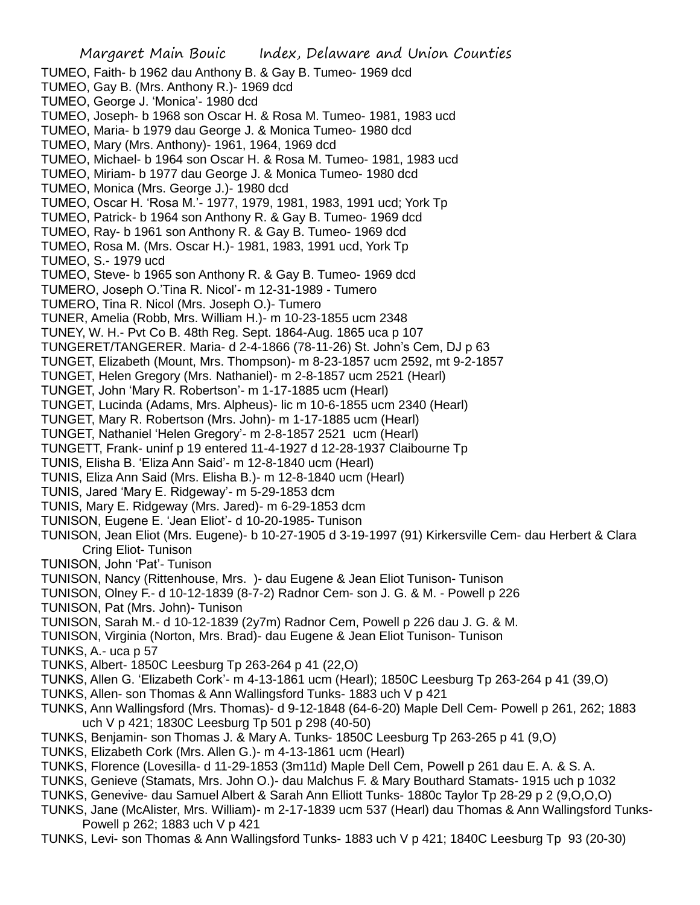TUMEO, Faith- b 1962 dau Anthony B. & Gay B. Tumeo- 1969 dcd TUMEO, Gay B. (Mrs. Anthony R.)- 1969 dcd TUMEO, George J. 'Monica'- 1980 dcd TUMEO, Joseph- b 1968 son Oscar H. & Rosa M. Tumeo- 1981, 1983 ucd TUMEO, Maria- b 1979 dau George J. & Monica Tumeo- 1980 dcd TUMEO, Mary (Mrs. Anthony)- 1961, 1964, 1969 dcd TUMEO, Michael- b 1964 son Oscar H. & Rosa M. Tumeo- 1981, 1983 ucd TUMEO, Miriam- b 1977 dau George J. & Monica Tumeo- 1980 dcd TUMEO, Monica (Mrs. George J.)- 1980 dcd TUMEO, Oscar H. 'Rosa M.'- 1977, 1979, 1981, 1983, 1991 ucd; York Tp TUMEO, Patrick- b 1964 son Anthony R. & Gay B. Tumeo- 1969 dcd TUMEO, Ray- b 1961 son Anthony R. & Gay B. Tumeo- 1969 dcd TUMEO, Rosa M. (Mrs. Oscar H.)- 1981, 1983, 1991 ucd, York Tp TUMEO, S.- 1979 ucd TUMEO, Steve- b 1965 son Anthony R. & Gay B. Tumeo- 1969 dcd TUMERO, Joseph O.'Tina R. Nicol'- m 12-31-1989 - Tumero TUMERO, Tina R. Nicol (Mrs. Joseph O.)- Tumero TUNER, Amelia (Robb, Mrs. William H.)- m 10-23-1855 ucm 2348 TUNEY, W. H.- Pvt Co B. 48th Reg. Sept. 1864-Aug. 1865 uca p 107 TUNGERET/TANGERER. Maria- d 2-4-1866 (78-11-26) St. John's Cem, DJ p 63 TUNGET, Elizabeth (Mount, Mrs. Thompson)- m 8-23-1857 ucm 2592, mt 9-2-1857 TUNGET, Helen Gregory (Mrs. Nathaniel)- m 2-8-1857 ucm 2521 (Hearl) TUNGET, John 'Mary R. Robertson'- m 1-17-1885 ucm (Hearl) TUNGET, Lucinda (Adams, Mrs. Alpheus)- lic m 10-6-1855 ucm 2340 (Hearl) TUNGET, Mary R. Robertson (Mrs. John)- m 1-17-1885 ucm (Hearl) TUNGET, Nathaniel 'Helen Gregory'- m 2-8-1857 2521 ucm (Hearl) TUNGETT, Frank- uninf p 19 entered 11-4-1927 d 12-28-1937 Claibourne Tp TUNIS, Elisha B. 'Eliza Ann Said'- m 12-8-1840 ucm (Hearl) TUNIS, Eliza Ann Said (Mrs. Elisha B.)- m 12-8-1840 ucm (Hearl) TUNIS, Jared 'Mary E. Ridgeway'- m 5-29-1853 dcm TUNIS, Mary E. Ridgeway (Mrs. Jared)- m 6-29-1853 dcm TUNISON, Eugene E. 'Jean Eliot'- d 10-20-1985- Tunison TUNISON, Jean Eliot (Mrs. Eugene)- b 10-27-1905 d 3-19-1997 (91) Kirkersville Cem- dau Herbert & Clara Cring Eliot- Tunison TUNISON, John 'Pat'- Tunison TUNISON, Nancy (Rittenhouse, Mrs. )- dau Eugene & Jean Eliot Tunison- Tunison TUNISON, Olney F.- d 10-12-1839 (8-7-2) Radnor Cem- son J. G. & M. - Powell p 226 TUNISON, Pat (Mrs. John)- Tunison TUNISON, Sarah M.- d 10-12-1839 (2y7m) Radnor Cem, Powell p 226 dau J. G. & M. TUNISON, Virginia (Norton, Mrs. Brad)- dau Eugene & Jean Eliot Tunison- Tunison TUNKS, A.- uca p 57 TUNKS, Albert- 1850C Leesburg Tp 263-264 p 41 (22,O) TUNKS, Allen G. 'Elizabeth Cork'- m 4-13-1861 ucm (Hearl); 1850C Leesburg Tp 263-264 p 41 (39,O) TUNKS, Allen- son Thomas & Ann Wallingsford Tunks- 1883 uch V p 421

- TUNKS, Ann Wallingsford (Mrs. Thomas)- d 9-12-1848 (64-6-20) Maple Dell Cem- Powell p 261, 262; 1883 uch V p 421; 1830C Leesburg Tp 501 p 298 (40-50)
- TUNKS, Benjamin- son Thomas J. & Mary A. Tunks- 1850C Leesburg Tp 263-265 p 41 (9,O)
- TUNKS, Elizabeth Cork (Mrs. Allen G.)- m 4-13-1861 ucm (Hearl)
- TUNKS, Florence (Lovesilla- d 11-29-1853 (3m11d) Maple Dell Cem, Powell p 261 dau E. A. & S. A.
- TUNKS, Genieve (Stamats, Mrs. John O.)- dau Malchus F. & Mary Bouthard Stamats- 1915 uch p 1032
- TUNKS, Genevive- dau Samuel Albert & Sarah Ann Elliott Tunks- 1880c Taylor Tp 28-29 p 2 (9,O,O,O)
- TUNKS, Jane (McAlister, Mrs. William)- m 2-17-1839 ucm 537 (Hearl) dau Thomas & Ann Wallingsford Tunks-Powell p 262; 1883 uch V p 421
- TUNKS, Levi- son Thomas & Ann Wallingsford Tunks- 1883 uch V p 421; 1840C Leesburg Tp 93 (20-30)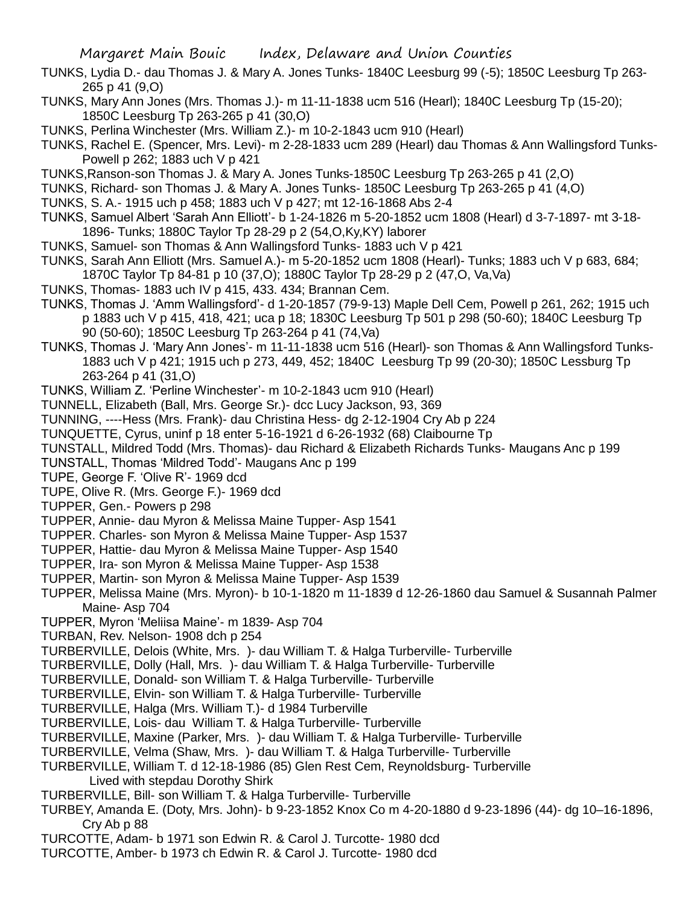- TUNKS, Lydia D.- dau Thomas J. & Mary A. Jones Tunks- 1840C Leesburg 99 (-5); 1850C Leesburg Tp 263- 265 p 41 (9,O)
- TUNKS, Mary Ann Jones (Mrs. Thomas J.)- m 11-11-1838 ucm 516 (Hearl); 1840C Leesburg Tp (15-20); 1850C Leesburg Tp 263-265 p 41 (30,O)
- TUNKS, Perlina Winchester (Mrs. William Z.)- m 10-2-1843 ucm 910 (Hearl)
- TUNKS, Rachel E. (Spencer, Mrs. Levi)- m 2-28-1833 ucm 289 (Hearl) dau Thomas & Ann Wallingsford Tunks-Powell p 262; 1883 uch V p 421
- TUNKS,Ranson-son Thomas J. & Mary A. Jones Tunks-1850C Leesburg Tp 263-265 p 41 (2,O)
- TUNKS, Richard- son Thomas J. & Mary A. Jones Tunks- 1850C Leesburg Tp 263-265 p 41 (4,O)
- TUNKS, S. A.- 1915 uch p 458; 1883 uch V p 427; mt 12-16-1868 Abs 2-4
- TUNKS, Samuel Albert 'Sarah Ann Elliott'- b 1-24-1826 m 5-20-1852 ucm 1808 (Hearl) d 3-7-1897- mt 3-18- 1896- Tunks; 1880C Taylor Tp 28-29 p 2 (54,O,Ky,KY) laborer
- TUNKS, Samuel- son Thomas & Ann Wallingsford Tunks- 1883 uch V p 421
- TUNKS, Sarah Ann Elliott (Mrs. Samuel A.)- m 5-20-1852 ucm 1808 (Hearl)- Tunks; 1883 uch V p 683, 684; 1870C Taylor Tp 84-81 p 10 (37,O); 1880C Taylor Tp 28-29 p 2 (47,O, Va,Va)
- TUNKS, Thomas- 1883 uch IV p 415, 433. 434; Brannan Cem.
- TUNKS, Thomas J. 'Amm Wallingsford'- d 1-20-1857 (79-9-13) Maple Dell Cem, Powell p 261, 262; 1915 uch p 1883 uch V p 415, 418, 421; uca p 18; 1830C Leesburg Tp 501 p 298 (50-60); 1840C Leesburg Tp 90 (50-60); 1850C Leesburg Tp 263-264 p 41 (74,Va)
- TUNKS, Thomas J. 'Mary Ann Jones'- m 11-11-1838 ucm 516 (Hearl)- son Thomas & Ann Wallingsford Tunks-1883 uch V p 421; 1915 uch p 273, 449, 452; 1840C Leesburg Tp 99 (20-30); 1850C Lessburg Tp 263-264 p 41 (31,O)
- TUNKS, William Z. 'Perline Winchester'- m 10-2-1843 ucm 910 (Hearl)
- TUNNELL, Elizabeth (Ball, Mrs. George Sr.)- dcc Lucy Jackson, 93, 369
- TUNNING, ----Hess (Mrs. Frank)- dau Christina Hess- dg 2-12-1904 Cry Ab p 224
- TUNQUETTE, Cyrus, uninf p 18 enter 5-16-1921 d 6-26-1932 (68) Claibourne Tp
- TUNSTALL, Mildred Todd (Mrs. Thomas)- dau Richard & Elizabeth Richards Tunks- Maugans Anc p 199
- TUNSTALL, Thomas 'Mildred Todd'- Maugans Anc p 199
- TUPE, George F. 'Olive R'- 1969 dcd
- TUPE, Olive R. (Mrs. George F.)- 1969 dcd
- TUPPER, Gen.- Powers p 298
- TUPPER, Annie- dau Myron & Melissa Maine Tupper- Asp 1541
- TUPPER. Charles- son Myron & Melissa Maine Tupper- Asp 1537
- TUPPER, Hattie- dau Myron & Melissa Maine Tupper- Asp 1540
- TUPPER, Ira- son Myron & Melissa Maine Tupper- Asp 1538
- TUPPER, Martin- son Myron & Melissa Maine Tupper- Asp 1539
- TUPPER, Melissa Maine (Mrs. Myron)- b 10-1-1820 m 11-1839 d 12-26-1860 dau Samuel & Susannah Palmer Maine- Asp 704
- TUPPER, Myron 'Meliisa Maine'- m 1839- Asp 704
- TURBAN, Rev. Nelson- 1908 dch p 254
- TURBERVILLE, Delois (White, Mrs. )- dau William T. & Halga Turberville- Turberville
- TURBERVILLE, Dolly (Hall, Mrs. )- dau William T. & Halga Turberville- Turberville
- TURBERVILLE, Donald- son William T. & Halga Turberville- Turberville
- TURBERVILLE, Elvin- son William T. & Halga Turberville- Turberville
- TURBERVILLE, Halga (Mrs. William T.)- d 1984 Turberville
- TURBERVILLE, Lois- dau William T. & Halga Turberville- Turberville
- TURBERVILLE, Maxine (Parker, Mrs. )- dau William T. & Halga Turberville- Turberville
- TURBERVILLE, Velma (Shaw, Mrs. )- dau William T. & Halga Turberville- Turberville
- TURBERVILLE, William T. d 12-18-1986 (85) Glen Rest Cem, Reynoldsburg- Turberville Lived with stepdau Dorothy Shirk
- TURBERVILLE, Bill- son William T. & Halga Turberville- Turberville
- TURBEY, Amanda E. (Doty, Mrs. John)- b 9-23-1852 Knox Co m 4-20-1880 d 9-23-1896 (44)- dg 10–16-1896, Cry Ab p 88
- TURCOTTE, Adam- b 1971 son Edwin R. & Carol J. Turcotte- 1980 dcd
- TURCOTTE, Amber- b 1973 ch Edwin R. & Carol J. Turcotte- 1980 dcd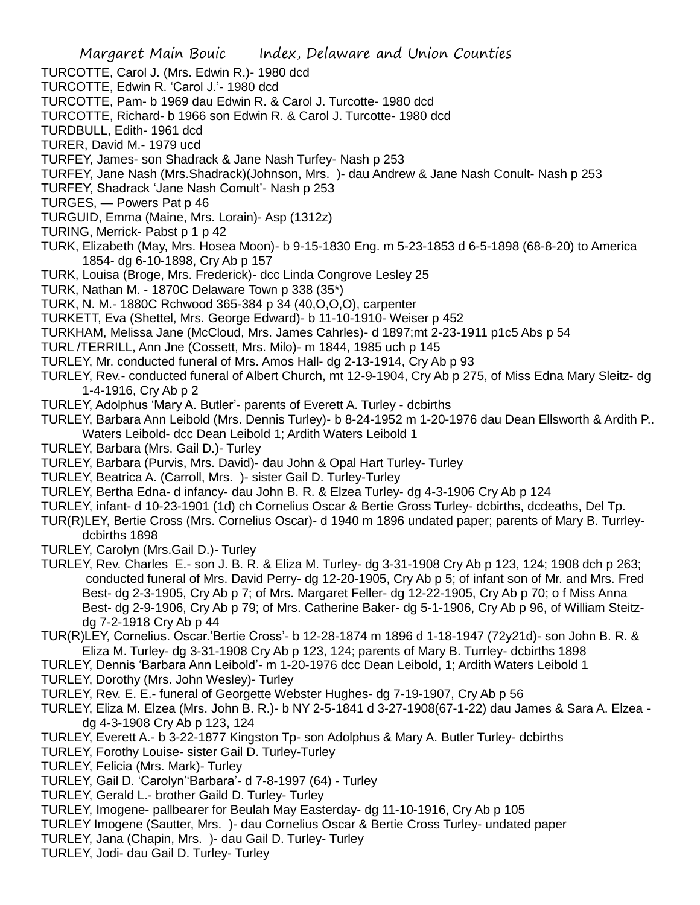Margaret Main Bouic Index, Delaware and Union Counties TURCOTTE, Carol J. (Mrs. Edwin R.)- 1980 dcd TURCOTTE, Edwin R. 'Carol J.'- 1980 dcd TURCOTTE, Pam- b 1969 dau Edwin R. & Carol J. Turcotte- 1980 dcd TURCOTTE, Richard- b 1966 son Edwin R. & Carol J. Turcotte- 1980 dcd TURDBULL, Edith- 1961 dcd TURER, David M.- 1979 ucd TURFEY, James- son Shadrack & Jane Nash Turfey- Nash p 253 TURFEY, Jane Nash (Mrs.Shadrack)(Johnson, Mrs. )- dau Andrew & Jane Nash Conult- Nash p 253 TURFEY, Shadrack 'Jane Nash Comult'- Nash p 253 TURGES, — Powers Pat p 46 TURGUID, Emma (Maine, Mrs. Lorain)- Asp (1312z) TURING, Merrick- Pabst p 1 p 42 TURK, Elizabeth (May, Mrs. Hosea Moon)- b 9-15-1830 Eng. m 5-23-1853 d 6-5-1898 (68-8-20) to America 1854- dg 6-10-1898, Cry Ab p 157 TURK, Louisa (Broge, Mrs. Frederick)- dcc Linda Congrove Lesley 25 TURK, Nathan M. - 1870C Delaware Town p 338 (35\*) TURK, N. M.- 1880C Rchwood 365-384 p 34 (40,O,O,O), carpenter TURKETT, Eva (Shettel, Mrs. George Edward)- b 11-10-1910- Weiser p 452 TURKHAM, Melissa Jane (McCloud, Mrs. James Cahrles)- d 1897;mt 2-23-1911 p1c5 Abs p 54 TURL /TERRILL, Ann Jne (Cossett, Mrs. Milo)- m 1844, 1985 uch p 145 TURLEY, Mr. conducted funeral of Mrs. Amos Hall- dg 2-13-1914, Cry Ab p 93 TURLEY, Rev.- conducted funeral of Albert Church, mt 12-9-1904, Cry Ab p 275, of Miss Edna Mary Sleitz- dg 1-4-1916, Cry Ab p 2 TURLEY, Adolphus 'Mary A. Butler'- parents of Everett A. Turley - dcbirths TURLEY, Barbara Ann Leibold (Mrs. Dennis Turley)- b 8-24-1952 m 1-20-1976 dau Dean Ellsworth & Ardith P.. Waters Leibold- dcc Dean Leibold 1; Ardith Waters Leibold 1 TURLEY, Barbara (Mrs. Gail D.)- Turley TURLEY, Barbara (Purvis, Mrs. David)- dau John & Opal Hart Turley- Turley TURLEY, Beatrica A. (Carroll, Mrs. )- sister Gail D. Turley-Turley TURLEY, Bertha Edna- d infancy- dau John B. R. & Elzea Turley- dg 4-3-1906 Cry Ab p 124 TURLEY, infant- d 10-23-1901 (1d) ch Cornelius Oscar & Bertie Gross Turley- dcbirths, dcdeaths, Del Tp. TUR(R)LEY, Bertie Cross (Mrs. Cornelius Oscar)- d 1940 m 1896 undated paper; parents of Mary B. Turrleydcbirths 1898 TURLEY, Carolyn (Mrs.Gail D.)- Turley TURLEY, Rev. Charles E.- son J. B. R. & Eliza M. Turley- dg 3-31-1908 Cry Ab p 123, 124; 1908 dch p 263; conducted funeral of Mrs. David Perry- dg 12-20-1905, Cry Ab p 5; of infant son of Mr. and Mrs. Fred Best- dg 2-3-1905, Cry Ab p 7; of Mrs. Margaret Feller- dg 12-22-1905, Cry Ab p 70; o f Miss Anna Best- dg 2-9-1906, Cry Ab p 79; of Mrs. Catherine Baker- dg 5-1-1906, Cry Ab p 96, of William Steitzdg 7-2-1918 Cry Ab p 44 TUR(R)LEY, Cornelius. Oscar.'Bertie Cross'- b 12-28-1874 m 1896 d 1-18-1947 (72y21d)- son John B. R. & Eliza M. Turley- dg 3-31-1908 Cry Ab p 123, 124; parents of Mary B. Turrley- dcbirths 1898 TURLEY, Dennis 'Barbara Ann Leibold'- m 1-20-1976 dcc Dean Leibold, 1; Ardith Waters Leibold 1 TURLEY, Dorothy (Mrs. John Wesley)- Turley TURLEY, Rev. E. E.- funeral of Georgette Webster Hughes- dg 7-19-1907, Cry Ab p 56 TURLEY, Eliza M. Elzea (Mrs. John B. R.)- b NY 2-5-1841 d 3-27-1908(67-1-22) dau James & Sara A. Elzea dg 4-3-1908 Cry Ab p 123, 124 TURLEY, Everett A.- b 3-22-1877 Kingston Tp- son Adolphus & Mary A. Butler Turley- dcbirths TURLEY, Forothy Louise- sister Gail D. Turley-Turley TURLEY, Felicia (Mrs. Mark)- Turley TURLEY, Gail D. 'Carolyn''Barbara'- d 7-8-1997 (64) - Turley TURLEY, Gerald L.- brother Gaild D. Turley- Turley TURLEY, Imogene- pallbearer for Beulah May Easterday- dg 11-10-1916, Cry Ab p 105 TURLEY Imogene (Sautter, Mrs. )- dau Cornelius Oscar & Bertie Cross Turley- undated paper TURLEY, Jana (Chapin, Mrs. )- dau Gail D. Turley- Turley TURLEY, Jodi- dau Gail D. Turley- Turley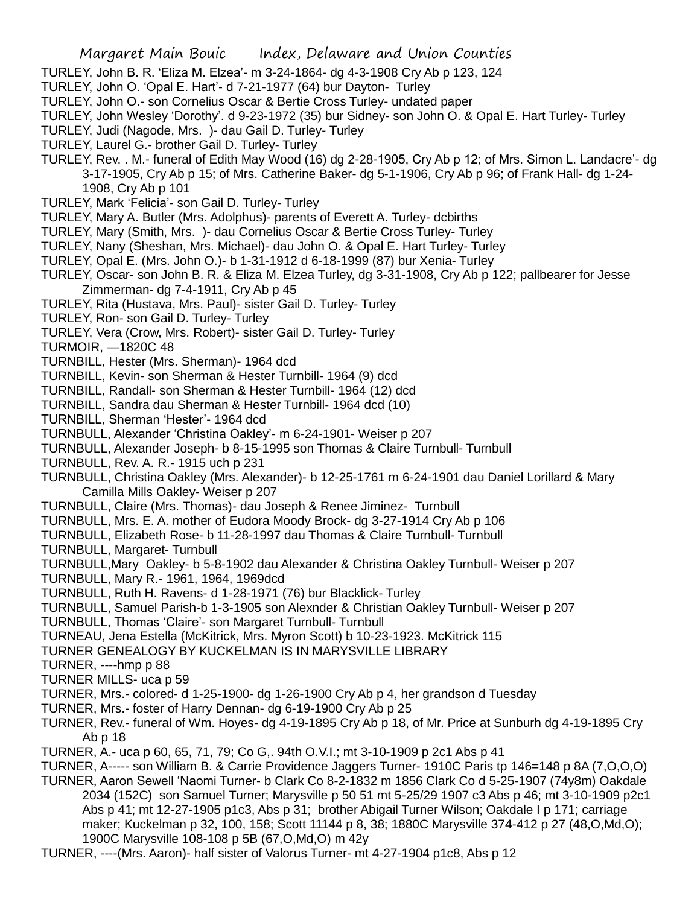- TURLEY, John B. R. 'Eliza M. Elzea'- m 3-24-1864- dg 4-3-1908 Cry Ab p 123, 124
- TURLEY, John O. 'Opal E. Hart'- d 7-21-1977 (64) bur Dayton- Turley
- TURLEY, John O.- son Cornelius Oscar & Bertie Cross Turley- undated paper
- TURLEY, John Wesley 'Dorothy'. d 9-23-1972 (35) bur Sidney- son John O. & Opal E. Hart Turley- Turley
- TURLEY, Judi (Nagode, Mrs. )- dau Gail D. Turley- Turley
- TURLEY, Laurel G.- brother Gail D. Turley- Turley
- TURLEY, Rev. . M.- funeral of Edith May Wood (16) dg 2-28-1905, Cry Ab p 12; of Mrs. Simon L. Landacre'- dg 3-17-1905, Cry Ab p 15; of Mrs. Catherine Baker- dg 5-1-1906, Cry Ab p 96; of Frank Hall- dg 1-24- 1908, Cry Ab p 101
- TURLEY, Mark 'Felicia'- son Gail D. Turley- Turley
- TURLEY, Mary A. Butler (Mrs. Adolphus)- parents of Everett A. Turley- dcbirths
- TURLEY, Mary (Smith, Mrs. )- dau Cornelius Oscar & Bertie Cross Turley- Turley
- TURLEY, Nany (Sheshan, Mrs. Michael)- dau John O. & Opal E. Hart Turley- Turley
- TURLEY, Opal E. (Mrs. John O.)- b 1-31-1912 d 6-18-1999 (87) bur Xenia- Turley
- TURLEY, Oscar- son John B. R. & Eliza M. Elzea Turley, dg 3-31-1908, Cry Ab p 122; pallbearer for Jesse Zimmerman- dg 7-4-1911, Cry Ab p 45
- TURLEY, Rita (Hustava, Mrs. Paul)- sister Gail D. Turley- Turley
- TURLEY, Ron- son Gail D. Turley- Turley
- TURLEY, Vera (Crow, Mrs. Robert)- sister Gail D. Turley- Turley
- TURMOIR, —1820C 48
- TURNBILL, Hester (Mrs. Sherman)- 1964 dcd
- TURNBILL, Kevin- son Sherman & Hester Turnbill- 1964 (9) dcd
- TURNBILL, Randall- son Sherman & Hester Turnbill- 1964 (12) dcd
- TURNBILL, Sandra dau Sherman & Hester Turnbill- 1964 dcd (10)
- TURNBILL, Sherman 'Hester'- 1964 dcd
- TURNBULL, Alexander 'Christina Oakley'- m 6-24-1901- Weiser p 207
- TURNBULL, Alexander Joseph- b 8-15-1995 son Thomas & Claire Turnbull- Turnbull
- TURNBULL, Rev. A. R.- 1915 uch p 231
- TURNBULL, Christina Oakley (Mrs. Alexander)- b 12-25-1761 m 6-24-1901 dau Daniel Lorillard & Mary Camilla Mills Oakley- Weiser p 207
- TURNBULL, Claire (Mrs. Thomas)- dau Joseph & Renee Jiminez- Turnbull
- TURNBULL, Mrs. E. A. mother of Eudora Moody Brock- dg 3-27-1914 Cry Ab p 106
- TURNBULL, Elizabeth Rose- b 11-28-1997 dau Thomas & Claire Turnbull- Turnbull
- TURNBULL, Margaret- Turnbull
- TURNBULL,Mary Oakley- b 5-8-1902 dau Alexander & Christina Oakley Turnbull- Weiser p 207
- TURNBULL, Mary R.- 1961, 1964, 1969dcd
- TURNBULL, Ruth H. Ravens- d 1-28-1971 (76) bur Blacklick- Turley
- TURNBULL, Samuel Parish-b 1-3-1905 son Alexnder & Christian Oakley Turnbull- Weiser p 207
- TURNBULL, Thomas 'Claire'- son Margaret Turnbull- Turnbull
- TURNEAU, Jena Estella (McKitrick, Mrs. Myron Scott) b 10-23-1923. McKitrick 115
- TURNER GENEALOGY BY KUCKELMAN IS IN MARYSVILLE LIBRARY
- TURNER, ----hmp p 88
- TURNER MILLS- uca p 59
- TURNER, Mrs.- colored- d 1-25-1900- dg 1-26-1900 Cry Ab p 4, her grandson d Tuesday
- TURNER, Mrs.- foster of Harry Dennan- dg 6-19-1900 Cry Ab p 25
- TURNER, Rev.- funeral of Wm. Hoyes- dg 4-19-1895 Cry Ab p 18, of Mr. Price at Sunburh dg 4-19-1895 Cry Ab p 18
- TURNER, A.- uca p 60, 65, 71, 79; Co G,. 94th O.V.I.; mt 3-10-1909 p 2c1 Abs p 41
- TURNER, A----- son William B. & Carrie Providence Jaggers Turner- 1910C Paris tp 146=148 p 8A (7,O,O,O) TURNER, Aaron Sewell 'Naomi Turner- b Clark Co 8-2-1832 m 1856 Clark Co d 5-25-1907 (74y8m) Oakdale 2034 (152C) son Samuel Turner; Marysville p 50 51 mt 5-25/29 1907 c3 Abs p 46; mt 3-10-1909 p2c1 Abs p 41; mt 12-27-1905 p1c3, Abs p 31; brother Abigail Turner Wilson; Oakdale I p 171; carriage maker; Kuckelman p 32, 100, 158; Scott 11144 p 8, 38; 1880C Marysville 374-412 p 27 (48,O,Md,O); 1900C Marysville 108-108 p 5B (67,O,Md,O) m 42y
- TURNER, ----(Mrs. Aaron)- half sister of Valorus Turner- mt 4-27-1904 p1c8, Abs p 12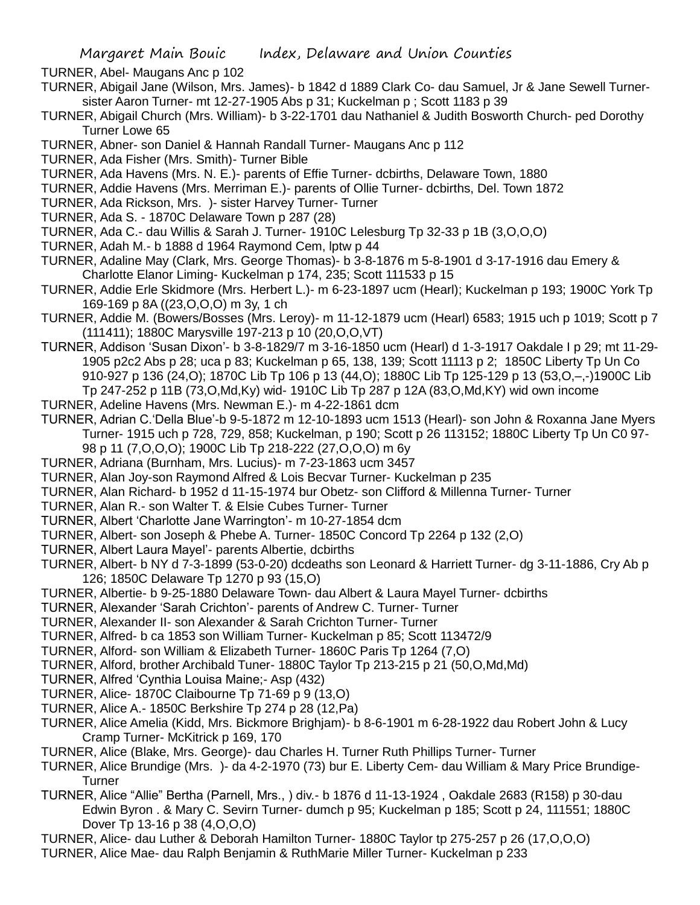TURNER, Abel- Maugans Anc p 102

- TURNER, Abigail Jane (Wilson, Mrs. James)- b 1842 d 1889 Clark Co- dau Samuel, Jr & Jane Sewell Turnersister Aaron Turner- mt 12-27-1905 Abs p 31; Kuckelman p ; Scott 1183 p 39
- TURNER, Abigail Church (Mrs. William)- b 3-22-1701 dau Nathaniel & Judith Bosworth Church- ped Dorothy Turner Lowe 65
- TURNER, Abner- son Daniel & Hannah Randall Turner- Maugans Anc p 112
- TURNER, Ada Fisher (Mrs. Smith)- Turner Bible
- TURNER, Ada Havens (Mrs. N. E.)- parents of Effie Turner- dcbirths, Delaware Town, 1880
- TURNER, Addie Havens (Mrs. Merriman E.)- parents of Ollie Turner- dcbirths, Del. Town 1872
- TURNER, Ada Rickson, Mrs. )- sister Harvey Turner- Turner
- TURNER, Ada S. 1870C Delaware Town p 287 (28)
- TURNER, Ada C.- dau Willis & Sarah J. Turner- 1910C Lelesburg Tp 32-33 p 1B (3,O,O,O)
- TURNER, Adah M.- b 1888 d 1964 Raymond Cem, lptw p 44
- TURNER, Adaline May (Clark, Mrs. George Thomas)- b 3-8-1876 m 5-8-1901 d 3-17-1916 dau Emery & Charlotte Elanor Liming- Kuckelman p 174, 235; Scott 111533 p 15
- TURNER, Addie Erle Skidmore (Mrs. Herbert L.)- m 6-23-1897 ucm (Hearl); Kuckelman p 193; 1900C York Tp 169-169 p 8A ((23,O,O,O) m 3y, 1 ch
- TURNER, Addie M. (Bowers/Bosses (Mrs. Leroy)- m 11-12-1879 ucm (Hearl) 6583; 1915 uch p 1019; Scott p 7 (111411); 1880C Marysville 197-213 p 10 (20,O,O,VT)
- TURNER, Addison 'Susan Dixon'- b 3-8-1829/7 m 3-16-1850 ucm (Hearl) d 1-3-1917 Oakdale I p 29; mt 11-29- 1905 p2c2 Abs p 28; uca p 83; Kuckelman p 65, 138, 139; Scott 11113 p 2; 1850C Liberty Tp Un Co 910-927 p 136 (24,O); 1870C Lib Tp 106 p 13 (44,O); 1880C Lib Tp 125-129 p 13 (53,O,–,-)1900C Lib Tp 247-252 p 11B (73,O,Md,Ky) wid- 1910C Lib Tp 287 p 12A (83,O,Md,KY) wid own income
- TURNER, Adeline Havens (Mrs. Newman E.)- m 4-22-1861 dcm
- TURNER, Adrian C.'Della Blue'-b 9-5-1872 m 12-10-1893 ucm 1513 (Hearl)- son John & Roxanna Jane Myers Turner- 1915 uch p 728, 729, 858; Kuckelman, p 190; Scott p 26 113152; 1880C Liberty Tp Un C0 97- 98 p 11 (7,O,O,O); 1900C Lib Tp 218-222 (27,O,O,O) m 6y
- TURNER, Adriana (Burnham, Mrs. Lucius)- m 7-23-1863 ucm 3457
- TURNER, Alan Joy-son Raymond Alfred & Lois Becvar Turner- Kuckelman p 235
- TURNER, Alan Richard- b 1952 d 11-15-1974 bur Obetz- son Clifford & Millenna Turner- Turner
- TURNER, Alan R.- son Walter T. & Elsie Cubes Turner- Turner
- TURNER, Albert 'Charlotte Jane Warrington'- m 10-27-1854 dcm
- TURNER, Albert- son Joseph & Phebe A. Turner- 1850C Concord Tp 2264 p 132 (2,O)
- TURNER, Albert Laura Mayel'- parents Albertie, dcbirths
- TURNER, Albert- b NY d 7-3-1899 (53-0-20) dcdeaths son Leonard & Harriett Turner- dg 3-11-1886, Cry Ab p 126; 1850C Delaware Tp 1270 p 93 (15,O)
- TURNER, Albertie- b 9-25-1880 Delaware Town- dau Albert & Laura Mayel Turner- dcbirths
- TURNER, Alexander 'Sarah Crichton'- parents of Andrew C. Turner- Turner
- TURNER, Alexander II- son Alexander & Sarah Crichton Turner- Turner
- TURNER, Alfred- b ca 1853 son William Turner- Kuckelman p 85; Scott 113472/9
- TURNER, Alford- son William & Elizabeth Turner- 1860C Paris Tp 1264 (7,O)
- TURNER, Alford, brother Archibald Tuner- 1880C Taylor Tp 213-215 p 21 (50,O,Md,Md)
- TURNER, Alfred 'Cynthia Louisa Maine;- Asp (432)
- TURNER, Alice- 1870C Claibourne Tp 71-69 p 9 (13,O)
- TURNER, Alice A.- 1850C Berkshire Tp 274 p 28 (12,Pa)
- TURNER, Alice Amelia (Kidd, Mrs. Bickmore Brighjam)- b 8-6-1901 m 6-28-1922 dau Robert John & Lucy Cramp Turner- McKitrick p 169, 170
- TURNER, Alice (Blake, Mrs. George)- dau Charles H. Turner Ruth Phillips Turner- Turner
- TURNER, Alice Brundige (Mrs. )- da 4-2-1970 (73) bur E. Liberty Cem- dau William & Mary Price Brundige-**Turner**
- TURNER, Alice "Allie" Bertha (Parnell, Mrs., ) div.- b 1876 d 11-13-1924 , Oakdale 2683 (R158) p 30-dau Edwin Byron . & Mary C. Sevirn Turner- dumch p 95; Kuckelman p 185; Scott p 24, 111551; 1880C Dover Tp 13-16 p 38 (4,O,O,O)
- TURNER, Alice- dau Luther & Deborah Hamilton Turner- 1880C Taylor tp 275-257 p 26 (17,O,O,O)
- TURNER, Alice Mae- dau Ralph Benjamin & RuthMarie Miller Turner- Kuckelman p 233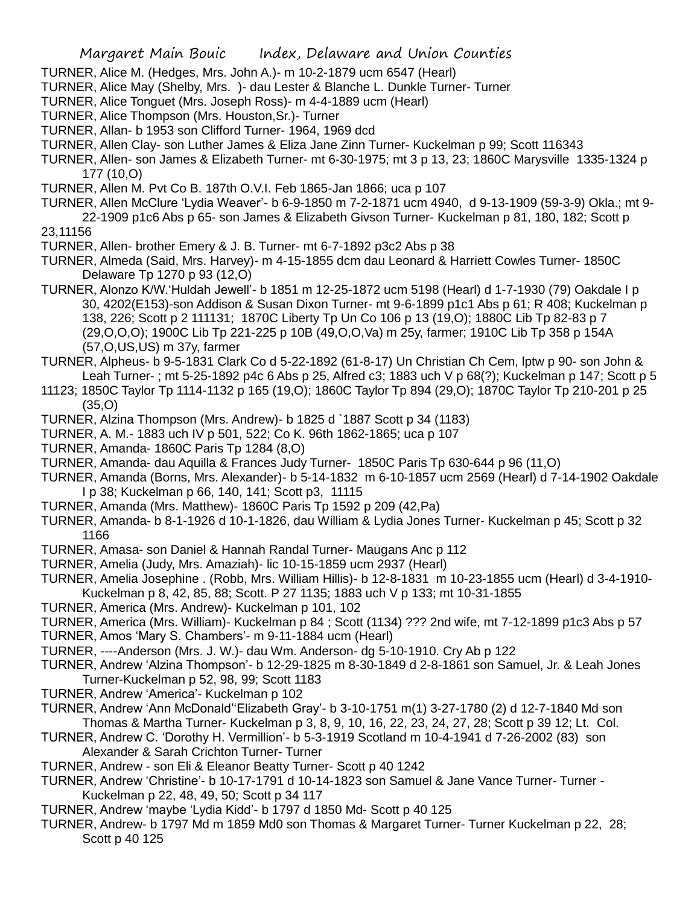TURNER, Alice M. (Hedges, Mrs. John A.)- m 10-2-1879 ucm 6547 (Hearl)

TURNER, Alice May (Shelby, Mrs. )- dau Lester & Blanche L. Dunkle Turner- Turner

TURNER, Alice Tonguet (Mrs. Joseph Ross)- m 4-4-1889 ucm (Hearl)

TURNER, Alice Thompson (Mrs. Houston,Sr.)- Turner

TURNER, Allan- b 1953 son Clifford Turner- 1964, 1969 dcd

TURNER, Allen Clay- son Luther James & Eliza Jane Zinn Turner- Kuckelman p 99; Scott 116343

TURNER, Allen- son James & Elizabeth Turner- mt 6-30-1975; mt 3 p 13, 23; 1860C Marysville 1335-1324 p 177 (10,O)

TURNER, Allen M. Pvt Co B. 187th O.V.I. Feb 1865-Jan 1866; uca p 107

TURNER, Allen McClure 'Lydia Weaver'- b 6-9-1850 m 7-2-1871 ucm 4940, d 9-13-1909 (59-3-9) Okla.; mt 9- 22-1909 p1c6 Abs p 65- son James & Elizabeth Givson Turner- Kuckelman p 81, 180, 182; Scott p 23,11156

TURNER, Allen- brother Emery & J. B. Turner- mt 6-7-1892 p3c2 Abs p 38

TURNER, Almeda (Said, Mrs. Harvey)- m 4-15-1855 dcm dau Leonard & Harriett Cowles Turner- 1850C Delaware Tp 1270 p 93 (12,O)

TURNER, Alonzo K/W.'Huldah Jewell'- b 1851 m 12-25-1872 ucm 5198 (Hearl) d 1-7-1930 (79) Oakdale I p 30, 4202(E153)-son Addison & Susan Dixon Turner- mt 9-6-1899 p1c1 Abs p 61; R 408; Kuckelman p 138, 226; Scott p 2 111131; 1870C Liberty Tp Un Co 106 p 13 (19,O); 1880C Lib Tp 82-83 p 7 (29,O,O,O); 1900C Lib Tp 221-225 p 10B (49,O,O,Va) m 25y, farmer; 1910C Lib Tp 358 p 154A (57,O,US,US) m 37y, farmer

TURNER, Alpheus- b 9-5-1831 Clark Co d 5-22-1892 (61-8-17) Un Christian Ch Cem, lptw p 90- son John & Leah Turner- ; mt 5-25-1892 p4c 6 Abs p 25, Alfred c3; 1883 uch V p 68(?); Kuckelman p 147; Scott p 5

11123; 1850C Taylor Tp 1114-1132 p 165 (19,O); 1860C Taylor Tp 894 (29,O); 1870C Taylor Tp 210-201 p 25 (35,O)

TURNER, Alzina Thompson (Mrs. Andrew)- b 1825 d `1887 Scott p 34 (1183)

- TURNER, A. M.- 1883 uch IV p 501, 522; Co K. 96th 1862-1865; uca p 107
- TURNER, Amanda- 1860C Paris Tp 1284 (8,O)
- TURNER, Amanda- dau Aquilla & Frances Judy Turner- 1850C Paris Tp 630-644 p 96 (11,O)
- TURNER, Amanda (Borns, Mrs. Alexander)- b 5-14-1832 m 6-10-1857 ucm 2569 (Hearl) d 7-14-1902 Oakdale I p 38; Kuckelman p 66, 140, 141; Scott p3, 11115
- TURNER, Amanda (Mrs. Matthew)- 1860C Paris Tp 1592 p 209 (42,Pa)
- TURNER, Amanda- b 8-1-1926 d 10-1-1826, dau William & Lydia Jones Turner- Kuckelman p 45; Scott p 32 1166
- TURNER, Amasa- son Daniel & Hannah Randal Turner- Maugans Anc p 112
- TURNER, Amelia (Judy, Mrs. Amaziah)- lic 10-15-1859 ucm 2937 (Hearl)
- TURNER, Amelia Josephine . (Robb, Mrs. William Hillis)- b 12-8-1831 m 10-23-1855 ucm (Hearl) d 3-4-1910- Kuckelman p 8, 42, 85, 88; Scott. P 27 1135; 1883 uch V p 133; mt 10-31-1855
- TURNER, America (Mrs. Andrew)- Kuckelman p 101, 102
- TURNER, America (Mrs. William)- Kuckelman p 84 ; Scott (1134) ??? 2nd wife, mt 7-12-1899 p1c3 Abs p 57
- TURNER, Amos 'Mary S. Chambers'- m 9-11-1884 ucm (Hearl)
- TURNER, ----Anderson (Mrs. J. W.)- dau Wm. Anderson- dg 5-10-1910. Cry Ab p 122
- TURNER, Andrew 'Alzina Thompson'- b 12-29-1825 m 8-30-1849 d 2-8-1861 son Samuel, Jr. & Leah Jones Turner-Kuckelman p 52, 98, 99; Scott 1183
- TURNER, Andrew 'America'- Kuckelman p 102
- TURNER, Andrew 'Ann McDonald''Elizabeth Gray'- b 3-10-1751 m(1) 3-27-1780 (2) d 12-7-1840 Md son Thomas & Martha Turner- Kuckelman p 3, 8, 9, 10, 16, 22, 23, 24, 27, 28; Scott p 39 12; Lt. Col.

TURNER, Andrew C. 'Dorothy H. Vermillion'- b 5-3-1919 Scotland m 10-4-1941 d 7-26-2002 (83) son Alexander & Sarah Crichton Turner- Turner

- TURNER, Andrew son Eli & Eleanor Beatty Turner- Scott p 40 1242
- TURNER, Andrew 'Christine'- b 10-17-1791 d 10-14-1823 son Samuel & Jane Vance Turner- Turner Kuckelman p 22, 48, 49, 50; Scott p 34 117
- TURNER, Andrew 'maybe 'Lydia Kidd'- b 1797 d 1850 Md- Scott p 40 125
- TURNER, Andrew- b 1797 Md m 1859 Md0 son Thomas & Margaret Turner- Turner Kuckelman p 22, 28; Scott p 40 125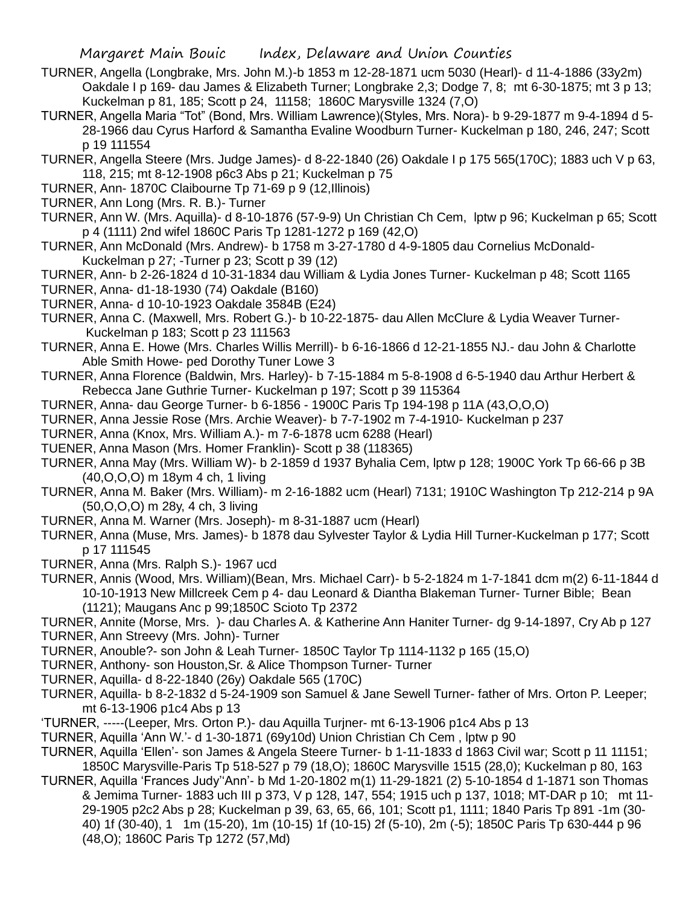- TURNER, Angella (Longbrake, Mrs. John M.)-b 1853 m 12-28-1871 ucm 5030 (Hearl)- d 11-4-1886 (33y2m) Oakdale I p 169- dau James & Elizabeth Turner; Longbrake 2,3; Dodge 7, 8; mt 6-30-1875; mt 3 p 13; Kuckelman p 81, 185; Scott p 24, 11158; 1860C Marysville 1324 (7,O)
- TURNER, Angella Maria "Tot" (Bond, Mrs. William Lawrence)(Styles, Mrs. Nora)- b 9-29-1877 m 9-4-1894 d 5- 28-1966 dau Cyrus Harford & Samantha Evaline Woodburn Turner- Kuckelman p 180, 246, 247; Scott p 19 111554
- TURNER, Angella Steere (Mrs. Judge James)- d 8-22-1840 (26) Oakdale I p 175 565(170C); 1883 uch V p 63, 118, 215; mt 8-12-1908 p6c3 Abs p 21; Kuckelman p 75
- TURNER, Ann- 1870C Claibourne Tp 71-69 p 9 (12,Illinois)
- TURNER, Ann Long (Mrs. R. B.)- Turner
- TURNER, Ann W. (Mrs. Aquilla)- d 8-10-1876 (57-9-9) Un Christian Ch Cem, lptw p 96; Kuckelman p 65; Scott p 4 (1111) 2nd wifel 1860C Paris Tp 1281-1272 p 169 (42,O)
- TURNER, Ann McDonald (Mrs. Andrew)- b 1758 m 3-27-1780 d 4-9-1805 dau Cornelius McDonald-Kuckelman p 27; -Turner p 23; Scott p 39 (12)
- TURNER, Ann- b 2-26-1824 d 10-31-1834 dau William & Lydia Jones Turner- Kuckelman p 48; Scott 1165
- TURNER, Anna- d1-18-1930 (74) Oakdale (B160)
- TURNER, Anna- d 10-10-1923 Oakdale 3584B (E24)
- TURNER, Anna C. (Maxwell, Mrs. Robert G.)- b 10-22-1875- dau Allen McClure & Lydia Weaver Turner-Kuckelman p 183; Scott p 23 111563
- TURNER, Anna E. Howe (Mrs. Charles Willis Merrill)- b 6-16-1866 d 12-21-1855 NJ.- dau John & Charlotte Able Smith Howe- ped Dorothy Tuner Lowe 3
- TURNER, Anna Florence (Baldwin, Mrs. Harley)- b 7-15-1884 m 5-8-1908 d 6-5-1940 dau Arthur Herbert & Rebecca Jane Guthrie Turner- Kuckelman p 197; Scott p 39 115364
- TURNER, Anna- dau George Turner- b 6-1856 1900C Paris Tp 194-198 p 11A (43,O,O,O)
- TURNER, Anna Jessie Rose (Mrs. Archie Weaver)- b 7-7-1902 m 7-4-1910- Kuckelman p 237
- TURNER, Anna (Knox, Mrs. William A.)- m 7-6-1878 ucm 6288 (Hearl)
- TUENER, Anna Mason (Mrs. Homer Franklin)- Scott p 38 (118365)
- TURNER, Anna May (Mrs. William W)- b 2-1859 d 1937 Byhalia Cem, lptw p 128; 1900C York Tp 66-66 p 3B (40,O,O,O) m 18ym 4 ch, 1 living
- TURNER, Anna M. Baker (Mrs. William)- m 2-16-1882 ucm (Hearl) 7131; 1910C Washington Tp 212-214 p 9A (50,O,O,O) m 28y, 4 ch, 3 living
- TURNER, Anna M. Warner (Mrs. Joseph)- m 8-31-1887 ucm (Hearl)
- TURNER, Anna (Muse, Mrs. James)- b 1878 dau Sylvester Taylor & Lydia Hill Turner-Kuckelman p 177; Scott p 17 111545
- TURNER, Anna (Mrs. Ralph S.)- 1967 ucd
- TURNER, Annis (Wood, Mrs. William)(Bean, Mrs. Michael Carr)- b 5-2-1824 m 1-7-1841 dcm m(2) 6-11-1844 d 10-10-1913 New Millcreek Cem p 4- dau Leonard & Diantha Blakeman Turner- Turner Bible; Bean (1121); Maugans Anc p 99;1850C Scioto Tp 2372
- TURNER, Annite (Morse, Mrs. )- dau Charles A. & Katherine Ann Haniter Turner- dg 9-14-1897, Cry Ab p 127 TURNER, Ann Streevy (Mrs. John)- Turner
- TURNER, Anouble?- son John & Leah Turner- 1850C Taylor Tp 1114-1132 p 165 (15,O)
- TURNER, Anthony- son Houston,Sr. & Alice Thompson Turner- Turner
- TURNER, Aquilla- d 8-22-1840 (26y) Oakdale 565 (170C)
- TURNER, Aquilla- b 8-2-1832 d 5-24-1909 son Samuel & Jane Sewell Turner- father of Mrs. Orton P. Leeper; mt 6-13-1906 p1c4 Abs p 13
- 'TURNER, -----(Leeper, Mrs. Orton P.)- dau Aquilla Turjner- mt 6-13-1906 p1c4 Abs p 13
- TURNER, Aquilla 'Ann W.'- d 1-30-1871 (69y10d) Union Christian Ch Cem , lptw p 90
- TURNER, Aquilla 'Ellen'- son James & Angela Steere Turner- b 1-11-1833 d 1863 Civil war; Scott p 11 11151; 1850C Marysville-Paris Tp 518-527 p 79 (18,O); 1860C Marysville 1515 (28,0); Kuckelman p 80, 163
- TURNER, Aquilla 'Frances Judy''Ann'- b Md 1-20-1802 m(1) 11-29-1821 (2) 5-10-1854 d 1-1871 son Thomas & Jemima Turner- 1883 uch III p 373, V p 128, 147, 554; 1915 uch p 137, 1018; MT-DAR p 10; mt 11- 29-1905 p2c2 Abs p 28; Kuckelman p 39, 63, 65, 66, 101; Scott p1, 1111; 1840 Paris Tp 891 -1m (30- 40) 1f (30-40), 1 1m (15-20), 1m (10-15) 1f (10-15) 2f (5-10), 2m (-5); 1850C Paris Tp 630-444 p 96 (48,O); 1860C Paris Tp 1272 (57,Md)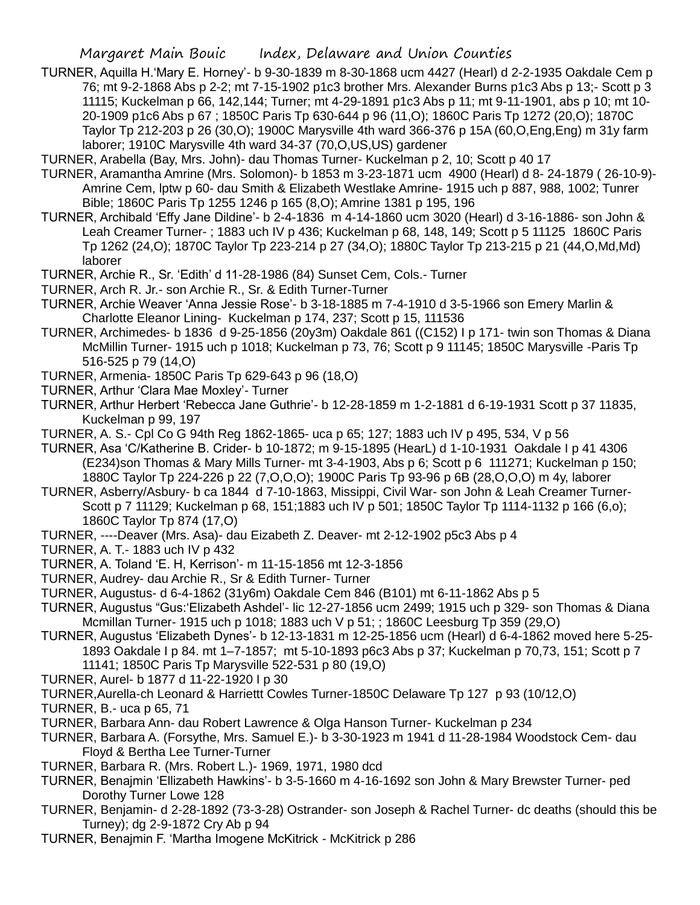- TURNER, Aquilla H.'Mary E. Horney'- b 9-30-1839 m 8-30-1868 ucm 4427 (Hearl) d 2-2-1935 Oakdale Cem p 76; mt 9-2-1868 Abs p 2-2; mt 7-15-1902 p1c3 brother Mrs. Alexander Burns p1c3 Abs p 13;- Scott p 3 11115; Kuckelman p 66, 142,144; Turner; mt 4-29-1891 p1c3 Abs p 11; mt 9-11-1901, abs p 10; mt 10- 20-1909 p1c6 Abs p 67 ; 1850C Paris Tp 630-644 p 96 (11,O); 1860C Paris Tp 1272 (20,O); 1870C Taylor Tp 212-203 p 26 (30,O); 1900C Marysville 4th ward 366-376 p 15A (60,O,Eng,Eng) m 31y farm laborer; 1910C Marysville 4th ward 34-37 (70,O,US,US) gardener
- TURNER, Arabella (Bay, Mrs. John)- dau Thomas Turner- Kuckelman p 2, 10; Scott p 40 17
- TURNER, Aramantha Amrine (Mrs. Solomon)- b 1853 m 3-23-1871 ucm 4900 (Hearl) d 8- 24-1879 ( 26-10-9)- Amrine Cem, lptw p 60- dau Smith & Elizabeth Westlake Amrine- 1915 uch p 887, 988, 1002; Tunrer Bible; 1860C Paris Tp 1255 1246 p 165 (8,O); Amrine 1381 p 195, 196
- TURNER, Archibald 'Effy Jane Dildine'- b 2-4-1836 m 4-14-1860 ucm 3020 (Hearl) d 3-16-1886- son John & Leah Creamer Turner- ; 1883 uch IV p 436; Kuckelman p 68, 148, 149; Scott p 5 11125 1860C Paris Tp 1262 (24,O); 1870C Taylor Tp 223-214 p 27 (34,O); 1880C Taylor Tp 213-215 p 21 (44,O,Md,Md) laborer
- TURNER, Archie R., Sr. 'Edith' d 11-28-1986 (84) Sunset Cem, Cols.- Turner
- TURNER, Arch R. Jr.- son Archie R., Sr. & Edith Turner-Turner
- TURNER, Archie Weaver 'Anna Jessie Rose'- b 3-18-1885 m 7-4-1910 d 3-5-1966 son Emery Marlin & Charlotte Eleanor Lining- Kuckelman p 174, 237; Scott p 15, 111536
- TURNER, Archimedes- b 1836 d 9-25-1856 (20y3m) Oakdale 861 ((C152) I p 171- twin son Thomas & Diana McMillin Turner- 1915 uch p 1018; Kuckelman p 73, 76; Scott p 9 11145; 1850C Marysville -Paris Tp 516-525 p 79 (14,O)
- TURNER, Armenia- 1850C Paris Tp 629-643 p 96 (18,O)
- TURNER, Arthur 'Clara Mae Moxley'- Turner
- TURNER, Arthur Herbert 'Rebecca Jane Guthrie'- b 12-28-1859 m 1-2-1881 d 6-19-1931 Scott p 37 11835, Kuckelman p 99, 197
- TURNER, A. S.- Cpl Co G 94th Reg 1862-1865- uca p 65; 127; 1883 uch IV p 495, 534, V p 56
- TURNER, Asa 'C/Katherine B. Crider- b 10-1872; m 9-15-1895 (HearL) d 1-10-1931 Oakdale I p 41 4306 (E234)son Thomas & Mary Mills Turner- mt 3-4-1903, Abs p 6; Scott p 6 111271; Kuckelman p 150; 1880C Taylor Tp 224-226 p 22 (7,O,O,O); 1900C Paris Tp 93-96 p 6B (28,O,O,O) m 4y, laborer
- TURNER, Asberry/Asbury- b ca 1844 d 7-10-1863, Missippi, Civil War- son John & Leah Creamer Turner-Scott p 7 11129; Kuckelman p 68, 151;1883 uch IV p 501; 1850C Taylor Tp 1114-1132 p 166 (6,o); 1860C Taylor Tp 874 (17,O)
- TURNER, ----Deaver (Mrs. Asa)- dau Eizabeth Z. Deaver- mt 2-12-1902 p5c3 Abs p 4
- TURNER, A. T.- 1883 uch IV p 432
- TURNER, A. Toland 'E. H, Kerrison'- m 11-15-1856 mt 12-3-1856
- TURNER, Audrey- dau Archie R., Sr & Edith Turner- Turner
- TURNER, Augustus- d 6-4-1862 (31y6m) Oakdale Cem 846 (B101) mt 6-11-1862 Abs p 5
- TURNER, Augustus "Gus:'Elizabeth Ashdel'- lic 12-27-1856 ucm 2499; 1915 uch p 329- son Thomas & Diana Mcmillan Turner- 1915 uch p 1018; 1883 uch V p 51; ; 1860C Leesburg Tp 359 (29,O)
- TURNER, Augustus 'Elizabeth Dynes'- b 12-13-1831 m 12-25-1856 ucm (Hearl) d 6-4-1862 moved here 5-25- 1893 Oakdale I p 84. mt 1–7-1857; mt 5-10-1893 p6c3 Abs p 37; Kuckelman p 70,73, 151; Scott p 7 11141; 1850C Paris Tp Marysville 522-531 p 80 (19,O)
- TURNER, Aurel- b 1877 d 11-22-1920 I p 30
- TURNER,Aurella-ch Leonard & Harriettt Cowles Turner-1850C Delaware Tp 127 p 93 (10/12,O)
- TURNER, B.- uca p 65, 71
- TURNER, Barbara Ann- dau Robert Lawrence & Olga Hanson Turner- Kuckelman p 234
- TURNER, Barbara A. (Forsythe, Mrs. Samuel E.)- b 3-30-1923 m 1941 d 11-28-1984 Woodstock Cem- dau Floyd & Bertha Lee Turner-Turner
- TURNER, Barbara R. (Mrs. Robert L.)- 1969, 1971, 1980 dcd
- TURNER, Benajmin 'Ellizabeth Hawkins'- b 3-5-1660 m 4-16-1692 son John & Mary Brewster Turner- ped Dorothy Turner Lowe 128
- TURNER, Benjamin- d 2-28-1892 (73-3-28) Ostrander- son Joseph & Rachel Turner- dc deaths (should this be Turney); dg 2-9-1872 Cry Ab p 94
- TURNER, Benajmin F. 'Martha Imogene McKitrick McKitrick p 286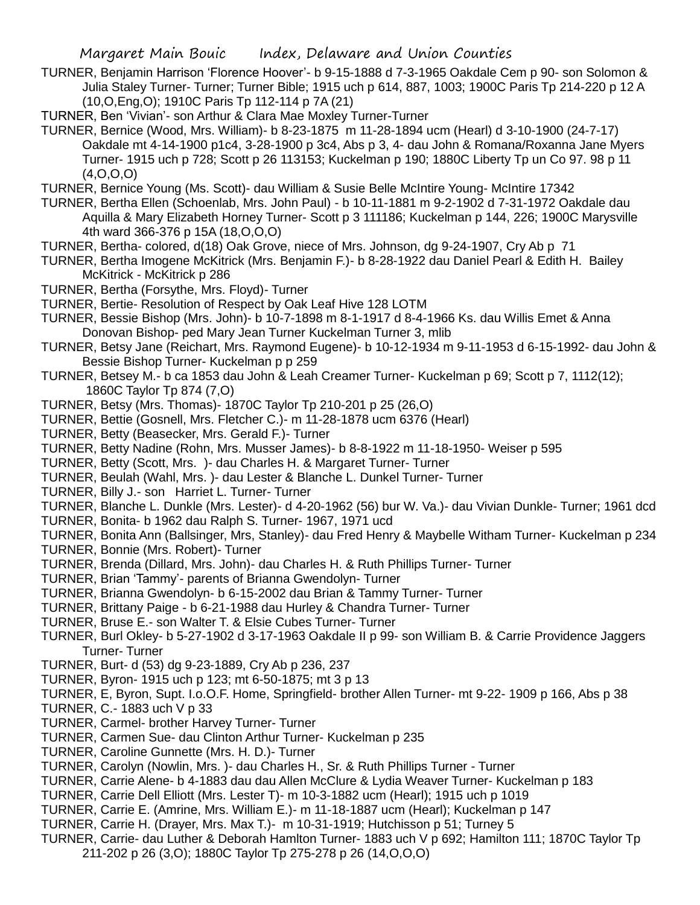- TURNER, Benjamin Harrison 'Florence Hoover'- b 9-15-1888 d 7-3-1965 Oakdale Cem p 90- son Solomon & Julia Staley Turner- Turner; Turner Bible; 1915 uch p 614, 887, 1003; 1900C Paris Tp 214-220 p 12 A (10,O,Eng,O); 1910C Paris Tp 112-114 p 7A (21)
- TURNER, Ben 'Vivian'- son Arthur & Clara Mae Moxley Turner-Turner
- TURNER, Bernice (Wood, Mrs. William)- b 8-23-1875 m 11-28-1894 ucm (Hearl) d 3-10-1900 (24-7-17) Oakdale mt 4-14-1900 p1c4, 3-28-1900 p 3c4, Abs p 3, 4- dau John & Romana/Roxanna Jane Myers Turner- 1915 uch p 728; Scott p 26 113153; Kuckelman p 190; 1880C Liberty Tp un Co 97. 98 p 11 (4,O,O,O)
- TURNER, Bernice Young (Ms. Scott)- dau William & Susie Belle McIntire Young- McIntire 17342
- TURNER, Bertha Ellen (Schoenlab, Mrs. John Paul) b 10-11-1881 m 9-2-1902 d 7-31-1972 Oakdale dau Aquilla & Mary Elizabeth Horney Turner- Scott p 3 111186; Kuckelman p 144, 226; 1900C Marysville 4th ward 366-376 p 15A (18,O,O,O)
- TURNER, Bertha- colored, d(18) Oak Grove, niece of Mrs. Johnson, dg 9-24-1907, Cry Ab p 71
- TURNER, Bertha Imogene McKitrick (Mrs. Benjamin F.)- b 8-28-1922 dau Daniel Pearl & Edith H. Bailey McKitrick - McKitrick p 286
- TURNER, Bertha (Forsythe, Mrs. Floyd)- Turner
- TURNER, Bertie- Resolution of Respect by Oak Leaf Hive 128 LOTM
- TURNER, Bessie Bishop (Mrs. John)- b 10-7-1898 m 8-1-1917 d 8-4-1966 Ks. dau Willis Emet & Anna Donovan Bishop- ped Mary Jean Turner Kuckelman Turner 3, mlib
- TURNER, Betsy Jane (Reichart, Mrs. Raymond Eugene)- b 10-12-1934 m 9-11-1953 d 6-15-1992- dau John & Bessie Bishop Turner- Kuckelman p p 259
- TURNER, Betsey M.- b ca 1853 dau John & Leah Creamer Turner- Kuckelman p 69; Scott p 7, 1112(12); 1860C Taylor Tp 874 (7,O)
- TURNER, Betsy (Mrs. Thomas)- 1870C Taylor Tp 210-201 p 25 (26,O)
- TURNER, Bettie (Gosnell, Mrs. Fletcher C.)- m 11-28-1878 ucm 6376 (Hearl)
- TURNER, Betty (Beasecker, Mrs. Gerald F.)- Turner
- TURNER, Betty Nadine (Rohn, Mrs. Musser James)- b 8-8-1922 m 11-18-1950- Weiser p 595
- TURNER, Betty (Scott, Mrs. )- dau Charles H. & Margaret Turner- Turner
- TURNER, Beulah (Wahl, Mrs. )- dau Lester & Blanche L. Dunkel Turner- Turner
- TURNER, Billy J.- son Harriet L. Turner- Turner
- TURNER, Blanche L. Dunkle (Mrs. Lester)- d 4-20-1962 (56) bur W. Va.)- dau Vivian Dunkle- Turner; 1961 dcd
- TURNER, Bonita- b 1962 dau Ralph S. Turner- 1967, 1971 ucd
- TURNER, Bonita Ann (Ballsinger, Mrs, Stanley)- dau Fred Henry & Maybelle Witham Turner- Kuckelman p 234
- TURNER, Bonnie (Mrs. Robert)- Turner
- TURNER, Brenda (Dillard, Mrs. John)- dau Charles H. & Ruth Phillips Turner- Turner
- TURNER, Brian 'Tammy'- parents of Brianna Gwendolyn- Turner
- TURNER, Brianna Gwendolyn- b 6-15-2002 dau Brian & Tammy Turner- Turner
- TURNER, Brittany Paige b 6-21-1988 dau Hurley & Chandra Turner- Turner
- TURNER, Bruse E.- son Walter T. & Elsie Cubes Turner- Turner
- TURNER, Burl Okley- b 5-27-1902 d 3-17-1963 Oakdale II p 99- son William B. & Carrie Providence Jaggers Turner- Turner
- TURNER, Burt- d (53) dg 9-23-1889, Cry Ab p 236, 237
- TURNER, Byron- 1915 uch p 123; mt 6-50-1875; mt 3 p 13
- TURNER, E, Byron, Supt. I.o.O.F. Home, Springfield- brother Allen Turner- mt 9-22- 1909 p 166, Abs p 38
- TURNER, C.- 1883 uch V p 33
- TURNER, Carmel- brother Harvey Turner- Turner
- TURNER, Carmen Sue- dau Clinton Arthur Turner- Kuckelman p 235
- TURNER, Caroline Gunnette (Mrs. H. D.)- Turner
- TURNER, Carolyn (Nowlin, Mrs. )- dau Charles H., Sr. & Ruth Phillips Turner Turner
- TURNER, Carrie Alene- b 4-1883 dau dau Allen McClure & Lydia Weaver Turner- Kuckelman p 183
- TURNER, Carrie Dell Elliott (Mrs. Lester T)- m 10-3-1882 ucm (Hearl); 1915 uch p 1019
- TURNER, Carrie E. (Amrine, Mrs. William E.)- m 11-18-1887 ucm (Hearl); Kuckelman p 147
- TURNER, Carrie H. (Drayer, Mrs. Max T.)- m 10-31-1919; Hutchisson p 51; Turney 5
- TURNER, Carrie- dau Luther & Deborah Hamlton Turner- 1883 uch V p 692; Hamilton 111; 1870C Taylor Tp 211-202 p 26 (3,O); 1880C Taylor Tp 275-278 p 26 (14,O,O,O)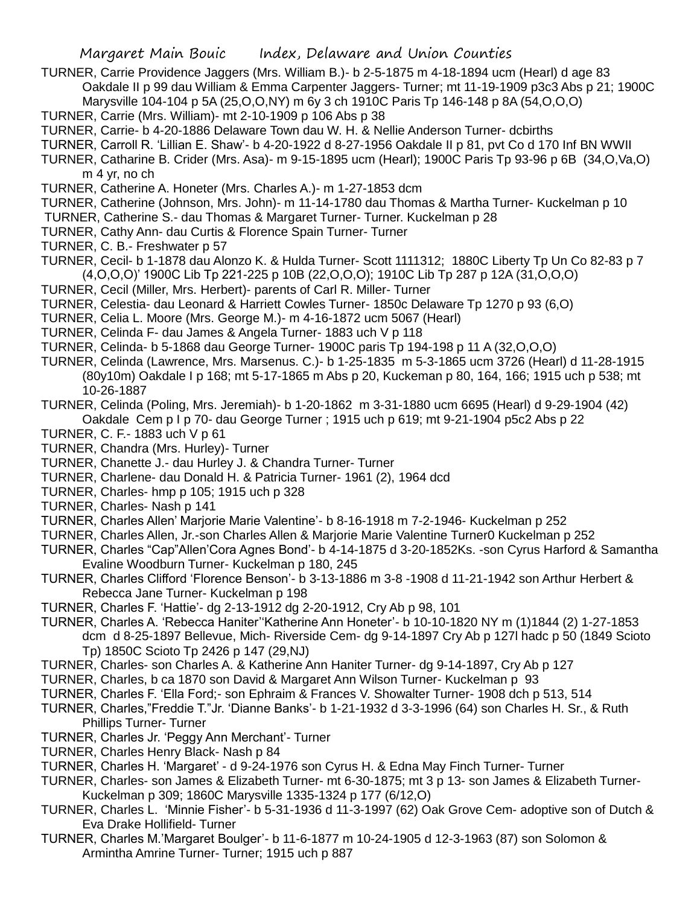- TURNER, Carrie Providence Jaggers (Mrs. William B.)- b 2-5-1875 m 4-18-1894 ucm (Hearl) d age 83 Oakdale II p 99 dau William & Emma Carpenter Jaggers- Turner; mt 11-19-1909 p3c3 Abs p 21; 1900C Marysville 104-104 p 5A (25,O,O,NY) m 6y 3 ch 1910C Paris Tp 146-148 p 8A (54,O,O,O)
- TURNER, Carrie (Mrs. William)- mt 2-10-1909 p 106 Abs p 38
- TURNER, Carrie- b 4-20-1886 Delaware Town dau W. H. & Nellie Anderson Turner- dcbirths
- TURNER, Carroll R. 'Lillian E. Shaw'- b 4-20-1922 d 8-27-1956 Oakdale II p 81, pvt Co d 170 Inf BN WWII
- TURNER, Catharine B. Crider (Mrs. Asa)- m 9-15-1895 ucm (Hearl); 1900C Paris Tp 93-96 p 6B (34,O,Va,O) m 4 yr, no ch
- TURNER, Catherine A. Honeter (Mrs. Charles A.)- m 1-27-1853 dcm
- TURNER, Catherine (Johnson, Mrs. John)- m 11-14-1780 dau Thomas & Martha Turner- Kuckelman p 10
- TURNER, Catherine S.- dau Thomas & Margaret Turner- Turner. Kuckelman p 28
- TURNER, Cathy Ann- dau Curtis & Florence Spain Turner- Turner
- TURNER, C. B.- Freshwater p 57
- TURNER, Cecil- b 1-1878 dau Alonzo K. & Hulda Turner- Scott 1111312; 1880C Liberty Tp Un Co 82-83 p 7 (4,O,O,O)' 1900C Lib Tp 221-225 p 10B (22,O,O,O); 1910C Lib Tp 287 p 12A (31,O,O,O)
- TURNER, Cecil (Miller, Mrs. Herbert)- parents of Carl R. Miller- Turner
- TURNER, Celestia- dau Leonard & Harriett Cowles Turner- 1850c Delaware Tp 1270 p 93 (6,O)
- TURNER, Celia L. Moore (Mrs. George M.)- m 4-16-1872 ucm 5067 (Hearl)
- TURNER, Celinda F- dau James & Angela Turner- 1883 uch V p 118
- TURNER, Celinda- b 5-1868 dau George Turner- 1900C paris Tp 194-198 p 11 A (32,O,O,O)
- TURNER, Celinda (Lawrence, Mrs. Marsenus. C.)- b 1-25-1835 m 5-3-1865 ucm 3726 (Hearl) d 11-28-1915 (80y10m) Oakdale I p 168; mt 5-17-1865 m Abs p 20, Kuckeman p 80, 164, 166; 1915 uch p 538; mt 10-26-1887
- TURNER, Celinda (Poling, Mrs. Jeremiah)- b 1-20-1862 m 3-31-1880 ucm 6695 (Hearl) d 9-29-1904 (42) Oakdale Cem p I p 70- dau George Turner ; 1915 uch p 619; mt 9-21-1904 p5c2 Abs p 22
- TURNER, C. F.- 1883 uch V p 61
- TURNER, Chandra (Mrs. Hurley)- Turner
- TURNER, Chanette J.- dau Hurley J. & Chandra Turner- Turner
- TURNER, Charlene- dau Donald H. & Patricia Turner- 1961 (2), 1964 dcd
- TURNER, Charles- hmp p 105; 1915 uch p 328
- TURNER, Charles- Nash p 141
- TURNER, Charles Allen' Marjorie Marie Valentine'- b 8-16-1918 m 7-2-1946- Kuckelman p 252
- TURNER, Charles Allen, Jr.-son Charles Allen & Marjorie Marie Valentine Turner0 Kuckelman p 252
- TURNER, Charles "Cap"Allen'Cora Agnes Bond'- b 4-14-1875 d 3-20-1852Ks. -son Cyrus Harford & Samantha Evaline Woodburn Turner- Kuckelman p 180, 245
- TURNER, Charles Clifford 'Florence Benson'- b 3-13-1886 m 3-8 -1908 d 11-21-1942 son Arthur Herbert & Rebecca Jane Turner- Kuckelman p 198
- TURNER, Charles F. 'Hattie'- dg 2-13-1912 dg 2-20-1912, Cry Ab p 98, 101
- TURNER, Charles A. 'Rebecca Haniter''Katherine Ann Honeter'- b 10-10-1820 NY m (1)1844 (2) 1-27-1853
	- dcm d 8-25-1897 Bellevue, Mich- Riverside Cem- dg 9-14-1897 Cry Ab p 127l hadc p 50 (1849 Scioto Tp) 1850C Scioto Tp 2426 p 147 (29,NJ)
- TURNER, Charles- son Charles A. & Katherine Ann Haniter Turner- dg 9-14-1897, Cry Ab p 127
- TURNER, Charles, b ca 1870 son David & Margaret Ann Wilson Turner- Kuckelman p 93
- TURNER, Charles F. 'Ella Ford;- son Ephraim & Frances V. Showalter Turner- 1908 dch p 513, 514
- TURNER, Charles,"Freddie T."Jr. 'Dianne Banks'- b 1-21-1932 d 3-3-1996 (64) son Charles H. Sr., & Ruth Phillips Turner- Turner
- TURNER, Charles Jr. 'Peggy Ann Merchant'- Turner
- TURNER, Charles Henry Black- Nash p 84
- TURNER, Charles H. 'Margaret' d 9-24-1976 son Cyrus H. & Edna May Finch Turner- Turner
- TURNER, Charles- son James & Elizabeth Turner- mt 6-30-1875; mt 3 p 13- son James & Elizabeth Turner-Kuckelman p 309; 1860C Marysville 1335-1324 p 177 (6/12,O)
- TURNER, Charles L. 'Minnie Fisher'- b 5-31-1936 d 11-3-1997 (62) Oak Grove Cem- adoptive son of Dutch & Eva Drake Hollifield- Turner
- TURNER, Charles M.'Margaret Boulger'- b 11-6-1877 m 10-24-1905 d 12-3-1963 (87) son Solomon & Armintha Amrine Turner- Turner; 1915 uch p 887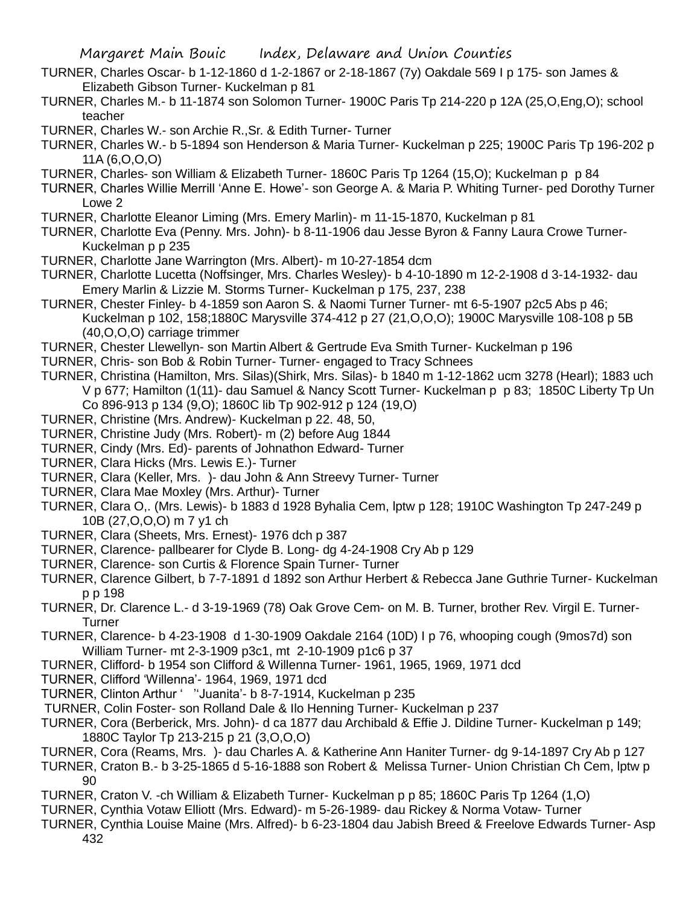- TURNER, Charles Oscar- b 1-12-1860 d 1-2-1867 or 2-18-1867 (7y) Oakdale 569 I p 175- son James & Elizabeth Gibson Turner- Kuckelman p 81
- TURNER, Charles M.- b 11-1874 son Solomon Turner- 1900C Paris Tp 214-220 p 12A (25,O,Eng,O); school teacher

TURNER, Charles W.- son Archie R.,Sr. & Edith Turner- Turner

- TURNER, Charles W.- b 5-1894 son Henderson & Maria Turner- Kuckelman p 225; 1900C Paris Tp 196-202 p 11A (6,O,O,O)
- TURNER, Charles- son William & Elizabeth Turner- 1860C Paris Tp 1264 (15,O); Kuckelman p p 84
- TURNER, Charles Willie Merrill 'Anne E. Howe'- son George A. & Maria P. Whiting Turner- ped Dorothy Turner Lowe 2
- TURNER, Charlotte Eleanor Liming (Mrs. Emery Marlin)- m 11-15-1870, Kuckelman p 81
- TURNER, Charlotte Eva (Penny. Mrs. John)- b 8-11-1906 dau Jesse Byron & Fanny Laura Crowe Turner-Kuckelman p p 235
- TURNER, Charlotte Jane Warrington (Mrs. Albert)- m 10-27-1854 dcm
- TURNER, Charlotte Lucetta (Noffsinger, Mrs. Charles Wesley)- b 4-10-1890 m 12-2-1908 d 3-14-1932- dau Emery Marlin & Lizzie M. Storms Turner- Kuckelman p 175, 237, 238
- TURNER, Chester Finley- b 4-1859 son Aaron S. & Naomi Turner Turner- mt 6-5-1907 p2c5 Abs p 46; Kuckelman p 102, 158;1880C Marysville 374-412 p 27 (21,O,O,O); 1900C Marysville 108-108 p 5B (40,O,O,O) carriage trimmer
- TURNER, Chester Llewellyn- son Martin Albert & Gertrude Eva Smith Turner- Kuckelman p 196
- TURNER, Chris- son Bob & Robin Turner- Turner- engaged to Tracy Schnees
- TURNER, Christina (Hamilton, Mrs. Silas)(Shirk, Mrs. Silas)- b 1840 m 1-12-1862 ucm 3278 (Hearl); 1883 uch V p 677; Hamilton (1(11)- dau Samuel & Nancy Scott Turner- Kuckelman p p 83; 1850C Liberty Tp Un Co 896-913 p 134 (9,O); 1860C lib Tp 902-912 p 124 (19,O)
- TURNER, Christine (Mrs. Andrew)- Kuckelman p 22. 48, 50,
- TURNER, Christine Judy (Mrs. Robert)- m (2) before Aug 1844
- TURNER, Cindy (Mrs. Ed)- parents of Johnathon Edward- Turner
- TURNER, Clara Hicks (Mrs. Lewis E.)- Turner
- TURNER, Clara (Keller, Mrs. )- dau John & Ann Streevy Turner- Turner
- TURNER, Clara Mae Moxley (Mrs. Arthur)- Turner
- TURNER, Clara O,. (Mrs. Lewis)- b 1883 d 1928 Byhalia Cem, lptw p 128; 1910C Washington Tp 247-249 p 10B (27,O,O,O) m 7 y1 ch
- TURNER, Clara (Sheets, Mrs. Ernest)- 1976 dch p 387
- TURNER, Clarence- pallbearer for Clyde B. Long- dg 4-24-1908 Cry Ab p 129
- TURNER, Clarence- son Curtis & Florence Spain Turner- Turner
- TURNER, Clarence Gilbert, b 7-7-1891 d 1892 son Arthur Herbert & Rebecca Jane Guthrie Turner- Kuckelman p p 198
- TURNER, Dr. Clarence L.- d 3-19-1969 (78) Oak Grove Cem- on M. B. Turner, brother Rev. Virgil E. Turner-Turner
- TURNER, Clarence- b 4-23-1908 d 1-30-1909 Oakdale 2164 (10D) I p 76, whooping cough (9mos7d) son William Turner- mt 2-3-1909 p3c1, mt 2-10-1909 p1c6 p 37
- TURNER, Clifford- b 1954 son Clifford & Willenna Turner- 1961, 1965, 1969, 1971 dcd
- TURNER, Clifford 'Willenna'- 1964, 1969, 1971 dcd
- TURNER, Clinton Arthur ' ''Juanita'- b 8-7-1914, Kuckelman p 235
- TURNER, Colin Foster- son Rolland Dale & Ilo Henning Turner- Kuckelman p 237
- TURNER, Cora (Berberick, Mrs. John)- d ca 1877 dau Archibald & Effie J. Dildine Turner- Kuckelman p 149; 1880C Taylor Tp 213-215 p 21 (3,O,O,O)
- TURNER, Cora (Reams, Mrs. )- dau Charles A. & Katherine Ann Haniter Turner- dg 9-14-1897 Cry Ab p 127
- TURNER, Craton B.- b 3-25-1865 d 5-16-1888 son Robert & Melissa Turner- Union Christian Ch Cem, lptw p 90
- TURNER, Craton V. -ch William & Elizabeth Turner- Kuckelman p p 85; 1860C Paris Tp 1264 (1,O)
- TURNER, Cynthia Votaw Elliott (Mrs. Edward)- m 5-26-1989- dau Rickey & Norma Votaw- Turner
- TURNER, Cynthia Louise Maine (Mrs. Alfred)- b 6-23-1804 dau Jabish Breed & Freelove Edwards Turner- Asp 432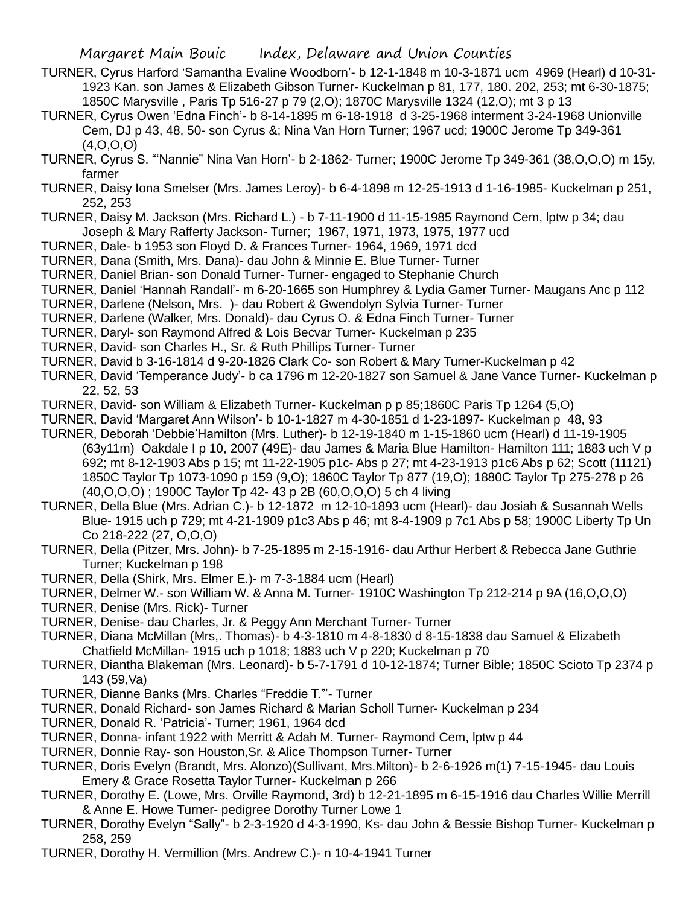- TURNER, Cyrus Harford 'Samantha Evaline Woodborn'- b 12-1-1848 m 10-3-1871 ucm 4969 (Hearl) d 10-31- 1923 Kan. son James & Elizabeth Gibson Turner- Kuckelman p 81, 177, 180. 202, 253; mt 6-30-1875; 1850C Marysville , Paris Tp 516-27 p 79 (2,O); 1870C Marysville 1324 (12,O); mt 3 p 13
- TURNER, Cyrus Owen 'Edna Finch'- b 8-14-1895 m 6-18-1918 d 3-25-1968 interment 3-24-1968 Unionville Cem, DJ p 43, 48, 50- son Cyrus &; Nina Van Horn Turner; 1967 ucd; 1900C Jerome Tp 349-361 (4,O,O,O)
- TURNER, Cyrus S. "'Nannie" Nina Van Horn'- b 2-1862- Turner; 1900C Jerome Tp 349-361 (38,O,O,O) m 15y, farmer
- TURNER, Daisy Iona Smelser (Mrs. James Leroy)- b 6-4-1898 m 12-25-1913 d 1-16-1985- Kuckelman p 251, 252, 253
- TURNER, Daisy M. Jackson (Mrs. Richard L.) b 7-11-1900 d 11-15-1985 Raymond Cem, lptw p 34; dau Joseph & Mary Rafferty Jackson- Turner; 1967, 1971, 1973, 1975, 1977 ucd
- TURNER, Dale- b 1953 son Floyd D. & Frances Turner- 1964, 1969, 1971 dcd
- TURNER, Dana (Smith, Mrs. Dana)- dau John & Minnie E. Blue Turner- Turner
- TURNER, Daniel Brian- son Donald Turner- Turner- engaged to Stephanie Church
- TURNER, Daniel 'Hannah Randall'- m 6-20-1665 son Humphrey & Lydia Gamer Turner- Maugans Anc p 112
- TURNER, Darlene (Nelson, Mrs. )- dau Robert & Gwendolyn Sylvia Turner- Turner
- TURNER, Darlene (Walker, Mrs. Donald)- dau Cyrus O. & Edna Finch Turner- Turner
- TURNER, Daryl- son Raymond Alfred & Lois Becvar Turner- Kuckelman p 235
- TURNER, David- son Charles H., Sr. & Ruth Phillips Turner- Turner
- TURNER, David b 3-16-1814 d 9-20-1826 Clark Co- son Robert & Mary Turner-Kuckelman p 42
- TURNER, David 'Temperance Judy'- b ca 1796 m 12-20-1827 son Samuel & Jane Vance Turner- Kuckelman p 22, 52, 53
- TURNER, David- son William & Elizabeth Turner- Kuckelman p p 85;1860C Paris Tp 1264 (5,O)
- TURNER, David 'Margaret Ann Wilson'- b 10-1-1827 m 4-30-1851 d 1-23-1897- Kuckelman p 48, 93
- TURNER, Deborah 'Debbie'Hamilton (Mrs. Luther)- b 12-19-1840 m 1-15-1860 ucm (Hearl) d 11-19-1905 (63y11m) Oakdale I p 10, 2007 (49E)- dau James & Maria Blue Hamilton- Hamilton 111; 1883 uch V p 692; mt 8-12-1903 Abs p 15; mt 11-22-1905 p1c- Abs p 27; mt 4-23-1913 p1c6 Abs p 62; Scott (11121) 1850C Taylor Tp 1073-1090 p 159 (9,O); 1860C Taylor Tp 877 (19,O); 1880C Taylor Tp 275-278 p 26 (40,O,O,O) ; 1900C Taylor Tp 42- 43 p 2B (60,O,O,O) 5 ch 4 living
- TURNER, Della Blue (Mrs. Adrian C.)- b 12-1872 m 12-10-1893 ucm (Hearl)- dau Josiah & Susannah Wells Blue- 1915 uch p 729; mt 4-21-1909 p1c3 Abs p 46; mt 8-4-1909 p 7c1 Abs p 58; 1900C Liberty Tp Un Co 218-222 (27, O,O,O)
- TURNER, Della (Pitzer, Mrs. John)- b 7-25-1895 m 2-15-1916- dau Arthur Herbert & Rebecca Jane Guthrie Turner; Kuckelman p 198
- TURNER, Della (Shirk, Mrs. Elmer E.)- m 7-3-1884 ucm (Hearl)
- TURNER, Delmer W.- son William W. & Anna M. Turner- 1910C Washington Tp 212-214 p 9A (16,O,O,O)
- TURNER, Denise (Mrs. Rick)- Turner
- TURNER, Denise- dau Charles, Jr. & Peggy Ann Merchant Turner- Turner
- TURNER, Diana McMillan (Mrs,. Thomas)- b 4-3-1810 m 4-8-1830 d 8-15-1838 dau Samuel & Elizabeth Chatfield McMillan- 1915 uch p 1018; 1883 uch V p 220; Kuckelman p 70
- TURNER, Diantha Blakeman (Mrs. Leonard)- b 5-7-1791 d 10-12-1874; Turner Bible; 1850C Scioto Tp 2374 p 143 (59,Va)
- TURNER, Dianne Banks (Mrs. Charles "Freddie T."'- Turner
- TURNER, Donald Richard- son James Richard & Marian Scholl Turner- Kuckelman p 234
- TURNER, Donald R. 'Patricia'- Turner; 1961, 1964 dcd
- TURNER, Donna- infant 1922 with Merritt & Adah M. Turner- Raymond Cem, lptw p 44
- TURNER, Donnie Ray- son Houston,Sr. & Alice Thompson Turner- Turner
- TURNER, Doris Evelyn (Brandt, Mrs. Alonzo)(Sullivant, Mrs.Milton)- b 2-6-1926 m(1) 7-15-1945- dau Louis Emery & Grace Rosetta Taylor Turner- Kuckelman p 266
- TURNER, Dorothy E. (Lowe, Mrs. Orville Raymond, 3rd) b 12-21-1895 m 6-15-1916 dau Charles Willie Merrill & Anne E. Howe Turner- pedigree Dorothy Turner Lowe 1
- TURNER, Dorothy Evelyn "Sally"- b 2-3-1920 d 4-3-1990, Ks- dau John & Bessie Bishop Turner- Kuckelman p 258, 259
- TURNER, Dorothy H. Vermillion (Mrs. Andrew C.)- n 10-4-1941 Turner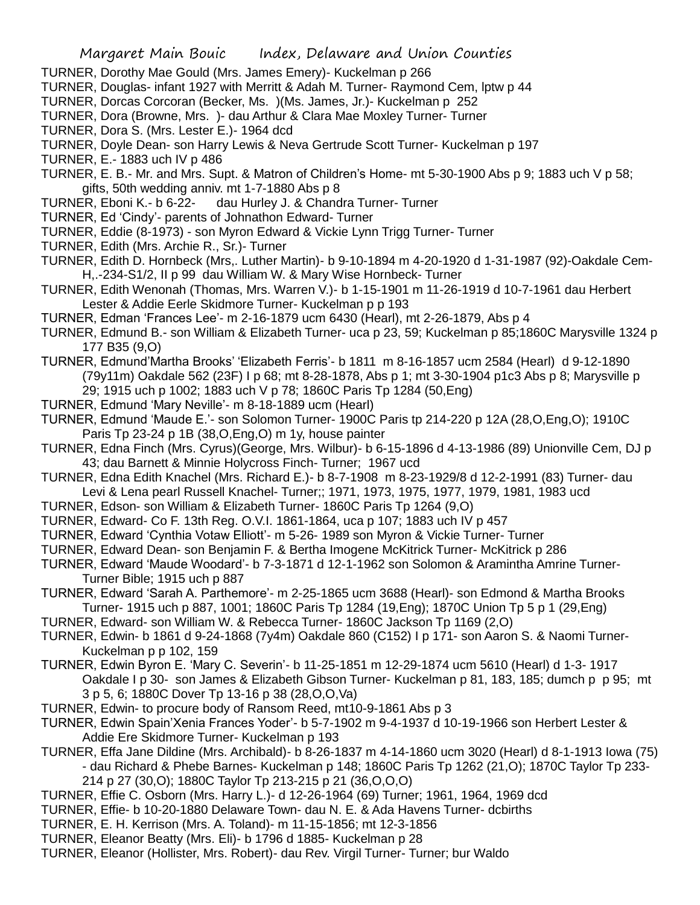- TURNER, Dorothy Mae Gould (Mrs. James Emery)- Kuckelman p 266
- TURNER, Douglas- infant 1927 with Merritt & Adah M. Turner- Raymond Cem, lptw p 44
- TURNER, Dorcas Corcoran (Becker, Ms. )(Ms. James, Jr.)- Kuckelman p 252
- TURNER, Dora (Browne, Mrs. )- dau Arthur & Clara Mae Moxley Turner- Turner
- TURNER, Dora S. (Mrs. Lester E.)- 1964 dcd
- TURNER, Doyle Dean- son Harry Lewis & Neva Gertrude Scott Turner- Kuckelman p 197
- TURNER, E.- 1883 uch IV p 486
- TURNER, E. B.- Mr. and Mrs. Supt. & Matron of Children's Home- mt 5-30-1900 Abs p 9; 1883 uch V p 58; gifts, 50th wedding anniv. mt 1-7-1880 Abs p 8
- TURNER, Eboni K.- b 6-22- dau Hurley J. & Chandra Turner- Turner
- TURNER, Ed 'Cindy'- parents of Johnathon Edward- Turner
- TURNER, Eddie (8-1973) son Myron Edward & Vickie Lynn Trigg Turner- Turner
- TURNER, Edith (Mrs. Archie R., Sr.)- Turner
- TURNER, Edith D. Hornbeck (Mrs,. Luther Martin)- b 9-10-1894 m 4-20-1920 d 1-31-1987 (92)-Oakdale Cem-H,.-234-S1/2, II p 99 dau William W. & Mary Wise Hornbeck- Turner
- TURNER, Edith Wenonah (Thomas, Mrs. Warren V.)- b 1-15-1901 m 11-26-1919 d 10-7-1961 dau Herbert Lester & Addie Eerle Skidmore Turner- Kuckelman p p 193
- TURNER, Edman 'Frances Lee'- m 2-16-1879 ucm 6430 (Hearl), mt 2-26-1879, Abs p 4
- TURNER, Edmund B.- son William & Elizabeth Turner- uca p 23, 59; Kuckelman p 85;1860C Marysville 1324 p 177 B35 (9,O)
- TURNER, Edmund'Martha Brooks' 'Elizabeth Ferris'- b 1811 m 8-16-1857 ucm 2584 (Hearl) d 9-12-1890 (79y11m) Oakdale 562 (23F) I p 68; mt 8-28-1878, Abs p 1; mt 3-30-1904 p1c3 Abs p 8; Marysville p 29; 1915 uch p 1002; 1883 uch V p 78; 1860C Paris Tp 1284 (50,Eng)
- TURNER, Edmund 'Mary Neville'- m 8-18-1889 ucm (Hearl)
- TURNER, Edmund 'Maude E.'- son Solomon Turner- 1900C Paris tp 214-220 p 12A (28,O,Eng,O); 1910C Paris Tp 23-24 p 1B (38,O,Eng,O) m 1y, house painter
- TURNER, Edna Finch (Mrs. Cyrus)(George, Mrs. Wilbur)- b 6-15-1896 d 4-13-1986 (89) Unionville Cem, DJ p 43; dau Barnett & Minnie Holycross Finch- Turner; 1967 ucd
- TURNER, Edna Edith Knachel (Mrs. Richard E.)- b 8-7-1908 m 8-23-1929/8 d 12-2-1991 (83) Turner- dau Levi & Lena pearl Russell Knachel- Turner;; 1971, 1973, 1975, 1977, 1979, 1981, 1983 ucd
- TURNER, Edson- son William & Elizabeth Turner- 1860C Paris Tp 1264 (9,O)
- TURNER, Edward- Co F. 13th Reg. O.V.I. 1861-1864, uca p 107; 1883 uch IV p 457
- TURNER, Edward 'Cynthia Votaw Elliott'- m 5-26- 1989 son Myron & Vickie Turner- Turner
- TURNER, Edward Dean- son Benjamin F. & Bertha Imogene McKitrick Turner- McKitrick p 286
- TURNER, Edward 'Maude Woodard'- b 7-3-1871 d 12-1-1962 son Solomon & Aramintha Amrine Turner-Turner Bible; 1915 uch p 887
- TURNER, Edward 'Sarah A. Parthemore'- m 2-25-1865 ucm 3688 (Hearl)- son Edmond & Martha Brooks Turner- 1915 uch p 887, 1001; 1860C Paris Tp 1284 (19,Eng); 1870C Union Tp 5 p 1 (29,Eng)
- TURNER, Edward- son William W. & Rebecca Turner- 1860C Jackson Tp 1169 (2,O)
- TURNER, Edwin- b 1861 d 9-24-1868 (7y4m) Oakdale 860 (C152) I p 171- son Aaron S. & Naomi Turner-Kuckelman p p 102, 159
- TURNER, Edwin Byron E. 'Mary C. Severin'- b 11-25-1851 m 12-29-1874 ucm 5610 (Hearl) d 1-3- 1917 Oakdale I p 30- son James & Elizabeth Gibson Turner- Kuckelman p 81, 183, 185; dumch p p 95; mt 3 p 5, 6; 1880C Dover Tp 13-16 p 38 (28,O,O,Va)
- TURNER, Edwin- to procure body of Ransom Reed, mt10-9-1861 Abs p 3
- TURNER, Edwin Spain'Xenia Frances Yoder'- b 5-7-1902 m 9-4-1937 d 10-19-1966 son Herbert Lester & Addie Ere Skidmore Turner- Kuckelman p 193
- TURNER, Effa Jane Dildine (Mrs. Archibald)- b 8-26-1837 m 4-14-1860 ucm 3020 (Hearl) d 8-1-1913 Iowa (75) - dau Richard & Phebe Barnes- Kuckelman p 148; 1860C Paris Tp 1262 (21,O); 1870C Taylor Tp 233-
	- 214 p 27 (30,O); 1880C Taylor Tp 213-215 p 21 (36,O,O,O)
- TURNER, Effie C. Osborn (Mrs. Harry L.)- d 12-26-1964 (69) Turner; 1961, 1964, 1969 dcd
- TURNER, Effie- b 10-20-1880 Delaware Town- dau N. E. & Ada Havens Turner- dcbirths
- TURNER, E. H. Kerrison (Mrs. A. Toland)- m 11-15-1856; mt 12-3-1856
- TURNER, Eleanor Beatty (Mrs. Eli)- b 1796 d 1885- Kuckelman p 28
- TURNER, Eleanor (Hollister, Mrs. Robert)- dau Rev. Virgil Turner- Turner; bur Waldo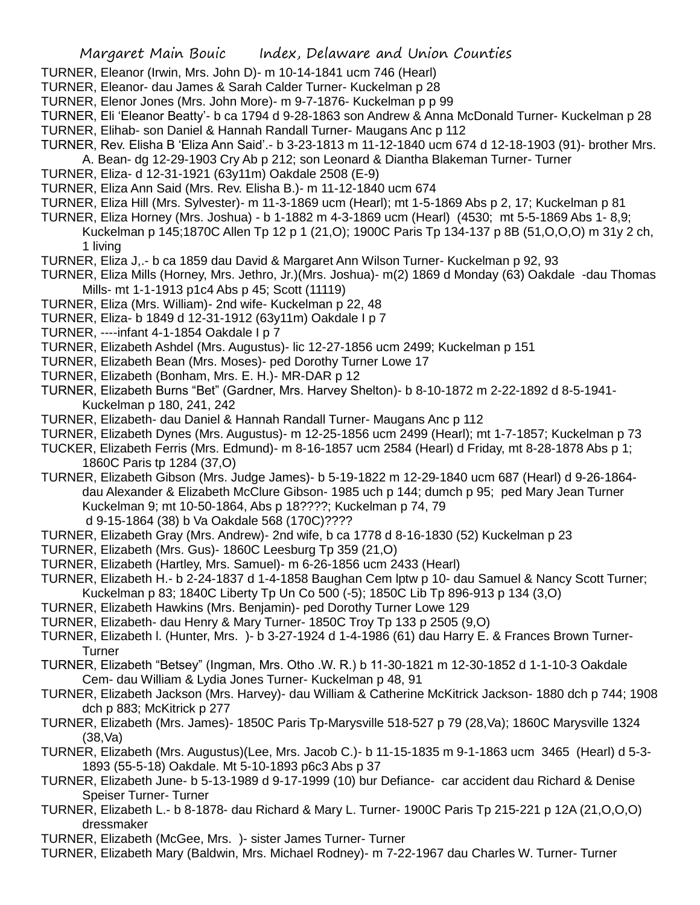- TURNER, Eleanor (Irwin, Mrs. John D)- m 10-14-1841 ucm 746 (Hearl)
- TURNER, Eleanor- dau James & Sarah Calder Turner- Kuckelman p 28
- TURNER, Elenor Jones (Mrs. John More)- m 9-7-1876- Kuckelman p p 99
- TURNER, Eli 'Eleanor Beatty'- b ca 1794 d 9-28-1863 son Andrew & Anna McDonald Turner- Kuckelman p 28
- TURNER, Elihab- son Daniel & Hannah Randall Turner- Maugans Anc p 112
- TURNER, Rev. Elisha B 'Eliza Ann Said'.- b 3-23-1813 m 11-12-1840 ucm 674 d 12-18-1903 (91)- brother Mrs.
	- A. Bean- dg 12-29-1903 Cry Ab p 212; son Leonard & Diantha Blakeman Turner- Turner
- TURNER, Eliza- d 12-31-1921 (63y11m) Oakdale 2508 (E-9)
- TURNER, Eliza Ann Said (Mrs. Rev. Elisha B.)- m 11-12-1840 ucm 674
- TURNER, Eliza Hill (Mrs. Sylvester)- m 11-3-1869 ucm (Hearl); mt 1-5-1869 Abs p 2, 17; Kuckelman p 81
- TURNER, Eliza Horney (Mrs. Joshua) b 1-1882 m 4-3-1869 ucm (Hearl) (4530; mt 5-5-1869 Abs 1- 8,9; Kuckelman p 145;1870C Allen Tp 12 p 1 (21,O); 1900C Paris Tp 134-137 p 8B (51,O,O,O) m 31y 2 ch, 1 living
- TURNER, Eliza J,.- b ca 1859 dau David & Margaret Ann Wilson Turner- Kuckelman p 92, 93
- TURNER, Eliza Mills (Horney, Mrs. Jethro, Jr.)(Mrs. Joshua)- m(2) 1869 d Monday (63) Oakdale -dau Thomas Mills- mt 1-1-1913 p1c4 Abs p 45; Scott (11119)
- TURNER, Eliza (Mrs. William)- 2nd wife- Kuckelman p 22, 48
- TURNER, Eliza- b 1849 d 12-31-1912 (63y11m) Oakdale I p 7
- TURNER, ----infant 4-1-1854 Oakdale I p 7
- TURNER, Elizabeth Ashdel (Mrs. Augustus)- lic 12-27-1856 ucm 2499; Kuckelman p 151
- TURNER, Elizabeth Bean (Mrs. Moses)- ped Dorothy Turner Lowe 17
- TURNER, Elizabeth (Bonham, Mrs. E. H.)- MR-DAR p 12
- TURNER, Elizabeth Burns "Bet" (Gardner, Mrs. Harvey Shelton)- b 8-10-1872 m 2-22-1892 d 8-5-1941- Kuckelman p 180, 241, 242
- TURNER, Elizabeth- dau Daniel & Hannah Randall Turner- Maugans Anc p 112
- TURNER, Elizabeth Dynes (Mrs. Augustus)- m 12-25-1856 ucm 2499 (Hearl); mt 1-7-1857; Kuckelman p 73
- TUCKER, Elizabeth Ferris (Mrs. Edmund)- m 8-16-1857 ucm 2584 (Hearl) d Friday, mt 8-28-1878 Abs p 1; 1860C Paris tp 1284 (37,O)
- TURNER, Elizabeth Gibson (Mrs. Judge James)- b 5-19-1822 m 12-29-1840 ucm 687 (Hearl) d 9-26-1864 dau Alexander & Elizabeth McClure Gibson- 1985 uch p 144; dumch p 95; ped Mary Jean Turner Kuckelman 9; mt 10-50-1864, Abs p 18????; Kuckelman p 74, 79 d 9-15-1864 (38) b Va Oakdale 568 (170C)????
- TURNER, Elizabeth Gray (Mrs. Andrew)- 2nd wife, b ca 1778 d 8-16-1830 (52) Kuckelman p 23
- TURNER, Elizabeth (Mrs. Gus)- 1860C Leesburg Tp 359 (21,O)
- TURNER, Elizabeth (Hartley, Mrs. Samuel)- m 6-26-1856 ucm 2433 (Hearl)
- TURNER, Elizabeth H.- b 2-24-1837 d 1-4-1858 Baughan Cem lptw p 10- dau Samuel & Nancy Scott Turner; Kuckelman p 83; 1840C Liberty Tp Un Co 500 (-5); 1850C Lib Tp 896-913 p 134 (3,O)
- TURNER, Elizabeth Hawkins (Mrs. Benjamin)- ped Dorothy Turner Lowe 129
- TURNER, Elizabeth- dau Henry & Mary Turner- 1850C Troy Tp 133 p 2505 (9,O)
- TURNER, Elizabeth l. (Hunter, Mrs. )- b 3-27-1924 d 1-4-1986 (61) dau Harry E. & Frances Brown Turner-Turner
- TURNER, Elizabeth "Betsey" (Ingman, Mrs. Otho .W. R.) b 11-30-1821 m 12-30-1852 d 1-1-10-3 Oakdale Cem- dau William & Lydia Jones Turner- Kuckelman p 48, 91
- TURNER, Elizabeth Jackson (Mrs. Harvey)- dau William & Catherine McKitrick Jackson- 1880 dch p 744; 1908 dch p 883; McKitrick p 277
- TURNER, Elizabeth (Mrs. James)- 1850C Paris Tp-Marysville 518-527 p 79 (28,Va); 1860C Marysville 1324 (38,Va)
- TURNER, Elizabeth (Mrs. Augustus)(Lee, Mrs. Jacob C.)- b 11-15-1835 m 9-1-1863 ucm 3465 (Hearl) d 5-3- 1893 (55-5-18) Oakdale. Mt 5-10-1893 p6c3 Abs p 37
- TURNER, Elizabeth June- b 5-13-1989 d 9-17-1999 (10) bur Defiance- car accident dau Richard & Denise Speiser Turner- Turner
- TURNER, Elizabeth L.- b 8-1878- dau Richard & Mary L. Turner- 1900C Paris Tp 215-221 p 12A (21,O,O,O) dressmaker
- TURNER, Elizabeth (McGee, Mrs. )- sister James Turner- Turner
- TURNER, Elizabeth Mary (Baldwin, Mrs. Michael Rodney)- m 7-22-1967 dau Charles W. Turner- Turner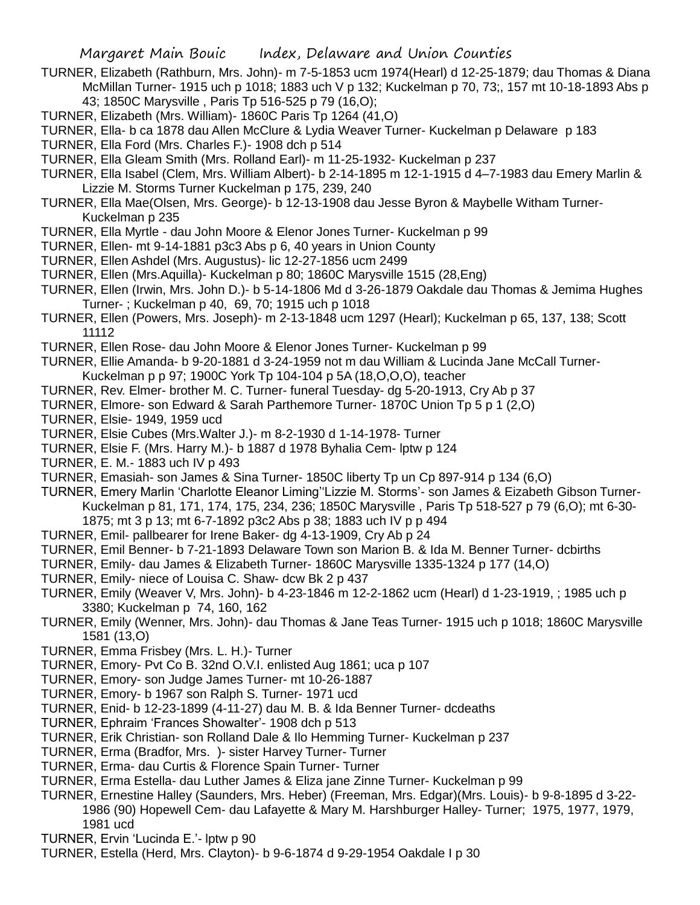- TURNER, Elizabeth (Rathburn, Mrs. John)- m 7-5-1853 ucm 1974(Hearl) d 12-25-1879; dau Thomas & Diana McMillan Turner- 1915 uch p 1018; 1883 uch V p 132; Kuckelman p 70, 73;, 157 mt 10-18-1893 Abs p 43; 1850C Marysville , Paris Tp 516-525 p 79 (16,O);
- TURNER, Elizabeth (Mrs. William)- 1860C Paris Tp 1264 (41,O)
- TURNER, Ella- b ca 1878 dau Allen McClure & Lydia Weaver Turner- Kuckelman p Delaware p 183
- TURNER, Ella Ford (Mrs. Charles F.)- 1908 dch p 514
- TURNER, Ella Gleam Smith (Mrs. Rolland Earl)- m 11-25-1932- Kuckelman p 237
- TURNER, Ella Isabel (Clem, Mrs. William Albert)- b 2-14-1895 m 12-1-1915 d 4–7-1983 dau Emery Marlin & Lizzie M. Storms Turner Kuckelman p 175, 239, 240
- TURNER, Ella Mae(Olsen, Mrs. George)- b 12-13-1908 dau Jesse Byron & Maybelle Witham Turner-Kuckelman p 235
- TURNER, Ella Myrtle dau John Moore & Elenor Jones Turner- Kuckelman p 99
- TURNER, Ellen- mt 9-14-1881 p3c3 Abs p 6, 40 years in Union County
- TURNER, Ellen Ashdel (Mrs. Augustus)- lic 12-27-1856 ucm 2499
- TURNER, Ellen (Mrs.Aquilla)- Kuckelman p 80; 1860C Marysville 1515 (28,Eng)
- TURNER, Ellen (Irwin, Mrs. John D.)- b 5-14-1806 Md d 3-26-1879 Oakdale dau Thomas & Jemima Hughes Turner- ; Kuckelman p 40, 69, 70; 1915 uch p 1018
- TURNER, Ellen (Powers, Mrs. Joseph)- m 2-13-1848 ucm 1297 (Hearl); Kuckelman p 65, 137, 138; Scott 11112
- TURNER, Ellen Rose- dau John Moore & Elenor Jones Turner- Kuckelman p 99
- TURNER, Ellie Amanda- b 9-20-1881 d 3-24-1959 not m dau William & Lucinda Jane McCall Turner-Kuckelman p p 97; 1900C York Tp 104-104 p 5A (18,O,O,O), teacher
- TURNER, Rev. Elmer- brother M. C. Turner- funeral Tuesday- dg 5-20-1913, Cry Ab p 37
- TURNER, Elmore- son Edward & Sarah Parthemore Turner- 1870C Union Tp 5 p 1 (2,O)
- TURNER, Elsie- 1949, 1959 ucd
- TURNER, Elsie Cubes (Mrs.Walter J.)- m 8-2-1930 d 1-14-1978- Turner
- TURNER, Elsie F. (Mrs. Harry M.)- b 1887 d 1978 Byhalia Cem- lptw p 124
- TURNER, E. M.- 1883 uch IV p 493
- TURNER, Emasiah- son James & Sina Turner- 1850C liberty Tp un Cp 897-914 p 134 (6,O)
- TURNER, Emery Marlin 'Charlotte Eleanor Liming''Lizzie M. Storms'- son James & Eizabeth Gibson Turner-Kuckelman p 81, 171, 174, 175, 234, 236; 1850C Marysville , Paris Tp 518-527 p 79 (6,O); mt 6-30- 1875; mt 3 p 13; mt 6-7-1892 p3c2 Abs p 38; 1883 uch IV p p 494
- TURNER, Emil- pallbearer for Irene Baker- dg 4-13-1909, Cry Ab p 24
- TURNER, Emil Benner- b 7-21-1893 Delaware Town son Marion B. & Ida M. Benner Turner- dcbirths
- TURNER, Emily- dau James & Elizabeth Turner- 1860C Marysville 1335-1324 p 177 (14,O)
- TURNER, Emily- niece of Louisa C. Shaw- dcw Bk 2 p 437
- TURNER, Emily (Weaver V, Mrs. John)- b 4-23-1846 m 12-2-1862 ucm (Hearl) d 1-23-1919, ; 1985 uch p 3380; Kuckelman p 74, 160, 162
- TURNER, Emily (Wenner, Mrs. John)- dau Thomas & Jane Teas Turner- 1915 uch p 1018; 1860C Marysville 1581 (13,O)
- TURNER, Emma Frisbey (Mrs. L. H.)- Turner
- TURNER, Emory- Pvt Co B. 32nd O.V.I. enlisted Aug 1861; uca p 107
- TURNER, Emory- son Judge James Turner- mt 10-26-1887
- TURNER, Emory- b 1967 son Ralph S. Turner- 1971 ucd
- TURNER, Enid- b 12-23-1899 (4-11-27) dau M. B. & Ida Benner Turner- dcdeaths
- TURNER, Ephraim 'Frances Showalter'- 1908 dch p 513
- TURNER, Erik Christian- son Rolland Dale & Ilo Hemming Turner- Kuckelman p 237
- TURNER, Erma (Bradfor, Mrs. )- sister Harvey Turner- Turner
- TURNER, Erma- dau Curtis & Florence Spain Turner- Turner
- TURNER, Erma Estella- dau Luther James & Eliza jane Zinne Turner- Kuckelman p 99
- TURNER, Ernestine Halley (Saunders, Mrs. Heber) (Freeman, Mrs. Edgar)(Mrs. Louis)- b 9-8-1895 d 3-22- 1986 (90) Hopewell Cem- dau Lafayette & Mary M. Harshburger Halley- Turner; 1975, 1977, 1979, 1981 ucd
- TURNER, Ervin 'Lucinda E.'- lptw p 90
- TURNER, Estella (Herd, Mrs. Clayton)- b 9-6-1874 d 9-29-1954 Oakdale I p 30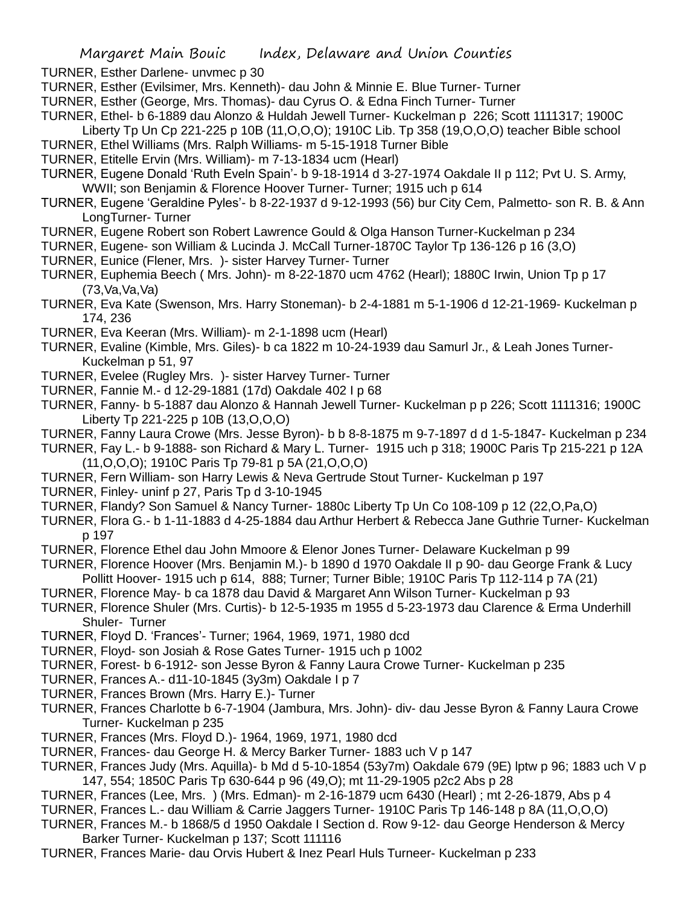- TURNER, Esther Darlene- unvmec p 30
- TURNER, Esther (Evilsimer, Mrs. Kenneth)- dau John & Minnie E. Blue Turner- Turner
- TURNER, Esther (George, Mrs. Thomas)- dau Cyrus O. & Edna Finch Turner- Turner
- TURNER, Ethel- b 6-1889 dau Alonzo & Huldah Jewell Turner- Kuckelman p 226; Scott 1111317; 1900C Liberty Tp Un Cp 221-225 p 10B (11,O,O,O); 1910C Lib. Tp 358 (19,O,O,O) teacher Bible school
- TURNER, Ethel Williams (Mrs. Ralph Williams- m 5-15-1918 Turner Bible
- TURNER, Etitelle Ervin (Mrs. William)- m 7-13-1834 ucm (Hearl)
- TURNER, Eugene Donald 'Ruth Eveln Spain'- b 9-18-1914 d 3-27-1974 Oakdale II p 112; Pvt U. S. Army, WWII; son Benjamin & Florence Hoover Turner- Turner; 1915 uch p 614
- TURNER, Eugene 'Geraldine Pyles'- b 8-22-1937 d 9-12-1993 (56) bur City Cem, Palmetto- son R. B. & Ann LongTurner- Turner
- TURNER, Eugene Robert son Robert Lawrence Gould & Olga Hanson Turner-Kuckelman p 234
- TURNER, Eugene- son William & Lucinda J. McCall Turner-1870C Taylor Tp 136-126 p 16 (3,O)
- TURNER, Eunice (Flener, Mrs. )- sister Harvey Turner- Turner
- TURNER, Euphemia Beech ( Mrs. John)- m 8-22-1870 ucm 4762 (Hearl); 1880C Irwin, Union Tp p 17 (73,Va,Va,Va)
- TURNER, Eva Kate (Swenson, Mrs. Harry Stoneman)- b 2-4-1881 m 5-1-1906 d 12-21-1969- Kuckelman p 174, 236
- TURNER, Eva Keeran (Mrs. William)- m 2-1-1898 ucm (Hearl)
- TURNER, Evaline (Kimble, Mrs. Giles)- b ca 1822 m 10-24-1939 dau Samurl Jr., & Leah Jones Turner-Kuckelman p 51, 97
- TURNER, Evelee (Rugley Mrs. )- sister Harvey Turner- Turner
- TURNER, Fannie M.- d 12-29-1881 (17d) Oakdale 402 I p 68
- TURNER, Fanny- b 5-1887 dau Alonzo & Hannah Jewell Turner- Kuckelman p p 226; Scott 1111316; 1900C Liberty Tp 221-225 p 10B (13,O,O,O)
- TURNER, Fanny Laura Crowe (Mrs. Jesse Byron)- b b 8-8-1875 m 9-7-1897 d d 1-5-1847- Kuckelman p 234
- TURNER, Fay L.- b 9-1888- son Richard & Mary L. Turner- 1915 uch p 318; 1900C Paris Tp 215-221 p 12A (11,O,O,O); 1910C Paris Tp 79-81 p 5A (21,O,O,O)
- TURNER, Fern William- son Harry Lewis & Neva Gertrude Stout Turner- Kuckelman p 197
- TURNER, Finley- uninf p 27, Paris Tp d 3-10-1945
- TURNER, Flandy? Son Samuel & Nancy Turner- 1880c Liberty Tp Un Co 108-109 p 12 (22,O,Pa,O)
- TURNER, Flora G.- b 1-11-1883 d 4-25-1884 dau Arthur Herbert & Rebecca Jane Guthrie Turner- Kuckelman p 197
- TURNER, Florence Ethel dau John Mmoore & Elenor Jones Turner- Delaware Kuckelman p 99
- TURNER, Florence Hoover (Mrs. Benjamin M.)- b 1890 d 1970 Oakdale II p 90- dau George Frank & Lucy Pollitt Hoover- 1915 uch p 614, 888; Turner; Turner Bible; 1910C Paris Tp 112-114 p 7A (21)
- TURNER, Florence May- b ca 1878 dau David & Margaret Ann Wilson Turner- Kuckelman p 93
- TURNER, Florence Shuler (Mrs. Curtis)- b 12-5-1935 m 1955 d 5-23-1973 dau Clarence & Erma Underhill Shuler- Turner
- TURNER, Floyd D. 'Frances'- Turner; 1964, 1969, 1971, 1980 dcd
- TURNER, Floyd- son Josiah & Rose Gates Turner- 1915 uch p 1002
- TURNER, Forest- b 6-1912- son Jesse Byron & Fanny Laura Crowe Turner- Kuckelman p 235
- TURNER, Frances A.- d11-10-1845 (3y3m) Oakdale I p 7
- TURNER, Frances Brown (Mrs. Harry E.)- Turner
- TURNER, Frances Charlotte b 6-7-1904 (Jambura, Mrs. John)- div- dau Jesse Byron & Fanny Laura Crowe Turner- Kuckelman p 235
- TURNER, Frances (Mrs. Floyd D.)- 1964, 1969, 1971, 1980 dcd
- TURNER, Frances- dau George H. & Mercy Barker Turner- 1883 uch V p 147
- TURNER, Frances Judy (Mrs. Aquilla)- b Md d 5-10-1854 (53y7m) Oakdale 679 (9E) lptw p 96; 1883 uch V p 147, 554; 1850C Paris Tp 630-644 p 96 (49,O); mt 11-29-1905 p2c2 Abs p 28
- TURNER, Frances (Lee, Mrs. ) (Mrs. Edman)- m 2-16-1879 ucm 6430 (Hearl) ; mt 2-26-1879, Abs p 4
- TURNER, Frances L.- dau William & Carrie Jaggers Turner- 1910C Paris Tp 146-148 p 8A (11,O,O,O)
- TURNER, Frances M.- b 1868/5 d 1950 Oakdale I Section d. Row 9-12- dau George Henderson & Mercy Barker Turner- Kuckelman p 137; Scott 111116
- TURNER, Frances Marie- dau Orvis Hubert & Inez Pearl Huls Turneer- Kuckelman p 233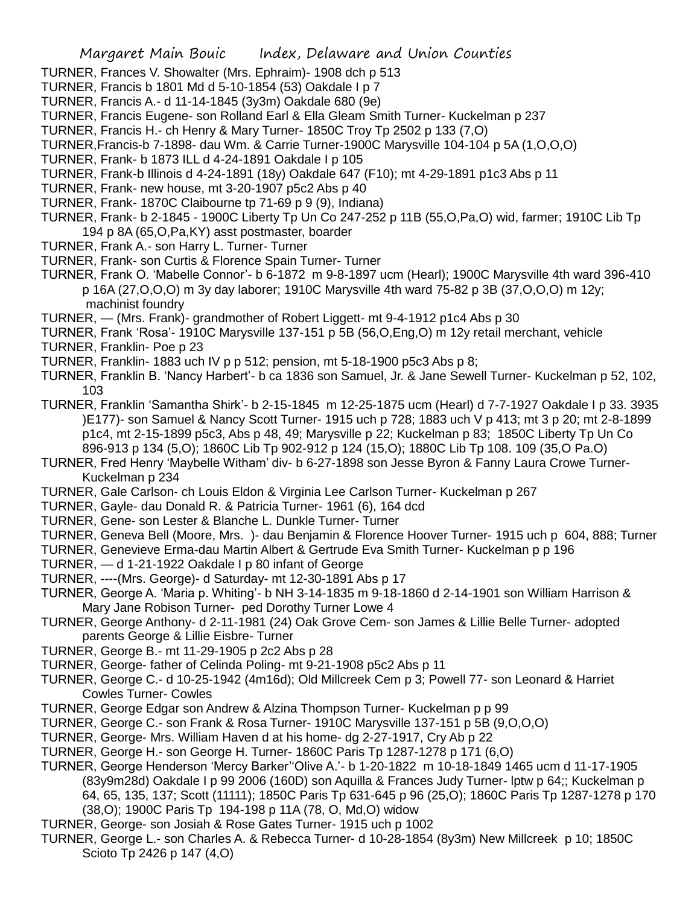- TURNER, Frances V. Showalter (Mrs. Ephraim)- 1908 dch p 513
- TURNER, Francis b 1801 Md d 5-10-1854 (53) Oakdale I p 7
- TURNER, Francis A.- d 11-14-1845 (3y3m) Oakdale 680 (9e)
- TURNER, Francis Eugene- son Rolland Earl & Ella Gleam Smith Turner- Kuckelman p 237
- TURNER, Francis H.- ch Henry & Mary Turner- 1850C Troy Tp 2502 p 133 (7,O)
- TURNER,Francis-b 7-1898- dau Wm. & Carrie Turner-1900C Marysville 104-104 p 5A (1,O,O,O)
- TURNER, Frank- b 1873 ILL d 4-24-1891 Oakdale I p 105
- TURNER, Frank-b Illinois d 4-24-1891 (18y) Oakdale 647 (F10); mt 4-29-1891 p1c3 Abs p 11
- TURNER, Frank- new house, mt 3-20-1907 p5c2 Abs p 40
- TURNER, Frank- 1870C Claibourne tp 71-69 p 9 (9), Indiana)
- TURNER, Frank- b 2-1845 1900C Liberty Tp Un Co 247-252 p 11B (55,O,Pa,O) wid, farmer; 1910C Lib Tp 194 p 8A (65,O,Pa,KY) asst postmaster, boarder
- TURNER, Frank A.- son Harry L. Turner- Turner
- TURNER, Frank- son Curtis & Florence Spain Turner- Turner
- TURNER, Frank O. 'Mabelle Connor'- b 6-1872 m 9-8-1897 ucm (Hearl); 1900C Marysville 4th ward 396-410 p 16A (27,O,O,O) m 3y day laborer; 1910C Marysville 4th ward 75-82 p 3B (37,O,O,O) m 12y; machinist foundry
- TURNER, (Mrs. Frank)- grandmother of Robert Liggett- mt 9-4-1912 p1c4 Abs p 30
- TURNER, Frank 'Rosa'- 1910C Marysville 137-151 p 5B (56,O,Eng,O) m 12y retail merchant, vehicle TURNER, Franklin- Poe p 23
- TURNER, Franklin- 1883 uch IV p p 512; pension, mt 5-18-1900 p5c3 Abs p 8;
- TURNER, Franklin B. 'Nancy Harbert'- b ca 1836 son Samuel, Jr. & Jane Sewell Turner- Kuckelman p 52, 102, 103
- TURNER, Franklin 'Samantha Shirk'- b 2-15-1845 m 12-25-1875 ucm (Hearl) d 7-7-1927 Oakdale I p 33. 3935 )E177)- son Samuel & Nancy Scott Turner- 1915 uch p 728; 1883 uch V p 413; mt 3 p 20; mt 2-8-1899 p1c4, mt 2-15-1899 p5c3, Abs p 48, 49; Marysville p 22; Kuckelman p 83; 1850C Liberty Tp Un Co 896-913 p 134 (5,O); 1860C Lib Tp 902-912 p 124 (15,O); 1880C Lib Tp 108. 109 (35,O Pa.O)
- TURNER, Fred Henry 'Maybelle Witham' div- b 6-27-1898 son Jesse Byron & Fanny Laura Crowe Turner-Kuckelman p 234
- TURNER, Gale Carlson- ch Louis Eldon & Virginia Lee Carlson Turner- Kuckelman p 267
- TURNER, Gayle- dau Donald R. & Patricia Turner- 1961 (6), 164 dcd
- TURNER, Gene- son Lester & Blanche L. Dunkle Turner- Turner
- TURNER, Geneva Bell (Moore, Mrs. )- dau Benjamin & Florence Hoover Turner- 1915 uch p 604, 888; Turner
- TURNER, Genevieve Erma-dau Martin Albert & Gertrude Eva Smith Turner- Kuckelman p p 196
- TURNER, d 1-21-1922 Oakdale I p 80 infant of George
- TURNER, ----(Mrs. George)- d Saturday- mt 12-30-1891 Abs p 17
- TURNER, George A. 'Maria p. Whiting'- b NH 3-14-1835 m 9-18-1860 d 2-14-1901 son William Harrison & Mary Jane Robison Turner- ped Dorothy Turner Lowe 4
- TURNER, George Anthony- d 2-11-1981 (24) Oak Grove Cem- son James & Lillie Belle Turner- adopted parents George & Lillie Eisbre- Turner
- TURNER, George B.- mt 11-29-1905 p 2c2 Abs p 28
- TURNER, George- father of Celinda Poling- mt 9-21-1908 p5c2 Abs p 11
- TURNER, George C.- d 10-25-1942 (4m16d); Old Millcreek Cem p 3; Powell 77- son Leonard & Harriet Cowles Turner- Cowles
- TURNER, George Edgar son Andrew & Alzina Thompson Turner- Kuckelman p p 99
- TURNER, George C.- son Frank & Rosa Turner- 1910C Marysville 137-151 p 5B (9,O,O,O)
- TURNER, George- Mrs. William Haven d at his home- dg 2-27-1917, Cry Ab p 22
- TURNER, George H.- son George H. Turner- 1860C Paris Tp 1287-1278 p 171 (6,O)
- TURNER, George Henderson 'Mercy Barker''Olive A.'- b 1-20-1822 m 10-18-1849 1465 ucm d 11-17-1905 (83y9m28d) Oakdale I p 99 2006 (160D) son Aquilla & Frances Judy Turner- lptw p 64;; Kuckelman p 64, 65, 135, 137; Scott (11111); 1850C Paris Tp 631-645 p 96 (25,O); 1860C Paris Tp 1287-1278 p 170 (38,O); 1900C Paris Tp 194-198 p 11A (78, O, Md,O) widow
- TURNER, George- son Josiah & Rose Gates Turner- 1915 uch p 1002
- TURNER, George L.- son Charles A. & Rebecca Turner- d 10-28-1854 (8y3m) New Millcreek p 10; 1850C Scioto Tp 2426 p 147 (4,O)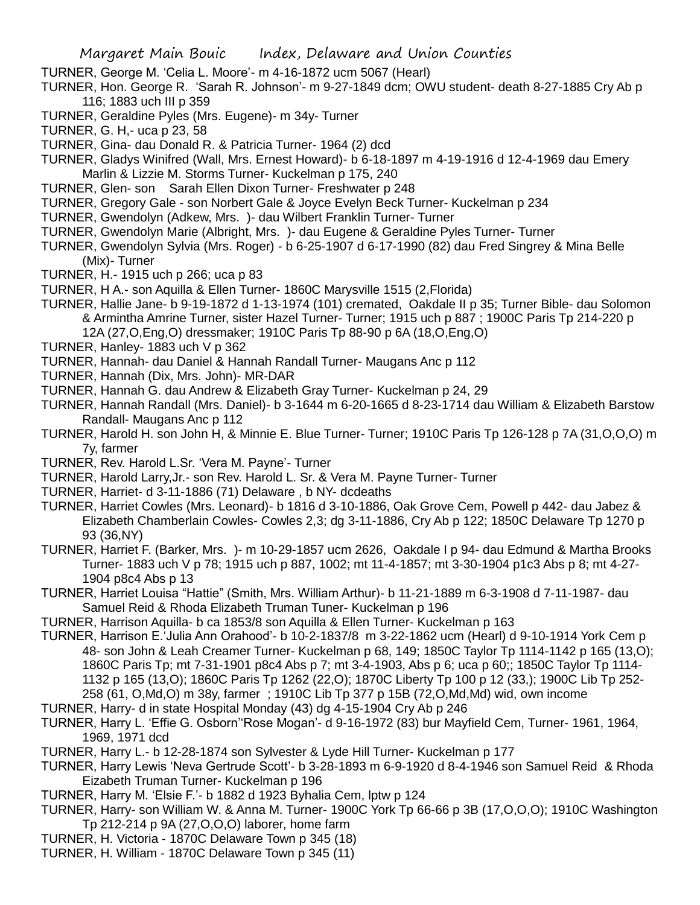- TURNER, George M. 'Celia L. Moore'- m 4-16-1872 ucm 5067 (Hearl)
- TURNER, Hon. George R. 'Sarah R. Johnson'- m 9-27-1849 dcm; OWU student- death 8-27-1885 Cry Ab p 116; 1883 uch III p 359
- TURNER, Geraldine Pyles (Mrs. Eugene)- m 34y- Turner
- TURNER, G. H,- uca p 23, 58
- TURNER, Gina- dau Donald R. & Patricia Turner- 1964 (2) dcd
- TURNER, Gladys Winifred (Wall, Mrs. Ernest Howard)- b 6-18-1897 m 4-19-1916 d 12-4-1969 dau Emery Marlin & Lizzie M. Storms Turner- Kuckelman p 175, 240
- TURNER, Glen- son Sarah Ellen Dixon Turner- Freshwater p 248
- TURNER, Gregory Gale son Norbert Gale & Joyce Evelyn Beck Turner- Kuckelman p 234
- TURNER, Gwendolyn (Adkew, Mrs. )- dau Wilbert Franklin Turner- Turner
- TURNER, Gwendolyn Marie (Albright, Mrs. )- dau Eugene & Geraldine Pyles Turner- Turner
- TURNER, Gwendolyn Sylvia (Mrs. Roger) b 6-25-1907 d 6-17-1990 (82) dau Fred Singrey & Mina Belle (Mix)- Turner
- TURNER, H.- 1915 uch p 266; uca p 83
- TURNER, H A.- son Aquilla & Ellen Turner- 1860C Marysville 1515 (2,Florida)
- TURNER, Hallie Jane- b 9-19-1872 d 1-13-1974 (101) cremated, Oakdale II p 35; Turner Bible- dau Solomon & Armintha Amrine Turner, sister Hazel Turner- Turner; 1915 uch p 887 ; 1900C Paris Tp 214-220 p 12A (27,O,Eng,O) dressmaker; 1910C Paris Tp 88-90 p 6A (18,O,Eng,O)
- TURNER, Hanley- 1883 uch V p 362
- TURNER, Hannah- dau Daniel & Hannah Randall Turner- Maugans Anc p 112
- TURNER, Hannah (Dix, Mrs. John)- MR-DAR
- TURNER, Hannah G. dau Andrew & Elizabeth Gray Turner- Kuckelman p 24, 29
- TURNER, Hannah Randall (Mrs. Daniel)- b 3-1644 m 6-20-1665 d 8-23-1714 dau William & Elizabeth Barstow Randall- Maugans Anc p 112
- TURNER, Harold H. son John H, & Minnie E. Blue Turner- Turner; 1910C Paris Tp 126-128 p 7A (31,O,O,O) m 7y, farmer
- TURNER, Rev. Harold L.Sr. 'Vera M. Payne'- Turner
- TURNER, Harold Larry,Jr.- son Rev. Harold L. Sr. & Vera M. Payne Turner- Turner
- TURNER, Harriet- d 3-11-1886 (71) Delaware , b NY- dcdeaths
- TURNER, Harriet Cowles (Mrs. Leonard)- b 1816 d 3-10-1886, Oak Grove Cem, Powell p 442- dau Jabez & Elizabeth Chamberlain Cowles- Cowles 2,3; dg 3-11-1886, Cry Ab p 122; 1850C Delaware Tp 1270 p 93 (36,NY)
- TURNER, Harriet F. (Barker, Mrs. )- m 10-29-1857 ucm 2626, Oakdale I p 94- dau Edmund & Martha Brooks Turner- 1883 uch V p 78; 1915 uch p 887, 1002; mt 11-4-1857; mt 3-30-1904 p1c3 Abs p 8; mt 4-27- 1904 p8c4 Abs p 13
- TURNER, Harriet Louisa "Hattie" (Smith, Mrs. William Arthur)- b 11-21-1889 m 6-3-1908 d 7-11-1987- dau Samuel Reid & Rhoda Elizabeth Truman Tuner- Kuckelman p 196
- TURNER, Harrison Aquilla- b ca 1853/8 son Aquilla & Ellen Turner- Kuckelman p 163
- TURNER, Harrison E.'Julia Ann Orahood'- b 10-2-1837/8 m 3-22-1862 ucm (Hearl) d 9-10-1914 York Cem p 48- son John & Leah Creamer Turner- Kuckelman p 68, 149; 1850C Taylor Tp 1114-1142 p 165 (13,O); 1860C Paris Tp; mt 7-31-1901 p8c4 Abs p 7; mt 3-4-1903, Abs p 6; uca p 60;; 1850C Taylor Tp 1114- 1132 p 165 (13,O); 1860C Paris Tp 1262 (22,O); 1870C Liberty Tp 100 p 12 (33,); 1900C Lib Tp 252- 258 (61, O,Md,O) m 38y, farmer ; 1910C Lib Tp 377 p 15B (72,O,Md,Md) wid, own income
- TURNER, Harry- d in state Hospital Monday (43) dg 4-15-1904 Cry Ab p 246
- TURNER, Harry L. 'Effie G. Osborn''Rose Mogan'- d 9-16-1972 (83) bur Mayfield Cem, Turner- 1961, 1964, 1969, 1971 dcd
- TURNER, Harry L.- b 12-28-1874 son Sylvester & Lyde Hill Turner- Kuckelman p 177
- TURNER, Harry Lewis 'Neva Gertrude Scott'- b 3-28-1893 m 6-9-1920 d 8-4-1946 son Samuel Reid & Rhoda Eizabeth Truman Turner- Kuckelman p 196
- TURNER, Harry M. 'Elsie F.'- b 1882 d 1923 Byhalia Cem, lptw p 124
- TURNER, Harry- son William W. & Anna M. Turner- 1900C York Tp 66-66 p 3B (17,O,O,O); 1910C Washington Tp 212-214 p 9A (27,O,O,O) laborer, home farm
- TURNER, H. Victoria 1870C Delaware Town p 345 (18)
- TURNER, H. William 1870C Delaware Town p 345 (11)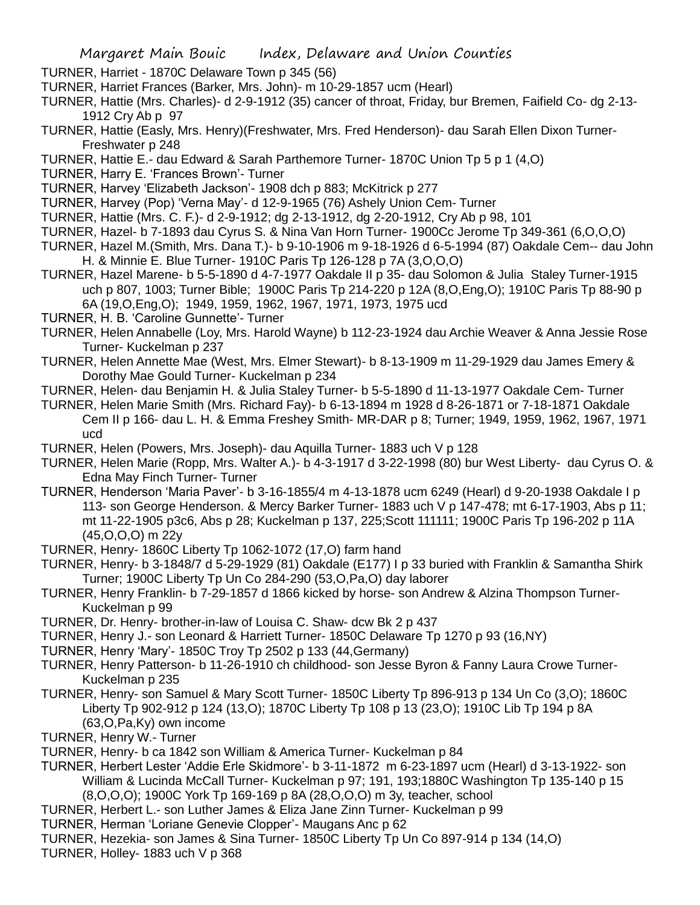TURNER, Harriet - 1870C Delaware Town p 345 (56)

- TURNER, Harriet Frances (Barker, Mrs. John)- m 10-29-1857 ucm (Hearl)
- TURNER, Hattie (Mrs. Charles)- d 2-9-1912 (35) cancer of throat, Friday, bur Bremen, Faifield Co- dg 2-13- 1912 Cry Ab p 97
- TURNER, Hattie (Easly, Mrs. Henry)(Freshwater, Mrs. Fred Henderson)- dau Sarah Ellen Dixon Turner-Freshwater p 248
- TURNER, Hattie E.- dau Edward & Sarah Parthemore Turner- 1870C Union Tp 5 p 1 (4,O)
- TURNER, Harry E. 'Frances Brown'- Turner
- TURNER, Harvey 'Elizabeth Jackson'- 1908 dch p 883; McKitrick p 277
- TURNER, Harvey (Pop) 'Verna May'- d 12-9-1965 (76) Ashely Union Cem- Turner
- TURNER, Hattie (Mrs. C. F.)- d 2-9-1912; dg 2-13-1912, dg 2-20-1912, Cry Ab p 98, 101
- TURNER, Hazel- b 7-1893 dau Cyrus S. & Nina Van Horn Turner- 1900Cc Jerome Tp 349-361 (6,O,O,O)
- TURNER, Hazel M.(Smith, Mrs. Dana T.)- b 9-10-1906 m 9-18-1926 d 6-5-1994 (87) Oakdale Cem-- dau John H. & Minnie E. Blue Turner- 1910C Paris Tp 126-128 p 7A (3,O,O,O)
- TURNER, Hazel Marene- b 5-5-1890 d 4-7-1977 Oakdale II p 35- dau Solomon & Julia Staley Turner-1915 uch p 807, 1003; Turner Bible; 1900C Paris Tp 214-220 p 12A (8,O,Eng,O); 1910C Paris Tp 88-90 p 6A (19,O,Eng,O); 1949, 1959, 1962, 1967, 1971, 1973, 1975 ucd
- TURNER, H. B. 'Caroline Gunnette'- Turner
- TURNER, Helen Annabelle (Loy, Mrs. Harold Wayne) b 112-23-1924 dau Archie Weaver & Anna Jessie Rose Turner- Kuckelman p 237
- TURNER, Helen Annette Mae (West, Mrs. Elmer Stewart)- b 8-13-1909 m 11-29-1929 dau James Emery & Dorothy Mae Gould Turner- Kuckelman p 234
- TURNER, Helen- dau Benjamin H. & Julia Staley Turner- b 5-5-1890 d 11-13-1977 Oakdale Cem- Turner

TURNER, Helen Marie Smith (Mrs. Richard Fay)- b 6-13-1894 m 1928 d 8-26-1871 or 7-18-1871 Oakdale Cem II p 166- dau L. H. & Emma Freshey Smith- MR-DAR p 8; Turner; 1949, 1959, 1962, 1967, 1971 ucd

- TURNER, Helen (Powers, Mrs. Joseph)- dau Aquilla Turner- 1883 uch V p 128
- TURNER, Helen Marie (Ropp, Mrs. Walter A.)- b 4-3-1917 d 3-22-1998 (80) bur West Liberty- dau Cyrus O. & Edna May Finch Turner- Turner
- TURNER, Henderson 'Maria Paver'- b 3-16-1855/4 m 4-13-1878 ucm 6249 (Hearl) d 9-20-1938 Oakdale I p 113- son George Henderson. & Mercy Barker Turner- 1883 uch V p 147-478; mt 6-17-1903, Abs p 11; mt 11-22-1905 p3c6, Abs p 28; Kuckelman p 137, 225;Scott 111111; 1900C Paris Tp 196-202 p 11A (45,O,O,O) m 22y
- TURNER, Henry- 1860C Liberty Tp 1062-1072 (17,O) farm hand
- TURNER, Henry- b 3-1848/7 d 5-29-1929 (81) Oakdale (E177) I p 33 buried with Franklin & Samantha Shirk Turner; 1900C Liberty Tp Un Co 284-290 (53,O,Pa,O) day laborer
- TURNER, Henry Franklin- b 7-29-1857 d 1866 kicked by horse- son Andrew & Alzina Thompson Turner-Kuckelman p 99
- TURNER, Dr. Henry- brother-in-law of Louisa C. Shaw- dcw Bk 2 p 437
- TURNER, Henry J.- son Leonard & Harriett Turner- 1850C Delaware Tp 1270 p 93 (16,NY)
- TURNER, Henry 'Mary'- 1850C Troy Tp 2502 p 133 (44,Germany)
- TURNER, Henry Patterson- b 11-26-1910 ch childhood- son Jesse Byron & Fanny Laura Crowe Turner-Kuckelman p 235
- TURNER, Henry- son Samuel & Mary Scott Turner- 1850C Liberty Tp 896-913 p 134 Un Co (3,O); 1860C Liberty Tp 902-912 p 124 (13,O); 1870C Liberty Tp 108 p 13 (23,O); 1910C Lib Tp 194 p 8A (63,O,Pa,Ky) own income
- TURNER, Henry W.- Turner
- TURNER, Henry- b ca 1842 son William & America Turner- Kuckelman p 84
- TURNER, Herbert Lester 'Addie Erle Skidmore'- b 3-11-1872 m 6-23-1897 ucm (Hearl) d 3-13-1922- son William & Lucinda McCall Turner- Kuckelman p 97; 191, 193;1880C Washington Tp 135-140 p 15 (8,O,O,O); 1900C York Tp 169-169 p 8A (28,O,O,O) m 3y, teacher, school
- TURNER, Herbert L.- son Luther James & Eliza Jane Zinn Turner- Kuckelman p 99
- TURNER, Herman 'Loriane Genevie Clopper'- Maugans Anc p 62
- TURNER, Hezekia- son James & Sina Turner- 1850C Liberty Tp Un Co 897-914 p 134 (14,O)
- TURNER, Holley- 1883 uch V p 368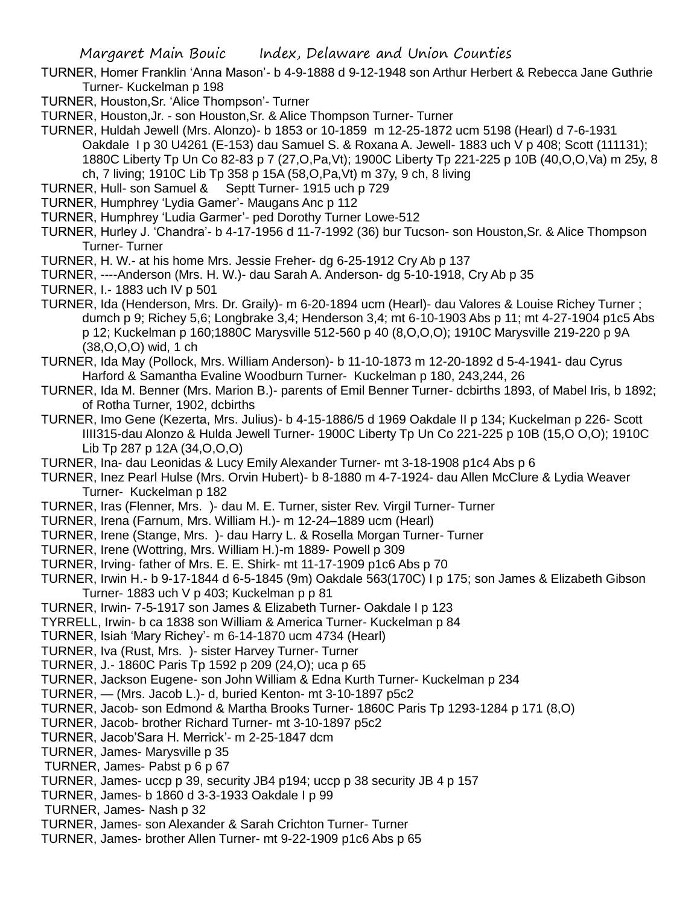TURNER, Homer Franklin 'Anna Mason'- b 4-9-1888 d 9-12-1948 son Arthur Herbert & Rebecca Jane Guthrie Turner- Kuckelman p 198

- TURNER, Houston,Sr. 'Alice Thompson'- Turner
- TURNER, Houston,Jr. son Houston,Sr. & Alice Thompson Turner- Turner

TURNER, Huldah Jewell (Mrs. Alonzo)- b 1853 or 10-1859 m 12-25-1872 ucm 5198 (Hearl) d 7-6-1931 Oakdale I p 30 U4261 (E-153) dau Samuel S. & Roxana A. Jewell- 1883 uch V p 408; Scott (111131); 1880C Liberty Tp Un Co 82-83 p 7 (27,O,Pa,Vt); 1900C Liberty Tp 221-225 p 10B (40,O,O,Va) m 25y, 8 ch, 7 living; 1910C Lib Tp 358 p 15A (58,O,Pa,Vt) m 37y, 9 ch, 8 living

- TURNER, Hull- son Samuel & Septt Turner- 1915 uch p 729
- TURNER, Humphrey 'Lydia Gamer'- Maugans Anc p 112
- TURNER, Humphrey 'Ludia Garmer'- ped Dorothy Turner Lowe-512
- TURNER, Hurley J. 'Chandra'- b 4-17-1956 d 11-7-1992 (36) bur Tucson- son Houston,Sr. & Alice Thompson Turner- Turner
- TURNER, H. W.- at his home Mrs. Jessie Freher- dg 6-25-1912 Cry Ab p 137
- TURNER, ----Anderson (Mrs. H. W.)- dau Sarah A. Anderson- dg 5-10-1918, Cry Ab p 35
- TURNER, I.- 1883 uch IV p 501
- TURNER, Ida (Henderson, Mrs. Dr. Graily)- m 6-20-1894 ucm (Hearl)- dau Valores & Louise Richey Turner ; dumch p 9; Richey 5,6; Longbrake 3,4; Henderson 3,4; mt 6-10-1903 Abs p 11; mt 4-27-1904 p1c5 Abs p 12; Kuckelman p 160;1880C Marysville 512-560 p 40 (8,O,O,O); 1910C Marysville 219-220 p 9A (38,O,O,O) wid, 1 ch
- TURNER, Ida May (Pollock, Mrs. William Anderson)- b 11-10-1873 m 12-20-1892 d 5-4-1941- dau Cyrus Harford & Samantha Evaline Woodburn Turner- Kuckelman p 180, 243,244, 26
- TURNER, Ida M. Benner (Mrs. Marion B.)- parents of Emil Benner Turner- dcbirths 1893, of Mabel Iris, b 1892; of Rotha Turner, 1902, dcbirths
- TURNER, Imo Gene (Kezerta, Mrs. Julius)- b 4-15-1886/5 d 1969 Oakdale II p 134; Kuckelman p 226- Scott IIII315-dau Alonzo & Hulda Jewell Turner- 1900C Liberty Tp Un Co 221-225 p 10B (15,O O,O); 1910C Lib Tp 287 p 12A (34,O,O,O)
- TURNER, Ina- dau Leonidas & Lucy Emily Alexander Turner- mt 3-18-1908 p1c4 Abs p 6
- TURNER, Inez Pearl Hulse (Mrs. Orvin Hubert)- b 8-1880 m 4-7-1924- dau Allen McClure & Lydia Weaver Turner- Kuckelman p 182
- TURNER, Iras (Flenner, Mrs. )- dau M. E. Turner, sister Rev. Virgil Turner- Turner
- TURNER, Irena (Farnum, Mrs. William H.)- m 12-24–1889 ucm (Hearl)
- TURNER, Irene (Stange, Mrs. )- dau Harry L. & Rosella Morgan Turner- Turner
- TURNER, Irene (Wottring, Mrs. William H.)-m 1889- Powell p 309
- TURNER, Irving- father of Mrs. E. E. Shirk- mt 11-17-1909 p1c6 Abs p 70
- TURNER, Irwin H.- b 9-17-1844 d 6-5-1845 (9m) Oakdale 563(170C) I p 175; son James & Elizabeth Gibson Turner- 1883 uch V p 403; Kuckelman p p 81
- TURNER, Irwin- 7-5-1917 son James & Elizabeth Turner- Oakdale I p 123
- TYRRELL, Irwin- b ca 1838 son William & America Turner- Kuckelman p 84
- TURNER, Isiah 'Mary Richey'- m 6-14-1870 ucm 4734 (Hearl)
- TURNER, Iva (Rust, Mrs. )- sister Harvey Turner- Turner
- TURNER, J.- 1860C Paris Tp 1592 p 209 (24,O); uca p 65
- TURNER, Jackson Eugene- son John William & Edna Kurth Turner- Kuckelman p 234
- TURNER, (Mrs. Jacob L.)- d, buried Kenton- mt 3-10-1897 p5c2
- TURNER, Jacob- son Edmond & Martha Brooks Turner- 1860C Paris Tp 1293-1284 p 171 (8,O)
- TURNER, Jacob- brother Richard Turner- mt 3-10-1897 p5c2
- TURNER, Jacob'Sara H. Merrick'- m 2-25-1847 dcm
- TURNER, James- Marysville p 35
- TURNER, James- Pabst p 6 p 67
- TURNER, James- uccp p 39, security JB4 p194; uccp p 38 security JB 4 p 157
- TURNER, James- b 1860 d 3-3-1933 Oakdale I p 99
- TURNER, James- Nash p 32
- TURNER, James- son Alexander & Sarah Crichton Turner- Turner
- TURNER, James- brother Allen Turner- mt 9-22-1909 p1c6 Abs p 65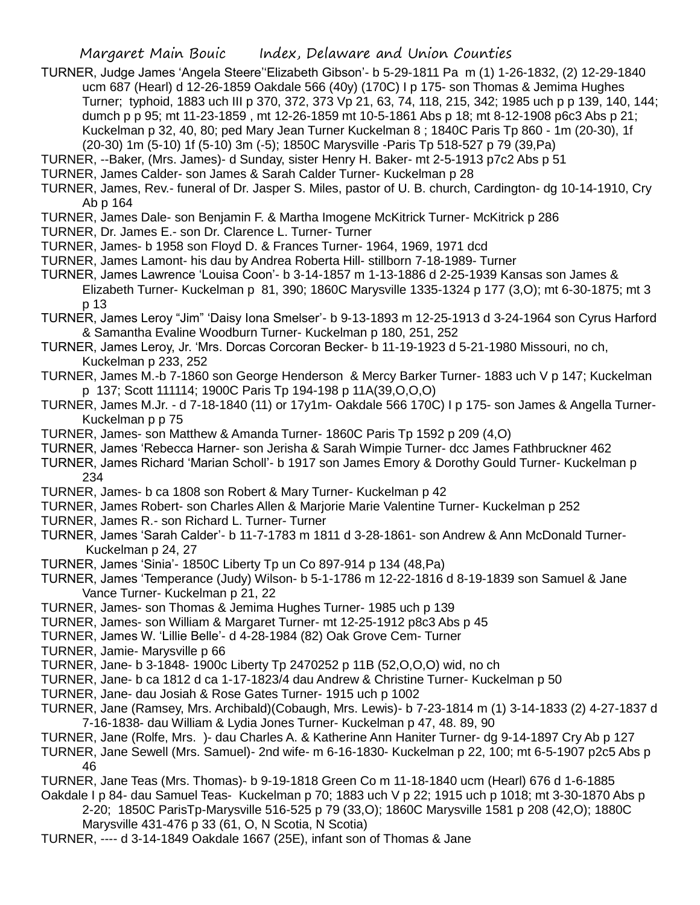- TURNER, Judge James 'Angela Steere''Elizabeth Gibson'- b 5-29-1811 Pa m (1) 1-26-1832, (2) 12-29-1840 ucm 687 (Hearl) d 12-26-1859 Oakdale 566 (40y) (170C) I p 175- son Thomas & Jemima Hughes Turner; typhoid, 1883 uch III p 370, 372, 373 Vp 21, 63, 74, 118, 215, 342; 1985 uch p p 139, 140, 144; dumch p p 95; mt 11-23-1859 , mt 12-26-1859 mt 10-5-1861 Abs p 18; mt 8-12-1908 p6c3 Abs p 21; Kuckelman p 32, 40, 80; ped Mary Jean Turner Kuckelman 8 ; 1840C Paris Tp 860 - 1m (20-30), 1f (20-30) 1m (5-10) 1f (5-10) 3m (-5); 1850C Marysville -Paris Tp 518-527 p 79 (39,Pa)
- TURNER, --Baker, (Mrs. James)- d Sunday, sister Henry H. Baker- mt 2-5-1913 p7c2 Abs p 51
- TURNER, James Calder- son James & Sarah Calder Turner- Kuckelman p 28
- TURNER, James, Rev.- funeral of Dr. Jasper S. Miles, pastor of U. B. church, Cardington- dg 10-14-1910, Cry Ab p 164
- TURNER, James Dale- son Benjamin F. & Martha Imogene McKitrick Turner- McKitrick p 286
- TURNER, Dr. James E.- son Dr. Clarence L. Turner- Turner
- TURNER, James- b 1958 son Floyd D. & Frances Turner- 1964, 1969, 1971 dcd
- TURNER, James Lamont- his dau by Andrea Roberta Hill- stillborn 7-18-1989- Turner
- TURNER, James Lawrence 'Louisa Coon'- b 3-14-1857 m 1-13-1886 d 2-25-1939 Kansas son James & Elizabeth Turner- Kuckelman p 81, 390; 1860C Marysville 1335-1324 p 177 (3,O); mt 6-30-1875; mt 3 p 13
- TURNER, James Leroy "Jim" 'Daisy Iona Smelser'- b 9-13-1893 m 12-25-1913 d 3-24-1964 son Cyrus Harford & Samantha Evaline Woodburn Turner- Kuckelman p 180, 251, 252
- TURNER, James Leroy, Jr. 'Mrs. Dorcas Corcoran Becker- b 11-19-1923 d 5-21-1980 Missouri, no ch, Kuckelman p 233, 252
- TURNER, James M.-b 7-1860 son George Henderson & Mercy Barker Turner- 1883 uch V p 147; Kuckelman p 137; Scott 111114; 1900C Paris Tp 194-198 p 11A(39,O,O,O)
- TURNER, James M.Jr. d 7-18-1840 (11) or 17y1m- Oakdale 566 170C) I p 175- son James & Angella Turner-Kuckelman p p 75
- TURNER, James- son Matthew & Amanda Turner- 1860C Paris Tp 1592 p 209 (4,O)
- TURNER, James 'Rebecca Harner- son Jerisha & Sarah Wimpie Turner- dcc James Fathbruckner 462
- TURNER, James Richard 'Marian Scholl'- b 1917 son James Emory & Dorothy Gould Turner- Kuckelman p 234
- TURNER, James- b ca 1808 son Robert & Mary Turner- Kuckelman p 42
- TURNER, James Robert- son Charles Allen & Marjorie Marie Valentine Turner- Kuckelman p 252
- TURNER, James R.- son Richard L. Turner- Turner
- TURNER, James 'Sarah Calder'- b 11-7-1783 m 1811 d 3-28-1861- son Andrew & Ann McDonald Turner-Kuckelman p 24, 27
- TURNER, James 'Sinia'- 1850C Liberty Tp un Co 897-914 p 134 (48,Pa)
- TURNER, James 'Temperance (Judy) Wilson- b 5-1-1786 m 12-22-1816 d 8-19-1839 son Samuel & Jane Vance Turner- Kuckelman p 21, 22
- TURNER, James- son Thomas & Jemima Hughes Turner- 1985 uch p 139
- TURNER, James- son William & Margaret Turner- mt 12-25-1912 p8c3 Abs p 45
- TURNER, James W. 'Lillie Belle'- d 4-28-1984 (82) Oak Grove Cem- Turner
- TURNER, Jamie- Marysville p 66
- TURNER, Jane- b 3-1848- 1900c Liberty Tp 2470252 p 11B (52,O,O,O) wid, no ch
- TURNER, Jane- b ca 1812 d ca 1-17-1823/4 dau Andrew & Christine Turner- Kuckelman p 50
- TURNER, Jane- dau Josiah & Rose Gates Turner- 1915 uch p 1002
- TURNER, Jane (Ramsey, Mrs. Archibald)(Cobaugh, Mrs. Lewis)- b 7-23-1814 m (1) 3-14-1833 (2) 4-27-1837 d 7-16-1838- dau William & Lydia Jones Turner- Kuckelman p 47, 48. 89, 90
- TURNER, Jane (Rolfe, Mrs. )- dau Charles A. & Katherine Ann Haniter Turner- dg 9-14-1897 Cry Ab p 127
- TURNER, Jane Sewell (Mrs. Samuel)- 2nd wife- m 6-16-1830- Kuckelman p 22, 100; mt 6-5-1907 p2c5 Abs p 46
- TURNER, Jane Teas (Mrs. Thomas)- b 9-19-1818 Green Co m 11-18-1840 ucm (Hearl) 676 d 1-6-1885
- Oakdale I p 84- dau Samuel Teas- Kuckelman p 70; 1883 uch V p 22; 1915 uch p 1018; mt 3-30-1870 Abs p 2-20; 1850C ParisTp-Marysville 516-525 p 79 (33,O); 1860C Marysville 1581 p 208 (42,O); 1880C Marysville 431-476 p 33 (61, O, N Scotia, N Scotia)
- TURNER, ---- d 3-14-1849 Oakdale 1667 (25E), infant son of Thomas & Jane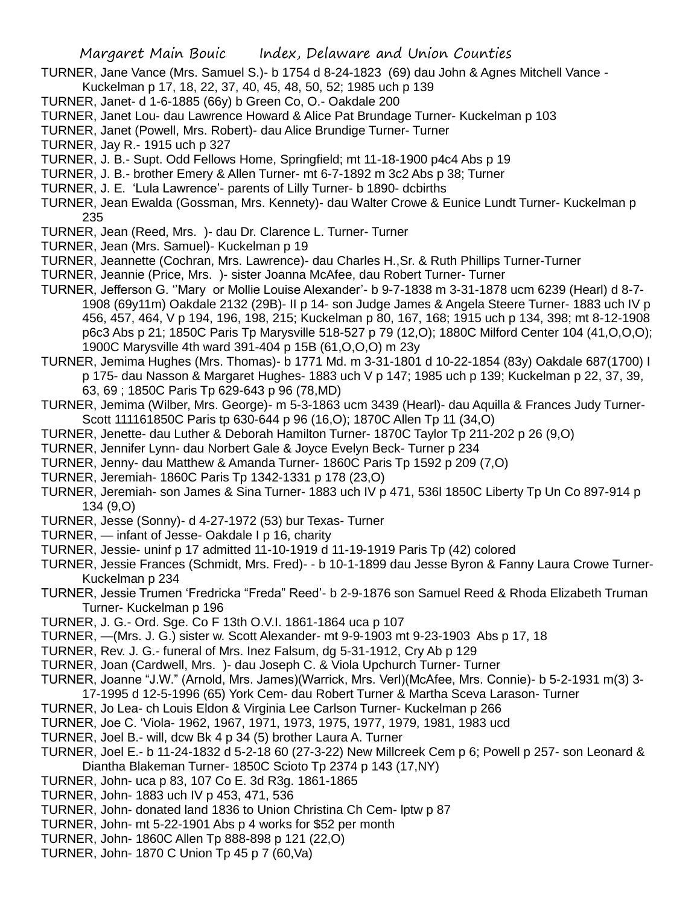- TURNER, Jane Vance (Mrs. Samuel S.)- b 1754 d 8-24-1823 (69) dau John & Agnes Mitchell Vance Kuckelman p 17, 18, 22, 37, 40, 45, 48, 50, 52; 1985 uch p 139
- TURNER, Janet- d 1-6-1885 (66y) b Green Co, O.- Oakdale 200
- TURNER, Janet Lou- dau Lawrence Howard & Alice Pat Brundage Turner- Kuckelman p 103
- TURNER, Janet (Powell, Mrs. Robert)- dau Alice Brundige Turner- Turner
- TURNER, Jay R.- 1915 uch p 327
- TURNER, J. B.- Supt. Odd Fellows Home, Springfield; mt 11-18-1900 p4c4 Abs p 19
- TURNER, J. B.- brother Emery & Allen Turner- mt 6-7-1892 m 3c2 Abs p 38; Turner
- TURNER, J. E. 'Lula Lawrence'- parents of Lilly Turner- b 1890- dcbirths
- TURNER, Jean Ewalda (Gossman, Mrs. Kennety)- dau Walter Crowe & Eunice Lundt Turner- Kuckelman p 235
- TURNER, Jean (Reed, Mrs. )- dau Dr. Clarence L. Turner- Turner
- TURNER, Jean (Mrs. Samuel)- Kuckelman p 19
- TURNER, Jeannette (Cochran, Mrs. Lawrence)- dau Charles H.,Sr. & Ruth Phillips Turner-Turner
- TURNER, Jeannie (Price, Mrs. )- sister Joanna McAfee, dau Robert Turner- Turner
- TURNER, Jefferson G. ''Mary or Mollie Louise Alexander'- b 9-7-1838 m 3-31-1878 ucm 6239 (Hearl) d 8-7- 1908 (69y11m) Oakdale 2132 (29B)- II p 14- son Judge James & Angela Steere Turner- 1883 uch IV p 456, 457, 464, V p 194, 196, 198, 215; Kuckelman p 80, 167, 168; 1915 uch p 134, 398; mt 8-12-1908 p6c3 Abs p 21; 1850C Paris Tp Marysville 518-527 p 79 (12,O); 1880C Milford Center 104 (41,O,O,O); 1900C Marysville 4th ward 391-404 p 15B (61,O,O,O) m 23y
- TURNER, Jemima Hughes (Mrs. Thomas)- b 1771 Md. m 3-31-1801 d 10-22-1854 (83y) Oakdale 687(1700) I p 175- dau Nasson & Margaret Hughes- 1883 uch V p 147; 1985 uch p 139; Kuckelman p 22, 37, 39,
	- 63, 69 ; 1850C Paris Tp 629-643 p 96 (78,MD)
- TURNER, Jemima (Wilber, Mrs. George)- m 5-3-1863 ucm 3439 (Hearl)- dau Aquilla & Frances Judy Turner-Scott 111161850C Paris tp 630-644 p 96 (16,O); 1870C Allen Tp 11 (34,O)
- TURNER, Jenette- dau Luther & Deborah Hamilton Turner- 1870C Taylor Tp 211-202 p 26 (9,O)
- TURNER, Jennifer Lynn- dau Norbert Gale & Joyce Evelyn Beck- Turner p 234
- TURNER, Jenny- dau Matthew & Amanda Turner- 1860C Paris Tp 1592 p 209 (7,O)
- TURNER, Jeremiah- 1860C Paris Tp 1342-1331 p 178 (23,O)
- TURNER, Jeremiah- son James & Sina Turner- 1883 uch IV p 471, 536l 1850C Liberty Tp Un Co 897-914 p 134 (9,O)
- TURNER, Jesse (Sonny)- d 4-27-1972 (53) bur Texas- Turner
- TURNER, infant of Jesse- Oakdale I p 16, charity
- TURNER, Jessie- uninf p 17 admitted 11-10-1919 d 11-19-1919 Paris Tp (42) colored
- TURNER, Jessie Frances (Schmidt, Mrs. Fred)- b 10-1-1899 dau Jesse Byron & Fanny Laura Crowe Turner-Kuckelman p 234
- TURNER, Jessie Trumen 'Fredricka "Freda" Reed'- b 2-9-1876 son Samuel Reed & Rhoda Elizabeth Truman Turner- Kuckelman p 196
- TURNER, J. G.- Ord. Sge. Co F 13th O.V.I. 1861-1864 uca p 107
- TURNER, —(Mrs. J. G.) sister w. Scott Alexander- mt 9-9-1903 mt 9-23-1903 Abs p 17, 18
- TURNER, Rev. J. G.- funeral of Mrs. Inez Falsum, dg 5-31-1912, Cry Ab p 129
- TURNER, Joan (Cardwell, Mrs. )- dau Joseph C. & Viola Upchurch Turner- Turner
- TURNER, Joanne "J.W." (Arnold, Mrs. James)(Warrick, Mrs. Verl)(McAfee, Mrs. Connie)- b 5-2-1931 m(3) 3- 17-1995 d 12-5-1996 (65) York Cem- dau Robert Turner & Martha Sceva Larason- Turner
- TURNER, Jo Lea- ch Louis Eldon & Virginia Lee Carlson Turner- Kuckelman p 266
- TURNER, Joe C. 'Viola- 1962, 1967, 1971, 1973, 1975, 1977, 1979, 1981, 1983 ucd
- TURNER, Joel B.- will, dcw Bk 4 p 34 (5) brother Laura A. Turner
- TURNER, Joel E.- b 11-24-1832 d 5-2-18 60 (27-3-22) New Millcreek Cem p 6; Powell p 257- son Leonard & Diantha Blakeman Turner- 1850C Scioto Tp 2374 p 143 (17,NY)
- TURNER, John- uca p 83, 107 Co E. 3d R3g. 1861-1865
- TURNER, John- 1883 uch IV p 453, 471, 536
- TURNER, John- donated land 1836 to Union Christina Ch Cem- lptw p 87
- TURNER, John- mt 5-22-1901 Abs p 4 works for \$52 per month
- TURNER, John- 1860C Allen Tp 888-898 p 121 (22,O)
- TURNER, John- 1870 C Union Tp 45 p 7 (60,Va)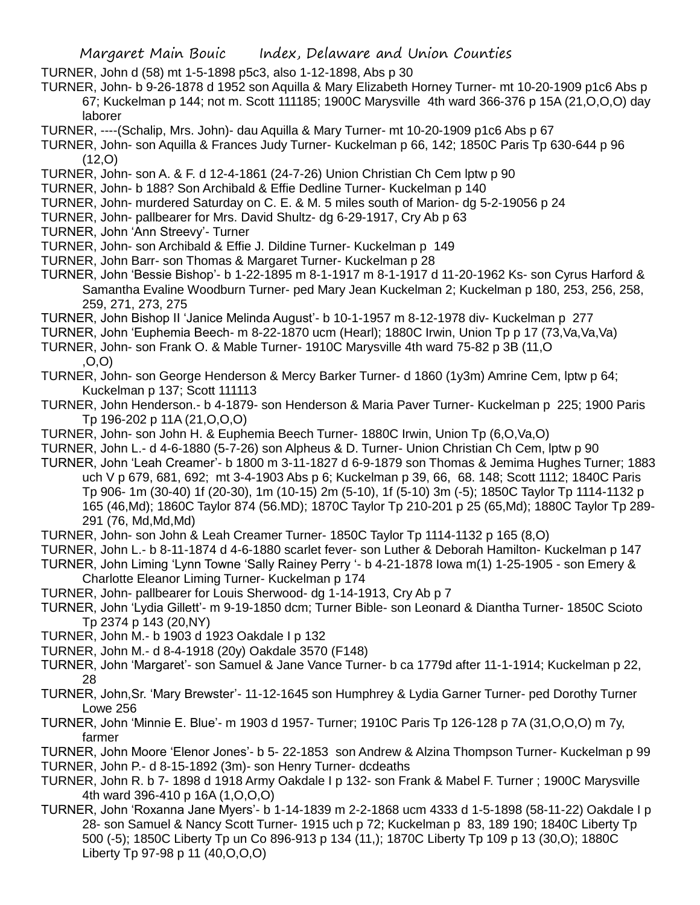TURNER, John d (58) mt 1-5-1898 p5c3, also 1-12-1898, Abs p 30

TURNER, John- b 9-26-1878 d 1952 son Aquilla & Mary Elizabeth Horney Turner- mt 10-20-1909 p1c6 Abs p 67; Kuckelman p 144; not m. Scott 111185; 1900C Marysville 4th ward 366-376 p 15A (21,O,O,O) day laborer

TURNER, ----(Schalip, Mrs. John)- dau Aquilla & Mary Turner- mt 10-20-1909 p1c6 Abs p 67

TURNER, John- son Aquilla & Frances Judy Turner- Kuckelman p 66, 142; 1850C Paris Tp 630-644 p 96  $(12,0)$ 

- TURNER, John- son A. & F. d 12-4-1861 (24-7-26) Union Christian Ch Cem lptw p 90
- TURNER, John- b 188? Son Archibald & Effie Dedline Turner- Kuckelman p 140
- TURNER, John- murdered Saturday on C. E. & M. 5 miles south of Marion- dg 5-2-19056 p 24
- TURNER, John- pallbearer for Mrs. David Shultz- dg 6-29-1917, Cry Ab p 63
- TURNER, John 'Ann Streevy'- Turner
- TURNER, John- son Archibald & Effie J. Dildine Turner- Kuckelman p 149
- TURNER, John Barr- son Thomas & Margaret Turner- Kuckelman p 28

TURNER, John 'Bessie Bishop'- b 1-22-1895 m 8-1-1917 m 8-1-1917 d 11-20-1962 Ks- son Cyrus Harford & Samantha Evaline Woodburn Turner- ped Mary Jean Kuckelman 2; Kuckelman p 180, 253, 256, 258, 259, 271, 273, 275

- TURNER, John Bishop II 'Janice Melinda August'- b 10-1-1957 m 8-12-1978 div- Kuckelman p 277
- TURNER, John 'Euphemia Beech- m 8-22-1870 ucm (Hearl); 1880C Irwin, Union Tp p 17 (73,Va,Va,Va)
- TURNER, John- son Frank O. & Mable Turner- 1910C Marysville 4th ward 75-82 p 3B (11,O ,O,O)

TURNER, John- son George Henderson & Mercy Barker Turner- d 1860 (1y3m) Amrine Cem, lptw p 64; Kuckelman p 137; Scott 111113

- TURNER, John Henderson.- b 4-1879- son Henderson & Maria Paver Turner- Kuckelman p 225; 1900 Paris Tp 196-202 p 11A (21,O,O,O)
- TURNER, John- son John H. & Euphemia Beech Turner- 1880C Irwin, Union Tp (6,O,Va,O)
- TURNER, John L.- d 4-6-1880 (5-7-26) son Alpheus & D. Turner- Union Christian Ch Cem, lptw p 90
- TURNER, John 'Leah Creamer'- b 1800 m 3-11-1827 d 6-9-1879 son Thomas & Jemima Hughes Turner; 1883 uch V p 679, 681, 692; mt 3-4-1903 Abs p 6; Kuckelman p 39, 66, 68. 148; Scott 1112; 1840C Paris Tp 906- 1m (30-40) 1f (20-30), 1m (10-15) 2m (5-10), 1f (5-10) 3m (-5); 1850C Taylor Tp 1114-1132 p 165 (46,Md); 1860C Taylor 874 (56.MD); 1870C Taylor Tp 210-201 p 25 (65,Md); 1880C Taylor Tp 289- 291 (76, Md,Md,Md)
- TURNER, John- son John & Leah Creamer Turner- 1850C Taylor Tp 1114-1132 p 165 (8,O)
- TURNER, John L.- b 8-11-1874 d 4-6-1880 scarlet fever- son Luther & Deborah Hamilton- Kuckelman p 147
- TURNER, John Liming 'Lynn Towne 'Sally Rainey Perry '- b 4-21-1878 Iowa m(1) 1-25-1905 son Emery & Charlotte Eleanor Liming Turner- Kuckelman p 174
- TURNER, John- pallbearer for Louis Sherwood- dg 1-14-1913, Cry Ab p 7
- TURNER, John 'Lydia Gillett'- m 9-19-1850 dcm; Turner Bible- son Leonard & Diantha Turner- 1850C Scioto Tp 2374 p 143 (20,NY)
- TURNER, John M.- b 1903 d 1923 Oakdale I p 132
- TURNER, John M.- d 8-4-1918 (20y) Oakdale 3570 (F148)
- TURNER, John 'Margaret'- son Samuel & Jane Vance Turner- b ca 1779d after 11-1-1914; Kuckelman p 22, 28
- TURNER, John,Sr. 'Mary Brewster'- 11-12-1645 son Humphrey & Lydia Garner Turner- ped Dorothy Turner Lowe 256
- TURNER, John 'Minnie E. Blue'- m 1903 d 1957- Turner; 1910C Paris Tp 126-128 p 7A (31,O,O,O) m 7y, farmer
- TURNER, John Moore 'Elenor Jones'- b 5- 22-1853 son Andrew & Alzina Thompson Turner- Kuckelman p 99 TURNER, John P.- d 8-15-1892 (3m)- son Henry Turner- dcdeaths
- TURNER, John R. b 7- 1898 d 1918 Army Oakdale I p 132- son Frank & Mabel F. Turner ; 1900C Marysville 4th ward 396-410 p 16A (1,O,O,O)
- TURNER, John 'Roxanna Jane Myers'- b 1-14-1839 m 2-2-1868 ucm 4333 d 1-5-1898 (58-11-22) Oakdale I p 28- son Samuel & Nancy Scott Turner- 1915 uch p 72; Kuckelman p 83, 189 190; 1840C Liberty Tp 500 (-5); 1850C Liberty Tp un Co 896-913 p 134 (11,); 1870C Liberty Tp 109 p 13 (30,O); 1880C Liberty Tp 97-98 p 11 (40,O,O,O)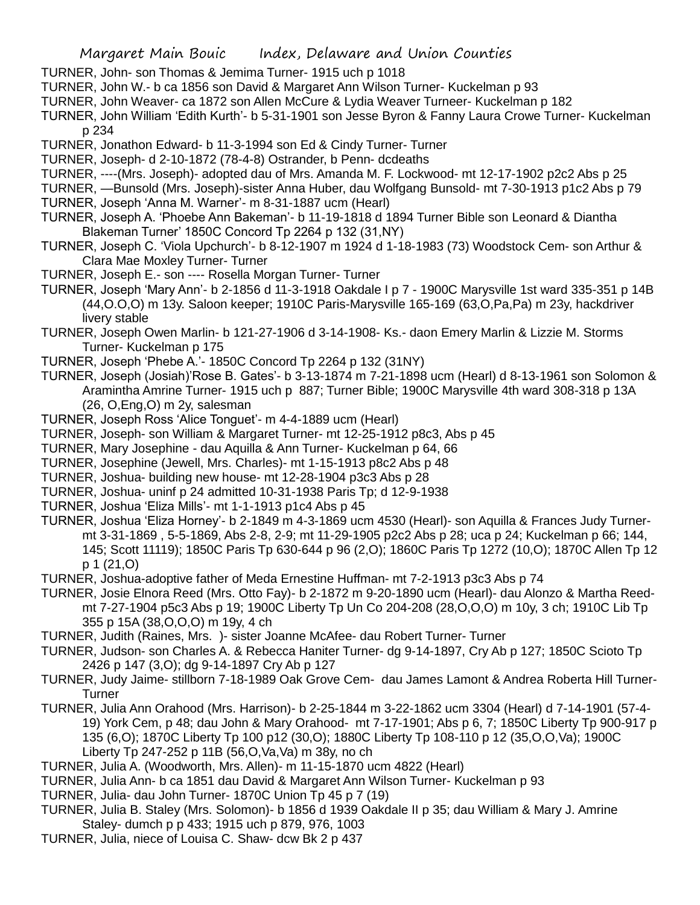- TURNER, John- son Thomas & Jemima Turner- 1915 uch p 1018
- TURNER, John W.- b ca 1856 son David & Margaret Ann Wilson Turner- Kuckelman p 93
- TURNER, John Weaver- ca 1872 son Allen McCure & Lydia Weaver Turneer- Kuckelman p 182
- TURNER, John William 'Edith Kurth'- b 5-31-1901 son Jesse Byron & Fanny Laura Crowe Turner- Kuckelman p 234
- TURNER, Jonathon Edward- b 11-3-1994 son Ed & Cindy Turner- Turner
- TURNER, Joseph- d 2-10-1872 (78-4-8) Ostrander, b Penn- dcdeaths
- TURNER, ----(Mrs. Joseph)- adopted dau of Mrs. Amanda M. F. Lockwood- mt 12-17-1902 p2c2 Abs p 25
- TURNER, —Bunsold (Mrs. Joseph)-sister Anna Huber, dau Wolfgang Bunsold- mt 7-30-1913 p1c2 Abs p 79
- TURNER, Joseph 'Anna M. Warner'- m 8-31-1887 ucm (Hearl)
- TURNER, Joseph A. 'Phoebe Ann Bakeman'- b 11-19-1818 d 1894 Turner Bible son Leonard & Diantha Blakeman Turner' 1850C Concord Tp 2264 p 132 (31,NY)
- TURNER, Joseph C. 'Viola Upchurch'- b 8-12-1907 m 1924 d 1-18-1983 (73) Woodstock Cem- son Arthur & Clara Mae Moxley Turner- Turner
- TURNER, Joseph E.- son ---- Rosella Morgan Turner- Turner
- TURNER, Joseph 'Mary Ann'- b 2-1856 d 11-3-1918 Oakdale I p 7 1900C Marysville 1st ward 335-351 p 14B (44,O.O,O) m 13y. Saloon keeper; 1910C Paris-Marysville 165-169 (63,O,Pa,Pa) m 23y, hackdriver livery stable
- TURNER, Joseph Owen Marlin- b 121-27-1906 d 3-14-1908- Ks.- daon Emery Marlin & Lizzie M. Storms Turner- Kuckelman p 175
- TURNER, Joseph 'Phebe A.'- 1850C Concord Tp 2264 p 132 (31NY)
- TURNER, Joseph (Josiah)'Rose B. Gates'- b 3-13-1874 m 7-21-1898 ucm (Hearl) d 8-13-1961 son Solomon & Aramintha Amrine Turner- 1915 uch p 887; Turner Bible; 1900C Marysville 4th ward 308-318 p 13A (26, O,Eng,O) m 2y, salesman
- TURNER, Joseph Ross 'Alice Tonguet'- m 4-4-1889 ucm (Hearl)
- TURNER, Joseph- son William & Margaret Turner- mt 12-25-1912 p8c3, Abs p 45
- TURNER, Mary Josephine dau Aquilla & Ann Turner- Kuckelman p 64, 66
- TURNER, Josephine (Jewell, Mrs. Charles)- mt 1-15-1913 p8c2 Abs p 48
- TURNER, Joshua- building new house- mt 12-28-1904 p3c3 Abs p 28
- TURNER, Joshua- uninf p 24 admitted 10-31-1938 Paris Tp; d 12-9-1938
- TURNER, Joshua 'Eliza Mills'- mt 1-1-1913 p1c4 Abs p 45
- TURNER, Joshua 'Eliza Horney'- b 2-1849 m 4-3-1869 ucm 4530 (Hearl)- son Aquilla & Frances Judy Turnermt 3-31-1869 , 5-5-1869, Abs 2-8, 2-9; mt 11-29-1905 p2c2 Abs p 28; uca p 24; Kuckelman p 66; 144, 145; Scott 11119); 1850C Paris Tp 630-644 p 96 (2,O); 1860C Paris Tp 1272 (10,O); 1870C Allen Tp 12 p 1 (21,O)
- TURNER, Joshua-adoptive father of Meda Ernestine Huffman- mt 7-2-1913 p3c3 Abs p 74
- TURNER, Josie Elnora Reed (Mrs. Otto Fay)- b 2-1872 m 9-20-1890 ucm (Hearl)- dau Alonzo & Martha Reedmt 7-27-1904 p5c3 Abs p 19; 1900C Liberty Tp Un Co 204-208 (28,O,O,O) m 10y, 3 ch; 1910C Lib Tp 355 p 15A (38,O,O,O) m 19y, 4 ch
- TURNER, Judith (Raines, Mrs. )- sister Joanne McAfee- dau Robert Turner- Turner
- TURNER, Judson- son Charles A. & Rebecca Haniter Turner- dg 9-14-1897, Cry Ab p 127; 1850C Scioto Tp 2426 p 147 (3,O); dg 9-14-1897 Cry Ab p 127
- TURNER, Judy Jaime- stillborn 7-18-1989 Oak Grove Cem- dau James Lamont & Andrea Roberta Hill Turner-**Turner**
- TURNER, Julia Ann Orahood (Mrs. Harrison)- b 2-25-1844 m 3-22-1862 ucm 3304 (Hearl) d 7-14-1901 (57-4- 19) York Cem, p 48; dau John & Mary Orahood- mt 7-17-1901; Abs p 6, 7; 1850C Liberty Tp 900-917 p 135 (6,O); 1870C Liberty Tp 100 p12 (30,O); 1880C Liberty Tp 108-110 p 12 (35,O,O,Va); 1900C Liberty Tp 247-252 p 11B (56,O,Va,Va) m 38y, no ch
- TURNER, Julia A. (Woodworth, Mrs. Allen)- m 11-15-1870 ucm 4822 (Hearl)
- TURNER, Julia Ann- b ca 1851 dau David & Margaret Ann Wilson Turner- Kuckelman p 93
- TURNER, Julia- dau John Turner- 1870C Union Tp 45 p 7 (19)
- TURNER, Julia B. Staley (Mrs. Solomon)- b 1856 d 1939 Oakdale II p 35; dau William & Mary J. Amrine Staley- dumch p p 433; 1915 uch p 879, 976, 1003
- TURNER, Julia, niece of Louisa C. Shaw- dcw Bk 2 p 437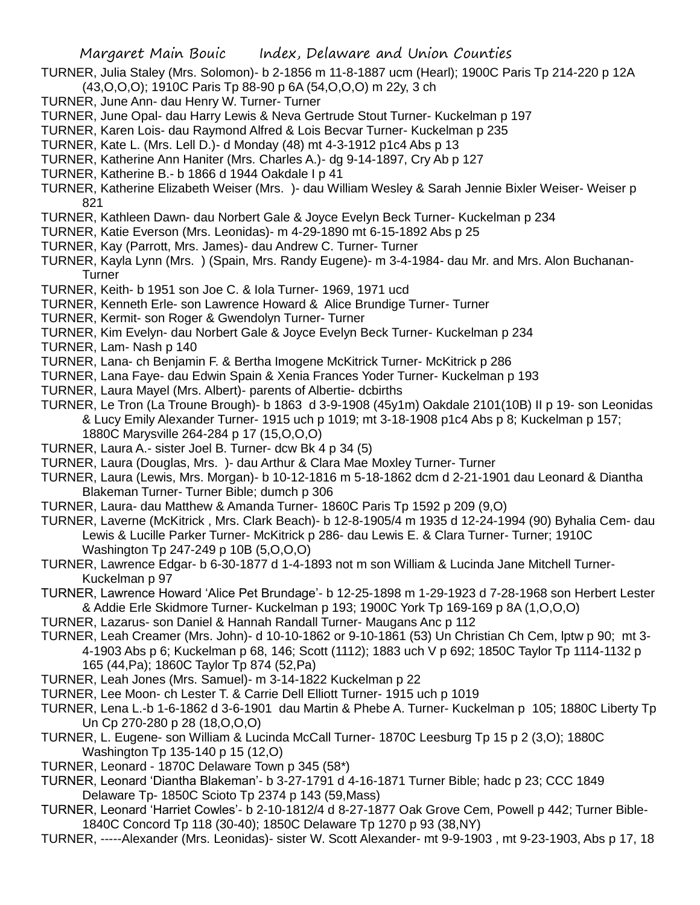TURNER, Julia Staley (Mrs. Solomon)- b 2-1856 m 11-8-1887 ucm (Hearl); 1900C Paris Tp 214-220 p 12A (43,O,O,O); 1910C Paris Tp 88-90 p 6A (54,O,O,O) m 22y, 3 ch

- TURNER, June Ann- dau Henry W. Turner- Turner
- TURNER, June Opal- dau Harry Lewis & Neva Gertrude Stout Turner- Kuckelman p 197
- TURNER, Karen Lois- dau Raymond Alfred & Lois Becvar Turner- Kuckelman p 235
- TURNER, Kate L. (Mrs. Lell D.)- d Monday (48) mt 4-3-1912 p1c4 Abs p 13
- TURNER, Katherine Ann Haniter (Mrs. Charles A.)- dg 9-14-1897, Cry Ab p 127
- TURNER, Katherine B.- b 1866 d 1944 Oakdale I p 41

TURNER, Katherine Elizabeth Weiser (Mrs. )- dau William Wesley & Sarah Jennie Bixler Weiser- Weiser p 821

- TURNER, Kathleen Dawn- dau Norbert Gale & Joyce Evelyn Beck Turner- Kuckelman p 234
- TURNER, Katie Everson (Mrs. Leonidas)- m 4-29-1890 mt 6-15-1892 Abs p 25
- TURNER, Kay (Parrott, Mrs. James)- dau Andrew C. Turner- Turner
- TURNER, Kayla Lynn (Mrs. ) (Spain, Mrs. Randy Eugene)- m 3-4-1984- dau Mr. and Mrs. Alon Buchanan-**Turner**
- TURNER, Keith- b 1951 son Joe C. & Iola Turner- 1969, 1971 ucd
- TURNER, Kenneth Erle- son Lawrence Howard & Alice Brundige Turner- Turner
- TURNER, Kermit- son Roger & Gwendolyn Turner- Turner
- TURNER, Kim Evelyn- dau Norbert Gale & Joyce Evelyn Beck Turner- Kuckelman p 234
- TURNER, Lam- Nash p 140
- TURNER, Lana- ch Benjamin F. & Bertha Imogene McKitrick Turner- McKitrick p 286
- TURNER, Lana Faye- dau Edwin Spain & Xenia Frances Yoder Turner- Kuckelman p 193
- TURNER, Laura Mayel (Mrs. Albert)- parents of Albertie- dcbirths
- TURNER, Le Tron (La Troune Brough)- b 1863 d 3-9-1908 (45y1m) Oakdale 2101(10B) II p 19- son Leonidas & Lucy Emily Alexander Turner- 1915 uch p 1019; mt 3-18-1908 p1c4 Abs p 8; Kuckelman p 157; 1880C Marysville 264-284 p 17 (15,O,O,O)
- TURNER, Laura A.- sister Joel B. Turner- dcw Bk 4 p 34 (5)
- TURNER, Laura (Douglas, Mrs. )- dau Arthur & Clara Mae Moxley Turner- Turner
- TURNER, Laura (Lewis, Mrs. Morgan)- b 10-12-1816 m 5-18-1862 dcm d 2-21-1901 dau Leonard & Diantha Blakeman Turner- Turner Bible; dumch p 306
- TURNER, Laura- dau Matthew & Amanda Turner- 1860C Paris Tp 1592 p 209 (9,O)
- TURNER, Laverne (McKitrick , Mrs. Clark Beach)- b 12-8-1905/4 m 1935 d 12-24-1994 (90) Byhalia Cem- dau Lewis & Lucille Parker Turner- McKitrick p 286- dau Lewis E. & Clara Turner- Turner; 1910C Washington Tp 247-249 p 10B (5,O,O,O)
- TURNER, Lawrence Edgar- b 6-30-1877 d 1-4-1893 not m son William & Lucinda Jane Mitchell Turner-Kuckelman p 97
- TURNER, Lawrence Howard 'Alice Pet Brundage'- b 12-25-1898 m 1-29-1923 d 7-28-1968 son Herbert Lester & Addie Erle Skidmore Turner- Kuckelman p 193; 1900C York Tp 169-169 p 8A (1,O,O,O)
- TURNER, Lazarus- son Daniel & Hannah Randall Turner- Maugans Anc p 112
- TURNER, Leah Creamer (Mrs. John)- d 10-10-1862 or 9-10-1861 (53) Un Christian Ch Cem, lptw p 90; mt 3- 4-1903 Abs p 6; Kuckelman p 68, 146; Scott (1112); 1883 uch V p 692; 1850C Taylor Tp 1114-1132 p 165 (44,Pa); 1860C Taylor Tp 874 (52,Pa)
- TURNER, Leah Jones (Mrs. Samuel)- m 3-14-1822 Kuckelman p 22
- TURNER, Lee Moon- ch Lester T. & Carrie Dell Elliott Turner- 1915 uch p 1019
- TURNER, Lena L.-b 1-6-1862 d 3-6-1901 dau Martin & Phebe A. Turner- Kuckelman p 105; 1880C Liberty Tp Un Cp 270-280 p 28 (18,O,O,O)
- TURNER, L. Eugene- son William & Lucinda McCall Turner- 1870C Leesburg Tp 15 p 2 (3,O); 1880C Washington Tp 135-140 p 15 (12,O)
- TURNER, Leonard 1870C Delaware Town p 345 (58\*)
- TURNER, Leonard 'Diantha Blakeman'- b 3-27-1791 d 4-16-1871 Turner Bible; hadc p 23; CCC 1849 Delaware Tp- 1850C Scioto Tp 2374 p 143 (59,Mass)
- TURNER, Leonard 'Harriet Cowles'- b 2-10-1812/4 d 8-27-1877 Oak Grove Cem, Powell p 442; Turner Bible-1840C Concord Tp 118 (30-40); 1850C Delaware Tp 1270 p 93 (38,NY)
- TURNER, -----Alexander (Mrs. Leonidas)- sister W. Scott Alexander- mt 9-9-1903 , mt 9-23-1903, Abs p 17, 18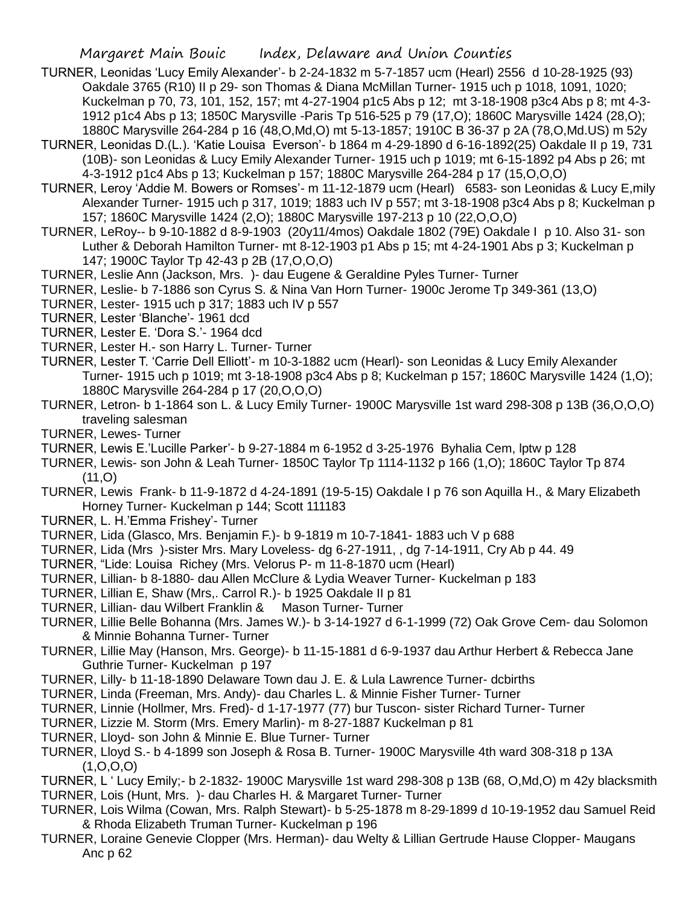- TURNER, Leonidas 'Lucy Emily Alexander'- b 2-24-1832 m 5-7-1857 ucm (Hearl) 2556 d 10-28-1925 (93) Oakdale 3765 (R10) II p 29- son Thomas & Diana McMillan Turner- 1915 uch p 1018, 1091, 1020; Kuckelman p 70, 73, 101, 152, 157; mt 4-27-1904 p1c5 Abs p 12; mt 3-18-1908 p3c4 Abs p 8; mt 4-3- 1912 p1c4 Abs p 13; 1850C Marysville -Paris Tp 516-525 p 79 (17,O); 1860C Marysville 1424 (28,O); 1880C Marysville 264-284 p 16 (48,O,Md,O) mt 5-13-1857; 1910C B 36-37 p 2A (78,O,Md.US) m 52y
- TURNER, Leonidas D.(L.). 'Katie Louisa Everson'- b 1864 m 4-29-1890 d 6-16-1892(25) Oakdale II p 19, 731 (10B)- son Leonidas & Lucy Emily Alexander Turner- 1915 uch p 1019; mt 6-15-1892 p4 Abs p 26; mt 4-3-1912 p1c4 Abs p 13; Kuckelman p 157; 1880C Marysville 264-284 p 17 (15,O,O,O)
- TURNER, Leroy 'Addie M. Bowers or Romses'- m 11-12-1879 ucm (Hearl) 6583- son Leonidas & Lucy E,mily Alexander Turner- 1915 uch p 317, 1019; 1883 uch IV p 557; mt 3-18-1908 p3c4 Abs p 8; Kuckelman p 157; 1860C Marysville 1424 (2,O); 1880C Marysville 197-213 p 10 (22,O,O,O)
- TURNER, LeRoy-- b 9-10-1882 d 8-9-1903 (20y11/4mos) Oakdale 1802 (79E) Oakdale I p 10. Also 31- son Luther & Deborah Hamilton Turner- mt 8-12-1903 p1 Abs p 15; mt 4-24-1901 Abs p 3; Kuckelman p 147; 1900C Taylor Tp 42-43 p 2B (17,O,O,O)
- TURNER, Leslie Ann (Jackson, Mrs. )- dau Eugene & Geraldine Pyles Turner- Turner
- TURNER, Leslie- b 7-1886 son Cyrus S. & Nina Van Horn Turner- 1900c Jerome Tp 349-361 (13,O)
- TURNER, Lester- 1915 uch p 317; 1883 uch IV p 557
- TURNER, Lester 'Blanche'- 1961 dcd
- TURNER, Lester E. 'Dora S.'- 1964 dcd
- TURNER, Lester H.- son Harry L. Turner- Turner
- TURNER, Lester T. 'Carrie Dell Elliott'- m 10-3-1882 ucm (Hearl)- son Leonidas & Lucy Emily Alexander Turner- 1915 uch p 1019; mt 3-18-1908 p3c4 Abs p 8; Kuckelman p 157; 1860C Marysville 1424 (1,O); 1880C Marysville 264-284 p 17 (20,O,O,O)
- TURNER, Letron- b 1-1864 son L. & Lucy Emily Turner- 1900C Marysville 1st ward 298-308 p 13B (36,O,O,O) traveling salesman
- TURNER, Lewes- Turner
- TURNER, Lewis E.'Lucille Parker'- b 9-27-1884 m 6-1952 d 3-25-1976 Byhalia Cem, lptw p 128
- TURNER, Lewis- son John & Leah Turner- 1850C Taylor Tp 1114-1132 p 166 (1,O); 1860C Taylor Tp 874  $(11, 0)$
- TURNER, Lewis Frank- b 11-9-1872 d 4-24-1891 (19-5-15) Oakdale I p 76 son Aquilla H., & Mary Elizabeth Horney Turner- Kuckelman p 144; Scott 111183
- TURNER, L. H.'Emma Frishey'- Turner
- TURNER, Lida (Glasco, Mrs. Benjamin F.)- b 9-1819 m 10-7-1841- 1883 uch V p 688
- TURNER, Lida (Mrs )-sister Mrs. Mary Loveless- dg 6-27-1911, , dg 7-14-1911, Cry Ab p 44. 49
- TURNER, "Lide: Louisa Richey (Mrs. Velorus P- m 11-8-1870 ucm (Hearl)
- TURNER, Lillian- b 8-1880- dau Allen McClure & Lydia Weaver Turner- Kuckelman p 183
- TURNER, Lillian E, Shaw (Mrs,. Carrol R.)- b 1925 Oakdale II p 81
- TURNER, Lillian- dau Wilbert Franklin & Mason Turner- Turner
- TURNER, Lillie Belle Bohanna (Mrs. James W.)- b 3-14-1927 d 6-1-1999 (72) Oak Grove Cem- dau Solomon & Minnie Bohanna Turner- Turner
- TURNER, Lillie May (Hanson, Mrs. George)- b 11-15-1881 d 6-9-1937 dau Arthur Herbert & Rebecca Jane Guthrie Turner- Kuckelman p 197
- TURNER, Lilly- b 11-18-1890 Delaware Town dau J. E. & Lula Lawrence Turner- dcbirths
- TURNER, Linda (Freeman, Mrs. Andy)- dau Charles L. & Minnie Fisher Turner- Turner
- TURNER, Linnie (Hollmer, Mrs. Fred)- d 1-17-1977 (77) bur Tuscon- sister Richard Turner- Turner
- TURNER, Lizzie M. Storm (Mrs. Emery Marlin)- m 8-27-1887 Kuckelman p 81
- TURNER, Lloyd- son John & Minnie E. Blue Turner- Turner
- TURNER, Lloyd S.- b 4-1899 son Joseph & Rosa B. Turner- 1900C Marysville 4th ward 308-318 p 13A  $(1, 0, 0, 0)$
- TURNER, L ' Lucy Emily;- b 2-1832- 1900C Marysville 1st ward 298-308 p 13B (68, O,Md,O) m 42y blacksmith TURNER, Lois (Hunt, Mrs. )- dau Charles H. & Margaret Turner- Turner
- TURNER, Lois Wilma (Cowan, Mrs. Ralph Stewart)- b 5-25-1878 m 8-29-1899 d 10-19-1952 dau Samuel Reid & Rhoda Elizabeth Truman Turner- Kuckelman p 196
- TURNER, Loraine Genevie Clopper (Mrs. Herman)- dau Welty & Lillian Gertrude Hause Clopper- Maugans Anc p 62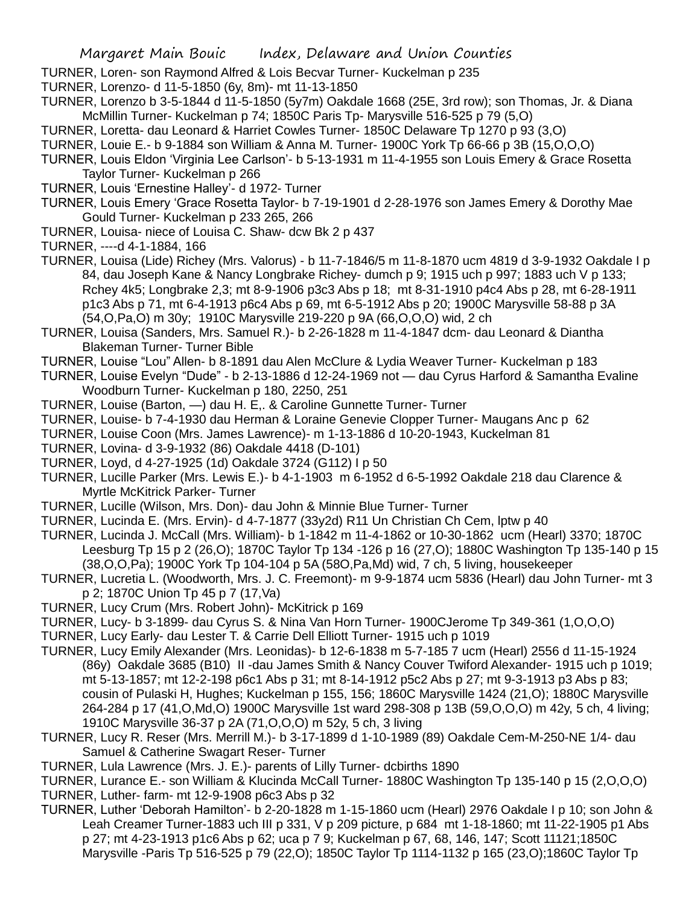- TURNER, Loren- son Raymond Alfred & Lois Becvar Turner- Kuckelman p 235
- TURNER, Lorenzo- d 11-5-1850 (6y, 8m)- mt 11-13-1850
- TURNER, Lorenzo b 3-5-1844 d 11-5-1850 (5y7m) Oakdale 1668 (25E, 3rd row); son Thomas, Jr. & Diana McMillin Turner- Kuckelman p 74; 1850C Paris Tp- Marysville 516-525 p 79 (5,O)
- TURNER, Loretta- dau Leonard & Harriet Cowles Turner- 1850C Delaware Tp 1270 p 93 (3,O)
- TURNER, Louie E.- b 9-1884 son William & Anna M. Turner- 1900C York Tp 66-66 p 3B (15,O,O,O)
- TURNER, Louis Eldon 'Virginia Lee Carlson'- b 5-13-1931 m 11-4-1955 son Louis Emery & Grace Rosetta Taylor Turner- Kuckelman p 266
- TURNER, Louis 'Ernestine Halley'- d 1972- Turner
- TURNER, Louis Emery 'Grace Rosetta Taylor- b 7-19-1901 d 2-28-1976 son James Emery & Dorothy Mae Gould Turner- Kuckelman p 233 265, 266
- TURNER, Louisa- niece of Louisa C. Shaw- dcw Bk 2 p 437
- TURNER, ----d 4-1-1884, 166
- TURNER, Louisa (Lide) Richey (Mrs. Valorus) b 11-7-1846/5 m 11-8-1870 ucm 4819 d 3-9-1932 Oakdale I p 84, dau Joseph Kane & Nancy Longbrake Richey- dumch p 9; 1915 uch p 997; 1883 uch V p 133; Rchey 4k5; Longbrake 2,3; mt 8-9-1906 p3c3 Abs p 18; mt 8-31-1910 p4c4 Abs p 28, mt 6-28-1911 p1c3 Abs p 71, mt 6-4-1913 p6c4 Abs p 69, mt 6-5-1912 Abs p 20; 1900C Marysville 58-88 p 3A (54,O,Pa,O) m 30y; 1910C Marysville 219-220 p 9A (66,O,O,O) wid, 2 ch
- TURNER, Louisa (Sanders, Mrs. Samuel R.)- b 2-26-1828 m 11-4-1847 dcm- dau Leonard & Diantha Blakeman Turner- Turner Bible
- TURNER, Louise "Lou" Allen- b 8-1891 dau Alen McClure & Lydia Weaver Turner- Kuckelman p 183
- TURNER, Louise Evelyn "Dude" b 2-13-1886 d 12-24-1969 not dau Cyrus Harford & Samantha Evaline Woodburn Turner- Kuckelman p 180, 2250, 251
- TURNER, Louise (Barton, —) dau H. E,. & Caroline Gunnette Turner- Turner
- TURNER, Louise- b 7-4-1930 dau Herman & Loraine Genevie Clopper Turner- Maugans Anc p 62
- TURNER, Louise Coon (Mrs. James Lawrence)- m 1-13-1886 d 10-20-1943, Kuckelman 81
- TURNER, Lovina- d 3-9-1932 (86) Oakdale 4418 (D-101)
- TURNER, Loyd, d 4-27-1925 (1d) Oakdale 3724 (G112) I p 50
- TURNER, Lucille Parker (Mrs. Lewis E.)- b 4-1-1903 m 6-1952 d 6-5-1992 Oakdale 218 dau Clarence & Myrtle McKitrick Parker- Turner
- TURNER, Lucille (Wilson, Mrs. Don)- dau John & Minnie Blue Turner- Turner
- TURNER, Lucinda E. (Mrs. Ervin)- d 4-7-1877 (33y2d) R11 Un Christian Ch Cem, lptw p 40
- TURNER, Lucinda J. McCall (Mrs. William)- b 1-1842 m 11-4-1862 or 10-30-1862 ucm (Hearl) 3370; 1870C Leesburg Tp 15 p 2 (26,O); 1870C Taylor Tp 134 -126 p 16 (27,O); 1880C Washington Tp 135-140 p 15 (38,O,O,Pa); 1900C York Tp 104-104 p 5A (58O,Pa,Md) wid, 7 ch, 5 living, housekeeper
- TURNER, Lucretia L. (Woodworth, Mrs. J. C. Freemont)- m 9-9-1874 ucm 5836 (Hearl) dau John Turner- mt 3 p 2; 1870C Union Tp 45 p 7 (17,Va)
- TURNER, Lucy Crum (Mrs. Robert John)- McKitrick p 169
- TURNER, Lucy- b 3-1899- dau Cyrus S. & Nina Van Horn Turner- 1900CJerome Tp 349-361 (1,O,O,O)
- TURNER, Lucy Early- dau Lester T. & Carrie Dell Elliott Turner- 1915 uch p 1019
- TURNER, Lucy Emily Alexander (Mrs. Leonidas)- b 12-6-1838 m 5-7-185 7 ucm (Hearl) 2556 d 11-15-1924 (86y) Oakdale 3685 (B10) II -dau James Smith & Nancy Couver Twiford Alexander- 1915 uch p 1019; mt 5-13-1857; mt 12-2-198 p6c1 Abs p 31; mt 8-14-1912 p5c2 Abs p 27; mt 9-3-1913 p3 Abs p 83; cousin of Pulaski H, Hughes; Kuckelman p 155, 156; 1860C Marysville 1424 (21,O); 1880C Marysville 264-284 p 17 (41,O,Md,O) 1900C Marysville 1st ward 298-308 p 13B (59,O,O,O) m 42y, 5 ch, 4 living; 1910C Marysville 36-37 p 2A (71,O,O,O) m 52y, 5 ch, 3 living
- TURNER, Lucy R. Reser (Mrs. Merrill M.)- b 3-17-1899 d 1-10-1989 (89) Oakdale Cem-M-250-NE 1/4- dau Samuel & Catherine Swagart Reser- Turner
- TURNER, Lula Lawrence (Mrs. J. E.)- parents of Lilly Turner- dcbirths 1890
- TURNER, Lurance E.- son William & Klucinda McCall Turner- 1880C Washington Tp 135-140 p 15 (2,O,O,O) TURNER, Luther- farm- mt 12-9-1908 p6c3 Abs p 32
- TURNER, Luther 'Deborah Hamilton'- b 2-20-1828 m 1-15-1860 ucm (Hearl) 2976 Oakdale I p 10; son John & Leah Creamer Turner-1883 uch III p 331, V p 209 picture, p 684 mt 1-18-1860; mt 11-22-1905 p1 Abs p 27; mt 4-23-1913 p1c6 Abs p 62; uca p 7 9; Kuckelman p 67, 68, 146, 147; Scott 11121;1850C Marysville -Paris Tp 516-525 p 79 (22,O); 1850C Taylor Tp 1114-1132 p 165 (23,O);1860C Taylor Tp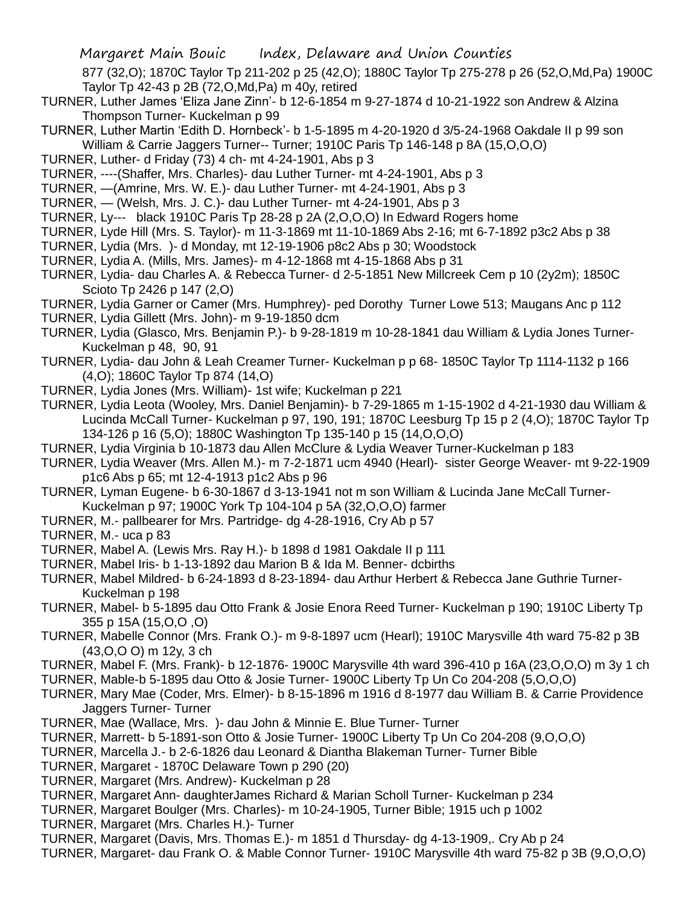877 (32,O); 1870C Taylor Tp 211-202 p 25 (42,O); 1880C Taylor Tp 275-278 p 26 (52,O,Md,Pa) 1900C Taylor Tp 42-43 p 2B (72,O,Md,Pa) m 40y, retired

- TURNER, Luther James 'Eliza Jane Zinn'- b 12-6-1854 m 9-27-1874 d 10-21-1922 son Andrew & Alzina Thompson Turner- Kuckelman p 99
- TURNER, Luther Martin 'Edith D. Hornbeck'- b 1-5-1895 m 4-20-1920 d 3/5-24-1968 Oakdale II p 99 son William & Carrie Jaggers Turner-- Turner; 1910C Paris Tp 146-148 p 8A (15,O,O,O)
- TURNER, Luther- d Friday (73) 4 ch- mt 4-24-1901, Abs p 3
- TURNER, ----(Shaffer, Mrs. Charles)- dau Luther Turner- mt 4-24-1901, Abs p 3
- TURNER, —(Amrine, Mrs. W. E.)- dau Luther Turner- mt 4-24-1901, Abs p 3
- TURNER, (Welsh, Mrs. J. C.)- dau Luther Turner- mt 4-24-1901, Abs p 3
- TURNER, Ly--- black 1910C Paris Tp 28-28 p 2A (2,O,O,O) In Edward Rogers home
- TURNER, Lyde Hill (Mrs. S. Taylor)- m 11-3-1869 mt 11-10-1869 Abs 2-16; mt 6-7-1892 p3c2 Abs p 38
- TURNER, Lydia (Mrs. )- d Monday, mt 12-19-1906 p8c2 Abs p 30; Woodstock
- TURNER, Lydia A. (Mills, Mrs. James)- m 4-12-1868 mt 4-15-1868 Abs p 31
- TURNER, Lydia- dau Charles A. & Rebecca Turner- d 2-5-1851 New Millcreek Cem p 10 (2y2m); 1850C Scioto Tp 2426 p 147 (2,O)
- TURNER, Lydia Garner or Camer (Mrs. Humphrey)- ped Dorothy Turner Lowe 513; Maugans Anc p 112
- TURNER, Lydia Gillett (Mrs. John)- m 9-19-1850 dcm
- TURNER, Lydia (Glasco, Mrs. Benjamin P.)- b 9-28-1819 m 10-28-1841 dau William & Lydia Jones Turner-Kuckelman p 48, 90, 91
- TURNER, Lydia- dau John & Leah Creamer Turner- Kuckelman p p 68- 1850C Taylor Tp 1114-1132 p 166 (4,O); 1860C Taylor Tp 874 (14,O)
- TURNER, Lydia Jones (Mrs. William)- 1st wife; Kuckelman p 221
- TURNER, Lydia Leota (Wooley, Mrs. Daniel Benjamin)- b 7-29-1865 m 1-15-1902 d 4-21-1930 dau William & Lucinda McCall Turner- Kuckelman p 97, 190, 191; 1870C Leesburg Tp 15 p 2 (4,O); 1870C Taylor Tp 134-126 p 16 (5,O); 1880C Washington Tp 135-140 p 15 (14,O,O,O)
- TURNER, Lydia Virginia b 10-1873 dau Allen McClure & Lydia Weaver Turner-Kuckelman p 183
- TURNER, Lydia Weaver (Mrs. Allen M.)- m 7-2-1871 ucm 4940 (Hearl)- sister George Weaver- mt 9-22-1909 p1c6 Abs p 65; mt 12-4-1913 p1c2 Abs p 96
- TURNER, Lyman Eugene- b 6-30-1867 d 3-13-1941 not m son William & Lucinda Jane McCall Turner-Kuckelman p 97; 1900C York Tp 104-104 p 5A (32,O,O,O) farmer
- TURNER, M.- pallbearer for Mrs. Partridge- dg 4-28-1916, Cry Ab p 57
- TURNER, M.- uca p 83
- TURNER, Mabel A. (Lewis Mrs. Ray H.)- b 1898 d 1981 Oakdale II p 111
- TURNER, Mabel Iris- b 1-13-1892 dau Marion B & Ida M. Benner- dcbirths
- TURNER, Mabel Mildred- b 6-24-1893 d 8-23-1894- dau Arthur Herbert & Rebecca Jane Guthrie Turner-Kuckelman p 198
- TURNER, Mabel- b 5-1895 dau Otto Frank & Josie Enora Reed Turner- Kuckelman p 190; 1910C Liberty Tp 355 p 15A (15,O,O ,O)
- TURNER, Mabelle Connor (Mrs. Frank O.)- m 9-8-1897 ucm (Hearl); 1910C Marysville 4th ward 75-82 p 3B (43,O,O O) m 12y, 3 ch
- TURNER, Mabel F. (Mrs. Frank)- b 12-1876- 1900C Marysville 4th ward 396-410 p 16A (23,O,O,O) m 3y 1 ch
- TURNER, Mable-b 5-1895 dau Otto & Josie Turner- 1900C Liberty Tp Un Co 204-208 (5,O,O,O)
- TURNER, Mary Mae (Coder, Mrs. Elmer)- b 8-15-1896 m 1916 d 8-1977 dau William B. & Carrie Providence Jaggers Turner- Turner
- TURNER, Mae (Wallace, Mrs. )- dau John & Minnie E. Blue Turner- Turner
- TURNER, Marrett- b 5-1891-son Otto & Josie Turner- 1900C Liberty Tp Un Co 204-208 (9,O,O,O)
- TURNER, Marcella J.- b 2-6-1826 dau Leonard & Diantha Blakeman Turner- Turner Bible
- TURNER, Margaret 1870C Delaware Town p 290 (20)
- TURNER, Margaret (Mrs. Andrew)- Kuckelman p 28
- TURNER, Margaret Ann- daughterJames Richard & Marian Scholl Turner- Kuckelman p 234
- TURNER, Margaret Boulger (Mrs. Charles)- m 10-24-1905, Turner Bible; 1915 uch p 1002
- TURNER, Margaret (Mrs. Charles H.)- Turner
- TURNER, Margaret (Davis, Mrs. Thomas E.)- m 1851 d Thursday- dg 4-13-1909,. Cry Ab p 24
- TURNER, Margaret- dau Frank O. & Mable Connor Turner- 1910C Marysville 4th ward 75-82 p 3B (9,O,O,O)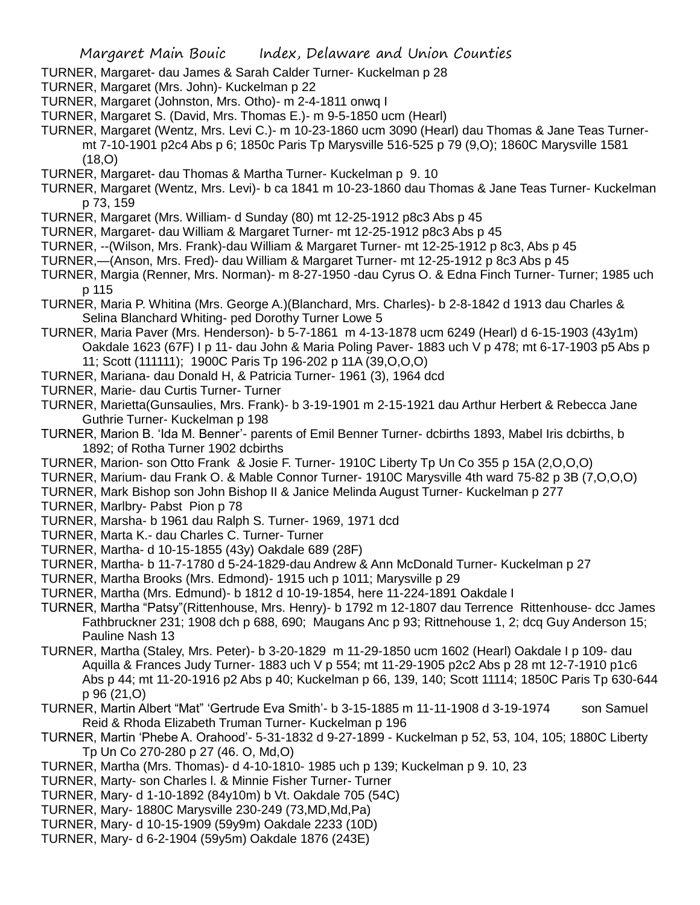- TURNER, Margaret- dau James & Sarah Calder Turner- Kuckelman p 28
- TURNER, Margaret (Mrs. John)- Kuckelman p 22
- TURNER, Margaret (Johnston, Mrs. Otho)- m 2-4-1811 onwq I
- TURNER, Margaret S. (David, Mrs. Thomas E.)- m 9-5-1850 ucm (Hearl)
- TURNER, Margaret (Wentz, Mrs. Levi C.)- m 10-23-1860 ucm 3090 (Hearl) dau Thomas & Jane Teas Turnermt 7-10-1901 p2c4 Abs p 6; 1850c Paris Tp Marysville 516-525 p 79 (9,O); 1860C Marysville 1581  $(18,0)$
- TURNER, Margaret- dau Thomas & Martha Turner- Kuckelman p 9. 10
- TURNER, Margaret (Wentz, Mrs. Levi)- b ca 1841 m 10-23-1860 dau Thomas & Jane Teas Turner- Kuckelman p 73, 159
- TURNER, Margaret (Mrs. William- d Sunday (80) mt 12-25-1912 p8c3 Abs p 45
- TURNER, Margaret- dau William & Margaret Turner- mt 12-25-1912 p8c3 Abs p 45
- TURNER, --(Wilson, Mrs. Frank)-dau William & Margaret Turner- mt 12-25-1912 p 8c3, Abs p 45
- TURNER,—(Anson, Mrs. Fred)- dau William & Margaret Turner- mt 12-25-1912 p 8c3 Abs p 45
- TURNER, Margia (Renner, Mrs. Norman)- m 8-27-1950 -dau Cyrus O. & Edna Finch Turner- Turner; 1985 uch p 115
- TURNER, Maria P. Whitina (Mrs. George A.)(Blanchard, Mrs. Charles)- b 2-8-1842 d 1913 dau Charles & Selina Blanchard Whiting- ped Dorothy Turner Lowe 5
- TURNER, Maria Paver (Mrs. Henderson)- b 5-7-1861 m 4-13-1878 ucm 6249 (Hearl) d 6-15-1903 (43y1m) Oakdale 1623 (67F) I p 11- dau John & Maria Poling Paver- 1883 uch V p 478; mt 6-17-1903 p5 Abs p 11; Scott (111111); 1900C Paris Tp 196-202 p 11A (39,O,O,O)
- TURNER, Mariana- dau Donald H, & Patricia Turner- 1961 (3), 1964 dcd
- TURNER, Marie- dau Curtis Turner- Turner
- TURNER, Marietta(Gunsaulies, Mrs. Frank)- b 3-19-1901 m 2-15-1921 dau Arthur Herbert & Rebecca Jane Guthrie Turner- Kuckelman p 198
- TURNER, Marion B. 'Ida M. Benner'- parents of Emil Benner Turner- dcbirths 1893, Mabel Iris dcbirths, b 1892; of Rotha Turner 1902 dcbirths
- TURNER, Marion- son Otto Frank & Josie F. Turner- 1910C Liberty Tp Un Co 355 p 15A (2,O,O,O)
- TURNER, Marium- dau Frank O. & Mable Connor Turner- 1910C Marysville 4th ward 75-82 p 3B (7,O,O,O)
- TURNER, Mark Bishop son John Bishop II & Janice Melinda August Turner- Kuckelman p 277
- TURNER, Marlbry- Pabst Pion p 78
- TURNER, Marsha- b 1961 dau Ralph S. Turner- 1969, 1971 dcd
- TURNER, Marta K.- dau Charles C. Turner- Turner
- TURNER, Martha- d 10-15-1855 (43y) Oakdale 689 (28F)
- TURNER, Martha- b 11-7-1780 d 5-24-1829-dau Andrew & Ann McDonald Turner- Kuckelman p 27
- TURNER, Martha Brooks (Mrs. Edmond)- 1915 uch p 1011; Marysville p 29
- TURNER, Martha (Mrs. Edmund)- b 1812 d 10-19-1854, here 11-224-1891 Oakdale I
- TURNER, Martha "Patsy"(Rittenhouse, Mrs. Henry)- b 1792 m 12-1807 dau Terrence Rittenhouse- dcc James Fathbruckner 231; 1908 dch p 688, 690; Maugans Anc p 93; Rittnehouse 1, 2; dcq Guy Anderson 15; Pauline Nash 13
- TURNER, Martha (Staley, Mrs. Peter)- b 3-20-1829 m 11-29-1850 ucm 1602 (Hearl) Oakdale I p 109- dau Aquilla & Frances Judy Turner- 1883 uch V p 554; mt 11-29-1905 p2c2 Abs p 28 mt 12-7-1910 p1c6 Abs p 44; mt 11-20-1916 p2 Abs p 40; Kuckelman p 66, 139, 140; Scott 11114; 1850C Paris Tp 630-644 p 96 (21,O)
- TURNER, Martin Albert "Mat" 'Gertrude Eva Smith'- b 3-15-1885 m 11-11-1908 d 3-19-1974 son Samuel Reid & Rhoda Elizabeth Truman Turner- Kuckelman p 196
- TURNER, Martin 'Phebe A. Orahood'- 5-31-1832 d 9-27-1899 Kuckelman p 52, 53, 104, 105; 1880C Liberty Tp Un Co 270-280 p 27 (46. O, Md,O)
- TURNER, Martha (Mrs. Thomas)- d 4-10-1810- 1985 uch p 139; Kuckelman p 9. 10, 23
- TURNER, Marty- son Charles l. & Minnie Fisher Turner- Turner
- TURNER, Mary- d 1-10-1892 (84y10m) b Vt. Oakdale 705 (54C)
- TURNER, Mary- 1880C Marysville 230-249 (73,MD,Md,Pa)
- TURNER, Mary- d 10-15-1909 (59y9m) Oakdale 2233 (10D)
- TURNER, Mary- d 6-2-1904 (59y5m) Oakdale 1876 (243E)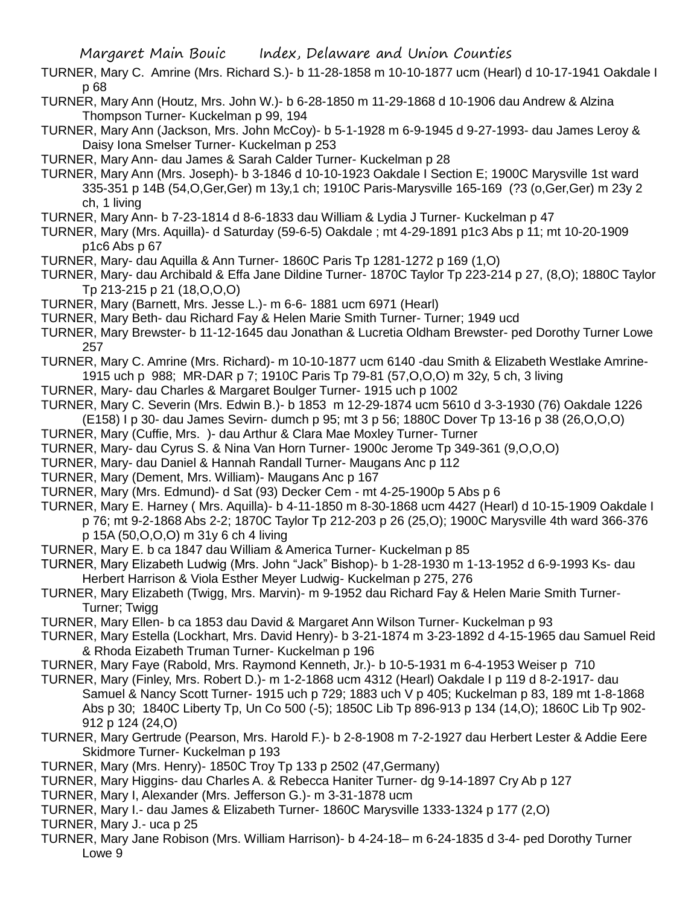TURNER, Mary C. Amrine (Mrs. Richard S.)- b 11-28-1858 m 10-10-1877 ucm (Hearl) d 10-17-1941 Oakdale I p 68

- TURNER, Mary Ann (Houtz, Mrs. John W.)- b 6-28-1850 m 11-29-1868 d 10-1906 dau Andrew & Alzina Thompson Turner- Kuckelman p 99, 194
- TURNER, Mary Ann (Jackson, Mrs. John McCoy)- b 5-1-1928 m 6-9-1945 d 9-27-1993- dau James Leroy & Daisy Iona Smelser Turner- Kuckelman p 253
- TURNER, Mary Ann- dau James & Sarah Calder Turner- Kuckelman p 28
- TURNER, Mary Ann (Mrs. Joseph)- b 3-1846 d 10-10-1923 Oakdale I Section E; 1900C Marysville 1st ward 335-351 p 14B (54,O,Ger,Ger) m 13y,1 ch; 1910C Paris-Marysville 165-169 (?3 (o,Ger,Ger) m 23y 2 ch, 1 living

TURNER, Mary Ann- b 7-23-1814 d 8-6-1833 dau William & Lydia J Turner- Kuckelman p 47

- TURNER, Mary (Mrs. Aquilla)- d Saturday (59-6-5) Oakdale ; mt 4-29-1891 p1c3 Abs p 11; mt 10-20-1909 p1c6 Abs p 67
- TURNER, Mary- dau Aquilla & Ann Turner- 1860C Paris Tp 1281-1272 p 169 (1,O)
- TURNER, Mary- dau Archibald & Effa Jane Dildine Turner- 1870C Taylor Tp 223-214 p 27, (8,O); 1880C Taylor Tp 213-215 p 21 (18,O,O,O)
- TURNER, Mary (Barnett, Mrs. Jesse L.)- m 6-6- 1881 ucm 6971 (Hearl)
- TURNER, Mary Beth- dau Richard Fay & Helen Marie Smith Turner- Turner; 1949 ucd
- TURNER, Mary Brewster- b 11-12-1645 dau Jonathan & Lucretia Oldham Brewster- ped Dorothy Turner Lowe 257
- TURNER, Mary C. Amrine (Mrs. Richard)- m 10-10-1877 ucm 6140 -dau Smith & Elizabeth Westlake Amrine-1915 uch p 988; MR-DAR p 7; 1910C Paris Tp 79-81 (57,O,O,O) m 32y, 5 ch, 3 living
- TURNER, Mary- dau Charles & Margaret Boulger Turner- 1915 uch p 1002
- TURNER, Mary C. Severin (Mrs. Edwin B.)- b 1853 m 12-29-1874 ucm 5610 d 3-3-1930 (76) Oakdale 1226 (E158) I p 30- dau James Sevirn- dumch p 95; mt 3 p 56; 1880C Dover Tp 13-16 p 38 (26,O,O,O)
- TURNER, Mary (Cuffie, Mrs. )- dau Arthur & Clara Mae Moxley Turner- Turner
- TURNER, Mary- dau Cyrus S. & Nina Van Horn Turner- 1900c Jerome Tp 349-361 (9,O,O,O)
- TURNER, Mary- dau Daniel & Hannah Randall Turner- Maugans Anc p 112
- TURNER, Mary (Dement, Mrs. William)- Maugans Anc p 167
- TURNER, Mary (Mrs. Edmund)- d Sat (93) Decker Cem mt 4-25-1900p 5 Abs p 6
- TURNER, Mary E. Harney ( Mrs. Aquilla)- b 4-11-1850 m 8-30-1868 ucm 4427 (Hearl) d 10-15-1909 Oakdale I p 76; mt 9-2-1868 Abs 2-2; 1870C Taylor Tp 212-203 p 26 (25,O); 1900C Marysville 4th ward 366-376 p 15A (50,O,O,O) m 31y 6 ch 4 living
- TURNER, Mary E. b ca 1847 dau William & America Turner- Kuckelman p 85
- TURNER, Mary Elizabeth Ludwig (Mrs. John "Jack" Bishop)- b 1-28-1930 m 1-13-1952 d 6-9-1993 Ks- dau Herbert Harrison & Viola Esther Meyer Ludwig- Kuckelman p 275, 276
- TURNER, Mary Elizabeth (Twigg, Mrs. Marvin)- m 9-1952 dau Richard Fay & Helen Marie Smith Turner-Turner; Twigg
- TURNER, Mary Ellen- b ca 1853 dau David & Margaret Ann Wilson Turner- Kuckelman p 93
- TURNER, Mary Estella (Lockhart, Mrs. David Henry)- b 3-21-1874 m 3-23-1892 d 4-15-1965 dau Samuel Reid & Rhoda Eizabeth Truman Turner- Kuckelman p 196
- TURNER, Mary Faye (Rabold, Mrs. Raymond Kenneth, Jr.)- b 10-5-1931 m 6-4-1953 Weiser p 710
- TURNER, Mary (Finley, Mrs. Robert D.)- m 1-2-1868 ucm 4312 (Hearl) Oakdale I p 119 d 8-2-1917- dau Samuel & Nancy Scott Turner- 1915 uch p 729; 1883 uch V p 405; Kuckelman p 83, 189 mt 1-8-1868 Abs p 30; 1840C Liberty Tp, Un Co 500 (-5); 1850C Lib Tp 896-913 p 134 (14,O); 1860C Lib Tp 902- 912 p 124 (24,O)
- TURNER, Mary Gertrude (Pearson, Mrs. Harold F.)- b 2-8-1908 m 7-2-1927 dau Herbert Lester & Addie Eere Skidmore Turner- Kuckelman p 193
- TURNER, Mary (Mrs. Henry)- 1850C Troy Tp 133 p 2502 (47,Germany)
- TURNER, Mary Higgins- dau Charles A. & Rebecca Haniter Turner- dg 9-14-1897 Cry Ab p 127
- TURNER, Mary I, Alexander (Mrs. Jefferson G.)- m 3-31-1878 ucm
- TURNER, Mary I.- dau James & Elizabeth Turner- 1860C Marysville 1333-1324 p 177 (2,O)
- TURNER, Mary J.- uca p 25
- TURNER, Mary Jane Robison (Mrs. William Harrison)- b 4-24-18– m 6-24-1835 d 3-4- ped Dorothy Turner Lowe 9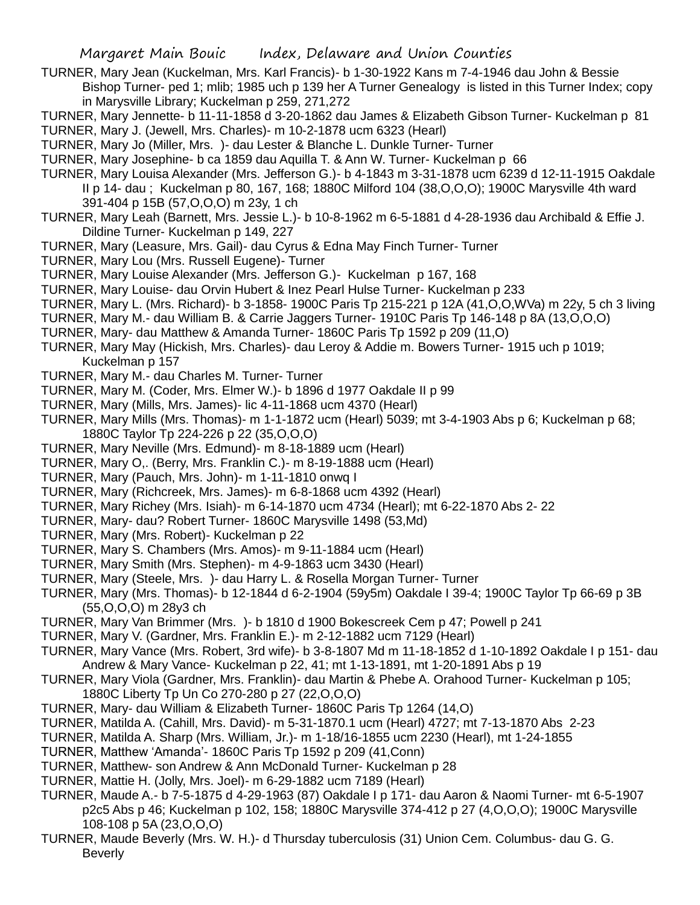- TURNER, Mary Jean (Kuckelman, Mrs. Karl Francis)- b 1-30-1922 Kans m 7-4-1946 dau John & Bessie Bishop Turner- ped 1; mlib; 1985 uch p 139 her A Turner Genealogy is listed in this Turner Index; copy in Marysville Library; Kuckelman p 259, 271,272
- TURNER, Mary Jennette- b 11-11-1858 d 3-20-1862 dau James & Elizabeth Gibson Turner- Kuckelman p 81
- TURNER, Mary J. (Jewell, Mrs. Charles)- m 10-2-1878 ucm 6323 (Hearl)
- TURNER, Mary Jo (Miller, Mrs. )- dau Lester & Blanche L. Dunkle Turner- Turner
- TURNER, Mary Josephine- b ca 1859 dau Aquilla T. & Ann W. Turner- Kuckelman p 66
- TURNER, Mary Louisa Alexander (Mrs. Jefferson G.)- b 4-1843 m 3-31-1878 ucm 6239 d 12-11-1915 Oakdale II p 14- dau ; Kuckelman p 80, 167, 168; 1880C Milford 104 (38,O,O,O); 1900C Marysville 4th ward 391-404 p 15B (57,O,O,O) m 23y, 1 ch
- TURNER, Mary Leah (Barnett, Mrs. Jessie L.)- b 10-8-1962 m 6-5-1881 d 4-28-1936 dau Archibald & Effie J. Dildine Turner- Kuckelman p 149, 227
- TURNER, Mary (Leasure, Mrs. Gail)- dau Cyrus & Edna May Finch Turner- Turner
- TURNER, Mary Lou (Mrs. Russell Eugene)- Turner
- TURNER, Mary Louise Alexander (Mrs. Jefferson G.)- Kuckelman p 167, 168
- TURNER, Mary Louise- dau Orvin Hubert & Inez Pearl Hulse Turner- Kuckelman p 233
- TURNER, Mary L. (Mrs. Richard)- b 3-1858- 1900C Paris Tp 215-221 p 12A (41,O,O,WVa) m 22y, 5 ch 3 living
- TURNER, Mary M.- dau William B. & Carrie Jaggers Turner- 1910C Paris Tp 146-148 p 8A (13,O,O,O)
- TURNER, Mary- dau Matthew & Amanda Turner- 1860C Paris Tp 1592 p 209 (11,O)
- TURNER, Mary May (Hickish, Mrs. Charles)- dau Leroy & Addie m. Bowers Turner- 1915 uch p 1019; Kuckelman p 157
- TURNER, Mary M.- dau Charles M. Turner- Turner
- TURNER, Mary M. (Coder, Mrs. Elmer W.)- b 1896 d 1977 Oakdale II p 99
- TURNER, Mary (Mills, Mrs. James)- lic 4-11-1868 ucm 4370 (Hearl)
- TURNER, Mary Mills (Mrs. Thomas)- m 1-1-1872 ucm (Hearl) 5039; mt 3-4-1903 Abs p 6; Kuckelman p 68; 1880C Taylor Tp 224-226 p 22 (35,O,O,O)
- TURNER, Mary Neville (Mrs. Edmund)- m 8-18-1889 ucm (Hearl)
- TURNER, Mary O,. (Berry, Mrs. Franklin C.)- m 8-19-1888 ucm (Hearl)
- TURNER, Mary (Pauch, Mrs. John)- m 1-11-1810 onwq I
- TURNER, Mary (Richcreek, Mrs. James)- m 6-8-1868 ucm 4392 (Hearl)
- TURNER, Mary Richey (Mrs. Isiah)- m 6-14-1870 ucm 4734 (Hearl); mt 6-22-1870 Abs 2- 22
- TURNER, Mary- dau? Robert Turner- 1860C Marysville 1498 (53,Md)
- TURNER, Mary (Mrs. Robert)- Kuckelman p 22
- TURNER, Mary S. Chambers (Mrs. Amos)- m 9-11-1884 ucm (Hearl)
- TURNER, Mary Smith (Mrs. Stephen)- m 4-9-1863 ucm 3430 (Hearl)
- TURNER, Mary (Steele, Mrs. )- dau Harry L. & Rosella Morgan Turner- Turner
- TURNER, Mary (Mrs. Thomas)- b 12-1844 d 6-2-1904 (59y5m) Oakdale I 39-4; 1900C Taylor Tp 66-69 p 3B (55,O,O,O) m 28y3 ch
- TURNER, Mary Van Brimmer (Mrs. )- b 1810 d 1900 Bokescreek Cem p 47; Powell p 241
- TURNER, Mary V. (Gardner, Mrs. Franklin E.)- m 2-12-1882 ucm 7129 (Hearl)
- TURNER, Mary Vance (Mrs. Robert, 3rd wife)- b 3-8-1807 Md m 11-18-1852 d 1-10-1892 Oakdale I p 151- dau Andrew & Mary Vance- Kuckelman p 22, 41; mt 1-13-1891, mt 1-20-1891 Abs p 19
- TURNER, Mary Viola (Gardner, Mrs. Franklin)- dau Martin & Phebe A. Orahood Turner- Kuckelman p 105; 1880C Liberty Tp Un Co 270-280 p 27 (22,O,O,O)
- TURNER, Mary- dau William & Elizabeth Turner- 1860C Paris Tp 1264 (14,O)
- TURNER, Matilda A. (Cahill, Mrs. David)- m 5-31-1870.1 ucm (Hearl) 4727; mt 7-13-1870 Abs 2-23
- TURNER, Matilda A. Sharp (Mrs. William, Jr.)- m 1-18/16-1855 ucm 2230 (Hearl), mt 1-24-1855
- TURNER, Matthew 'Amanda'- 1860C Paris Tp 1592 p 209 (41,Conn)
- TURNER, Matthew- son Andrew & Ann McDonald Turner- Kuckelman p 28
- TURNER, Mattie H. (Jolly, Mrs. Joel)- m 6-29-1882 ucm 7189 (Hearl)
- TURNER, Maude A.- b 7-5-1875 d 4-29-1963 (87) Oakdale I p 171- dau Aaron & Naomi Turner- mt 6-5-1907 p2c5 Abs p 46; Kuckelman p 102, 158; 1880C Marysville 374-412 p 27 (4,O,O,O); 1900C Marysville 108-108 p 5A (23,O,O,O)
- TURNER, Maude Beverly (Mrs. W. H.)- d Thursday tuberculosis (31) Union Cem. Columbus- dau G. G. **Beverly**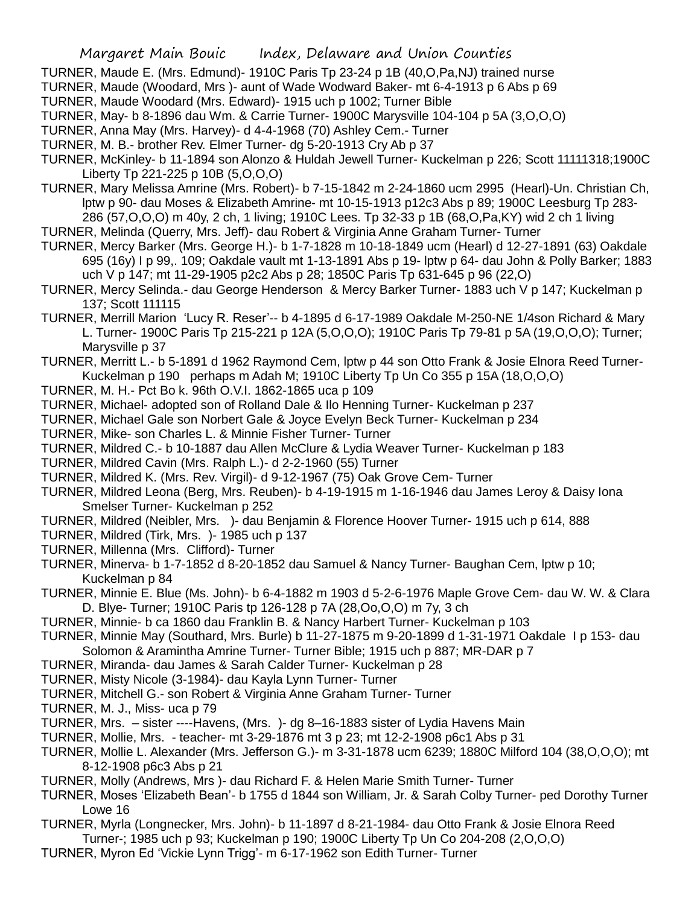- TURNER, Maude E. (Mrs. Edmund)- 1910C Paris Tp 23-24 p 1B (40,O,Pa,NJ) trained nurse
- TURNER, Maude (Woodard, Mrs )- aunt of Wade Wodward Baker- mt 6-4-1913 p 6 Abs p 69
- TURNER, Maude Woodard (Mrs. Edward)- 1915 uch p 1002; Turner Bible
- TURNER, May- b 8-1896 dau Wm. & Carrie Turner- 1900C Marysville 104-104 p 5A (3,O,O,O)
- TURNER, Anna May (Mrs. Harvey)- d 4-4-1968 (70) Ashley Cem.- Turner
- TURNER, M. B.- brother Rev. Elmer Turner- dg 5-20-1913 Cry Ab p 37
- TURNER, McKinley- b 11-1894 son Alonzo & Huldah Jewell Turner- Kuckelman p 226; Scott 11111318;1900C Liberty Tp 221-225 p 10B (5,O,O,O)
- TURNER, Mary Melissa Amrine (Mrs. Robert)- b 7-15-1842 m 2-24-1860 ucm 2995 (Hearl)-Un. Christian Ch, lptw p 90- dau Moses & Elizabeth Amrine- mt 10-15-1913 p12c3 Abs p 89; 1900C Leesburg Tp 283- 286 (57,O,O,O) m 40y, 2 ch, 1 living; 1910C Lees. Tp 32-33 p 1B (68,O,Pa,KY) wid 2 ch 1 living
- TURNER, Melinda (Querry, Mrs. Jeff)- dau Robert & Virginia Anne Graham Turner- Turner
- TURNER, Mercy Barker (Mrs. George H.)- b 1-7-1828 m 10-18-1849 ucm (Hearl) d 12-27-1891 (63) Oakdale 695 (16y) I p 99,. 109; Oakdale vault mt 1-13-1891 Abs p 19- lptw p 64- dau John & Polly Barker; 1883 uch V p 147; mt 11-29-1905 p2c2 Abs p 28; 1850C Paris Tp 631-645 p 96 (22,O)
- TURNER, Mercy Selinda.- dau George Henderson & Mercy Barker Turner- 1883 uch V p 147; Kuckelman p 137; Scott 111115
- TURNER, Merrill Marion 'Lucy R. Reser'-- b 4-1895 d 6-17-1989 Oakdale M-250-NE 1/4son Richard & Mary L. Turner- 1900C Paris Tp 215-221 p 12A (5,O,O,O); 1910C Paris Tp 79-81 p 5A (19,O,O,O); Turner; Marysville p 37
- TURNER, Merritt L.- b 5-1891 d 1962 Raymond Cem, lptw p 44 son Otto Frank & Josie Elnora Reed Turner-Kuckelman p 190 perhaps m Adah M; 1910C Liberty Tp Un Co 355 p 15A (18,O,O,O)
- TURNER, M. H.- Pct Bo k. 96th O.V.I. 1862-1865 uca p 109
- TURNER, Michael- adopted son of Rolland Dale & Ilo Henning Turner- Kuckelman p 237
- TURNER, Michael Gale son Norbert Gale & Joyce Evelyn Beck Turner- Kuckelman p 234
- TURNER, Mike- son Charles L. & Minnie Fisher Turner- Turner
- TURNER, Mildred C.- b 10-1887 dau Allen McClure & Lydia Weaver Turner- Kuckelman p 183
- TURNER, Mildred Cavin (Mrs. Ralph L.)- d 2-2-1960 (55) Turner
- TURNER, Mildred K. (Mrs. Rev. Virgil)- d 9-12-1967 (75) Oak Grove Cem- Turner
- TURNER, Mildred Leona (Berg, Mrs. Reuben)- b 4-19-1915 m 1-16-1946 dau James Leroy & Daisy Iona Smelser Turner- Kuckelman p 252
- TURNER, Mildred (Neibler, Mrs. )- dau Benjamin & Florence Hoover Turner- 1915 uch p 614, 888
- TURNER, Mildred (Tirk, Mrs. )- 1985 uch p 137
- TURNER, Millenna (Mrs. Clifford)- Turner
- TURNER, Minerva- b 1-7-1852 d 8-20-1852 dau Samuel & Nancy Turner- Baughan Cem, lptw p 10; Kuckelman p 84
- TURNER, Minnie E. Blue (Ms. John)- b 6-4-1882 m 1903 d 5-2-6-1976 Maple Grove Cem- dau W. W. & Clara D. Blye- Turner; 1910C Paris tp 126-128 p 7A (28,Oo,O,O) m 7y, 3 ch
- TURNER, Minnie- b ca 1860 dau Franklin B. & Nancy Harbert Turner- Kuckelman p 103
- TURNER, Minnie May (Southard, Mrs. Burle) b 11-27-1875 m 9-20-1899 d 1-31-1971 Oakdale I p 153- dau Solomon & Aramintha Amrine Turner- Turner Bible; 1915 uch p 887; MR-DAR p 7
- TURNER, Miranda- dau James & Sarah Calder Turner- Kuckelman p 28
- TURNER, Misty Nicole (3-1984)- dau Kayla Lynn Turner- Turner
- TURNER, Mitchell G.- son Robert & Virginia Anne Graham Turner- Turner
- TURNER, M. J., Miss- uca p 79
- TURNER, Mrs. sister ----Havens, (Mrs. )- dg 8–16-1883 sister of Lydia Havens Main
- TURNER, Mollie, Mrs. teacher- mt 3-29-1876 mt 3 p 23; mt 12-2-1908 p6c1 Abs p 31
- TURNER, Mollie L. Alexander (Mrs. Jefferson G.)- m 3-31-1878 ucm 6239; 1880C Milford 104 (38,O,O,O); mt 8-12-1908 p6c3 Abs p 21
- TURNER, Molly (Andrews, Mrs )- dau Richard F. & Helen Marie Smith Turner- Turner
- TURNER, Moses 'Elizabeth Bean'- b 1755 d 1844 son William, Jr. & Sarah Colby Turner- ped Dorothy Turner Lowe 16
- TURNER, Myrla (Longnecker, Mrs. John)- b 11-1897 d 8-21-1984- dau Otto Frank & Josie Elnora Reed Turner-; 1985 uch p 93; Kuckelman p 190; 1900C Liberty Tp Un Co 204-208 (2,O,O,O)
- 
- TURNER, Myron Ed 'Vickie Lynn Trigg'- m 6-17-1962 son Edith Turner- Turner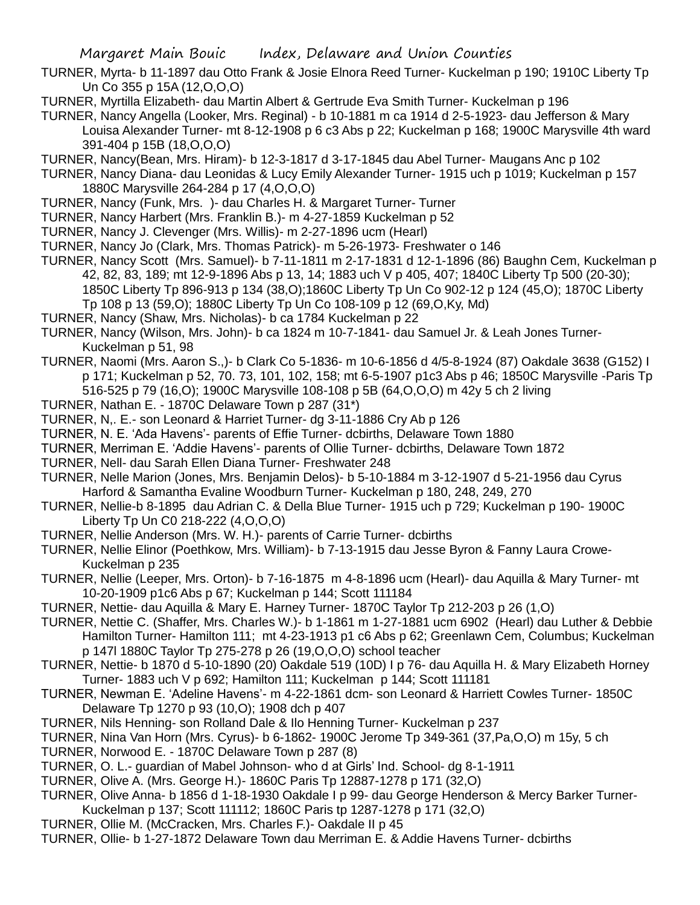- TURNER, Myrta- b 11-1897 dau Otto Frank & Josie Elnora Reed Turner- Kuckelman p 190; 1910C Liberty Tp Un Co 355 p 15A (12,O,O,O)
- TURNER, Myrtilla Elizabeth- dau Martin Albert & Gertrude Eva Smith Turner- Kuckelman p 196
- TURNER, Nancy Angella (Looker, Mrs. Reginal) b 10-1881 m ca 1914 d 2-5-1923- dau Jefferson & Mary Louisa Alexander Turner- mt 8-12-1908 p 6 c3 Abs p 22; Kuckelman p 168; 1900C Marysville 4th ward 391-404 p 15B (18,O,O,O)
- TURNER, Nancy(Bean, Mrs. Hiram)- b 12-3-1817 d 3-17-1845 dau Abel Turner- Maugans Anc p 102
- TURNER, Nancy Diana- dau Leonidas & Lucy Emily Alexander Turner- 1915 uch p 1019; Kuckelman p 157 1880C Marysville 264-284 p 17 (4,O,O,O)
- TURNER, Nancy (Funk, Mrs. )- dau Charles H. & Margaret Turner- Turner
- TURNER, Nancy Harbert (Mrs. Franklin B.)- m 4-27-1859 Kuckelman p 52
- TURNER, Nancy J. Clevenger (Mrs. Willis)- m 2-27-1896 ucm (Hearl)
- TURNER, Nancy Jo (Clark, Mrs. Thomas Patrick)- m 5-26-1973- Freshwater o 146
- TURNER, Nancy Scott (Mrs. Samuel)- b 7-11-1811 m 2-17-1831 d 12-1-1896 (86) Baughn Cem, Kuckelman p 42, 82, 83, 189; mt 12-9-1896 Abs p 13, 14; 1883 uch V p 405, 407; 1840C Liberty Tp 500 (20-30); 1850C Liberty Tp 896-913 p 134 (38,O);1860C Liberty Tp Un Co 902-12 p 124 (45,O); 1870C Liberty Tp 108 p 13 (59,O); 1880C Liberty Tp Un Co 108-109 p 12 (69,O,Ky, Md)
- TURNER, Nancy (Shaw, Mrs. Nicholas)- b ca 1784 Kuckelman p 22
- TURNER, Nancy (Wilson, Mrs. John)- b ca 1824 m 10-7-1841- dau Samuel Jr. & Leah Jones Turner-Kuckelman p 51, 98
- TURNER, Naomi (Mrs. Aaron S.,)- b Clark Co 5-1836- m 10-6-1856 d 4/5-8-1924 (87) Oakdale 3638 (G152) I p 171; Kuckelman p 52, 70. 73, 101, 102, 158; mt 6-5-1907 p1c3 Abs p 46; 1850C Marysville -Paris Tp 516-525 p 79 (16,O); 1900C Marysville 108-108 p 5B (64,O,O,O) m 42y 5 ch 2 living
- TURNER, Nathan E. 1870C Delaware Town p 287 (31\*)
- TURNER, N,. E.- son Leonard & Harriet Turner- dg 3-11-1886 Cry Ab p 126
- TURNER, N. E. 'Ada Havens'- parents of Effie Turner- dcbirths, Delaware Town 1880
- TURNER, Merriman E. 'Addie Havens'- parents of Ollie Turner- dcbirths, Delaware Town 1872
- TURNER, Nell- dau Sarah Ellen Diana Turner- Freshwater 248
- TURNER, Nelle Marion (Jones, Mrs. Benjamin Delos)- b 5-10-1884 m 3-12-1907 d 5-21-1956 dau Cyrus Harford & Samantha Evaline Woodburn Turner- Kuckelman p 180, 248, 249, 270
- TURNER, Nellie-b 8-1895 dau Adrian C. & Della Blue Turner- 1915 uch p 729; Kuckelman p 190- 1900C Liberty Tp Un C0 218-222 (4,O,O,O)
- TURNER, Nellie Anderson (Mrs. W. H.)- parents of Carrie Turner- dcbirths
- TURNER, Nellie Elinor (Poethkow, Mrs. William)- b 7-13-1915 dau Jesse Byron & Fanny Laura Crowe-Kuckelman p 235
- TURNER, Nellie (Leeper, Mrs. Orton)- b 7-16-1875 m 4-8-1896 ucm (Hearl)- dau Aquilla & Mary Turner- mt 10-20-1909 p1c6 Abs p 67; Kuckelman p 144; Scott 111184
- TURNER, Nettie- dau Aquilla & Mary E. Harney Turner- 1870C Taylor Tp 212-203 p 26 (1,O)
- TURNER, Nettie C. (Shaffer, Mrs. Charles W.)- b 1-1861 m 1-27-1881 ucm 6902 (Hearl) dau Luther & Debbie Hamilton Turner- Hamilton 111; mt 4-23-1913 p1 c6 Abs p 62; Greenlawn Cem, Columbus; Kuckelman p 147l 1880C Taylor Tp 275-278 p 26 (19,O,O,O) school teacher
- TURNER, Nettie- b 1870 d 5-10-1890 (20) Oakdale 519 (10D) I p 76- dau Aquilla H. & Mary Elizabeth Horney Turner- 1883 uch V p 692; Hamilton 111; Kuckelman p 144; Scott 111181
- TURNER, Newman E. 'Adeline Havens'- m 4-22-1861 dcm- son Leonard & Harriett Cowles Turner- 1850C Delaware Tp 1270 p 93 (10,O); 1908 dch p 407
- TURNER, Nils Henning- son Rolland Dale & Ilo Henning Turner- Kuckelman p 237
- TURNER, Nina Van Horn (Mrs. Cyrus)- b 6-1862- 1900C Jerome Tp 349-361 (37,Pa,O,O) m 15y, 5 ch
- TURNER, Norwood E. 1870C Delaware Town p 287 (8)
- TURNER, O. L.- guardian of Mabel Johnson- who d at Girls' Ind. School- dg 8-1-1911
- TURNER, Olive A. (Mrs. George H.)- 1860C Paris Tp 12887-1278 p 171 (32,O)
- TURNER, Olive Anna- b 1856 d 1-18-1930 Oakdale I p 99- dau George Henderson & Mercy Barker Turner-Kuckelman p 137; Scott 111112; 1860C Paris tp 1287-1278 p 171 (32,O)
- TURNER, Ollie M. (McCracken, Mrs. Charles F.)- Oakdale II p 45
- TURNER, Ollie- b 1-27-1872 Delaware Town dau Merriman E. & Addie Havens Turner- dcbirths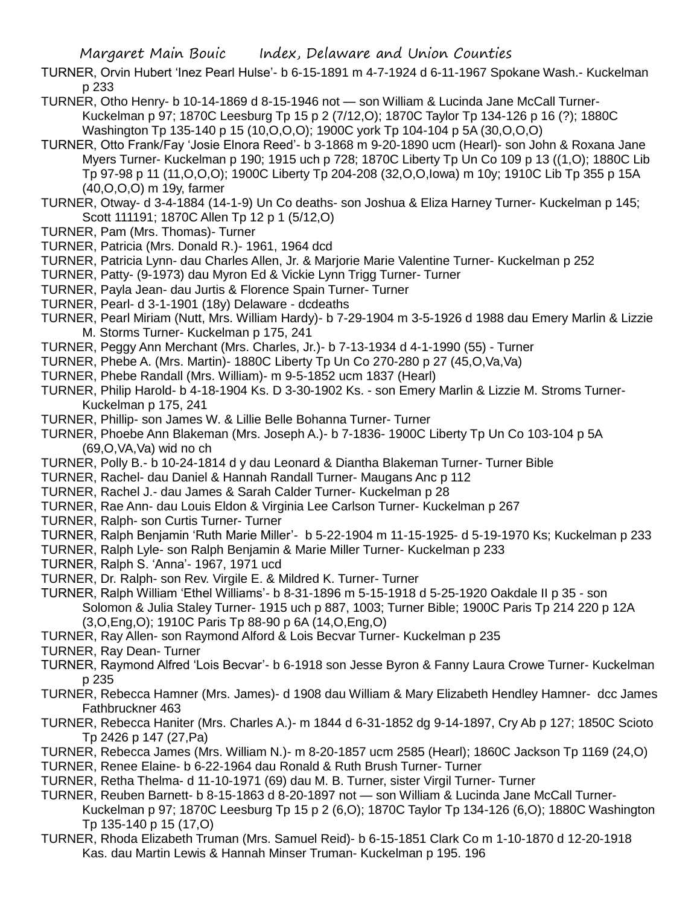TURNER, Orvin Hubert 'Inez Pearl Hulse'- b 6-15-1891 m 4-7-1924 d 6-11-1967 Spokane Wash.- Kuckelman p 233

- TURNER, Otho Henry- b 10-14-1869 d 8-15-1946 not son William & Lucinda Jane McCall Turner-Kuckelman p 97; 1870C Leesburg Tp 15 p 2 (7/12,O); 1870C Taylor Tp 134-126 p 16 (?); 1880C Washington Tp 135-140 p 15 (10,O,O,O); 1900C york Tp 104-104 p 5A (30,O,O,O)
- TURNER, Otto Frank/Fay 'Josie Elnora Reed'- b 3-1868 m 9-20-1890 ucm (Hearl)- son John & Roxana Jane Myers Turner- Kuckelman p 190; 1915 uch p 728; 1870C Liberty Tp Un Co 109 p 13 ((1,O); 1880C Lib Tp 97-98 p 11 (11,O,O,O); 1900C Liberty Tp 204-208 (32,O,O,Iowa) m 10y; 1910C Lib Tp 355 p 15A (40,O,O,O) m 19y, farmer
- TURNER, Otway- d 3-4-1884 (14-1-9) Un Co deaths- son Joshua & Eliza Harney Turner- Kuckelman p 145; Scott 111191; 1870C Allen Tp 12 p 1 (5/12,O)
- TURNER, Pam (Mrs. Thomas)- Turner
- TURNER, Patricia (Mrs. Donald R.)- 1961, 1964 dcd
- TURNER, Patricia Lynn- dau Charles Allen, Jr. & Marjorie Marie Valentine Turner- Kuckelman p 252
- TURNER, Patty- (9-1973) dau Myron Ed & Vickie Lynn Trigg Turner- Turner
- TURNER, Payla Jean- dau Jurtis & Florence Spain Turner- Turner
- TURNER, Pearl- d 3-1-1901 (18y) Delaware dcdeaths
- TURNER, Pearl Miriam (Nutt, Mrs. William Hardy)- b 7-29-1904 m 3-5-1926 d 1988 dau Emery Marlin & Lizzie M. Storms Turner- Kuckelman p 175, 241
- TURNER, Peggy Ann Merchant (Mrs. Charles, Jr.)- b 7-13-1934 d 4-1-1990 (55) Turner
- TURNER, Phebe A. (Mrs. Martin)- 1880C Liberty Tp Un Co 270-280 p 27 (45,O,Va,Va)
- TURNER, Phebe Randall (Mrs. William)- m 9-5-1852 ucm 1837 (Hearl)
- TURNER, Philip Harold- b 4-18-1904 Ks. D 3-30-1902 Ks. son Emery Marlin & Lizzie M. Stroms Turner-Kuckelman p 175, 241
- TURNER, Phillip- son James W. & Lillie Belle Bohanna Turner- Turner
- TURNER, Phoebe Ann Blakeman (Mrs. Joseph A.)- b 7-1836- 1900C Liberty Tp Un Co 103-104 p 5A (69,O,VA,Va) wid no ch
- TURNER, Polly B.- b 10-24-1814 d y dau Leonard & Diantha Blakeman Turner- Turner Bible
- TURNER, Rachel- dau Daniel & Hannah Randall Turner- Maugans Anc p 112
- TURNER, Rachel J.- dau James & Sarah Calder Turner- Kuckelman p 28
- TURNER, Rae Ann- dau Louis Eldon & Virginia Lee Carlson Turner- Kuckelman p 267
- TURNER, Ralph- son Curtis Turner- Turner
- TURNER, Ralph Benjamin 'Ruth Marie Miller'- b 5-22-1904 m 11-15-1925- d 5-19-1970 Ks; Kuckelman p 233
- TURNER, Ralph Lyle- son Ralph Benjamin & Marie Miller Turner- Kuckelman p 233
- TURNER, Ralph S. 'Anna'- 1967, 1971 ucd
- TURNER, Dr. Ralph- son Rev. Virgile E. & Mildred K. Turner- Turner
- TURNER, Ralph William 'Ethel Williams'- b 8-31-1896 m 5-15-1918 d 5-25-1920 Oakdale II p 35 son Solomon & Julia Staley Turner- 1915 uch p 887, 1003; Turner Bible; 1900C Paris Tp 214 220 p 12A (3,O,Eng,O); 1910C Paris Tp 88-90 p 6A (14,O,Eng,O)
- TURNER, Ray Allen- son Raymond Alford & Lois Becvar Turner- Kuckelman p 235
- TURNER, Ray Dean- Turner
- TURNER, Raymond Alfred 'Lois Becvar'- b 6-1918 son Jesse Byron & Fanny Laura Crowe Turner- Kuckelman p 235
- TURNER, Rebecca Hamner (Mrs. James)- d 1908 dau William & Mary Elizabeth Hendley Hamner- dcc James Fathbruckner 463
- TURNER, Rebecca Haniter (Mrs. Charles A.)- m 1844 d 6-31-1852 dg 9-14-1897, Cry Ab p 127; 1850C Scioto Tp 2426 p 147 (27,Pa)
- TURNER, Rebecca James (Mrs. William N.)- m 8-20-1857 ucm 2585 (Hearl); 1860C Jackson Tp 1169 (24,O)
- TURNER, Renee Elaine- b 6-22-1964 dau Ronald & Ruth Brush Turner- Turner
- TURNER, Retha Thelma- d 11-10-1971 (69) dau M. B. Turner, sister Virgil Turner- Turner
- TURNER, Reuben Barnett- b 8-15-1863 d 8-20-1897 not son William & Lucinda Jane McCall Turner-Kuckelman p 97; 1870C Leesburg Tp 15 p 2 (6,O); 1870C Taylor Tp 134-126 (6,O); 1880C Washington Tp 135-140 p 15 (17,O)
- TURNER, Rhoda Elizabeth Truman (Mrs. Samuel Reid)- b 6-15-1851 Clark Co m 1-10-1870 d 12-20-1918 Kas. dau Martin Lewis & Hannah Minser Truman- Kuckelman p 195. 196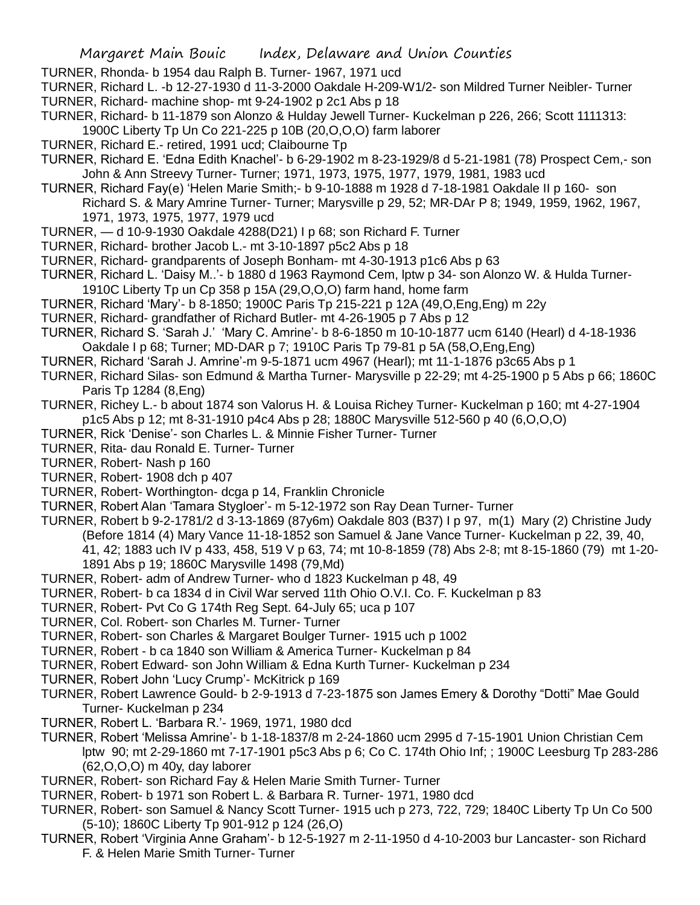TURNER, Rhonda- b 1954 dau Ralph B. Turner- 1967, 1971 ucd

TURNER, Richard L. -b 12-27-1930 d 11-3-2000 Oakdale H-209-W1/2- son Mildred Turner Neibler- Turner

- TURNER, Richard- machine shop- mt 9-24-1902 p 2c1 Abs p 18
- TURNER, Richard- b 11-1879 son Alonzo & Hulday Jewell Turner- Kuckelman p 226, 266; Scott 1111313: 1900C Liberty Tp Un Co 221-225 p 10B (20,O,O,O) farm laborer
- TURNER, Richard E.- retired, 1991 ucd; Claibourne Tp
- TURNER, Richard E. 'Edna Edith Knachel'- b 6-29-1902 m 8-23-1929/8 d 5-21-1981 (78) Prospect Cem,- son John & Ann Streevy Turner- Turner; 1971, 1973, 1975, 1977, 1979, 1981, 1983 ucd
- TURNER, Richard Fay(e) 'Helen Marie Smith;- b 9-10-1888 m 1928 d 7-18-1981 Oakdale II p 160- son Richard S. & Mary Amrine Turner- Turner; Marysville p 29, 52; MR-DAr P 8; 1949, 1959, 1962, 1967, 1971, 1973, 1975, 1977, 1979 ucd
- TURNER, d 10-9-1930 Oakdale 4288(D21) I p 68; son Richard F. Turner
- TURNER, Richard- brother Jacob L.- mt 3-10-1897 p5c2 Abs p 18
- TURNER, Richard- grandparents of Joseph Bonham- mt 4-30-1913 p1c6 Abs p 63
- TURNER, Richard L. 'Daisy M..'- b 1880 d 1963 Raymond Cem, lptw p 34- son Alonzo W. & Hulda Turner-1910C Liberty Tp un Cp 358 p 15A (29,O,O,O) farm hand, home farm
- TURNER, Richard 'Mary'- b 8-1850; 1900C Paris Tp 215-221 p 12A (49,O,Eng,Eng) m 22y
- TURNER, Richard- grandfather of Richard Butler- mt 4-26-1905 p 7 Abs p 12
- TURNER, Richard S. 'Sarah J.' 'Mary C. Amrine'- b 8-6-1850 m 10-10-1877 ucm 6140 (Hearl) d 4-18-1936 Oakdale I p 68; Turner; MD-DAR p 7; 1910C Paris Tp 79-81 p 5A (58,O,Eng,Eng)
- TURNER, Richard 'Sarah J. Amrine'-m 9-5-1871 ucm 4967 (Hearl); mt 11-1-1876 p3c65 Abs p 1
- TURNER, Richard Silas- son Edmund & Martha Turner- Marysville p 22-29; mt 4-25-1900 p 5 Abs p 66; 1860C Paris Tp 1284 (8,Eng)
- TURNER, Richey L.- b about 1874 son Valorus H. & Louisa Richey Turner- Kuckelman p 160; mt 4-27-1904 p1c5 Abs p 12; mt 8-31-1910 p4c4 Abs p 28; 1880C Marysville 512-560 p 40 (6,O,O,O)
- TURNER, Rick 'Denise'- son Charles L. & Minnie Fisher Turner- Turner
- TURNER, Rita- dau Ronald E. Turner- Turner
- TURNER, Robert- Nash p 160
- TURNER, Robert- 1908 dch p 407
- TURNER, Robert- Worthington- dcga p 14, Franklin Chronicle
- TURNER, Robert Alan 'Tamara Stygloer'- m 5-12-1972 son Ray Dean Turner- Turner
- TURNER, Robert b 9-2-1781/2 d 3-13-1869 (87y6m) Oakdale 803 (B37) I p 97, m(1) Mary (2) Christine Judy (Before 1814 (4) Mary Vance 11-18-1852 son Samuel & Jane Vance Turner- Kuckelman p 22, 39, 40, 41, 42; 1883 uch IV p 433, 458, 519 V p 63, 74; mt 10-8-1859 (78) Abs 2-8; mt 8-15-1860 (79) mt 1-20- 1891 Abs p 19; 1860C Marysville 1498 (79,Md)
- TURNER, Robert- adm of Andrew Turner- who d 1823 Kuckelman p 48, 49
- TURNER, Robert- b ca 1834 d in Civil War served 11th Ohio O.V.I. Co. F. Kuckelman p 83
- TURNER, Robert- Pvt Co G 174th Reg Sept. 64-July 65; uca p 107
- TURNER, Col. Robert- son Charles M. Turner- Turner
- TURNER, Robert- son Charles & Margaret Boulger Turner- 1915 uch p 1002
- TURNER, Robert b ca 1840 son William & America Turner- Kuckelman p 84
- TURNER, Robert Edward- son John William & Edna Kurth Turner- Kuckelman p 234
- TURNER, Robert John 'Lucy Crump'- McKitrick p 169
- TURNER, Robert Lawrence Gould- b 2-9-1913 d 7-23-1875 son James Emery & Dorothy "Dotti" Mae Gould Turner- Kuckelman p 234
- TURNER, Robert L. 'Barbara R.'- 1969, 1971, 1980 dcd
- TURNER, Robert 'Melissa Amrine'- b 1-18-1837/8 m 2-24-1860 ucm 2995 d 7-15-1901 Union Christian Cem lptw 90; mt 2-29-1860 mt 7-17-1901 p5c3 Abs p 6; Co C. 174th Ohio Inf; ; 1900C Leesburg Tp 283-286 (62,O,O,O) m 40y, day laborer
- TURNER, Robert- son Richard Fay & Helen Marie Smith Turner- Turner
- TURNER, Robert- b 1971 son Robert L. & Barbara R. Turner- 1971, 1980 dcd
- TURNER, Robert- son Samuel & Nancy Scott Turner- 1915 uch p 273, 722, 729; 1840C Liberty Tp Un Co 500 (5-10); 1860C Liberty Tp 901-912 p 124 (26,O)
- TURNER, Robert 'Virginia Anne Graham'- b 12-5-1927 m 2-11-1950 d 4-10-2003 bur Lancaster- son Richard F. & Helen Marie Smith Turner- Turner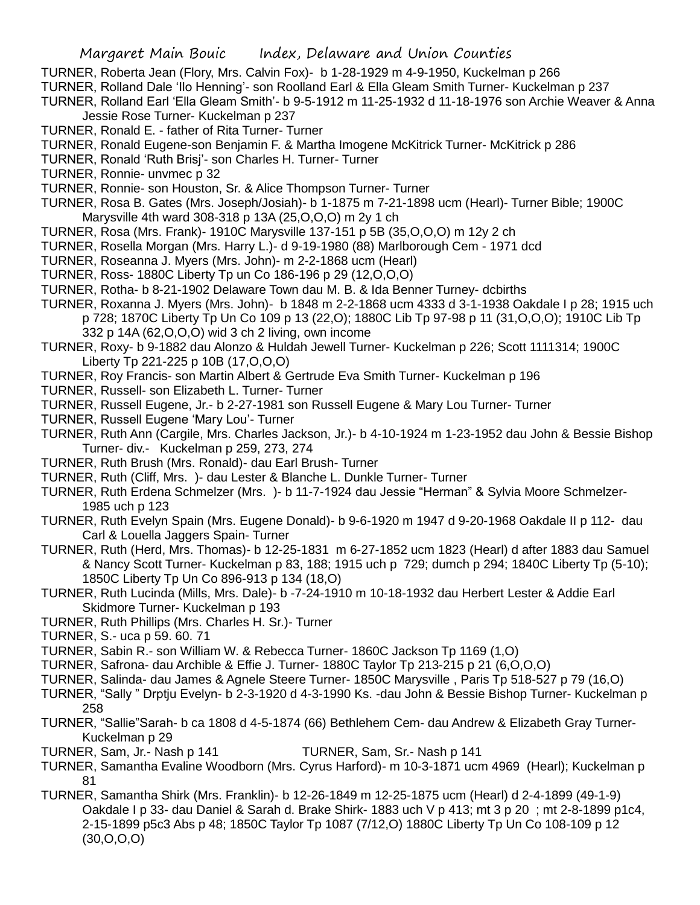TURNER, Roberta Jean (Flory, Mrs. Calvin Fox)- b 1-28-1929 m 4-9-1950, Kuckelman p 266

TURNER, Rolland Dale 'Ilo Henning'- son Roolland Earl & Ella Gleam Smith Turner- Kuckelman p 237

TURNER, Rolland Earl 'Ella Gleam Smith'- b 9-5-1912 m 11-25-1932 d 11-18-1976 son Archie Weaver & Anna Jessie Rose Turner- Kuckelman p 237

- TURNER, Ronald E. father of Rita Turner- Turner
- TURNER, Ronald Eugene-son Benjamin F. & Martha Imogene McKitrick Turner- McKitrick p 286

TURNER, Ronald 'Ruth Brisj'- son Charles H. Turner- Turner

- TURNER, Ronnie- unvmec p 32
- TURNER, Ronnie- son Houston, Sr. & Alice Thompson Turner- Turner
- TURNER, Rosa B. Gates (Mrs. Joseph/Josiah)- b 1-1875 m 7-21-1898 ucm (Hearl)- Turner Bible; 1900C Marysville 4th ward 308-318 p 13A (25,O,O,O) m 2y 1 ch
- TURNER, Rosa (Mrs. Frank)- 1910C Marysville 137-151 p 5B (35,O,O,O) m 12y 2 ch
- TURNER, Rosella Morgan (Mrs. Harry L.)- d 9-19-1980 (88) Marlborough Cem 1971 dcd
- TURNER, Roseanna J. Myers (Mrs. John)- m 2-2-1868 ucm (Hearl)
- TURNER, Ross- 1880C Liberty Tp un Co 186-196 p 29 (12,O,O,O)
- TURNER, Rotha- b 8-21-1902 Delaware Town dau M. B. & Ida Benner Turney- dcbirths
- TURNER, Roxanna J. Myers (Mrs. John)- b 1848 m 2-2-1868 ucm 4333 d 3-1-1938 Oakdale I p 28; 1915 uch p 728; 1870C Liberty Tp Un Co 109 p 13 (22,O); 1880C Lib Tp 97-98 p 11 (31,O,O,O); 1910C Lib Tp 332 p 14A (62,O,O,O) wid 3 ch 2 living, own income
- TURNER, Roxy- b 9-1882 dau Alonzo & Huldah Jewell Turner- Kuckelman p 226; Scott 1111314; 1900C Liberty Tp 221-225 p 10B (17,O,O,O)
- TURNER, Roy Francis- son Martin Albert & Gertrude Eva Smith Turner- Kuckelman p 196
- TURNER, Russell- son Elizabeth L. Turner- Turner
- TURNER, Russell Eugene, Jr.- b 2-27-1981 son Russell Eugene & Mary Lou Turner- Turner
- TURNER, Russell Eugene 'Mary Lou'- Turner
- TURNER, Ruth Ann (Cargile, Mrs. Charles Jackson, Jr.)- b 4-10-1924 m 1-23-1952 dau John & Bessie Bishop Turner- div.- Kuckelman p 259, 273, 274
- TURNER, Ruth Brush (Mrs. Ronald)- dau Earl Brush- Turner
- TURNER, Ruth (Cliff, Mrs. )- dau Lester & Blanche L. Dunkle Turner- Turner
- TURNER, Ruth Erdena Schmelzer (Mrs. )- b 11-7-1924 dau Jessie "Herman" & Sylvia Moore Schmelzer-1985 uch p 123
- TURNER, Ruth Evelyn Spain (Mrs. Eugene Donald)- b 9-6-1920 m 1947 d 9-20-1968 Oakdale II p 112- dau Carl & Louella Jaggers Spain- Turner
- TURNER, Ruth (Herd, Mrs. Thomas)- b 12-25-1831 m 6-27-1852 ucm 1823 (Hearl) d after 1883 dau Samuel & Nancy Scott Turner- Kuckelman p 83, 188; 1915 uch p 729; dumch p 294; 1840C Liberty Tp (5-10); 1850C Liberty Tp Un Co 896-913 p 134 (18,O)
- TURNER, Ruth Lucinda (Mills, Mrs. Dale)- b -7-24-1910 m 10-18-1932 dau Herbert Lester & Addie Earl Skidmore Turner- Kuckelman p 193
- TURNER, Ruth Phillips (Mrs. Charles H. Sr.)- Turner
- TURNER, S.- uca p 59. 60. 71
- TURNER, Sabin R.- son William W. & Rebecca Turner- 1860C Jackson Tp 1169 (1,O)
- TURNER, Safrona- dau Archible & Effie J. Turner- 1880C Taylor Tp 213-215 p 21 (6,O,O,O)
- TURNER, Salinda- dau James & Agnele Steere Turner- 1850C Marysville , Paris Tp 518-527 p 79 (16,O)
- TURNER, "Sally " Drptju Evelyn- b 2-3-1920 d 4-3-1990 Ks. -dau John & Bessie Bishop Turner- Kuckelman p 258
- TURNER, "Sallie"Sarah- b ca 1808 d 4-5-1874 (66) Bethlehem Cem- dau Andrew & Elizabeth Gray Turner-Kuckelman p 29
- TURNER, Sam, Jr.- Nash p 141 TURNER, Sam, Sr.- Nash p 141
- TURNER, Samantha Evaline Woodborn (Mrs. Cyrus Harford)- m 10-3-1871 ucm 4969 (Hearl); Kuckelman p 81
- TURNER, Samantha Shirk (Mrs. Franklin)- b 12-26-1849 m 12-25-1875 ucm (Hearl) d 2-4-1899 (49-1-9) Oakdale I p 33- dau Daniel & Sarah d. Brake Shirk- 1883 uch V p 413; mt 3 p 20 ; mt 2-8-1899 p1c4, 2-15-1899 p5c3 Abs p 48; 1850C Taylor Tp 1087 (7/12,O) 1880C Liberty Tp Un Co 108-109 p 12 (30,O,O,O)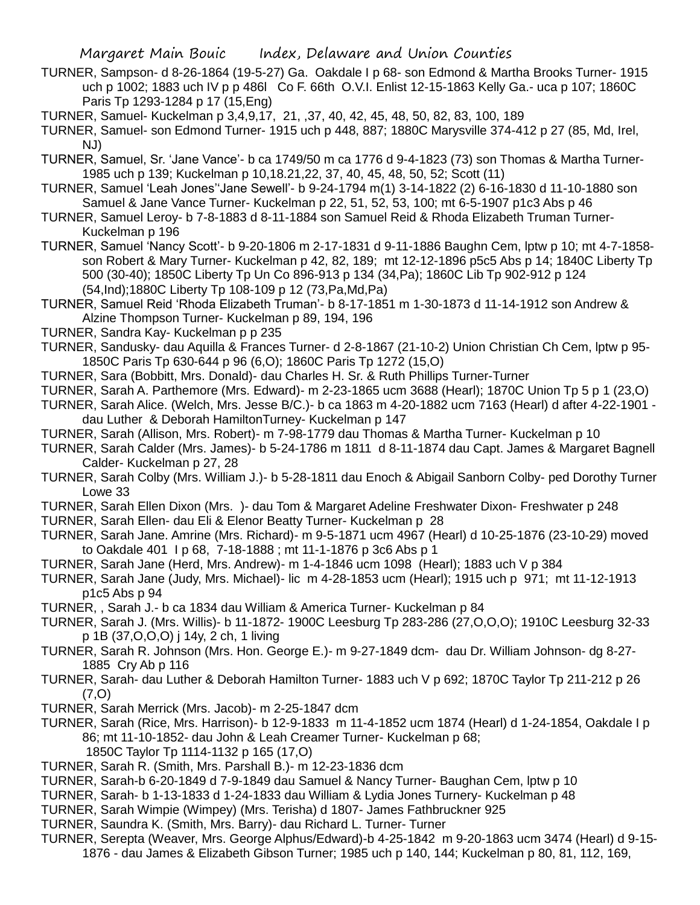- TURNER, Sampson- d 8-26-1864 (19-5-27) Ga. Oakdale I p 68- son Edmond & Martha Brooks Turner- 1915 uch p 1002; 1883 uch IV p p 486l Co F. 66th O.V.I. Enlist 12-15-1863 Kelly Ga.- uca p 107; 1860C Paris Tp 1293-1284 p 17 (15,Eng)
- TURNER, Samuel- Kuckelman p 3,4,9,17, 21, ,37, 40, 42, 45, 48, 50, 82, 83, 100, 189
- TURNER, Samuel- son Edmond Turner- 1915 uch p 448, 887; 1880C Marysville 374-412 p 27 (85, Md, Irel, NJ)
- TURNER, Samuel, Sr. 'Jane Vance'- b ca 1749/50 m ca 1776 d 9-4-1823 (73) son Thomas & Martha Turner-1985 uch p 139; Kuckelman p 10,18.21,22, 37, 40, 45, 48, 50, 52; Scott (11)
- TURNER, Samuel 'Leah Jones''Jane Sewell'- b 9-24-1794 m(1) 3-14-1822 (2) 6-16-1830 d 11-10-1880 son Samuel & Jane Vance Turner- Kuckelman p 22, 51, 52, 53, 100; mt 6-5-1907 p1c3 Abs p 46
- TURNER, Samuel Leroy- b 7-8-1883 d 8-11-1884 son Samuel Reid & Rhoda Elizabeth Truman Turner-Kuckelman p 196
- TURNER, Samuel 'Nancy Scott'- b 9-20-1806 m 2-17-1831 d 9-11-1886 Baughn Cem, lptw p 10; mt 4-7-1858 son Robert & Mary Turner- Kuckelman p 42, 82, 189; mt 12-12-1896 p5c5 Abs p 14; 1840C Liberty Tp 500 (30-40); 1850C Liberty Tp Un Co 896-913 p 134 (34,Pa); 1860C Lib Tp 902-912 p 124 (54,Ind);1880C Liberty Tp 108-109 p 12 (73,Pa,Md,Pa)
- TURNER, Samuel Reid 'Rhoda Elizabeth Truman'- b 8-17-1851 m 1-30-1873 d 11-14-1912 son Andrew & Alzine Thompson Turner- Kuckelman p 89, 194, 196
- TURNER, Sandra Kay- Kuckelman p p 235
- TURNER, Sandusky- dau Aquilla & Frances Turner- d 2-8-1867 (21-10-2) Union Christian Ch Cem, lptw p 95- 1850C Paris Tp 630-644 p 96 (6,O); 1860C Paris Tp 1272 (15,O)
- TURNER, Sara (Bobbitt, Mrs. Donald)- dau Charles H. Sr. & Ruth Phillips Turner-Turner
- TURNER, Sarah A. Parthemore (Mrs. Edward)- m 2-23-1865 ucm 3688 (Hearl); 1870C Union Tp 5 p 1 (23,O)
- TURNER, Sarah Alice. (Welch, Mrs. Jesse B/C.)- b ca 1863 m 4-20-1882 ucm 7163 (Hearl) d after 4-22-1901 dau Luther & Deborah HamiltonTurney- Kuckelman p 147
- TURNER, Sarah (Allison, Mrs. Robert)- m 7-98-1779 dau Thomas & Martha Turner- Kuckelman p 10
- TURNER, Sarah Calder (Mrs. James)- b 5-24-1786 m 1811 d 8-11-1874 dau Capt. James & Margaret Bagnell Calder- Kuckelman p 27, 28
- TURNER, Sarah Colby (Mrs. William J.)- b 5-28-1811 dau Enoch & Abigail Sanborn Colby- ped Dorothy Turner Lowe 33
- TURNER, Sarah Ellen Dixon (Mrs. )- dau Tom & Margaret Adeline Freshwater Dixon- Freshwater p 248
- TURNER, Sarah Ellen- dau Eli & Elenor Beatty Turner- Kuckelman p 28
- TURNER, Sarah Jane. Amrine (Mrs. Richard)- m 9-5-1871 ucm 4967 (Hearl) d 10-25-1876 (23-10-29) moved to Oakdale 401 I p 68, 7-18-1888 ; mt 11-1-1876 p 3c6 Abs p 1
- TURNER, Sarah Jane (Herd, Mrs. Andrew)- m 1-4-1846 ucm 1098 (Hearl); 1883 uch V p 384
- TURNER, Sarah Jane (Judy, Mrs. Michael)- lic m 4-28-1853 ucm (Hearl); 1915 uch p 971; mt 11-12-1913 p1c5 Abs p 94
- TURNER, , Sarah J.- b ca 1834 dau William & America Turner- Kuckelman p 84
- TURNER, Sarah J. (Mrs. Willis)- b 11-1872- 1900C Leesburg Tp 283-286 (27,O,O,O); 1910C Leesburg 32-33 p 1B (37,O,O,O) j 14y, 2 ch, 1 living
- TURNER, Sarah R. Johnson (Mrs. Hon. George E.)- m 9-27-1849 dcm- dau Dr. William Johnson- dg 8-27- 1885 Cry Ab p 116
- TURNER, Sarah- dau Luther & Deborah Hamilton Turner- 1883 uch V p 692; 1870C Taylor Tp 211-212 p 26 (7,O)
- TURNER, Sarah Merrick (Mrs. Jacob)- m 2-25-1847 dcm
- TURNER, Sarah (Rice, Mrs. Harrison)- b 12-9-1833 m 11-4-1852 ucm 1874 (Hearl) d 1-24-1854, Oakdale I p 86; mt 11-10-1852- dau John & Leah Creamer Turner- Kuckelman p 68; 1850C Taylor Tp 1114-1132 p 165 (17,O)
- TURNER, Sarah R. (Smith, Mrs. Parshall B.)- m 12-23-1836 dcm
- TURNER, Sarah-b 6-20-1849 d 7-9-1849 dau Samuel & Nancy Turner- Baughan Cem, lptw p 10
- TURNER, Sarah- b 1-13-1833 d 1-24-1833 dau William & Lydia Jones Turnery- Kuckelman p 48
- TURNER, Sarah Wimpie (Wimpey) (Mrs. Terisha) d 1807- James Fathbruckner 925
- TURNER, Saundra K. (Smith, Mrs. Barry)- dau Richard L. Turner- Turner
- TURNER, Serepta (Weaver, Mrs. George Alphus/Edward)-b 4-25-1842 m 9-20-1863 ucm 3474 (Hearl) d 9-15- 1876 - dau James & Elizabeth Gibson Turner; 1985 uch p 140, 144; Kuckelman p 80, 81, 112, 169,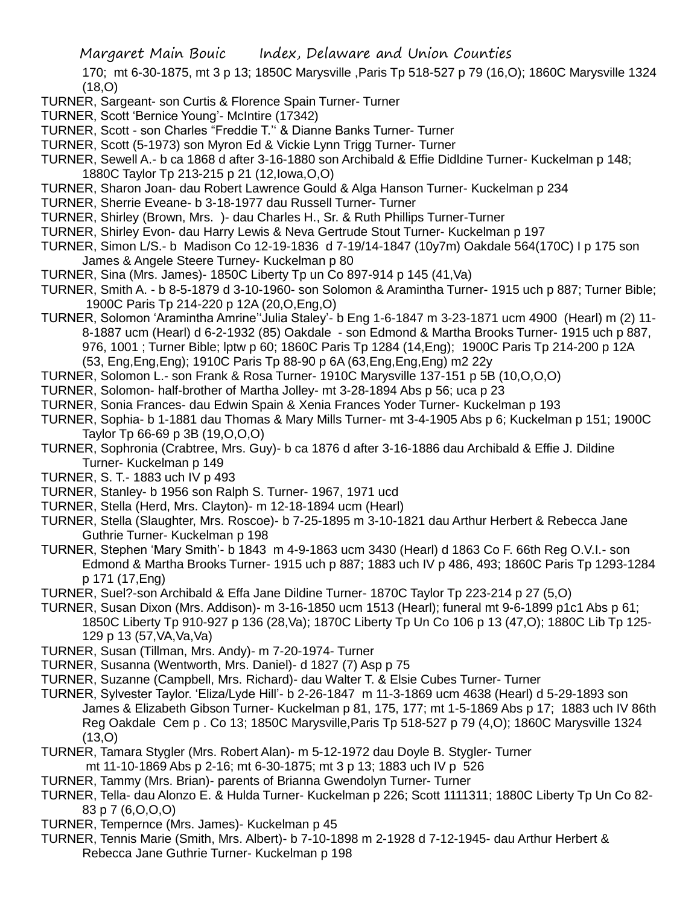170; mt 6-30-1875, mt 3 p 13; 1850C Marysville ,Paris Tp 518-527 p 79 (16,O); 1860C Marysville 1324 (18,O)

- TURNER, Sargeant- son Curtis & Florence Spain Turner- Turner
- TURNER, Scott 'Bernice Young'- McIntire (17342)
- TURNER, Scott son Charles "Freddie T.'' & Dianne Banks Turner- Turner
- TURNER, Scott (5-1973) son Myron Ed & Vickie Lynn Trigg Turner- Turner
- TURNER, Sewell A.- b ca 1868 d after 3-16-1880 son Archibald & Effie Didldine Turner- Kuckelman p 148; 1880C Taylor Tp 213-215 p 21 (12,Iowa,O,O)
- TURNER, Sharon Joan- dau Robert Lawrence Gould & Alga Hanson Turner- Kuckelman p 234
- TURNER, Sherrie Eveane- b 3-18-1977 dau Russell Turner- Turner
- TURNER, Shirley (Brown, Mrs. )- dau Charles H., Sr. & Ruth Phillips Turner-Turner
- TURNER, Shirley Evon- dau Harry Lewis & Neva Gertrude Stout Turner- Kuckelman p 197
- TURNER, Simon L/S.- b Madison Co 12-19-1836 d 7-19/14-1847 (10y7m) Oakdale 564(170C) I p 175 son James & Angele Steere Turney- Kuckelman p 80
- TURNER, Sina (Mrs. James)- 1850C Liberty Tp un Co 897-914 p 145 (41,Va)
- TURNER, Smith A. b 8-5-1879 d 3-10-1960- son Solomon & Aramintha Turner- 1915 uch p 887; Turner Bible; 1900C Paris Tp 214-220 p 12A (20,O,Eng,O)
- TURNER, Solomon 'Aramintha Amrine''Julia Staley'- b Eng 1-6-1847 m 3-23-1871 ucm 4900 (Hearl) m (2) 11- 8-1887 ucm (Hearl) d 6-2-1932 (85) Oakdale - son Edmond & Martha Brooks Turner- 1915 uch p 887, 976, 1001 ; Turner Bible; lptw p 60; 1860C Paris Tp 1284 (14,Eng); 1900C Paris Tp 214-200 p 12A (53, Eng,Eng,Eng); 1910C Paris Tp 88-90 p 6A (63,Eng,Eng,Eng) m2 22y
- TURNER, Solomon L.- son Frank & Rosa Turner- 1910C Marysville 137-151 p 5B (10,O,O,O)
- TURNER, Solomon- half-brother of Martha Jolley- mt 3-28-1894 Abs p 56; uca p 23
- TURNER, Sonia Frances- dau Edwin Spain & Xenia Frances Yoder Turner- Kuckelman p 193
- TURNER, Sophia- b 1-1881 dau Thomas & Mary Mills Turner- mt 3-4-1905 Abs p 6; Kuckelman p 151; 1900C Taylor Tp 66-69 p 3B (19,O,O,O)
- TURNER, Sophronia (Crabtree, Mrs. Guy)- b ca 1876 d after 3-16-1886 dau Archibald & Effie J. Dildine Turner- Kuckelman p 149
- TURNER, S. T.- 1883 uch IV p 493
- TURNER, Stanley- b 1956 son Ralph S. Turner- 1967, 1971 ucd
- TURNER, Stella (Herd, Mrs. Clayton)- m 12-18-1894 ucm (Hearl)
- TURNER, Stella (Slaughter, Mrs. Roscoe)- b 7-25-1895 m 3-10-1821 dau Arthur Herbert & Rebecca Jane Guthrie Turner- Kuckelman p 198
- TURNER, Stephen 'Mary Smith'- b 1843 m 4-9-1863 ucm 3430 (Hearl) d 1863 Co F. 66th Reg O.V.I.- son Edmond & Martha Brooks Turner- 1915 uch p 887; 1883 uch IV p 486, 493; 1860C Paris Tp 1293-1284 p 171 (17,Eng)
- TURNER, Suel?-son Archibald & Effa Jane Dildine Turner- 1870C Taylor Tp 223-214 p 27 (5,O)
- TURNER, Susan Dixon (Mrs. Addison)- m 3-16-1850 ucm 1513 (Hearl); funeral mt 9-6-1899 p1c1 Abs p 61; 1850C Liberty Tp 910-927 p 136 (28,Va); 1870C Liberty Tp Un Co 106 p 13 (47,O); 1880C Lib Tp 125- 129 p 13 (57,VA,Va,Va)
- TURNER, Susan (Tillman, Mrs. Andy)- m 7-20-1974- Turner
- TURNER, Susanna (Wentworth, Mrs. Daniel)- d 1827 (7) Asp p 75
- TURNER, Suzanne (Campbell, Mrs. Richard)- dau Walter T. & Elsie Cubes Turner- Turner
- TURNER, Sylvester Taylor. 'Eliza/Lyde Hill'- b 2-26-1847 m 11-3-1869 ucm 4638 (Hearl) d 5-29-1893 son James & Elizabeth Gibson Turner- Kuckelman p 81, 175, 177; mt 1-5-1869 Abs p 17; 1883 uch IV 86th Reg Oakdale Cem p . Co 13; 1850C Marysville,Paris Tp 518-527 p 79 (4,O); 1860C Marysville 1324 (13,O)
- TURNER, Tamara Stygler (Mrs. Robert Alan)- m 5-12-1972 dau Doyle B. Stygler- Turner
- mt 11-10-1869 Abs p 2-16; mt 6-30-1875; mt 3 p 13; 1883 uch IV p 526
- TURNER, Tammy (Mrs. Brian)- parents of Brianna Gwendolyn Turner- Turner
- TURNER, Tella- dau Alonzo E. & Hulda Turner- Kuckelman p 226; Scott 1111311; 1880C Liberty Tp Un Co 82- 83 p 7 (6,O,O,O)
- TURNER, Tempernce (Mrs. James)- Kuckelman p 45
- TURNER, Tennis Marie (Smith, Mrs. Albert)- b 7-10-1898 m 2-1928 d 7-12-1945- dau Arthur Herbert & Rebecca Jane Guthrie Turner- Kuckelman p 198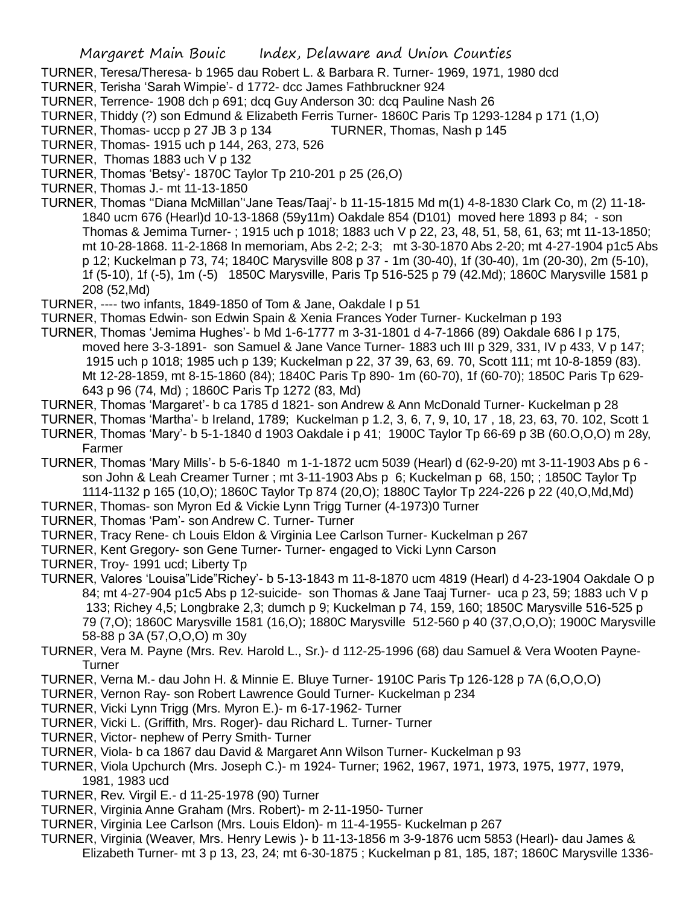TURNER, Teresa/Theresa- b 1965 dau Robert L. & Barbara R. Turner- 1969, 1971, 1980 dcd

TURNER, Terisha 'Sarah Wimpie'- d 1772- dcc James Fathbruckner 924

TURNER, Terrence- 1908 dch p 691; dcq Guy Anderson 30: dcq Pauline Nash 26

TURNER, Thiddy (?) son Edmund & Elizabeth Ferris Turner- 1860C Paris Tp 1293-1284 p 171 (1,O)

TURNER, Thomas- uccp p 27 JB 3 p 134 TURNER, Thomas, Nash p 145

TURNER, Thomas- 1915 uch p 144, 263, 273, 526

TURNER, Thomas 1883 uch V p 132

- TURNER, Thomas 'Betsy'- 1870C Taylor Tp 210-201 p 25 (26,O)
- TURNER, Thomas J.- mt 11-13-1850
- TURNER, Thomas ''Diana McMillan''Jane Teas/Taaj'- b 11-15-1815 Md m(1) 4-8-1830 Clark Co, m (2) 11-18- 1840 ucm 676 (Hearl)d 10-13-1868 (59y11m) Oakdale 854 (D101) moved here 1893 p 84; - son Thomas & Jemima Turner- ; 1915 uch p 1018; 1883 uch V p 22, 23, 48, 51, 58, 61, 63; mt 11-13-1850; mt 10-28-1868. 11-2-1868 In memoriam, Abs 2-2; 2-3; mt 3-30-1870 Abs 2-20; mt 4-27-1904 p1c5 Abs p 12; Kuckelman p 73, 74; 1840C Marysville 808 p 37 - 1m (30-40), 1f (30-40), 1m (20-30), 2m (5-10), 1f (5-10), 1f (-5), 1m (-5) 1850C Marysville, Paris Tp 516-525 p 79 (42.Md); 1860C Marysville 1581 p 208 (52,Md)

TURNER, ---- two infants, 1849-1850 of Tom & Jane, Oakdale I p 51

TURNER, Thomas Edwin- son Edwin Spain & Xenia Frances Yoder Turner- Kuckelman p 193

- TURNER, Thomas 'Jemima Hughes'- b Md 1-6-1777 m 3-31-1801 d 4-7-1866 (89) Oakdale 686 I p 175, moved here 3-3-1891- son Samuel & Jane Vance Turner- 1883 uch III p 329, 331, IV p 433, V p 147; 1915 uch p 1018; 1985 uch p 139; Kuckelman p 22, 37 39, 63, 69. 70, Scott 111; mt 10-8-1859 (83). Mt 12-28-1859, mt 8-15-1860 (84); 1840C Paris Tp 890- 1m (60-70), 1f (60-70); 1850C Paris Tp 629- 643 p 96 (74, Md) ; 1860C Paris Tp 1272 (83, Md)
- TURNER, Thomas 'Margaret'- b ca 1785 d 1821- son Andrew & Ann McDonald Turner- Kuckelman p 28
- TURNER, Thomas 'Martha'- b Ireland, 1789; Kuckelman p 1.2, 3, 6, 7, 9, 10, 17 , 18, 23, 63, 70. 102, Scott 1

TURNER, Thomas 'Mary'- b 5-1-1840 d 1903 Oakdale i p 41; 1900C Taylor Tp 66-69 p 3B (60.O,O,O) m 28y, Farmer

- TURNER, Thomas 'Mary Mills'- b 5-6-1840 m 1-1-1872 ucm 5039 (Hearl) d (62-9-20) mt 3-11-1903 Abs p 6 son John & Leah Creamer Turner; mt 3-11-1903 Abs p 6; Kuckelman p 68, 150; ; 1850C Taylor Tp 1114-1132 p 165 (10,O); 1860C Taylor Tp 874 (20,O); 1880C Taylor Tp 224-226 p 22 (40,O,Md,Md)
- TURNER, Thomas- son Myron Ed & Vickie Lynn Trigg Turner (4-1973)0 Turner
- TURNER, Thomas 'Pam'- son Andrew C. Turner- Turner
- TURNER, Tracy Rene- ch Louis Eldon & Virginia Lee Carlson Turner- Kuckelman p 267
- TURNER, Kent Gregory- son Gene Turner- Turner- engaged to Vicki Lynn Carson
- TURNER, Troy- 1991 ucd; Liberty Tp
- TURNER, Valores 'Louisa"Lide"Richey'- b 5-13-1843 m 11-8-1870 ucm 4819 (Hearl) d 4-23-1904 Oakdale O p 84; mt 4-27-904 p1c5 Abs p 12-suicide- son Thomas & Jane Taaj Turner- uca p 23, 59; 1883 uch V p 133; Richey 4,5; Longbrake 2,3; dumch p 9; Kuckelman p 74, 159, 160; 1850C Marysville 516-525 p 79 (7,O); 1860C Marysville 1581 (16,O); 1880C Marysville 512-560 p 40 (37,O,O,O); 1900C Marysville 58-88 p 3A (57,O,O,O) m 30y
- TURNER, Vera M. Payne (Mrs. Rev. Harold L., Sr.)- d 112-25-1996 (68) dau Samuel & Vera Wooten Payne-**Turner**
- TURNER, Verna M.- dau John H. & Minnie E. Bluye Turner- 1910C Paris Tp 126-128 p 7A (6,O,O,O)
- TURNER, Vernon Ray- son Robert Lawrence Gould Turner- Kuckelman p 234
- TURNER, Vicki Lynn Trigg (Mrs. Myron E.)- m 6-17-1962- Turner
- TURNER, Vicki L. (Griffith, Mrs. Roger)- dau Richard L. Turner- Turner
- TURNER, Victor- nephew of Perry Smith- Turner
- TURNER, Viola- b ca 1867 dau David & Margaret Ann Wilson Turner- Kuckelman p 93
- TURNER, Viola Upchurch (Mrs. Joseph C.)- m 1924- Turner; 1962, 1967, 1971, 1973, 1975, 1977, 1979, 1981, 1983 ucd
- TURNER, Rev. Virgil E.- d 11-25-1978 (90) Turner
- TURNER, Virginia Anne Graham (Mrs. Robert)- m 2-11-1950- Turner
- TURNER, Virginia Lee Carlson (Mrs. Louis Eldon)- m 11-4-1955- Kuckelman p 267
- TURNER, Virginia (Weaver, Mrs. Henry Lewis )- b 11-13-1856 m 3-9-1876 ucm 5853 (Hearl)- dau James & Elizabeth Turner- mt 3 p 13, 23, 24; mt 6-30-1875 ; Kuckelman p 81, 185, 187; 1860C Marysville 1336-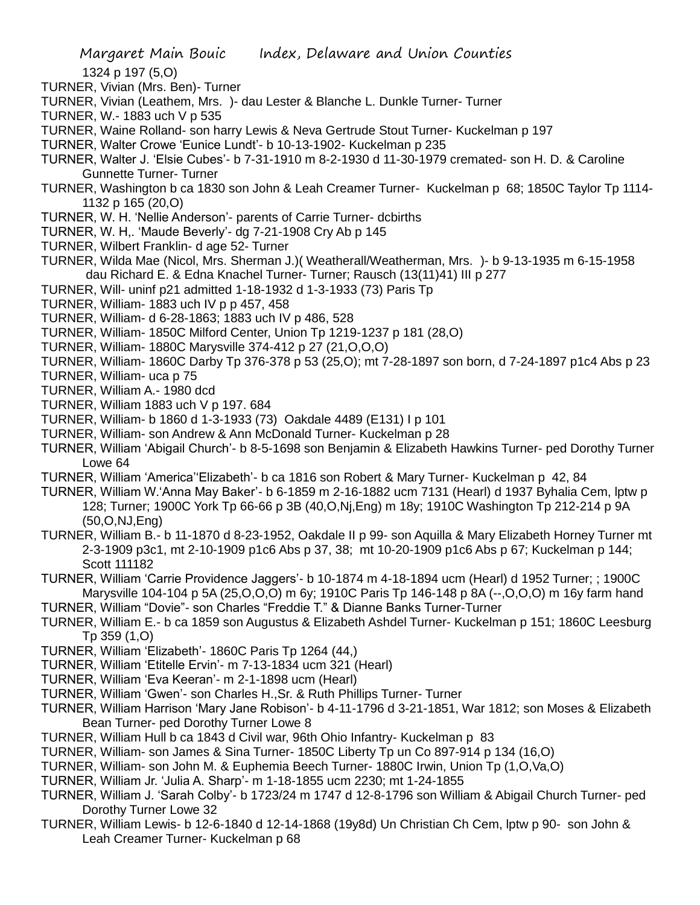- 1324 p 197 (5,O)
- TURNER, Vivian (Mrs. Ben)- Turner
- TURNER, Vivian (Leathem, Mrs. )- dau Lester & Blanche L. Dunkle Turner- Turner
- TURNER, W.- 1883 uch V p 535
- TURNER, Waine Rolland- son harry Lewis & Neva Gertrude Stout Turner- Kuckelman p 197
- TURNER, Walter Crowe 'Eunice Lundt'- b 10-13-1902- Kuckelman p 235
- TURNER, Walter J. 'Elsie Cubes'- b 7-31-1910 m 8-2-1930 d 11-30-1979 cremated- son H. D. & Caroline Gunnette Turner- Turner
- TURNER, Washington b ca 1830 son John & Leah Creamer Turner- Kuckelman p 68; 1850C Taylor Tp 1114- 1132 p 165 (20,O)
- TURNER, W. H. 'Nellie Anderson'- parents of Carrie Turner- dcbirths
- TURNER, W. H,. 'Maude Beverly'- dg 7-21-1908 Cry Ab p 145
- TURNER, Wilbert Franklin- d age 52- Turner
- TURNER, Wilda Mae (Nicol, Mrs. Sherman J.)( Weatherall/Weatherman, Mrs. )- b 9-13-1935 m 6-15-1958 dau Richard E. & Edna Knachel Turner- Turner; Rausch (13(11)41) III p 277
- TURNER, Will- uninf p21 admitted 1-18-1932 d 1-3-1933 (73) Paris Tp
- TURNER, William- 1883 uch IV p p 457, 458
- TURNER, William- d 6-28-1863; 1883 uch IV p 486, 528
- TURNER, William- 1850C Milford Center, Union Tp 1219-1237 p 181 (28,O)
- TURNER, William- 1880C Marysville 374-412 p 27 (21,O,O,O)
- TURNER, William- 1860C Darby Tp 376-378 p 53 (25,O); mt 7-28-1897 son born, d 7-24-1897 p1c4 Abs p 23
- TURNER, William- uca p 75
- TURNER, William A.- 1980 dcd
- TURNER, William 1883 uch V p 197. 684
- TURNER, William- b 1860 d 1-3-1933 (73) Oakdale 4489 (E131) I p 101
- TURNER, William- son Andrew & Ann McDonald Turner- Kuckelman p 28
- TURNER, William 'Abigail Church'- b 8-5-1698 son Benjamin & Elizabeth Hawkins Turner- ped Dorothy Turner Lowe 64
- TURNER, William 'America''Elizabeth'- b ca 1816 son Robert & Mary Turner- Kuckelman p 42, 84
- TURNER, William W.'Anna May Baker'- b 6-1859 m 2-16-1882 ucm 7131 (Hearl) d 1937 Byhalia Cem, lptw p 128; Turner; 1900C York Tp 66-66 p 3B (40,O,Nj,Eng) m 18y; 1910C Washington Tp 212-214 p 9A (50,O,NJ,Eng)
- TURNER, William B.- b 11-1870 d 8-23-1952, Oakdale II p 99- son Aquilla & Mary Elizabeth Horney Turner mt 2-3-1909 p3c1, mt 2-10-1909 p1c6 Abs p 37, 38; mt 10-20-1909 p1c6 Abs p 67; Kuckelman p 144; Scott 111182
- TURNER, William 'Carrie Providence Jaggers'- b 10-1874 m 4-18-1894 ucm (Hearl) d 1952 Turner; ; 1900C Marysville 104-104 p 5A (25,O,O,O) m 6y; 1910C Paris Tp 146-148 p 8A (--,O,O,O) m 16y farm hand
- TURNER, William "Dovie"- son Charles "Freddie T." & Dianne Banks Turner-Turner
- TURNER, William E.- b ca 1859 son Augustus & Elizabeth Ashdel Turner- Kuckelman p 151; 1860C Leesburg Tp 359 (1,O)
- TURNER, William 'Elizabeth'- 1860C Paris Tp 1264 (44,)
- TURNER, William 'Etitelle Ervin'- m 7-13-1834 ucm 321 (Hearl)
- TURNER, William 'Eva Keeran'- m 2-1-1898 ucm (Hearl)
- TURNER, William 'Gwen'- son Charles H.,Sr. & Ruth Phillips Turner- Turner
- TURNER, William Harrison 'Mary Jane Robison'- b 4-11-1796 d 3-21-1851, War 1812; son Moses & Elizabeth Bean Turner- ped Dorothy Turner Lowe 8
- TURNER, William Hull b ca 1843 d Civil war, 96th Ohio Infantry- Kuckelman p 83
- TURNER, William- son James & Sina Turner- 1850C Liberty Tp un Co 897-914 p 134 (16,O)
- TURNER, William- son John M. & Euphemia Beech Turner- 1880C Irwin, Union Tp (1,O,Va,O)
- TURNER, William Jr. 'Julia A. Sharp'- m 1-18-1855 ucm 2230; mt 1-24-1855
- TURNER, William J. 'Sarah Colby'- b 1723/24 m 1747 d 12-8-1796 son William & Abigail Church Turner- ped Dorothy Turner Lowe 32
- TURNER, William Lewis- b 12-6-1840 d 12-14-1868 (19y8d) Un Christian Ch Cem, lptw p 90- son John & Leah Creamer Turner- Kuckelman p 68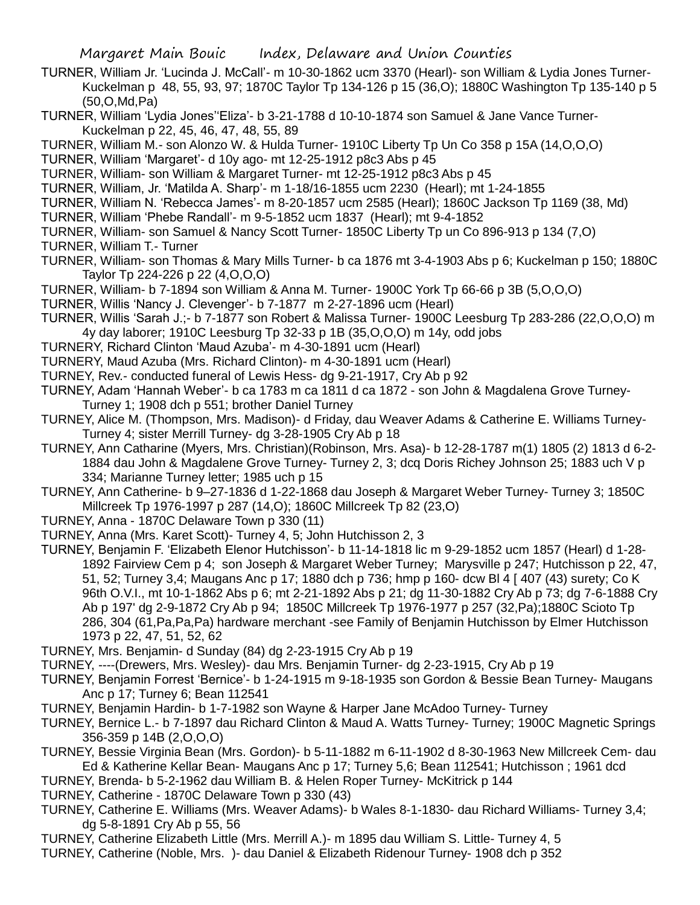- TURNER, William Jr. 'Lucinda J. McCall'- m 10-30-1862 ucm 3370 (Hearl)- son William & Lydia Jones Turner-Kuckelman p 48, 55, 93, 97; 1870C Taylor Tp 134-126 p 15 (36,O); 1880C Washington Tp 135-140 p 5 (50,O,Md,Pa)
- TURNER, William 'Lydia Jones''Eliza'- b 3-21-1788 d 10-10-1874 son Samuel & Jane Vance Turner-Kuckelman p 22, 45, 46, 47, 48, 55, 89
- TURNER, William M.- son Alonzo W. & Hulda Turner- 1910C Liberty Tp Un Co 358 p 15A (14,O,O,O)
- TURNER, William 'Margaret'- d 10y ago- mt 12-25-1912 p8c3 Abs p 45
- TURNER, William- son William & Margaret Turner- mt 12-25-1912 p8c3 Abs p 45
- TURNER, William, Jr. 'Matilda A. Sharp'- m 1-18/16-1855 ucm 2230 (Hearl); mt 1-24-1855
- TURNER, William N. 'Rebecca James'- m 8-20-1857 ucm 2585 (Hearl); 1860C Jackson Tp 1169 (38, Md)
- TURNER, William 'Phebe Randall'- m 9-5-1852 ucm 1837 (Hearl); mt 9-4-1852
- TURNER, William- son Samuel & Nancy Scott Turner- 1850C Liberty Tp un Co 896-913 p 134 (7,O)
- TURNER, William T.- Turner
- TURNER, William- son Thomas & Mary Mills Turner- b ca 1876 mt 3-4-1903 Abs p 6; Kuckelman p 150; 1880C Taylor Tp 224-226 p 22 (4,O,O,O)
- TURNER, William- b 7-1894 son William & Anna M. Turner- 1900C York Tp 66-66 p 3B (5,O,O,O)
- TURNER, Willis 'Nancy J. Clevenger'- b 7-1877 m 2-27-1896 ucm (Hearl)
- TURNER, Willis 'Sarah J.;- b 7-1877 son Robert & Malissa Turner- 1900C Leesburg Tp 283-286 (22,O,O,O) m 4y day laborer; 1910C Leesburg Tp 32-33 p 1B (35,O,O,O) m 14y, odd jobs
- TURNERY, Richard Clinton 'Maud Azuba'- m 4-30-1891 ucm (Hearl)
- TURNERY, Maud Azuba (Mrs. Richard Clinton)- m 4-30-1891 ucm (Hearl)
- TURNEY, Rev.- conducted funeral of Lewis Hess- dg 9-21-1917, Cry Ab p 92
- TURNEY, Adam 'Hannah Weber'- b ca 1783 m ca 1811 d ca 1872 son John & Magdalena Grove Turney-Turney 1; 1908 dch p 551; brother Daniel Turney
- TURNEY, Alice M. (Thompson, Mrs. Madison)- d Friday, dau Weaver Adams & Catherine E. Williams Turney-Turney 4; sister Merrill Turney- dg 3-28-1905 Cry Ab p 18
- TURNEY, Ann Catharine (Myers, Mrs. Christian)(Robinson, Mrs. Asa)- b 12-28-1787 m(1) 1805 (2) 1813 d 6-2- 1884 dau John & Magdalene Grove Turney- Turney 2, 3; dcq Doris Richey Johnson 25; 1883 uch V p 334; Marianne Turney letter; 1985 uch p 15
- TURNEY, Ann Catherine- b 9–27-1836 d 1-22-1868 dau Joseph & Margaret Weber Turney- Turney 3; 1850C Millcreek Tp 1976-1997 p 287 (14,O); 1860C Millcreek Tp 82 (23,O)
- TURNEY, Anna 1870C Delaware Town p 330 (11)
- TURNEY, Anna (Mrs. Karet Scott)- Turney 4, 5; John Hutchisson 2, 3
- TURNEY, Benjamin F. 'Elizabeth Elenor Hutchisson'- b 11-14-1818 lic m 9-29-1852 ucm 1857 (Hearl) d 1-28- 1892 Fairview Cem p 4; son Joseph & Margaret Weber Turney; Marysville p 247; Hutchisson p 22, 47, 51, 52; Turney 3,4; Maugans Anc p 17; 1880 dch p 736; hmp p 160- dcw Bl 4 [ 407 (43) surety; Co K 96th O.V.I., mt 10-1-1862 Abs p 6; mt 2-21-1892 Abs p 21; dg 11-30-1882 Cry Ab p 73; dg 7-6-1888 Cry Ab p 197' dg 2-9-1872 Cry Ab p 94; 1850C Millcreek Tp 1976-1977 p 257 (32,Pa);1880C Scioto Tp 286, 304 (61,Pa,Pa,Pa) hardware merchant -see Family of Benjamin Hutchisson by Elmer Hutchisson 1973 p 22, 47, 51, 52, 62
- TURNEY, Mrs. Benjamin- d Sunday (84) dg 2-23-1915 Cry Ab p 19
- TURNEY, ----(Drewers, Mrs. Wesley)- dau Mrs. Benjamin Turner- dg 2-23-1915, Cry Ab p 19
- TURNEY, Benjamin Forrest 'Bernice'- b 1-24-1915 m 9-18-1935 son Gordon & Bessie Bean Turney- Maugans Anc p 17; Turney 6; Bean 112541
- TURNEY, Benjamin Hardin- b 1-7-1982 son Wayne & Harper Jane McAdoo Turney- Turney
- TURNEY, Bernice L.- b 7-1897 dau Richard Clinton & Maud A. Watts Turney- Turney; 1900C Magnetic Springs 356-359 p 14B (2,O,O,O)
- TURNEY, Bessie Virginia Bean (Mrs. Gordon)- b 5-11-1882 m 6-11-1902 d 8-30-1963 New Millcreek Cem- dau Ed & Katherine Kellar Bean- Maugans Anc p 17; Turney 5,6; Bean 112541; Hutchisson ; 1961 dcd
- TURNEY, Brenda- b 5-2-1962 dau William B. & Helen Roper Turney- McKitrick p 144
- TURNEY, Catherine 1870C Delaware Town p 330 (43)
- TURNEY, Catherine E. Williams (Mrs. Weaver Adams)- b Wales 8-1-1830- dau Richard Williams- Turney 3,4; dg 5-8-1891 Cry Ab p 55, 56
- TURNEY, Catherine Elizabeth Little (Mrs. Merrill A.)- m 1895 dau William S. Little- Turney 4, 5 TURNEY, Catherine (Noble, Mrs. )- dau Daniel & Elizabeth Ridenour Turney- 1908 dch p 352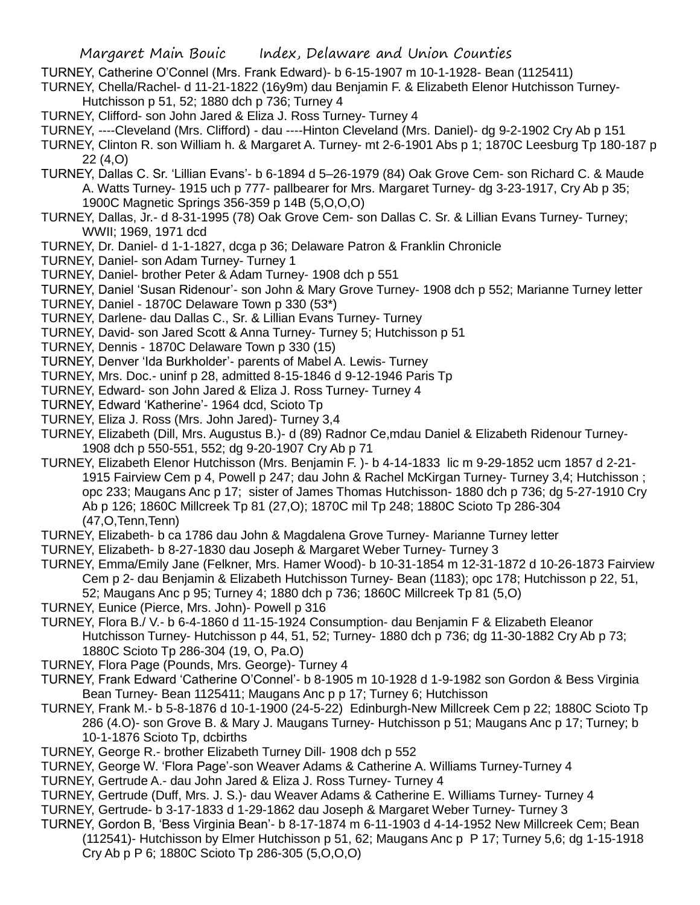TURNEY, Catherine O'Connel (Mrs. Frank Edward)- b 6-15-1907 m 10-1-1928- Bean (1125411)

TURNEY, Chella/Rachel- d 11-21-1822 (16y9m) dau Benjamin F. & Elizabeth Elenor Hutchisson Turney-Hutchisson p 51, 52; 1880 dch p 736; Turney 4

TURNEY, Clifford- son John Jared & Eliza J. Ross Turney- Turney 4

TURNEY, ----Cleveland (Mrs. Clifford) - dau ----Hinton Cleveland (Mrs. Daniel)- dg 9-2-1902 Cry Ab p 151

TURNEY, Clinton R. son William h. & Margaret A. Turney- mt 2-6-1901 Abs p 1; 1870C Leesburg Tp 180-187 p 22 (4,O)

TURNEY, Dallas C. Sr. 'Lillian Evans'- b 6-1894 d 5–26-1979 (84) Oak Grove Cem- son Richard C. & Maude A. Watts Turney- 1915 uch p 777- pallbearer for Mrs. Margaret Turney- dg 3-23-1917, Cry Ab p 35; 1900C Magnetic Springs 356-359 p 14B (5,O,O,O)

- TURNEY, Dallas, Jr.- d 8-31-1995 (78) Oak Grove Cem- son Dallas C. Sr. & Lillian Evans Turney- Turney; WWII; 1969, 1971 dcd
- TURNEY, Dr. Daniel- d 1-1-1827, dcga p 36; Delaware Patron & Franklin Chronicle
- TURNEY, Daniel- son Adam Turney- Turney 1
- TURNEY, Daniel- brother Peter & Adam Turney- 1908 dch p 551
- TURNEY, Daniel 'Susan Ridenour'- son John & Mary Grove Turney- 1908 dch p 552; Marianne Turney letter
- TURNEY, Daniel 1870C Delaware Town p 330 (53\*)
- TURNEY, Darlene- dau Dallas C., Sr. & Lillian Evans Turney- Turney
- TURNEY, David- son Jared Scott & Anna Turney- Turney 5; Hutchisson p 51
- TURNEY, Dennis 1870C Delaware Town p 330 (15)
- TURNEY, Denver 'Ida Burkholder'- parents of Mabel A. Lewis- Turney
- TURNEY, Mrs. Doc.- uninf p 28, admitted 8-15-1846 d 9-12-1946 Paris Tp
- TURNEY, Edward- son John Jared & Eliza J. Ross Turney- Turney 4
- TURNEY, Edward 'Katherine'- 1964 dcd, Scioto Tp
- TURNEY, Eliza J. Ross (Mrs. John Jared)- Turney 3,4
- TURNEY, Elizabeth (Dill, Mrs. Augustus B.)- d (89) Radnor Ce,mdau Daniel & Elizabeth Ridenour Turney-1908 dch p 550-551, 552; dg 9-20-1907 Cry Ab p 71
- TURNEY, Elizabeth Elenor Hutchisson (Mrs. Benjamin F. )- b 4-14-1833 lic m 9-29-1852 ucm 1857 d 2-21- 1915 Fairview Cem p 4, Powell p 247; dau John & Rachel McKirgan Turney- Turney 3,4; Hutchisson ; opc 233; Maugans Anc p 17; sister of James Thomas Hutchisson- 1880 dch p 736; dg 5-27-1910 Cry Ab p 126; 1860C Millcreek Tp 81 (27,O); 1870C mil Tp 248; 1880C Scioto Tp 286-304 (47,O,Tenn,Tenn)
- TURNEY, Elizabeth- b ca 1786 dau John & Magdalena Grove Turney- Marianne Turney letter
- TURNEY, Elizabeth- b 8-27-1830 dau Joseph & Margaret Weber Turney- Turney 3
- TURNEY, Emma/Emily Jane (Felkner, Mrs. Hamer Wood)- b 10-31-1854 m 12-31-1872 d 10-26-1873 Fairview Cem p 2- dau Benjamin & Elizabeth Hutchisson Turney- Bean (1183); opc 178; Hutchisson p 22, 51, 52; Maugans Anc p 95; Turney 4; 1880 dch p 736; 1860C Millcreek Tp 81 (5,O)
- TURNEY, Eunice (Pierce, Mrs. John)- Powell p 316
- TURNEY, Flora B./ V.- b 6-4-1860 d 11-15-1924 Consumption- dau Benjamin F & Elizabeth Eleanor Hutchisson Turney- Hutchisson p 44, 51, 52; Turney- 1880 dch p 736; dg 11-30-1882 Cry Ab p 73; 1880C Scioto Tp 286-304 (19, O, Pa.O)
- TURNEY, Flora Page (Pounds, Mrs. George)- Turney 4
- TURNEY, Frank Edward 'Catherine O'Connel'- b 8-1905 m 10-1928 d 1-9-1982 son Gordon & Bess Virginia Bean Turney- Bean 1125411; Maugans Anc p p 17; Turney 6; Hutchisson
- TURNEY, Frank M.- b 5-8-1876 d 10-1-1900 (24-5-22) Edinburgh-New Millcreek Cem p 22; 1880C Scioto Tp 286 (4.O)- son Grove B. & Mary J. Maugans Turney- Hutchisson p 51; Maugans Anc p 17; Turney; b 10-1-1876 Scioto Tp, dcbirths
- TURNEY, George R.- brother Elizabeth Turney Dill- 1908 dch p 552
- TURNEY, George W. 'Flora Page'-son Weaver Adams & Catherine A. Williams Turney-Turney 4
- TURNEY, Gertrude A.- dau John Jared & Eliza J. Ross Turney- Turney 4
- TURNEY, Gertrude (Duff, Mrs. J. S.)- dau Weaver Adams & Catherine E. Williams Turney- Turney 4
- TURNEY, Gertrude- b 3-17-1833 d 1-29-1862 dau Joseph & Margaret Weber Turney- Turney 3
- TURNEY, Gordon B, 'Bess Virginia Bean'- b 8-17-1874 m 6-11-1903 d 4-14-1952 New Millcreek Cem; Bean (112541)- Hutchisson by Elmer Hutchisson p 51, 62; Maugans Anc p P 17; Turney 5,6; dg 1-15-1918 Cry Ab p P 6; 1880C Scioto Tp 286-305 (5,O,O,O)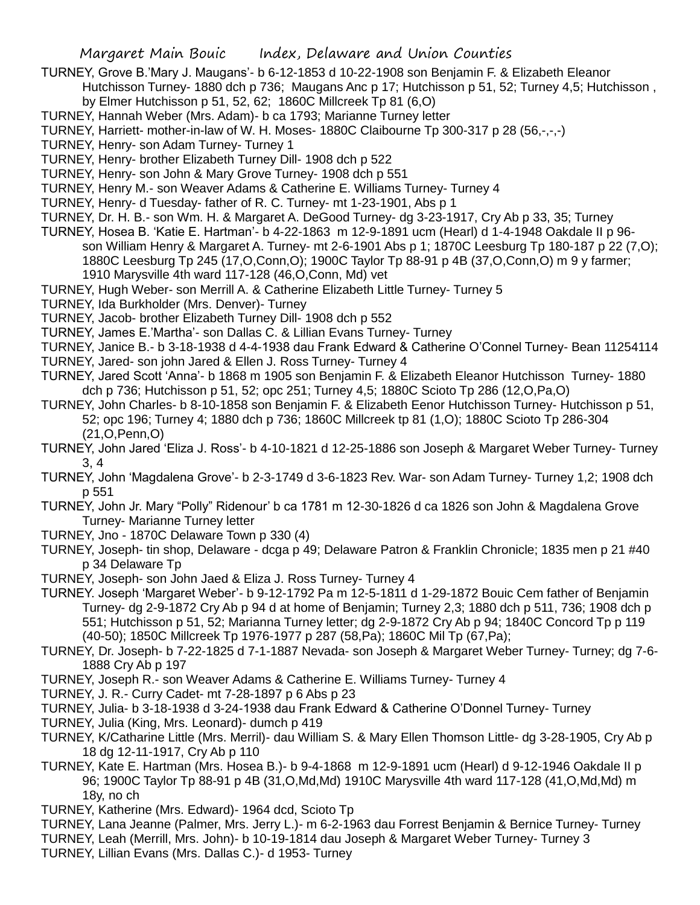TURNEY, Grove B.'Mary J. Maugans'- b 6-12-1853 d 10-22-1908 son Benjamin F. & Elizabeth Eleanor

Hutchisson Turney- 1880 dch p 736; Maugans Anc p 17; Hutchisson p 51, 52; Turney 4,5; Hutchisson , by Elmer Hutchisson p 51, 52, 62; 1860C Millcreek Tp 81 (6,O)

TURNEY, Hannah Weber (Mrs. Adam)- b ca 1793; Marianne Turney letter

TURNEY, Harriett- mother-in-law of W. H. Moses- 1880C Claibourne Tp 300-317 p 28 (56,-,-,-)

TURNEY, Henry- son Adam Turney- Turney 1

TURNEY, Henry- brother Elizabeth Turney Dill- 1908 dch p 522

TURNEY, Henry- son John & Mary Grove Turney- 1908 dch p 551

TURNEY, Henry M.- son Weaver Adams & Catherine E. Williams Turney- Turney 4

TURNEY, Henry- d Tuesday- father of R. C. Turney- mt 1-23-1901, Abs p 1

TURNEY, Dr. H. B.- son Wm. H. & Margaret A. DeGood Turney- dg 3-23-1917, Cry Ab p 33, 35; Turney

TURNEY, Hosea B. 'Katie E. Hartman'- b 4-22-1863 m 12-9-1891 ucm (Hearl) d 1-4-1948 Oakdale II p 96 son William Henry & Margaret A. Turney- mt 2-6-1901 Abs p 1; 1870C Leesburg Tp 180-187 p 22 (7,O); 1880C Leesburg Tp 245 (17,O,Conn,O); 1900C Taylor Tp 88-91 p 4B (37,O,Conn,O) m 9 y farmer; 1910 Marysville 4th ward 117-128 (46,O,Conn, Md) vet

TURNEY, Hugh Weber- son Merrill A. & Catherine Elizabeth Little Turney- Turney 5

TURNEY, Ida Burkholder (Mrs. Denver)- Turney

TURNEY, Jacob- brother Elizabeth Turney Dill- 1908 dch p 552

TURNEY, James E.'Martha'- son Dallas C. & Lillian Evans Turney- Turney

TURNEY, Janice B.- b 3-18-1938 d 4-4-1938 dau Frank Edward & Catherine O'Connel Turney- Bean 11254114

- TURNEY, Jared- son john Jared & Ellen J. Ross Turney- Turney 4
- TURNEY, Jared Scott 'Anna'- b 1868 m 1905 son Benjamin F. & Elizabeth Eleanor Hutchisson Turney- 1880 dch p 736; Hutchisson p 51, 52; opc 251; Turney 4,5; 1880C Scioto Tp 286 (12,O,Pa,O)

TURNEY, John Charles- b 8-10-1858 son Benjamin F. & Elizabeth Eenor Hutchisson Turney- Hutchisson p 51, 52; opc 196; Turney 4; 1880 dch p 736; 1860C Millcreek tp 81 (1,O); 1880C Scioto Tp 286-304 (21,O,Penn,O)

TURNEY, John Jared 'Eliza J. Ross'- b 4-10-1821 d 12-25-1886 son Joseph & Margaret Weber Turney- Turney 3, 4

TURNEY, John 'Magdalena Grove'- b 2-3-1749 d 3-6-1823 Rev. War- son Adam Turney- Turney 1,2; 1908 dch p 551

TURNEY, John Jr. Mary "Polly" Ridenour' b ca 1781 m 12-30-1826 d ca 1826 son John & Magdalena Grove Turney- Marianne Turney letter

TURNEY, Jno - 1870C Delaware Town p 330 (4)

TURNEY, Joseph- tin shop, Delaware - dcga p 49; Delaware Patron & Franklin Chronicle; 1835 men p 21 #40 p 34 Delaware Tp

TURNEY, Joseph- son John Jaed & Eliza J. Ross Turney- Turney 4

TURNEY. Joseph 'Margaret Weber'- b 9-12-1792 Pa m 12-5-1811 d 1-29-1872 Bouic Cem father of Benjamin Turney- dg 2-9-1872 Cry Ab p 94 d at home of Benjamin; Turney 2,3; 1880 dch p 511, 736; 1908 dch p 551; Hutchisson p 51, 52; Marianna Turney letter; dg 2-9-1872 Cry Ab p 94; 1840C Concord Tp p 119 (40-50); 1850C Millcreek Tp 1976-1977 p 287 (58,Pa); 1860C Mil Tp (67,Pa);

TURNEY, Dr. Joseph- b 7-22-1825 d 7-1-1887 Nevada- son Joseph & Margaret Weber Turney- Turney; dg 7-6- 1888 Cry Ab p 197

TURNEY, Joseph R.- son Weaver Adams & Catherine E. Williams Turney- Turney 4

TURNEY, J. R.- Curry Cadet- mt 7-28-1897 p 6 Abs p 23

TURNEY, Julia- b 3-18-1938 d 3-24-1938 dau Frank Edward & Catherine O'Donnel Turney- Turney

TURNEY, Julia (King, Mrs. Leonard)- dumch p 419

TURNEY, K/Catharine Little (Mrs. Merril)- dau William S. & Mary Ellen Thomson Little- dg 3-28-1905, Cry Ab p 18 dg 12-11-1917, Cry Ab p 110

TURNEY, Kate E. Hartman (Mrs. Hosea B.)- b 9-4-1868 m 12-9-1891 ucm (Hearl) d 9-12-1946 Oakdale II p 96; 1900C Taylor Tp 88-91 p 4B (31,O,Md,Md) 1910C Marysville 4th ward 117-128 (41,O,Md,Md) m 18y, no ch

TURNEY, Katherine (Mrs. Edward)- 1964 dcd, Scioto Tp

TURNEY, Lana Jeanne (Palmer, Mrs. Jerry L.)- m 6-2-1963 dau Forrest Benjamin & Bernice Turney- Turney

TURNEY, Leah (Merrill, Mrs. John)- b 10-19-1814 dau Joseph & Margaret Weber Turney- Turney 3

TURNEY, Lillian Evans (Mrs. Dallas C.)- d 1953- Turney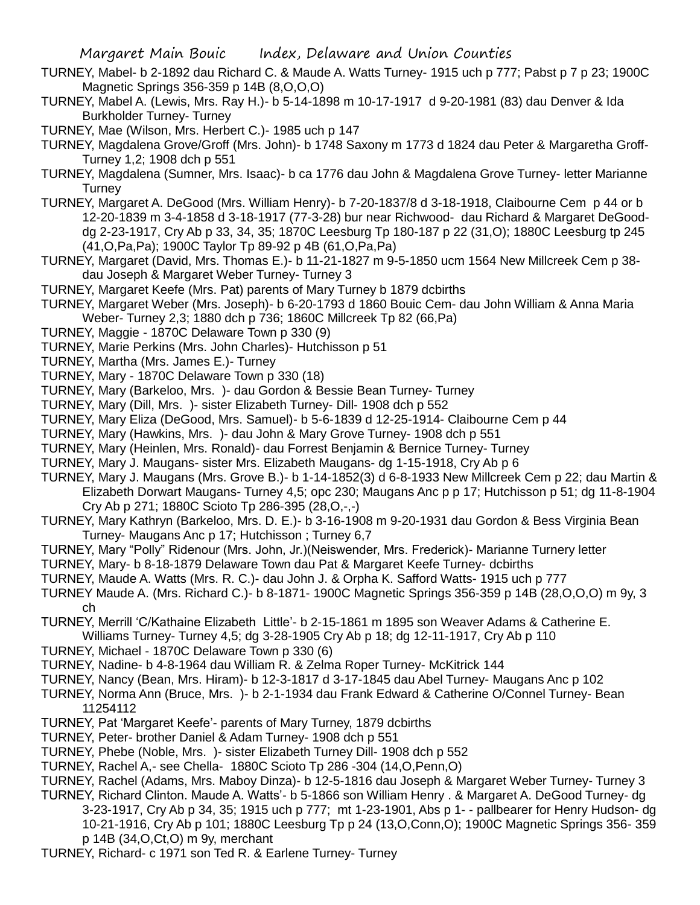- TURNEY, Mabel- b 2-1892 dau Richard C. & Maude A. Watts Turney- 1915 uch p 777; Pabst p 7 p 23; 1900C Magnetic Springs 356-359 p 14B (8,O,O,O)
- TURNEY, Mabel A. (Lewis, Mrs. Ray H.)- b 5-14-1898 m 10-17-1917 d 9-20-1981 (83) dau Denver & Ida Burkholder Turney- Turney

TURNEY, Mae (Wilson, Mrs. Herbert C.)- 1985 uch p 147

- TURNEY, Magdalena Grove/Groff (Mrs. John)- b 1748 Saxony m 1773 d 1824 dau Peter & Margaretha Groff-Turney 1,2; 1908 dch p 551
- TURNEY, Magdalena (Sumner, Mrs. Isaac)- b ca 1776 dau John & Magdalena Grove Turney- letter Marianne **Turney**
- TURNEY, Margaret A. DeGood (Mrs. William Henry)- b 7-20-1837/8 d 3-18-1918, Claibourne Cem p 44 or b 12-20-1839 m 3-4-1858 d 3-18-1917 (77-3-28) bur near Richwood- dau Richard & Margaret DeGooddg 2-23-1917, Cry Ab p 33, 34, 35; 1870C Leesburg Tp 180-187 p 22 (31,O); 1880C Leesburg tp 245 (41,O,Pa,Pa); 1900C Taylor Tp 89-92 p 4B (61,O,Pa,Pa)
- TURNEY, Margaret (David, Mrs. Thomas E.)- b 11-21-1827 m 9-5-1850 ucm 1564 New Millcreek Cem p 38 dau Joseph & Margaret Weber Turney- Turney 3
- TURNEY, Margaret Keefe (Mrs. Pat) parents of Mary Turney b 1879 dcbirths
- TURNEY, Margaret Weber (Mrs. Joseph)- b 6-20-1793 d 1860 Bouic Cem- dau John William & Anna Maria Weber- Turney 2,3; 1880 dch p 736; 1860C Millcreek Tp 82 (66,Pa)
- TURNEY, Maggie 1870C Delaware Town p 330 (9)
- TURNEY, Marie Perkins (Mrs. John Charles)- Hutchisson p 51
- TURNEY, Martha (Mrs. James E.)- Turney
- TURNEY, Mary 1870C Delaware Town p 330 (18)
- TURNEY, Mary (Barkeloo, Mrs. )- dau Gordon & Bessie Bean Turney- Turney
- TURNEY, Mary (Dill, Mrs. )- sister Elizabeth Turney- Dill- 1908 dch p 552
- TURNEY, Mary Eliza (DeGood, Mrs. Samuel)- b 5-6-1839 d 12-25-1914- Claibourne Cem p 44
- TURNEY, Mary (Hawkins, Mrs. )- dau John & Mary Grove Turney- 1908 dch p 551
- TURNEY, Mary (Heinlen, Mrs. Ronald)- dau Forrest Benjamin & Bernice Turney- Turney
- TURNEY, Mary J. Maugans- sister Mrs. Elizabeth Maugans- dg 1-15-1918, Cry Ab p 6
- TURNEY, Mary J. Maugans (Mrs. Grove B.)- b 1-14-1852(3) d 6-8-1933 New Millcreek Cem p 22; dau Martin & Elizabeth Dorwart Maugans- Turney 4,5; opc 230; Maugans Anc p p 17; Hutchisson p 51; dg 11-8-1904 Cry Ab p 271; 1880C Scioto Tp 286-395 (28,O,-,-)
- TURNEY, Mary Kathryn (Barkeloo, Mrs. D. E.)- b 3-16-1908 m 9-20-1931 dau Gordon & Bess Virginia Bean Turney- Maugans Anc p 17; Hutchisson ; Turney 6,7
- TURNEY, Mary "Polly" Ridenour (Mrs. John, Jr.)(Neiswender, Mrs. Frederick)- Marianne Turnery letter
- TURNEY, Mary- b 8-18-1879 Delaware Town dau Pat & Margaret Keefe Turney- dcbirths
- TURNEY, Maude A. Watts (Mrs. R. C.)- dau John J. & Orpha K. Safford Watts- 1915 uch p 777
- TURNEY Maude A. (Mrs. Richard C.)- b 8-1871- 1900C Magnetic Springs 356-359 p 14B (28,O,O,O) m 9y, 3 ch
- TURNEY, Merrill 'C/Kathaine Elizabeth Little'- b 2-15-1861 m 1895 son Weaver Adams & Catherine E. Williams Turney- Turney 4,5; dg 3-28-1905 Cry Ab p 18; dg 12-11-1917, Cry Ab p 110
- TURNEY, Michael 1870C Delaware Town p 330 (6)
- TURNEY, Nadine- b 4-8-1964 dau William R. & Zelma Roper Turney- McKitrick 144
- TURNEY, Nancy (Bean, Mrs. Hiram)- b 12-3-1817 d 3-17-1845 dau Abel Turney- Maugans Anc p 102
- TURNEY, Norma Ann (Bruce, Mrs. )- b 2-1-1934 dau Frank Edward & Catherine O/Connel Turney- Bean 11254112
- TURNEY, Pat 'Margaret Keefe'- parents of Mary Turney, 1879 dcbirths
- TURNEY, Peter- brother Daniel & Adam Turney- 1908 dch p 551
- TURNEY, Phebe (Noble, Mrs. )- sister Elizabeth Turney Dill- 1908 dch p 552
- TURNEY, Rachel A,- see Chella- 1880C Scioto Tp 286 -304 (14,O,Penn,O)
- TURNEY, Rachel (Adams, Mrs. Maboy Dinza)- b 12-5-1816 dau Joseph & Margaret Weber Turney- Turney 3 TURNEY, Richard Clinton. Maude A. Watts'- b 5-1866 son William Henry . & Margaret A. DeGood Turney- dg
	- 3-23-1917, Cry Ab p 34, 35; 1915 uch p 777; mt 1-23-1901, Abs p 1- pallbearer for Henry Hudson- dg 10-21-1916, Cry Ab p 101; 1880C Leesburg Tp p 24 (13,O,Conn,O); 1900C Magnetic Springs 356- 359 p 14B (34,O,Ct,O) m 9y, merchant
- TURNEY, Richard- c 1971 son Ted R. & Earlene Turney- Turney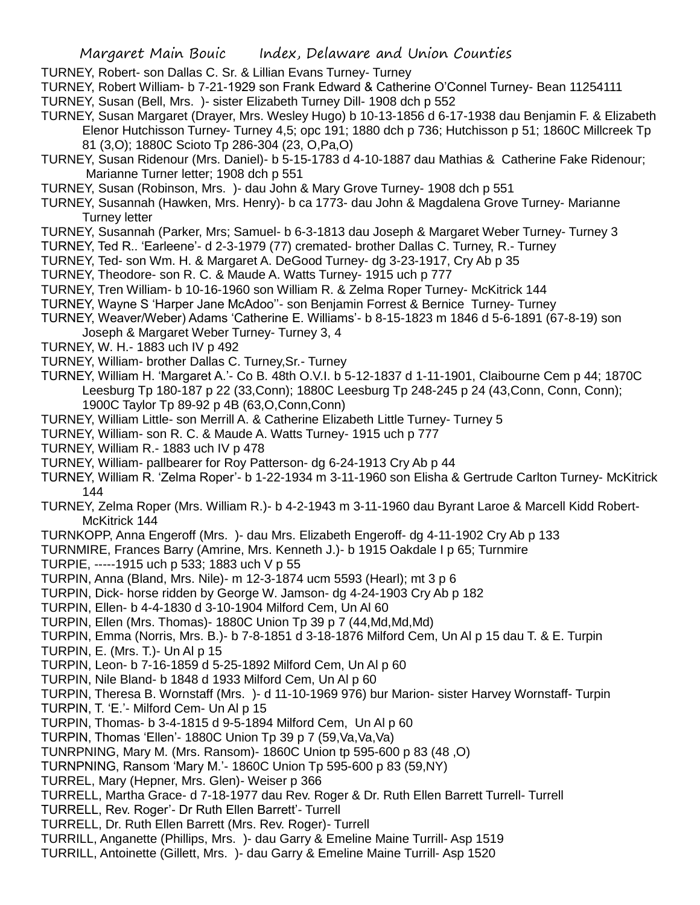TURNEY, Robert- son Dallas C. Sr. & Lillian Evans Turney- Turney

TURNEY, Robert William- b 7-21-1929 son Frank Edward & Catherine O'Connel Turney- Bean 11254111

- TURNEY, Susan (Bell, Mrs. )- sister Elizabeth Turney Dill- 1908 dch p 552
- TURNEY, Susan Margaret (Drayer, Mrs. Wesley Hugo) b 10-13-1856 d 6-17-1938 dau Benjamin F. & Elizabeth Elenor Hutchisson Turney- Turney 4,5; opc 191; 1880 dch p 736; Hutchisson p 51; 1860C Millcreek Tp 81 (3,O); 1880C Scioto Tp 286-304 (23, O,Pa,O)
- TURNEY, Susan Ridenour (Mrs. Daniel)- b 5-15-1783 d 4-10-1887 dau Mathias & Catherine Fake Ridenour; Marianne Turner letter; 1908 dch p 551
- TURNEY, Susan (Robinson, Mrs. )- dau John & Mary Grove Turney- 1908 dch p 551
- TURNEY, Susannah (Hawken, Mrs. Henry)- b ca 1773- dau John & Magdalena Grove Turney- Marianne Turney letter
- TURNEY, Susannah (Parker, Mrs; Samuel- b 6-3-1813 dau Joseph & Margaret Weber Turney- Turney 3
- TURNEY, Ted R.. 'Earleene'- d 2-3-1979 (77) cremated- brother Dallas C. Turney, R.- Turney
- TURNEY, Ted- son Wm. H. & Margaret A. DeGood Turney- dg 3-23-1917, Cry Ab p 35
- TURNEY, Theodore- son R. C. & Maude A. Watts Turney- 1915 uch p 777
- TURNEY, Tren William- b 10-16-1960 son William R. & Zelma Roper Turney- McKitrick 144
- TURNEY, Wayne S 'Harper Jane McAdoo''- son Benjamin Forrest & Bernice Turney- Turney
- TURNEY, Weaver/Weber) Adams 'Catherine E. Williams'- b 8-15-1823 m 1846 d 5-6-1891 (67-8-19) son
- Joseph & Margaret Weber Turney- Turney 3, 4
- TURNEY, W. H.- 1883 uch IV p 492
- TURNEY, William- brother Dallas C. Turney,Sr.- Turney
- TURNEY, William H. 'Margaret A.'- Co B. 48th O.V.I. b 5-12-1837 d 1-11-1901, Claibourne Cem p 44; 1870C Leesburg Tp 180-187 p 22 (33,Conn); 1880C Leesburg Tp 248-245 p 24 (43,Conn, Conn, Conn); 1900C Taylor Tp 89-92 p 4B (63,O,Conn,Conn)
- TURNEY, William Little- son Merrill A. & Catherine Elizabeth Little Turney- Turney 5
- TURNEY, William- son R. C. & Maude A. Watts Turney- 1915 uch p 777
- TURNEY, William R.- 1883 uch IV p 478
- TURNEY, William- pallbearer for Roy Patterson- dg 6-24-1913 Cry Ab p 44
- TURNEY, William R. 'Zelma Roper'- b 1-22-1934 m 3-11-1960 son Elisha & Gertrude Carlton Turney- McKitrick 144
- TURNEY, Zelma Roper (Mrs. William R.)- b 4-2-1943 m 3-11-1960 dau Byrant Laroe & Marcell Kidd Robert-McKitrick 144
- TURNKOPP, Anna Engeroff (Mrs. )- dau Mrs. Elizabeth Engeroff- dg 4-11-1902 Cry Ab p 133
- TURNMIRE, Frances Barry (Amrine, Mrs. Kenneth J.)- b 1915 Oakdale I p 65; Turnmire
- TURPIE, -----1915 uch p 533; 1883 uch V p 55
- TURPIN, Anna (Bland, Mrs. Nile)- m 12-3-1874 ucm 5593 (Hearl); mt 3 p 6
- TURPIN, Dick- horse ridden by George W. Jamson- dg 4-24-1903 Cry Ab p 182
- TURPIN, Ellen- b 4-4-1830 d 3-10-1904 Milford Cem, Un Al 60
- TURPIN, Ellen (Mrs. Thomas)- 1880C Union Tp 39 p 7 (44,Md,Md,Md)
- TURPIN, Emma (Norris, Mrs. B.)- b 7-8-1851 d 3-18-1876 Milford Cem, Un Al p 15 dau T. & E. Turpin
- TURPIN, E. (Mrs. T.)- Un Al p 15
- TURPIN, Leon- b 7-16-1859 d 5-25-1892 Milford Cem, Un Al p 60
- TURPIN, Nile Bland- b 1848 d 1933 Milford Cem, Un Al p 60
- TURPIN, Theresa B. Wornstaff (Mrs. )- d 11-10-1969 976) bur Marion- sister Harvey Wornstaff- Turpin
- TURPIN, T. 'E.'- Milford Cem- Un Al p 15
- TURPIN, Thomas- b 3-4-1815 d 9-5-1894 Milford Cem, Un Al p 60
- TURPIN, Thomas 'Ellen'- 1880C Union Tp 39 p 7 (59,Va,Va,Va)
- TUNRPNING, Mary M. (Mrs. Ransom)- 1860C Union tp 595-600 p 83 (48 ,O)
- TURNPNING, Ransom 'Mary M.'- 1860C Union Tp 595-600 p 83 (59,NY)
- TURREL, Mary (Hepner, Mrs. Glen)- Weiser p 366
- TURRELL, Martha Grace- d 7-18-1977 dau Rev. Roger & Dr. Ruth Ellen Barrett Turrell- Turrell
- TURRELL, Rev. Roger'- Dr Ruth Ellen Barrett'- Turrell
- TURRELL, Dr. Ruth Ellen Barrett (Mrs. Rev. Roger)- Turrell
- TURRILL, Anganette (Phillips, Mrs. )- dau Garry & Emeline Maine Turrill- Asp 1519
- TURRILL, Antoinette (Gillett, Mrs. )- dau Garry & Emeline Maine Turrill- Asp 1520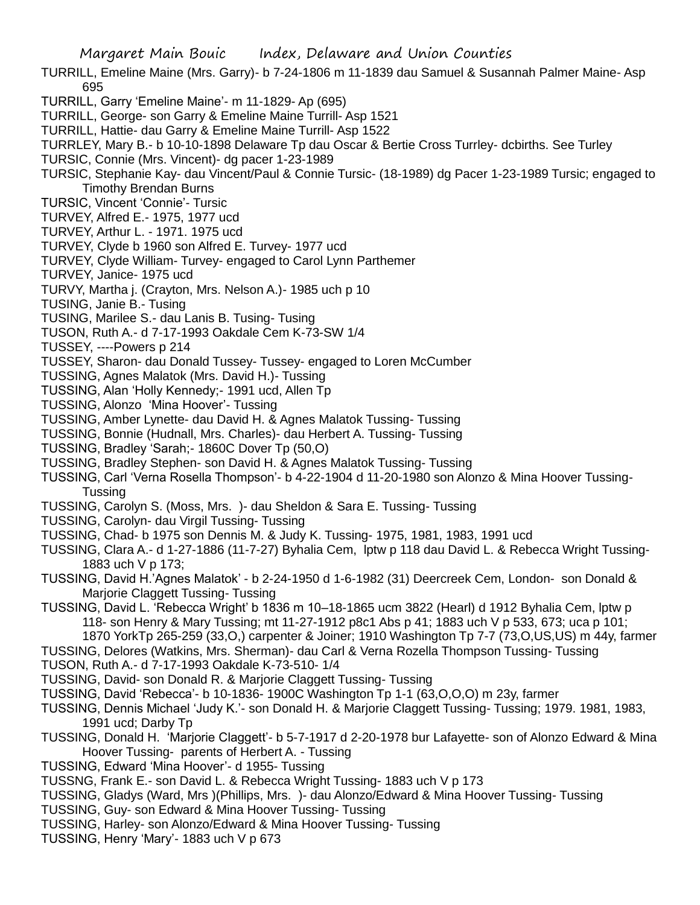- TURRILL, Emeline Maine (Mrs. Garry)- b 7-24-1806 m 11-1839 dau Samuel & Susannah Palmer Maine- Asp 695
- TURRILL, Garry 'Emeline Maine'- m 11-1829- Ap (695)
- TURRILL, George- son Garry & Emeline Maine Turrill- Asp 1521
- TURRILL, Hattie- dau Garry & Emeline Maine Turrill- Asp 1522
- TURRLEY, Mary B.- b 10-10-1898 Delaware Tp dau Oscar & Bertie Cross Turrley- dcbirths. See Turley
- TURSIC, Connie (Mrs. Vincent)- dg pacer 1-23-1989
- TURSIC, Stephanie Kay- dau Vincent/Paul & Connie Tursic- (18-1989) dg Pacer 1-23-1989 Tursic; engaged to Timothy Brendan Burns
- TURSIC, Vincent 'Connie'- Tursic
- TURVEY, Alfred E.- 1975, 1977 ucd
- TURVEY, Arthur L. 1971. 1975 ucd
- TURVEY, Clyde b 1960 son Alfred E. Turvey- 1977 ucd
- TURVEY, Clyde William- Turvey- engaged to Carol Lynn Parthemer
- TURVEY, Janice- 1975 ucd
- TURVY, Martha j. (Crayton, Mrs. Nelson A.)- 1985 uch p 10
- TUSING, Janie B.- Tusing
- TUSING, Marilee S.- dau Lanis B. Tusing- Tusing
- TUSON, Ruth A.- d 7-17-1993 Oakdale Cem K-73-SW 1/4
- TUSSEY, ----Powers p 214
- TUSSEY, Sharon- dau Donald Tussey- Tussey- engaged to Loren McCumber
- TUSSING, Agnes Malatok (Mrs. David H.)- Tussing
- TUSSING, Alan 'Holly Kennedy;- 1991 ucd, Allen Tp
- TUSSING, Alonzo 'Mina Hoover'- Tussing
- TUSSING, Amber Lynette- dau David H. & Agnes Malatok Tussing- Tussing
- TUSSING, Bonnie (Hudnall, Mrs. Charles)- dau Herbert A. Tussing- Tussing
- TUSSING, Bradley 'Sarah;- 1860C Dover Tp (50,O)
- TUSSING, Bradley Stephen- son David H. & Agnes Malatok Tussing- Tussing
- TUSSING, Carl 'Verna Rosella Thompson'- b 4-22-1904 d 11-20-1980 son Alonzo & Mina Hoover Tussing-Tussing
- TUSSING, Carolyn S. (Moss, Mrs. )- dau Sheldon & Sara E. Tussing- Tussing
- TUSSING, Carolyn- dau Virgil Tussing- Tussing
- TUSSING, Chad- b 1975 son Dennis M. & Judy K. Tussing- 1975, 1981, 1983, 1991 ucd
- TUSSING, Clara A.- d 1-27-1886 (11-7-27) Byhalia Cem, lptw p 118 dau David L. & Rebecca Wright Tussing-1883 uch V p 173;
- TUSSING, David H.'Agnes Malatok' b 2-24-1950 d 1-6-1982 (31) Deercreek Cem, London- son Donald & Marjorie Claggett Tussing- Tussing
- TUSSING, David L. 'Rebecca Wright' b 1836 m 10–18-1865 ucm 3822 (Hearl) d 1912 Byhalia Cem, lptw p 118- son Henry & Mary Tussing; mt 11-27-1912 p8c1 Abs p 41; 1883 uch V p 533, 673; uca p 101; 1870 YorkTp 265-259 (33,O,) carpenter & Joiner; 1910 Washington Tp 7-7 (73,O,US,US) m 44y, farmer
- TUSSING, Delores (Watkins, Mrs. Sherman)- dau Carl & Verna Rozella Thompson Tussing- Tussing
- TUSON, Ruth A.- d 7-17-1993 Oakdale K-73-510- 1/4
- TUSSING, David- son Donald R. & Marjorie Claggett Tussing- Tussing
- TUSSING, David 'Rebecca'- b 10-1836- 1900C Washington Tp 1-1 (63,O,O,O) m 23y, farmer
- TUSSING, Dennis Michael 'Judy K.'- son Donald H. & Marjorie Claggett Tussing- Tussing; 1979. 1981, 1983, 1991 ucd; Darby Tp
- TUSSING, Donald H. 'Marjorie Claggett'- b 5-7-1917 d 2-20-1978 bur Lafayette- son of Alonzo Edward & Mina Hoover Tussing- parents of Herbert A. - Tussing
- TUSSING, Edward 'Mina Hoover'- d 1955- Tussing
- TUSSNG, Frank E.- son David L. & Rebecca Wright Tussing- 1883 uch V p 173
- TUSSING, Gladys (Ward, Mrs )(Phillips, Mrs. )- dau Alonzo/Edward & Mina Hoover Tussing- Tussing
- TUSSING, Guy- son Edward & Mina Hoover Tussing- Tussing
- TUSSING, Harley- son Alonzo/Edward & Mina Hoover Tussing- Tussing
- TUSSING, Henry 'Mary'- 1883 uch V p 673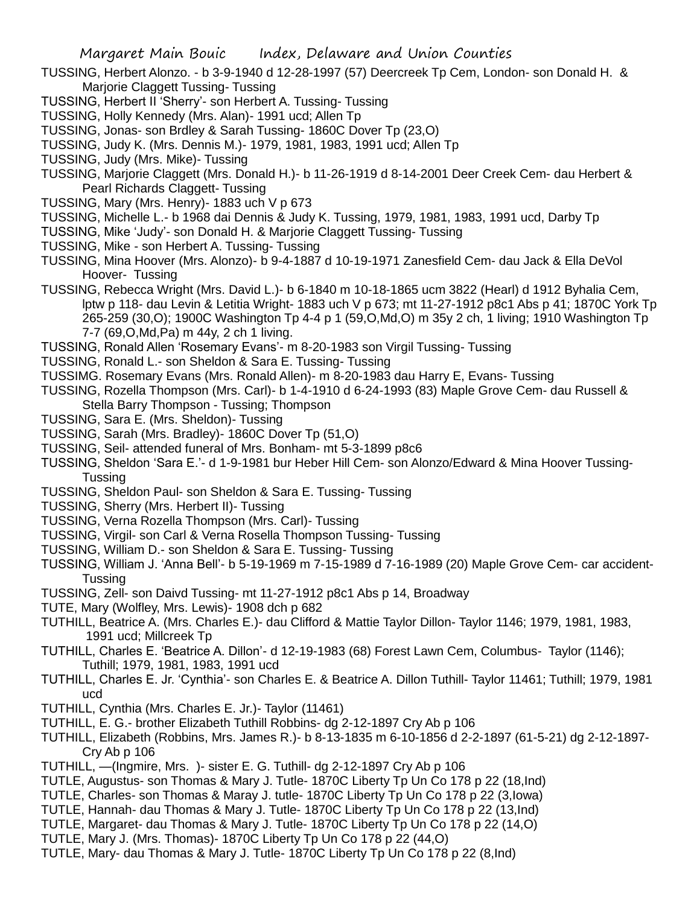- TUSSING, Herbert Alonzo. b 3-9-1940 d 12-28-1997 (57) Deercreek Tp Cem, London- son Donald H. & Marjorie Claggett Tussing- Tussing
- TUSSING, Herbert II 'Sherry'- son Herbert A. Tussing- Tussing
- TUSSING, Holly Kennedy (Mrs. Alan)- 1991 ucd; Allen Tp
- TUSSING, Jonas- son Brdley & Sarah Tussing- 1860C Dover Tp (23,O)
- TUSSING, Judy K. (Mrs. Dennis M.)- 1979, 1981, 1983, 1991 ucd; Allen Tp
- TUSSING, Judy (Mrs. Mike)- Tussing
- TUSSING, Marjorie Claggett (Mrs. Donald H.)- b 11-26-1919 d 8-14-2001 Deer Creek Cem- dau Herbert & Pearl Richards Claggett- Tussing
- TUSSING, Mary (Mrs. Henry)- 1883 uch V p 673
- TUSSING, Michelle L.- b 1968 dai Dennis & Judy K. Tussing, 1979, 1981, 1983, 1991 ucd, Darby Tp
- TUSSING, Mike 'Judy'- son Donald H. & Marjorie Claggett Tussing- Tussing
- TUSSING, Mike son Herbert A. Tussing- Tussing

TUSSING, Mina Hoover (Mrs. Alonzo)- b 9-4-1887 d 10-19-1971 Zanesfield Cem- dau Jack & Ella DeVol Hoover- Tussing

TUSSING, Rebecca Wright (Mrs. David L.)- b 6-1840 m 10-18-1865 ucm 3822 (Hearl) d 1912 Byhalia Cem, lptw p 118- dau Levin & Letitia Wright- 1883 uch V p 673; mt 11-27-1912 p8c1 Abs p 41; 1870C York Tp 265-259 (30,O); 1900C Washington Tp 4-4 p 1 (59,O,Md,O) m 35y 2 ch, 1 living; 1910 Washington Tp 7-7 (69,O,Md,Pa) m 44y, 2 ch 1 living.

TUSSING, Ronald Allen 'Rosemary Evans'- m 8-20-1983 son Virgil Tussing- Tussing

- TUSSING, Ronald L.- son Sheldon & Sara E. Tussing- Tussing
- TUSSIMG. Rosemary Evans (Mrs. Ronald Allen)- m 8-20-1983 dau Harry E, Evans- Tussing
- TUSSING, Rozella Thompson (Mrs. Carl)- b 1-4-1910 d 6-24-1993 (83) Maple Grove Cem- dau Russell & Stella Barry Thompson - Tussing; Thompson
- TUSSING, Sara E. (Mrs. Sheldon)- Tussing
- TUSSING, Sarah (Mrs. Bradley)- 1860C Dover Tp (51,O)
- TUSSING, Seil- attended funeral of Mrs. Bonham- mt 5-3-1899 p8c6
- TUSSING, Sheldon 'Sara E.'- d 1-9-1981 bur Heber Hill Cem- son Alonzo/Edward & Mina Hoover Tussing-Tussing
- TUSSING, Sheldon Paul- son Sheldon & Sara E. Tussing- Tussing
- TUSSING, Sherry (Mrs. Herbert II)- Tussing
- TUSSING, Verna Rozella Thompson (Mrs. Carl)- Tussing
- TUSSING, Virgil- son Carl & Verna Rosella Thompson Tussing- Tussing
- TUSSING, William D.- son Sheldon & Sara E. Tussing- Tussing
- TUSSING, William J. 'Anna Bell'- b 5-19-1969 m 7-15-1989 d 7-16-1989 (20) Maple Grove Cem- car accident-Tussing
- TUSSING, Zell- son Daivd Tussing- mt 11-27-1912 p8c1 Abs p 14, Broadway
- TUTE, Mary (Wolfley, Mrs. Lewis)- 1908 dch p 682
- TUTHILL, Beatrice A. (Mrs. Charles E.)- dau Clifford & Mattie Taylor Dillon- Taylor 1146; 1979, 1981, 1983, 1991 ucd; Millcreek Tp
- TUTHILL, Charles E. 'Beatrice A. Dillon'- d 12-19-1983 (68) Forest Lawn Cem, Columbus- Taylor (1146); Tuthill; 1979, 1981, 1983, 1991 ucd
- TUTHILL, Charles E. Jr. 'Cynthia'- son Charles E. & Beatrice A. Dillon Tuthill- Taylor 11461; Tuthill; 1979, 1981 ucd
- TUTHILL, Cynthia (Mrs. Charles E. Jr.)- Taylor (11461)
- TUTHILL, E. G.- brother Elizabeth Tuthill Robbins- dg 2-12-1897 Cry Ab p 106
- TUTHILL, Elizabeth (Robbins, Mrs. James R.)- b 8-13-1835 m 6-10-1856 d 2-2-1897 (61-5-21) dg 2-12-1897- Cry Ab p 106
- TUTHILL, —(Ingmire, Mrs. )- sister E. G. Tuthill- dg 2-12-1897 Cry Ab p 106
- TUTLE, Augustus- son Thomas & Mary J. Tutle- 1870C Liberty Tp Un Co 178 p 22 (18,Ind)
- TUTLE, Charles- son Thomas & Maray J. tutle- 1870C Liberty Tp Un Co 178 p 22 (3,Iowa)
- TUTLE, Hannah- dau Thomas & Mary J. Tutle- 1870C Liberty Tp Un Co 178 p 22 (13,Ind)
- TUTLE, Margaret- dau Thomas & Mary J. Tutle- 1870C Liberty Tp Un Co 178 p 22 (14,O)
- TUTLE, Mary J. (Mrs. Thomas)- 1870C Liberty Tp Un Co 178 p 22 (44,O)
- TUTLE, Mary- dau Thomas & Mary J. Tutle- 1870C Liberty Tp Un Co 178 p 22 (8,Ind)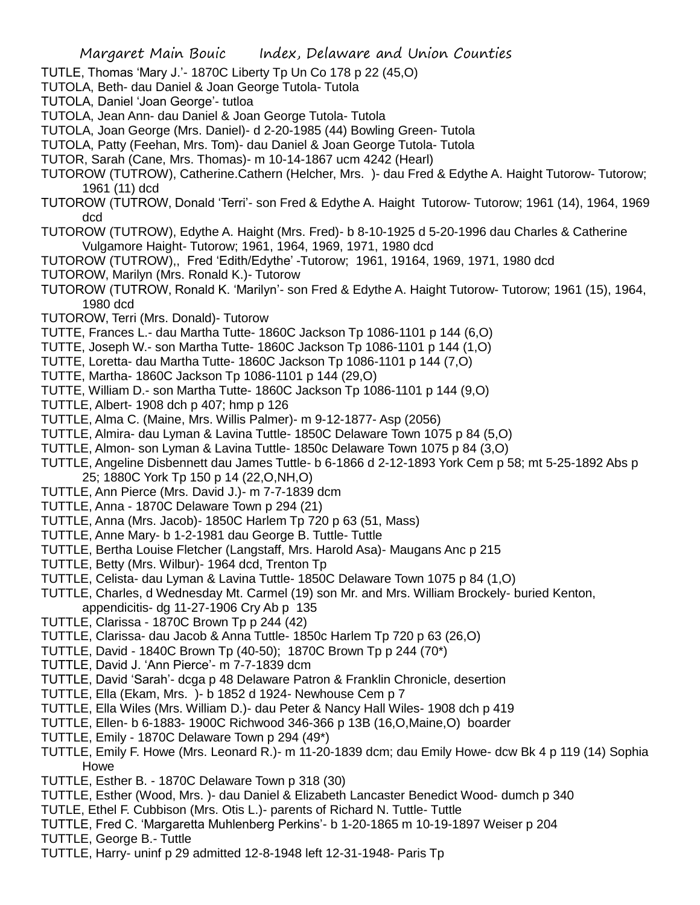- TUTLE, Thomas 'Mary J.'- 1870C Liberty Tp Un Co 178 p 22 (45,O)
- TUTOLA, Beth- dau Daniel & Joan George Tutola- Tutola
- TUTOLA, Daniel 'Joan George'- tutloa
- TUTOLA, Jean Ann- dau Daniel & Joan George Tutola- Tutola
- TUTOLA, Joan George (Mrs. Daniel)- d 2-20-1985 (44) Bowling Green- Tutola
- TUTOLA, Patty (Feehan, Mrs. Tom)- dau Daniel & Joan George Tutola- Tutola
- TUTOR, Sarah (Cane, Mrs. Thomas)- m 10-14-1867 ucm 4242 (Hearl)
- TUTOROW (TUTROW), Catherine.Cathern (Helcher, Mrs. )- dau Fred & Edythe A. Haight Tutorow- Tutorow; 1961 (11) dcd
- TUTOROW (TUTROW, Donald 'Terri'- son Fred & Edythe A. Haight Tutorow- Tutorow; 1961 (14), 1964, 1969 dcd
- TUTOROW (TUTROW), Edythe A. Haight (Mrs. Fred)- b 8-10-1925 d 5-20-1996 dau Charles & Catherine Vulgamore Haight- Tutorow; 1961, 1964, 1969, 1971, 1980 dcd
- TUTOROW (TUTROW),, Fred 'Edith/Edythe' -Tutorow; 1961, 19164, 1969, 1971, 1980 dcd
- TUTOROW, Marilyn (Mrs. Ronald K.)- Tutorow
- TUTOROW (TUTROW, Ronald K. 'Marilyn'- son Fred & Edythe A. Haight Tutorow- Tutorow; 1961 (15), 1964, 1980 dcd
- TUTOROW, Terri (Mrs. Donald)- Tutorow
- TUTTE, Frances L.- dau Martha Tutte- 1860C Jackson Tp 1086-1101 p 144 (6,O)
- TUTTE, Joseph W.- son Martha Tutte- 1860C Jackson Tp 1086-1101 p 144 (1,O)
- TUTTE, Loretta- dau Martha Tutte- 1860C Jackson Tp 1086-1101 p 144 (7,O)
- TUTTE, Martha- 1860C Jackson Tp 1086-1101 p 144 (29,O)
- TUTTE, William D.- son Martha Tutte- 1860C Jackson Tp 1086-1101 p 144 (9,O)
- TUTTLE, Albert- 1908 dch p 407; hmp p 126
- TUTTLE, Alma C. (Maine, Mrs. Willis Palmer)- m 9-12-1877- Asp (2056)
- TUTTLE, Almira- dau Lyman & Lavina Tuttle- 1850C Delaware Town 1075 p 84 (5,O)
- TUTTLE, Almon- son Lyman & Lavina Tuttle- 1850c Delaware Town 1075 p 84 (3,O)
- TUTTLE, Angeline Disbennett dau James Tuttle- b 6-1866 d 2-12-1893 York Cem p 58; mt 5-25-1892 Abs p 25; 1880C York Tp 150 p 14 (22,O,NH,O)
- TUTTLE, Ann Pierce (Mrs. David J.)- m 7-7-1839 dcm
- TUTTLE, Anna 1870C Delaware Town p 294 (21)
- TUTTLE, Anna (Mrs. Jacob)- 1850C Harlem Tp 720 p 63 (51, Mass)
- TUTTLE, Anne Mary- b 1-2-1981 dau George B. Tuttle- Tuttle
- TUTTLE, Bertha Louise Fletcher (Langstaff, Mrs. Harold Asa)- Maugans Anc p 215
- TUTTLE, Betty (Mrs. Wilbur)- 1964 dcd, Trenton Tp
- TUTTLE, Celista- dau Lyman & Lavina Tuttle- 1850C Delaware Town 1075 p 84 (1,O)
- TUTTLE, Charles, d Wednesday Mt. Carmel (19) son Mr. and Mrs. William Brockely- buried Kenton, appendicitis- dg 11-27-1906 Cry Ab p 135
- TUTTLE, Clarissa 1870C Brown Tp p 244 (42)
- TUTTLE, Clarissa- dau Jacob & Anna Tuttle- 1850c Harlem Tp 720 p 63 (26,O)
- TUTTLE, David 1840C Brown Tp (40-50); 1870C Brown Tp p 244 (70\*)
- TUTTLE, David J. 'Ann Pierce'- m 7-7-1839 dcm
- TUTTLE, David 'Sarah'- dcga p 48 Delaware Patron & Franklin Chronicle, desertion
- TUTTLE, Ella (Ekam, Mrs. )- b 1852 d 1924- Newhouse Cem p 7
- TUTTLE, Ella Wiles (Mrs. William D.)- dau Peter & Nancy Hall Wiles- 1908 dch p 419
- TUTTLE, Ellen- b 6-1883- 1900C Richwood 346-366 p 13B (16,O,Maine,O) boarder
- TUTTLE, Emily 1870C Delaware Town p 294 (49\*)
- TUTTLE, Emily F. Howe (Mrs. Leonard R.)- m 11-20-1839 dcm; dau Emily Howe- dcw Bk 4 p 119 (14) Sophia Howe
- TUTTLE, Esther B. 1870C Delaware Town p 318 (30)
- TUTTLE, Esther (Wood, Mrs. )- dau Daniel & Elizabeth Lancaster Benedict Wood- dumch p 340
- TUTLE, Ethel F. Cubbison (Mrs. Otis L.)- parents of Richard N. Tuttle- Tuttle
- TUTTLE, Fred C. 'Margaretta Muhlenberg Perkins'- b 1-20-1865 m 10-19-1897 Weiser p 204
- TUTTLE, George B.- Tuttle
- TUTTLE, Harry- uninf p 29 admitted 12-8-1948 left 12-31-1948- Paris Tp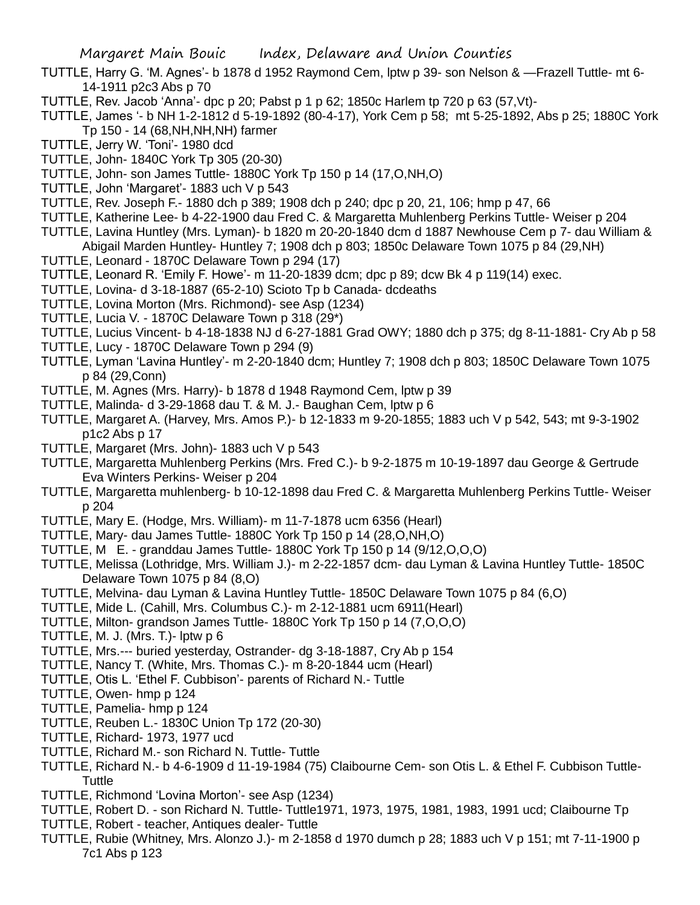- TUTTLE, Harry G. 'M. Agnes'- b 1878 d 1952 Raymond Cem, lptw p 39- son Nelson & —Frazell Tuttle- mt 6- 14-1911 p2c3 Abs p 70
- TUTTLE, Rev. Jacob 'Anna'- dpc p 20; Pabst p 1 p 62; 1850c Harlem tp 720 p 63 (57,Vt)-

TUTTLE, James '- b NH 1-2-1812 d 5-19-1892 (80-4-17), York Cem p 58; mt 5-25-1892, Abs p 25; 1880C York Tp 150 - 14 (68,NH,NH,NH) farmer

- TUTTLE, Jerry W. 'Toni'- 1980 dcd
- TUTTLE, John- 1840C York Tp 305 (20-30)
- TUTTLE, John- son James Tuttle- 1880C York Tp 150 p 14 (17,O,NH,O)
- TUTTLE, John 'Margaret'- 1883 uch V p 543
- TUTTLE, Rev. Joseph F.- 1880 dch p 389; 1908 dch p 240; dpc p 20, 21, 106; hmp p 47, 66
- TUTTLE, Katherine Lee- b 4-22-1900 dau Fred C. & Margaretta Muhlenberg Perkins Tuttle- Weiser p 204
- TUTTLE, Lavina Huntley (Mrs. Lyman)- b 1820 m 20-20-1840 dcm d 1887 Newhouse Cem p 7- dau William & Abigail Marden Huntley- Huntley 7; 1908 dch p 803; 1850c Delaware Town 1075 p 84 (29,NH)
- TUTTLE, Leonard 1870C Delaware Town p 294 (17)
- TUTTLE, Leonard R. 'Emily F. Howe'- m 11-20-1839 dcm; dpc p 89; dcw Bk 4 p 119(14) exec.
- TUTTLE, Lovina- d 3-18-1887 (65-2-10) Scioto Tp b Canada- dcdeaths
- TUTTLE, Lovina Morton (Mrs. Richmond)- see Asp (1234)
- TUTTLE, Lucia V. 1870C Delaware Town p 318 (29\*)
- TUTTLE, Lucius Vincent- b 4-18-1838 NJ d 6-27-1881 Grad OWY; 1880 dch p 375; dg 8-11-1881- Cry Ab p 58
- TUTTLE, Lucy 1870C Delaware Town p 294 (9)
- TUTTLE, Lyman 'Lavina Huntley'- m 2-20-1840 dcm; Huntley 7; 1908 dch p 803; 1850C Delaware Town 1075 p 84 (29,Conn)
- TUTTLE, M. Agnes (Mrs. Harry)- b 1878 d 1948 Raymond Cem, lptw p 39
- TUTTLE, Malinda- d 3-29-1868 dau T. & M. J.- Baughan Cem, lptw p 6
- TUTTLE, Margaret A. (Harvey, Mrs. Amos P.)- b 12-1833 m 9-20-1855; 1883 uch V p 542, 543; mt 9-3-1902 p1c2 Abs p 17
- TUTTLE, Margaret (Mrs. John)- 1883 uch V p 543
- TUTTLE, Margaretta Muhlenberg Perkins (Mrs. Fred C.)- b 9-2-1875 m 10-19-1897 dau George & Gertrude Eva Winters Perkins- Weiser p 204
- TUTTLE, Margaretta muhlenberg- b 10-12-1898 dau Fred C. & Margaretta Muhlenberg Perkins Tuttle- Weiser p 204
- TUTTLE, Mary E. (Hodge, Mrs. William)- m 11-7-1878 ucm 6356 (Hearl)
- TUTTLE, Mary- dau James Tuttle- 1880C York Tp 150 p 14 (28,O,NH,O)
- TUTTLE, M E. granddau James Tuttle- 1880C York Tp 150 p 14 (9/12,O,O,O)
- TUTTLE, Melissa (Lothridge, Mrs. William J.)- m 2-22-1857 dcm- dau Lyman & Lavina Huntley Tuttle- 1850C Delaware Town 1075 p 84 (8,O)
- TUTTLE, Melvina- dau Lyman & Lavina Huntley Tuttle- 1850C Delaware Town 1075 p 84 (6,O)
- TUTTLE, Mide L. (Cahill, Mrs. Columbus C.)- m 2-12-1881 ucm 6911(Hearl)
- TUTTLE, Milton- grandson James Tuttle- 1880C York Tp 150 p 14 (7,O,O,O)
- TUTTLE, M. J. (Mrs. T.)- lptw p 6
- TUTTLE, Mrs.--- buried yesterday, Ostrander- dg 3-18-1887, Cry Ab p 154
- TUTTLE, Nancy T. (White, Mrs. Thomas C.)- m 8-20-1844 ucm (Hearl)
- TUTTLE, Otis L. 'Ethel F. Cubbison'- parents of Richard N.- Tuttle
- TUTTLE, Owen- hmp p 124
- TUTTLE, Pamelia- hmp p 124
- TUTTLE, Reuben L.- 1830C Union Tp 172 (20-30)
- TUTTLE, Richard- 1973, 1977 ucd
- TUTTLE, Richard M.- son Richard N. Tuttle- Tuttle
- TUTTLE, Richard N.- b 4-6-1909 d 11-19-1984 (75) Claibourne Cem- son Otis L. & Ethel F. Cubbison Tuttle-**Tuttle**
- TUTTLE, Richmond 'Lovina Morton'- see Asp (1234)
- TUTTLE, Robert D. son Richard N. Tuttle- Tuttle1971, 1973, 1975, 1981, 1983, 1991 ucd; Claibourne Tp
- TUTTLE, Robert teacher, Antiques dealer- Tuttle
- TUTTLE, Rubie (Whitney, Mrs. Alonzo J.)- m 2-1858 d 1970 dumch p 28; 1883 uch V p 151; mt 7-11-1900 p 7c1 Abs p 123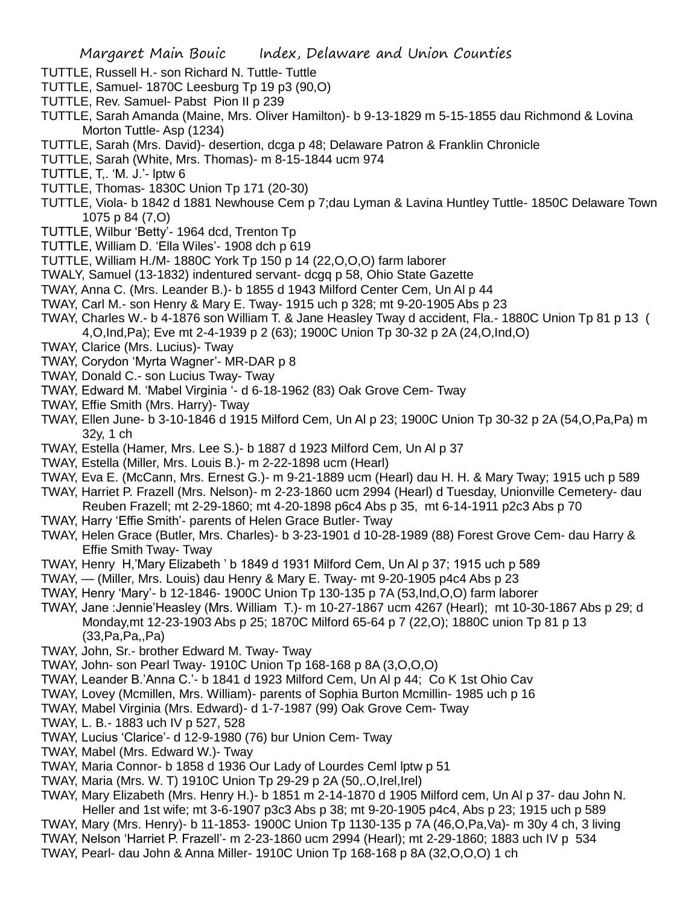- TUTTLE, Russell H.- son Richard N. Tuttle- Tuttle
- TUTTLE, Samuel- 1870C Leesburg Tp 19 p3 (90,O)
- TUTTLE, Rev. Samuel- Pabst Pion II p 239
- TUTTLE, Sarah Amanda (Maine, Mrs. Oliver Hamilton)- b 9-13-1829 m 5-15-1855 dau Richmond & Lovina Morton Tuttle- Asp (1234)
- TUTTLE, Sarah (Mrs. David)- desertion, dcga p 48; Delaware Patron & Franklin Chronicle
- TUTTLE, Sarah (White, Mrs. Thomas)- m 8-15-1844 ucm 974
- TUTTLE, T,. 'M. J.'- lptw 6
- TUTTLE, Thomas- 1830C Union Tp 171 (20-30)
- TUTTLE, Viola- b 1842 d 1881 Newhouse Cem p 7;dau Lyman & Lavina Huntley Tuttle- 1850C Delaware Town 1075 p 84 (7,O)
- TUTTLE, Wilbur 'Betty'- 1964 dcd, Trenton Tp
- TUTTLE, William D. 'Ella Wiles'- 1908 dch p 619
- TUTTLE, William H./M- 1880C York Tp 150 p 14 (22,O,O,O) farm laborer
- TWALY, Samuel (13-1832) indentured servant- dcgq p 58, Ohio State Gazette
- TWAY, Anna C. (Mrs. Leander B.)- b 1855 d 1943 Milford Center Cem, Un Al p 44
- TWAY, Carl M.- son Henry & Mary E. Tway- 1915 uch p 328; mt 9-20-1905 Abs p 23
- TWAY, Charles W.- b 4-1876 son William T. & Jane Heasley Tway d accident, Fla.- 1880C Union Tp 81 p 13 (
	- 4,O,Ind,Pa); Eve mt 2-4-1939 p 2 (63); 1900C Union Tp 30-32 p 2A (24,O,Ind,O)
- TWAY, Clarice (Mrs. Lucius)- Tway
- TWAY, Corydon 'Myrta Wagner'- MR-DAR p 8
- TWAY, Donald C.- son Lucius Tway- Tway
- TWAY, Edward M. 'Mabel Virginia '- d 6-18-1962 (83) Oak Grove Cem- Tway
- TWAY, Effie Smith (Mrs. Harry)- Tway
- TWAY, Ellen June- b 3-10-1846 d 1915 Milford Cem, Un Al p 23; 1900C Union Tp 30-32 p 2A (54,O,Pa,Pa) m 32y, 1 ch
- TWAY, Estella (Hamer, Mrs. Lee S.)- b 1887 d 1923 Milford Cem, Un Al p 37
- TWAY, Estella (Miller, Mrs. Louis B.)- m 2-22-1898 ucm (Hearl)
- TWAY, Eva E. (McCann, Mrs. Ernest G.)- m 9-21-1889 ucm (Hearl) dau H. H. & Mary Tway; 1915 uch p 589
- TWAY, Harriet P. Frazell (Mrs. Nelson)- m 2-23-1860 ucm 2994 (Hearl) d Tuesday, Unionville Cemetery- dau Reuben Frazell; mt 2-29-1860; mt 4-20-1898 p6c4 Abs p 35, mt 6-14-1911 p2c3 Abs p 70
- TWAY, Harry 'Effie Smith'- parents of Helen Grace Butler- Tway
- TWAY, Helen Grace (Butler, Mrs. Charles)- b 3-23-1901 d 10-28-1989 (88) Forest Grove Cem- dau Harry & Effie Smith Tway- Tway
- TWAY, Henry H,'Mary Elizabeth ' b 1849 d 1931 Milford Cem, Un Al p 37; 1915 uch p 589
- TWAY, (Miller, Mrs. Louis) dau Henry & Mary E. Tway- mt 9-20-1905 p4c4 Abs p 23
- TWAY, Henry 'Mary'- b 12-1846- 1900C Union Tp 130-135 p 7A (53,Ind,O,O) farm laborer
- TWAY, Jane :Jennie'Heasley (Mrs. William T.)- m 10-27-1867 ucm 4267 (Hearl); mt 10-30-1867 Abs p 29; d Monday,mt 12-23-1903 Abs p 25; 1870C Milford 65-64 p 7 (22,O); 1880C union Tp 81 p 13 (33,Pa,Pa,,Pa)
- TWAY, John, Sr.- brother Edward M. Tway- Tway
- TWAY, John- son Pearl Tway- 1910C Union Tp 168-168 p 8A (3,O,O,O)
- TWAY, Leander B.'Anna C.'- b 1841 d 1923 Milford Cem, Un Al p 44; Co K 1st Ohio Cav
- TWAY, Lovey (Mcmillen, Mrs. William)- parents of Sophia Burton Mcmillin- 1985 uch p 16
- TWAY, Mabel Virginia (Mrs. Edward)- d 1-7-1987 (99) Oak Grove Cem- Tway
- TWAY, L. B.- 1883 uch IV p 527, 528
- TWAY, Lucius 'Clarice'- d 12-9-1980 (76) bur Union Cem- Tway
- TWAY, Mabel (Mrs. Edward W.)- Tway
- TWAY, Maria Connor- b 1858 d 1936 Our Lady of Lourdes Ceml lptw p 51
- TWAY, Maria (Mrs. W. T) 1910C Union Tp 29-29 p 2A (50,.O,Irel,Irel)
- TWAY, Mary Elizabeth (Mrs. Henry H.)- b 1851 m 2-14-1870 d 1905 Milford cem, Un Al p 37- dau John N. Heller and 1st wife; mt 3-6-1907 p3c3 Abs p 38; mt 9-20-1905 p4c4, Abs p 23; 1915 uch p 589
- TWAY, Mary (Mrs. Henry)- b 11-1853- 1900C Union Tp 1130-135 p 7A (46,O,Pa,Va)- m 30y 4 ch, 3 living
- TWAY, Nelson 'Harriet P. Frazell'- m 2-23-1860 ucm 2994 (Hearl); mt 2-29-1860; 1883 uch IV p 534
- TWAY, Pearl- dau John & Anna Miller- 1910C Union Tp 168-168 p 8A (32,O,O,O) 1 ch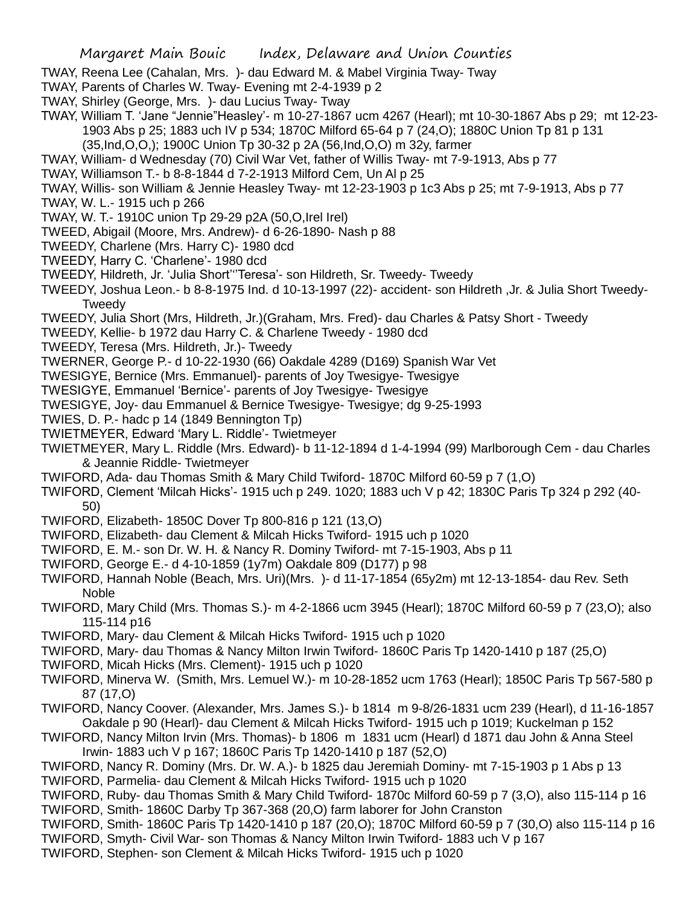- TWAY, Reena Lee (Cahalan, Mrs. )- dau Edward M. & Mabel Virginia Tway- Tway
- TWAY, Parents of Charles W. Tway- Evening mt 2-4-1939 p 2
- TWAY, Shirley (George, Mrs. )- dau Lucius Tway- Tway
- TWAY, William T. 'Jane "Jennie"Heasley'- m 10-27-1867 ucm 4267 (Hearl); mt 10-30-1867 Abs p 29; mt 12-23- 1903 Abs p 25; 1883 uch IV p 534; 1870C Milford 65-64 p 7 (24,O); 1880C Union Tp 81 p 131 (35,Ind,O,O,); 1900C Union Tp 30-32 p 2A (56,Ind,O,O) m 32y, farmer
- TWAY, William- d Wednesday (70) Civil War Vet, father of Willis Tway- mt 7-9-1913, Abs p 77
- TWAY, Williamson T.- b 8-8-1844 d 7-2-1913 Milford Cem, Un Al p 25
- TWAY, Willis- son William & Jennie Heasley Tway- mt 12-23-1903 p 1c3 Abs p 25; mt 7-9-1913, Abs p 77
- TWAY, W. L.- 1915 uch p 266
- TWAY, W. T.- 1910C union Tp 29-29 p2A (50,O,Irel Irel)
- TWEED, Abigail (Moore, Mrs. Andrew)- d 6-26-1890- Nash p 88
- TWEEDY, Charlene (Mrs. Harry C)- 1980 dcd
- TWEEDY, Harry C. 'Charlene'- 1980 dcd
- TWEEDY, Hildreth, Jr. 'Julia Short'''Teresa'- son Hildreth, Sr. Tweedy- Tweedy
- TWEEDY, Joshua Leon.- b 8-8-1975 Ind. d 10-13-1997 (22)- accident- son Hildreth ,Jr. & Julia Short Tweedy-Tweedy
- TWEEDY, Julia Short (Mrs, Hildreth, Jr.)(Graham, Mrs. Fred)- dau Charles & Patsy Short Tweedy
- TWEEDY, Kellie- b 1972 dau Harry C. & Charlene Tweedy 1980 dcd
- TWEEDY, Teresa (Mrs. Hildreth, Jr.)- Tweedy
- TWERNER, George P.- d 10-22-1930 (66) Oakdale 4289 (D169) Spanish War Vet
- TWESIGYE, Bernice (Mrs. Emmanuel)- parents of Joy Twesigye- Twesigye
- TWESIGYE, Emmanuel 'Bernice'- parents of Joy Twesigye- Twesigye
- TWESIGYE, Joy- dau Emmanuel & Bernice Twesigye- Twesigye; dg 9-25-1993
- TWIES, D. P.- hadc p 14 (1849 Bennington Tp)
- TWIETMEYER, Edward 'Mary L. Riddle'- Twietmeyer
- TWIETMEYER, Mary L. Riddle (Mrs. Edward)- b 11-12-1894 d 1-4-1994 (99) Marlborough Cem dau Charles & Jeannie Riddle- Twietmeyer
- TWIFORD, Ada- dau Thomas Smith & Mary Child Twiford- 1870C Milford 60-59 p 7 (1,O)
- TWIFORD, Clement 'Milcah Hicks'- 1915 uch p 249. 1020; 1883 uch V p 42; 1830C Paris Tp 324 p 292 (40- 50)
- TWIFORD, Elizabeth- 1850C Dover Tp 800-816 p 121 (13,O)
- TWIFORD, Elizabeth- dau Clement & Milcah Hicks Twiford- 1915 uch p 1020
- TWIFORD, E. M.- son Dr. W. H. & Nancy R. Dominy Twiford- mt 7-15-1903, Abs p 11
- TWIFORD, George E.- d 4-10-1859 (1y7m) Oakdale 809 (D177) p 98
- TWIFORD, Hannah Noble (Beach, Mrs. Uri)(Mrs. )- d 11-17-1854 (65y2m) mt 12-13-1854- dau Rev. Seth Noble
- TWIFORD, Mary Child (Mrs. Thomas S.)- m 4-2-1866 ucm 3945 (Hearl); 1870C Milford 60-59 p 7 (23,O); also 115-114 p16
- TWIFORD, Mary- dau Clement & Milcah Hicks Twiford- 1915 uch p 1020
- TWIFORD, Mary- dau Thomas & Nancy Milton Irwin Twiford- 1860C Paris Tp 1420-1410 p 187 (25,O)
- TWIFORD, Micah Hicks (Mrs. Clement)- 1915 uch p 1020
- TWIFORD, Minerva W. (Smith, Mrs. Lemuel W.)- m 10-28-1852 ucm 1763 (Hearl); 1850C Paris Tp 567-580 p 87 (17,O)
- TWIFORD, Nancy Coover. (Alexander, Mrs. James S.)- b 1814 m 9-8/26-1831 ucm 239 (Hearl), d 11-16-1857 Oakdale p 90 (Hearl)- dau Clement & Milcah Hicks Twiford- 1915 uch p 1019; Kuckelman p 152
- TWIFORD, Nancy Milton Irvin (Mrs. Thomas)- b 1806 m 1831 ucm (Hearl) d 1871 dau John & Anna Steel Irwin- 1883 uch V p 167; 1860C Paris Tp 1420-1410 p 187 (52,O)
- TWIFORD, Nancy R. Dominy (Mrs. Dr. W. A.)- b 1825 dau Jeremiah Dominy- mt 7-15-1903 p 1 Abs p 13
- TWIFORD, Parmelia- dau Clement & Milcah Hicks Twiford- 1915 uch p 1020
- TWIFORD, Ruby- dau Thomas Smith & Mary Child Twiford- 1870c Milford 60-59 p 7 (3,O), also 115-114 p 16 TWIFORD, Smith- 1860C Darby Tp 367-368 (20,O) farm laborer for John Cranston
- TWIFORD, Smith- 1860C Paris Tp 1420-1410 p 187 (20,O); 1870C Milford 60-59 p 7 (30,O) also 115-114 p 16 TWIFORD, Smyth- Civil War- son Thomas & Nancy Milton Irwin Twiford- 1883 uch V p 167
- TWIFORD, Stephen- son Clement & Milcah Hicks Twiford- 1915 uch p 1020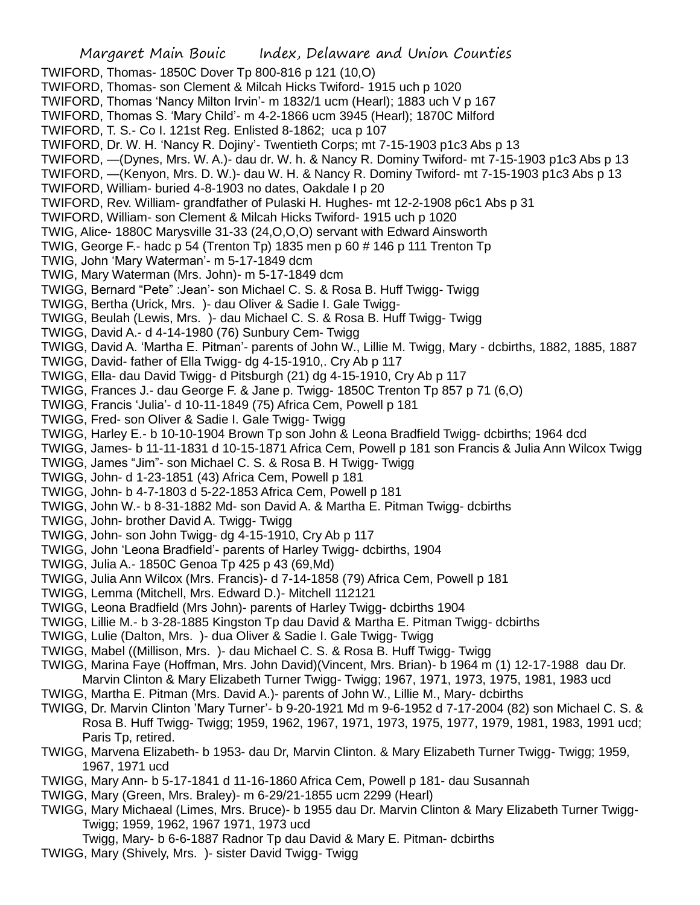Margaret Main Bouic Index, Delaware and Union Counties TWIFORD, Thomas- 1850C Dover Tp 800-816 p 121 (10,O) TWIFORD, Thomas- son Clement & Milcah Hicks Twiford- 1915 uch p 1020 TWIFORD, Thomas 'Nancy Milton Irvin'- m 1832/1 ucm (Hearl); 1883 uch V p 167 TWIFORD, Thomas S. 'Mary Child'- m 4-2-1866 ucm 3945 (Hearl); 1870C Milford TWIFORD, T. S.- Co I. 121st Reg. Enlisted 8-1862; uca p 107 TWIFORD, Dr. W. H. 'Nancy R. Dojiny'- Twentieth Corps; mt 7-15-1903 p1c3 Abs p 13 TWIFORD, —(Dynes, Mrs. W. A.)- dau dr. W. h. & Nancy R. Dominy Twiford- mt 7-15-1903 p1c3 Abs p 13 TWIFORD, —(Kenyon, Mrs. D. W.)- dau W. H. & Nancy R. Dominy Twiford- mt 7-15-1903 p1c3 Abs p 13 TWIFORD, William- buried 4-8-1903 no dates, Oakdale I p 20 TWIFORD, Rev. William- grandfather of Pulaski H. Hughes- mt 12-2-1908 p6c1 Abs p 31 TWIFORD, William- son Clement & Milcah Hicks Twiford- 1915 uch p 1020 TWIG, Alice- 1880C Marysville 31-33 (24,O,O,O) servant with Edward Ainsworth TWIG, George F.- hadc p 54 (Trenton Tp) 1835 men p 60 # 146 p 111 Trenton Tp TWIG, John 'Mary Waterman'- m 5-17-1849 dcm TWIG, Mary Waterman (Mrs. John)- m 5-17-1849 dcm TWIGG, Bernard "Pete" :Jean'- son Michael C. S. & Rosa B. Huff Twigg- Twigg TWIGG, Bertha (Urick, Mrs. )- dau Oliver & Sadie I. Gale Twigg-TWIGG, Beulah (Lewis, Mrs. )- dau Michael C. S. & Rosa B. Huff Twigg- Twigg TWIGG, David A.- d 4-14-1980 (76) Sunbury Cem- Twigg TWIGG, David A. 'Martha E. Pitman'- parents of John W., Lillie M. Twigg, Mary - dcbirths, 1882, 1885, 1887 TWIGG, David- father of Ella Twigg- dg 4-15-1910,. Cry Ab p 117 TWIGG, Ella- dau David Twigg- d Pitsburgh (21) dg 4-15-1910, Cry Ab p 117 TWIGG, Frances J.- dau George F. & Jane p. Twigg- 1850C Trenton Tp 857 p 71 (6,O) TWIGG, Francis 'Julia'- d 10-11-1849 (75) Africa Cem, Powell p 181 TWIGG, Fred- son Oliver & Sadie I. Gale Twigg- Twigg TWIGG, Harley E.- b 10-10-1904 Brown Tp son John & Leona Bradfield Twigg- dcbirths; 1964 dcd TWIGG, James- b 11-11-1831 d 10-15-1871 Africa Cem, Powell p 181 son Francis & Julia Ann Wilcox Twigg TWIGG, James "Jim"- son Michael C. S. & Rosa B. H Twigg- Twigg TWIGG, John- d 1-23-1851 (43) Africa Cem, Powell p 181 TWIGG, John- b 4-7-1803 d 5-22-1853 Africa Cem, Powell p 181 TWIGG, John W.- b 8-31-1882 Md- son David A. & Martha E. Pitman Twigg- dcbirths TWIGG, John- brother David A. Twigg- Twigg TWIGG, John- son John Twigg- dg 4-15-1910, Cry Ab p 117 TWIGG, John 'Leona Bradfield'- parents of Harley Twigg- dcbirths, 1904 TWIGG, Julia A.- 1850C Genoa Tp 425 p 43 (69,Md) TWIGG, Julia Ann Wilcox (Mrs. Francis)- d 7-14-1858 (79) Africa Cem, Powell p 181 TWIGG, Lemma (Mitchell, Mrs. Edward D.)- Mitchell 112121 TWIGG, Leona Bradfield (Mrs John)- parents of Harley Twigg- dcbirths 1904 TWIGG, Lillie M.- b 3-28-1885 Kingston Tp dau David & Martha E. Pitman Twigg- dcbirths TWIGG, Lulie (Dalton, Mrs. )- dua Oliver & Sadie I. Gale Twigg- Twigg TWIGG, Mabel ((Millison, Mrs. )- dau Michael C. S. & Rosa B. Huff Twigg- Twigg TWIGG, Marina Faye (Hoffman, Mrs. John David)(Vincent, Mrs. Brian)- b 1964 m (1) 12-17-1988 dau Dr. Marvin Clinton & Mary Elizabeth Turner Twigg- Twigg; 1967, 1971, 1973, 1975, 1981, 1983 ucd TWIGG, Martha E. Pitman (Mrs. David A.)- parents of John W., Lillie M., Mary- dcbirths TWIGG, Dr. Marvin Clinton 'Mary Turner'- b 9-20-1921 Md m 9-6-1952 d 7-17-2004 (82) son Michael C. S. & Rosa B. Huff Twigg- Twigg; 1959, 1962, 1967, 1971, 1973, 1975, 1977, 1979, 1981, 1983, 1991 ucd; Paris Tp, retired. TWIGG, Marvena Elizabeth- b 1953- dau Dr, Marvin Clinton. & Mary Elizabeth Turner Twigg- Twigg; 1959, 1967, 1971 ucd

- TWIGG, Mary Ann- b 5-17-1841 d 11-16-1860 Africa Cem, Powell p 181- dau Susannah
- TWIGG, Mary (Green, Mrs. Braley)- m 6-29/21-1855 ucm 2299 (Hearl)
- TWIGG, Mary Michaeal (Limes, Mrs. Bruce)- b 1955 dau Dr. Marvin Clinton & Mary Elizabeth Turner Twigg-Twigg; 1959, 1962, 1967 1971, 1973 ucd

Twigg, Mary- b 6-6-1887 Radnor Tp dau David & Mary E. Pitman- dcbirths

TWIGG, Mary (Shively, Mrs. )- sister David Twigg- Twigg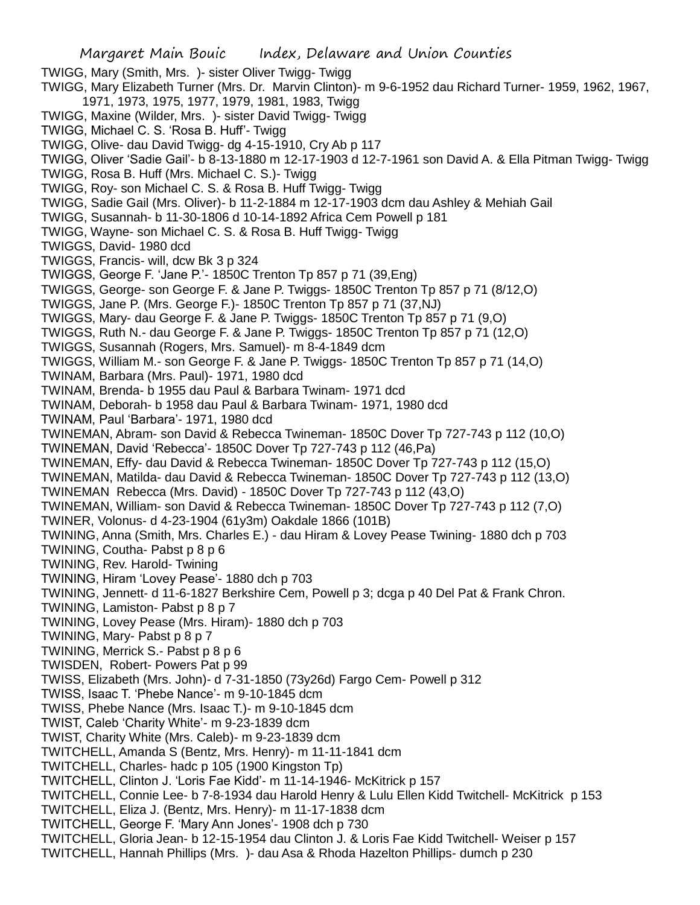TWIGG, Mary (Smith, Mrs. )- sister Oliver Twigg- Twigg

TWIGG, Mary Elizabeth Turner (Mrs. Dr. Marvin Clinton)- m 9-6-1952 dau Richard Turner- 1959, 1962, 1967, 1971, 1973, 1975, 1977, 1979, 1981, 1983, Twigg

- TWIGG, Maxine (Wilder, Mrs. )- sister David Twigg- Twigg
- TWIGG, Michael C. S. 'Rosa B. Huff'- Twigg
- TWIGG, Olive- dau David Twigg- dg 4-15-1910, Cry Ab p 117
- TWIGG, Oliver 'Sadie Gail'- b 8-13-1880 m 12-17-1903 d 12-7-1961 son David A. & Ella Pitman Twigg- Twigg
- TWIGG, Rosa B. Huff (Mrs. Michael C. S.)- Twigg
- TWIGG, Roy- son Michael C. S. & Rosa B. Huff Twigg- Twigg
- TWIGG, Sadie Gail (Mrs. Oliver)- b 11-2-1884 m 12-17-1903 dcm dau Ashley & Mehiah Gail
- TWIGG, Susannah- b 11-30-1806 d 10-14-1892 Africa Cem Powell p 181
- TWIGG, Wayne- son Michael C. S. & Rosa B. Huff Twigg- Twigg
- TWIGGS, David- 1980 dcd
- TWIGGS, Francis- will, dcw Bk 3 p 324
- TWIGGS, George F. 'Jane P.'- 1850C Trenton Tp 857 p 71 (39,Eng)
- TWIGGS, George- son George F. & Jane P. Twiggs- 1850C Trenton Tp 857 p 71 (8/12,O)
- TWIGGS, Jane P. (Mrs. George F.)- 1850C Trenton Tp 857 p 71 (37,NJ)
- TWIGGS, Mary- dau George F. & Jane P. Twiggs- 1850C Trenton Tp 857 p 71 (9,O)
- TWIGGS, Ruth N.- dau George F. & Jane P. Twiggs- 1850C Trenton Tp 857 p 71 (12,O)
- TWIGGS, Susannah (Rogers, Mrs. Samuel)- m 8-4-1849 dcm
- TWIGGS, William M.- son George F. & Jane P. Twiggs- 1850C Trenton Tp 857 p 71 (14,O)
- TWINAM, Barbara (Mrs. Paul)- 1971, 1980 dcd
- TWINAM, Brenda- b 1955 dau Paul & Barbara Twinam- 1971 dcd
- TWINAM, Deborah- b 1958 dau Paul & Barbara Twinam- 1971, 1980 dcd
- TWINAM, Paul 'Barbara'- 1971, 1980 dcd
- TWINEMAN, Abram- son David & Rebecca Twineman- 1850C Dover Tp 727-743 p 112 (10,O)
- TWINEMAN, David 'Rebecca'- 1850C Dover Tp 727-743 p 112 (46,Pa)
- TWINEMAN, Effy- dau David & Rebecca Twineman- 1850C Dover Tp 727-743 p 112 (15,O)
- TWINEMAN, Matilda- dau David & Rebecca Twineman- 1850C Dover Tp 727-743 p 112 (13,O) TWINEMAN Rebecca (Mrs. David) - 1850C Dover Tp 727-743 p 112 (43,O)
- TWINEMAN, William- son David & Rebecca Twineman- 1850C Dover Tp 727-743 p 112 (7,O)
- TWINER, Volonus- d 4-23-1904 (61y3m) Oakdale 1866 (101B)
- TWINING, Anna (Smith, Mrs. Charles E.) dau Hiram & Lovey Pease Twining- 1880 dch p 703 TWINING, Coutha- Pabst p 8 p 6
- TWINING, Rev. Harold- Twining
- TWINING, Hiram 'Lovey Pease'- 1880 dch p 703
- TWINING, Jennett- d 11-6-1827 Berkshire Cem, Powell p 3; dcga p 40 Del Pat & Frank Chron.
- TWINING, Lamiston- Pabst p 8 p 7
- TWINING, Lovey Pease (Mrs. Hiram)- 1880 dch p 703
- TWINING, Mary- Pabst p 8 p 7
- TWINING, Merrick S.- Pabst p 8 p 6
- TWISDEN, Robert- Powers Pat p 99
- TWISS, Elizabeth (Mrs. John)- d 7-31-1850 (73y26d) Fargo Cem- Powell p 312
- TWISS, Isaac T. 'Phebe Nance'- m 9-10-1845 dcm
- TWISS, Phebe Nance (Mrs. Isaac T.)- m 9-10-1845 dcm
- TWIST, Caleb 'Charity White'- m 9-23-1839 dcm
- TWIST, Charity White (Mrs. Caleb)- m 9-23-1839 dcm
- TWITCHELL, Amanda S (Bentz, Mrs. Henry)- m 11-11-1841 dcm
- TWITCHELL, Charles- hadc p 105 (1900 Kingston Tp)
- TWITCHELL, Clinton J. 'Loris Fae Kidd'- m 11-14-1946- McKitrick p 157
- TWITCHELL, Connie Lee- b 7-8-1934 dau Harold Henry & Lulu Ellen Kidd Twitchell- McKitrick p 153
- TWITCHELL, Eliza J. (Bentz, Mrs. Henry)- m 11-17-1838 dcm
- TWITCHELL, George F. 'Mary Ann Jones'- 1908 dch p 730
- TWITCHELL, Gloria Jean- b 12-15-1954 dau Clinton J. & Loris Fae Kidd Twitchell- Weiser p 157
- TWITCHELL, Hannah Phillips (Mrs. )- dau Asa & Rhoda Hazelton Phillips- dumch p 230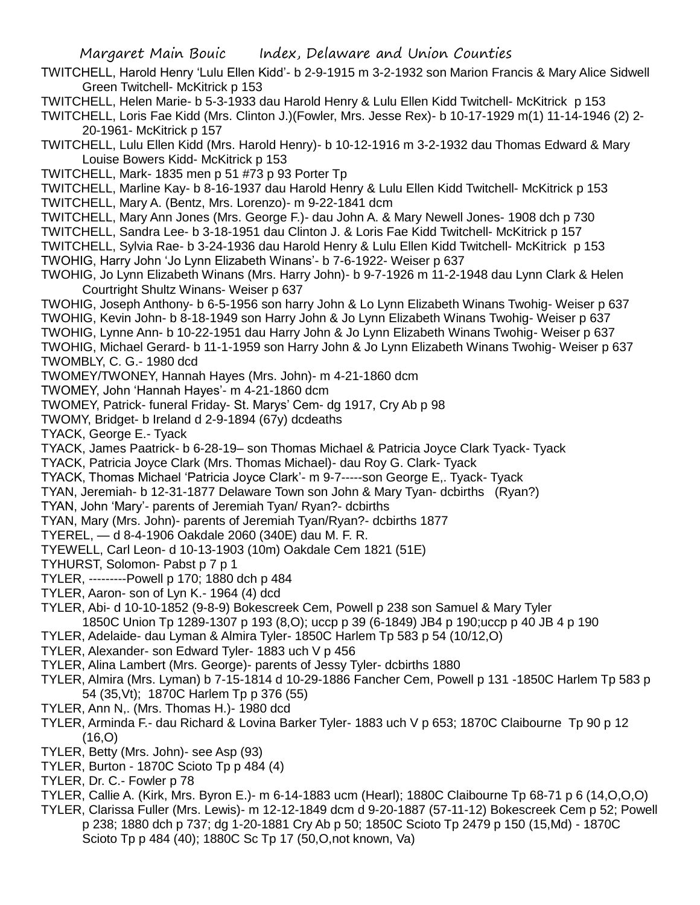TWITCHELL, Harold Henry 'Lulu Ellen Kidd'- b 2-9-1915 m 3-2-1932 son Marion Francis & Mary Alice Sidwell Green Twitchell- McKitrick p 153

TWITCHELL, Helen Marie- b 5-3-1933 dau Harold Henry & Lulu Ellen Kidd Twitchell- McKitrick p 153

TWITCHELL, Loris Fae Kidd (Mrs. Clinton J.)(Fowler, Mrs. Jesse Rex)- b 10-17-1929 m(1) 11-14-1946 (2) 2- 20-1961- McKitrick p 157

TWITCHELL, Lulu Ellen Kidd (Mrs. Harold Henry)- b 10-12-1916 m 3-2-1932 dau Thomas Edward & Mary Louise Bowers Kidd- McKitrick p 153

TWITCHELL, Mark- 1835 men p 51 #73 p 93 Porter Tp

TWITCHELL, Marline Kay- b 8-16-1937 dau Harold Henry & Lulu Ellen Kidd Twitchell- McKitrick p 153 TWITCHELL, Mary A. (Bentz, Mrs. Lorenzo)- m 9-22-1841 dcm

TWITCHELL, Mary Ann Jones (Mrs. George F.)- dau John A. & Mary Newell Jones- 1908 dch p 730

TWITCHELL, Sandra Lee- b 3-18-1951 dau Clinton J. & Loris Fae Kidd Twitchell- McKitrick p 157

TWITCHELL, Sylvia Rae- b 3-24-1936 dau Harold Henry & Lulu Ellen Kidd Twitchell- McKitrick p 153 TWOHIG, Harry John 'Jo Lynn Elizabeth Winans'- b 7-6-1922- Weiser p 637

TWOHIG, Jo Lynn Elizabeth Winans (Mrs. Harry John)- b 9-7-1926 m 11-2-1948 dau Lynn Clark & Helen Courtright Shultz Winans- Weiser p 637

TWOHIG, Joseph Anthony- b 6-5-1956 son harry John & Lo Lynn Elizabeth Winans Twohig- Weiser p 637 TWOHIG, Kevin John- b 8-18-1949 son Harry John & Jo Lynn Elizabeth Winans Twohig- Weiser p 637 TWOHIG, Lynne Ann- b 10-22-1951 dau Harry John & Jo Lynn Elizabeth Winans Twohig- Weiser p 637 TWOHIG, Michael Gerard- b 11-1-1959 son Harry John & Jo Lynn Elizabeth Winans Twohig- Weiser p 637

TWOMBLY, C. G.- 1980 dcd

TWOMEY/TWONEY, Hannah Hayes (Mrs. John)- m 4-21-1860 dcm

TWOMEY, John 'Hannah Hayes'- m 4-21-1860 dcm

TWOMEY, Patrick- funeral Friday- St. Marys' Cem- dg 1917, Cry Ab p 98

TWOMY, Bridget- b Ireland d 2-9-1894 (67y) dcdeaths

TYACK, George E.- Tyack

TYACK, James Paatrick- b 6-28-19– son Thomas Michael & Patricia Joyce Clark Tyack- Tyack

TYACK, Patricia Joyce Clark (Mrs. Thomas Michael)- dau Roy G. Clark- Tyack

TYACK, Thomas Michael 'Patricia Joyce Clark'- m 9-7-----son George E,. Tyack- Tyack

TYAN, Jeremiah- b 12-31-1877 Delaware Town son John & Mary Tyan- dcbirths (Ryan?)

TYAN, John 'Mary'- parents of Jeremiah Tyan/ Ryan?- dcbirths

TYAN, Mary (Mrs. John)- parents of Jeremiah Tyan/Ryan?- dcbirths 1877

TYEREL, — d 8-4-1906 Oakdale 2060 (340E) dau M. F. R.

TYEWELL, Carl Leon- d 10-13-1903 (10m) Oakdale Cem 1821 (51E)

TYHURST, Solomon- Pabst p 7 p 1

TYLER, ---------Powell p 170; 1880 dch p 484

- TYLER, Aaron- son of Lyn K.- 1964 (4) dcd
- TYLER, Abi- d 10-10-1852 (9-8-9) Bokescreek Cem, Powell p 238 son Samuel & Mary Tyler 1850C Union Tp 1289-1307 p 193 (8,O); uccp p 39 (6-1849) JB4 p 190;uccp p 40 JB 4 p 190
- TYLER, Adelaide- dau Lyman & Almira Tyler- 1850C Harlem Tp 583 p 54 (10/12,O)
- TYLER, Alexander- son Edward Tyler- 1883 uch V p 456

TYLER, Alina Lambert (Mrs. George)- parents of Jessy Tyler- dcbirths 1880

- TYLER, Almira (Mrs. Lyman) b 7-15-1814 d 10-29-1886 Fancher Cem, Powell p 131 -1850C Harlem Tp 583 p 54 (35,Vt); 1870C Harlem Tp p 376 (55)
- TYLER, Ann N,. (Mrs. Thomas H.)- 1980 dcd
- TYLER, Arminda F.- dau Richard & Lovina Barker Tyler- 1883 uch V p 653; 1870C Claibourne Tp 90 p 12  $(16, 0)$
- TYLER, Betty (Mrs. John)- see Asp (93)
- TYLER, Burton 1870C Scioto Tp p 484 (4)
- TYLER, Dr. C.- Fowler p 78
- TYLER, Callie A. (Kirk, Mrs. Byron E.)- m 6-14-1883 ucm (Hearl); 1880C Claibourne Tp 68-71 p 6 (14,O,O,O)
- TYLER, Clarissa Fuller (Mrs. Lewis)- m 12-12-1849 dcm d 9-20-1887 (57-11-12) Bokescreek Cem p 52; Powell p 238; 1880 dch p 737; dg 1-20-1881 Cry Ab p 50; 1850C Scioto Tp 2479 p 150 (15,Md) - 1870C Scioto Tp p 484 (40); 1880C Sc Tp 17 (50,O,not known, Va)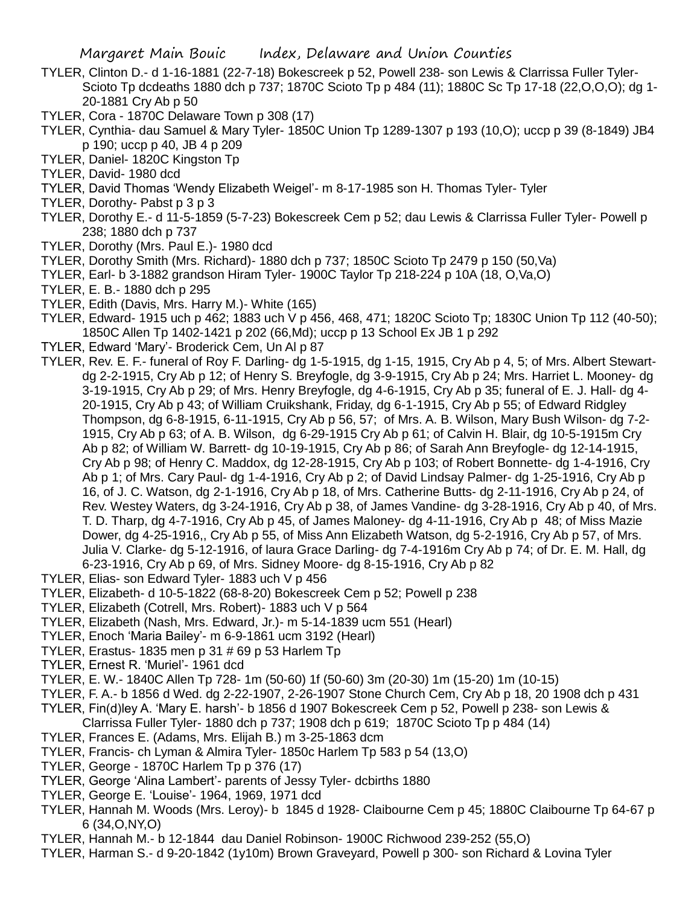- TYLER, Clinton D.- d 1-16-1881 (22-7-18) Bokescreek p 52, Powell 238- son Lewis & Clarrissa Fuller Tyler-Scioto Tp dcdeaths 1880 dch p 737; 1870C Scioto Tp p 484 (11); 1880C Sc Tp 17-18 (22,O,O,O); dg 1- 20-1881 Cry Ab p 50
- TYLER, Cora 1870C Delaware Town p 308 (17)
- TYLER, Cynthia- dau Samuel & Mary Tyler- 1850C Union Tp 1289-1307 p 193 (10,O); uccp p 39 (8-1849) JB4 p 190; uccp p 40, JB 4 p 209
- TYLER, Daniel- 1820C Kingston Tp
- TYLER, David- 1980 dcd
- TYLER, David Thomas 'Wendy Elizabeth Weigel'- m 8-17-1985 son H. Thomas Tyler- Tyler
- TYLER, Dorothy- Pabst p 3 p 3
- TYLER, Dorothy E.- d 11-5-1859 (5-7-23) Bokescreek Cem p 52; dau Lewis & Clarrissa Fuller Tyler- Powell p 238; 1880 dch p 737
- TYLER, Dorothy (Mrs. Paul E.)- 1980 dcd
- TYLER, Dorothy Smith (Mrs. Richard)- 1880 dch p 737; 1850C Scioto Tp 2479 p 150 (50,Va)
- TYLER, Earl- b 3-1882 grandson Hiram Tyler- 1900C Taylor Tp 218-224 p 10A (18, O,Va,O)
- TYLER, E. B.- 1880 dch p 295
- TYLER, Edith (Davis, Mrs. Harry M.)- White (165)
- TYLER, Edward- 1915 uch p 462; 1883 uch V p 456, 468, 471; 1820C Scioto Tp; 1830C Union Tp 112 (40-50); 1850C Allen Tp 1402-1421 p 202 (66,Md); uccp p 13 School Ex JB 1 p 292
- TYLER, Edward 'Mary'- Broderick Cem, Un Al p 87
- TYLER, Rev. E. F.- funeral of Roy F. Darling- dg 1-5-1915, dg 1-15, 1915, Cry Ab p 4, 5; of Mrs. Albert Stewartdg 2-2-1915, Cry Ab p 12; of Henry S. Breyfogle, dg 3-9-1915, Cry Ab p 24; Mrs. Harriet L. Mooney- dg 3-19-1915, Cry Ab p 29; of Mrs. Henry Breyfogle, dg 4-6-1915, Cry Ab p 35; funeral of E. J. Hall- dg 4- 20-1915, Cry Ab p 43; of William Cruikshank, Friday, dg 6-1-1915, Cry Ab p 55; of Edward Ridgley Thompson, dg 6-8-1915, 6-11-1915, Cry Ab p 56, 57; of Mrs. A. B. Wilson, Mary Bush Wilson- dg 7-2- 1915, Cry Ab p 63; of A. B. Wilson, dg 6-29-1915 Cry Ab p 61; of Calvin H. Blair, dg 10-5-1915m Cry Ab p 82; of William W. Barrett- dg 10-19-1915, Cry Ab p 86; of Sarah Ann Breyfogle- dg 12-14-1915, Cry Ab p 98; of Henry C. Maddox, dg 12-28-1915, Cry Ab p 103; of Robert Bonnette- dg 1-4-1916, Cry Ab p 1; of Mrs. Cary Paul- dg 1-4-1916, Cry Ab p 2; of David Lindsay Palmer- dg 1-25-1916, Cry Ab p 16, of J. C. Watson, dg 2-1-1916, Cry Ab p 18, of Mrs. Catherine Butts- dg 2-11-1916, Cry Ab p 24, of Rev. Westey Waters, dg 3-24-1916, Cry Ab p 38, of James Vandine- dg 3-28-1916, Cry Ab p 40, of Mrs. T. D. Tharp, dg 4-7-1916, Cry Ab p 45, of James Maloney- dg 4-11-1916, Cry Ab p 48; of Miss Mazie Dower, dg 4-25-1916,, Cry Ab p 55, of Miss Ann Elizabeth Watson, dg 5-2-1916, Cry Ab p 57, of Mrs. Julia V. Clarke- dg 5-12-1916, of laura Grace Darling- dg 7-4-1916m Cry Ab p 74; of Dr. E. M. Hall, dg 6-23-1916, Cry Ab p 69, of Mrs. Sidney Moore- dg 8-15-1916, Cry Ab p 82
- TYLER, Elias- son Edward Tyler- 1883 uch V p 456
- TYLER, Elizabeth- d 10-5-1822 (68-8-20) Bokescreek Cem p 52; Powell p 238
- TYLER, Elizabeth (Cotrell, Mrs. Robert)- 1883 uch V p 564
- TYLER, Elizabeth (Nash, Mrs. Edward, Jr.)- m 5-14-1839 ucm 551 (Hearl)
- TYLER, Enoch 'Maria Bailey'- m 6-9-1861 ucm 3192 (Hearl)
- TYLER, Erastus- 1835 men p 31 # 69 p 53 Harlem Tp
- TYLER, Ernest R. 'Muriel'- 1961 dcd
- TYLER, E. W.- 1840C Allen Tp 728- 1m (50-60) 1f (50-60) 3m (20-30) 1m (15-20) 1m (10-15)
- TYLER, F. A.- b 1856 d Wed. dg 2-22-1907, 2-26-1907 Stone Church Cem, Cry Ab p 18, 20 1908 dch p 431
- TYLER, Fin(d)ley A. 'Mary E. harsh'- b 1856 d 1907 Bokescreek Cem p 52, Powell p 238- son Lewis &
- Clarrissa Fuller Tyler- 1880 dch p 737; 1908 dch p 619; 1870C Scioto Tp p 484 (14)
- TYLER, Frances E. (Adams, Mrs. Elijah B.) m 3-25-1863 dcm
- TYLER, Francis- ch Lyman & Almira Tyler- 1850c Harlem Tp 583 p 54 (13,O)
- TYLER, George 1870C Harlem Tp p 376 (17)
- TYLER, George 'Alina Lambert'- parents of Jessy Tyler- dcbirths 1880
- TYLER, George E. 'Louise'- 1964, 1969, 1971 dcd
- TYLER, Hannah M. Woods (Mrs. Leroy)- b 1845 d 1928- Claibourne Cem p 45; 1880C Claibourne Tp 64-67 p 6 (34,O,NY,O)
- TYLER, Hannah M.- b 12-1844 dau Daniel Robinson- 1900C Richwood 239-252 (55,O)
- TYLER, Harman S.- d 9-20-1842 (1y10m) Brown Graveyard, Powell p 300- son Richard & Lovina Tyler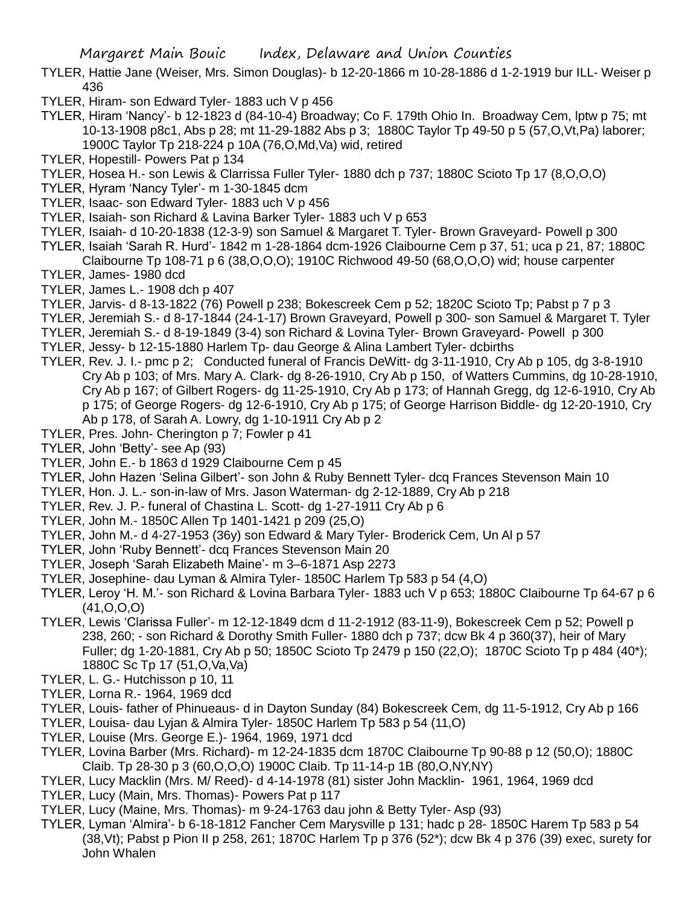- TYLER, Hattie Jane (Weiser, Mrs. Simon Douglas)- b 12-20-1866 m 10-28-1886 d 1-2-1919 bur ILL- Weiser p 436
- TYLER, Hiram- son Edward Tyler- 1883 uch V p 456
- TYLER, Hiram 'Nancy'- b 12-1823 d (84-10-4) Broadway; Co F. 179th Ohio In. Broadway Cem, lptw p 75; mt 10-13-1908 p8c1, Abs p 28; mt 11-29-1882 Abs p 3; 1880C Taylor Tp 49-50 p 5 (57,O,Vt,Pa) laborer; 1900C Taylor Tp 218-224 p 10A (76,O,Md,Va) wid, retired
- TYLER, Hopestill- Powers Pat p 134
- TYLER, Hosea H.- son Lewis & Clarrissa Fuller Tyler- 1880 dch p 737; 1880C Scioto Tp 17 (8,O,O,O)
- TYLER, Hyram 'Nancy Tyler'- m 1-30-1845 dcm
- TYLER, Isaac- son Edward Tyler- 1883 uch V p 456
- TYLER, Isaiah- son Richard & Lavina Barker Tyler- 1883 uch V p 653
- TYLER, Isaiah- d 10-20-1838 (12-3-9) son Samuel & Margaret T. Tyler- Brown Graveyard- Powell p 300
- TYLER, Isaiah 'Sarah R. Hurd'- 1842 m 1-28-1864 dcm-1926 Claibourne Cem p 37, 51; uca p 21, 87; 1880C Claibourne Tp 108-71 p 6 (38,O,O,O); 1910C Richwood 49-50 (68,O,O,O) wid; house carpenter
- TYLER, James- 1980 dcd
- TYLER, James L.- 1908 dch p 407
- TYLER, Jarvis- d 8-13-1822 (76) Powell p 238; Bokescreek Cem p 52; 1820C Scioto Tp; Pabst p 7 p 3
- TYLER, Jeremiah S.- d 8-17-1844 (24-1-17) Brown Graveyard, Powell p 300- son Samuel & Margaret T. Tyler
- TYLER, Jeremiah S.- d 8-19-1849 (3-4) son Richard & Lovina Tyler- Brown Graveyard- Powell p 300
- TYLER, Jessy- b 12-15-1880 Harlem Tp- dau George & Alina Lambert Tyler- dcbirths
- TYLER, Rev. J. I.- pmc p 2; Conducted funeral of Francis DeWitt- dg 3-11-1910, Cry Ab p 105, dg 3-8-1910 Cry Ab p 103; of Mrs. Mary A. Clark- dg 8-26-1910, Cry Ab p 150, of Watters Cummins, dg 10-28-1910, Cry Ab p 167; of Gilbert Rogers- dg 11-25-1910, Cry Ab p 173; of Hannah Gregg, dg 12-6-1910, Cry Ab p 175; of George Rogers- dg 12-6-1910, Cry Ab p 175; of George Harrison Biddle- dg 12-20-1910, Cry Ab p 178, of Sarah A. Lowry, dg 1-10-1911 Cry Ab p 2
- TYLER, Pres. John- Cherington p 7; Fowler p 41
- TYLER, John 'Betty'- see Ap (93)
- TYLER, John E.- b 1863 d 1929 Claibourne Cem p 45
- TYLER, John Hazen 'Selina Gilbert'- son John & Ruby Bennett Tyler- dcq Frances Stevenson Main 10
- TYLER, Hon. J. L.- son-in-law of Mrs. Jason Waterman- dg 2-12-1889, Cry Ab p 218
- TYLER, Rev. J. P.- funeral of Chastina L. Scott- dg 1-27-1911 Cry Ab p 6
- TYLER, John M.- 1850C Allen Tp 1401-1421 p 209 (25,O)
- TYLER, John M.- d 4-27-1953 (36y) son Edward & Mary Tyler- Broderick Cem, Un Al p 57
- TYLER, John 'Ruby Bennett'- dcq Frances Stevenson Main 20
- TYLER, Joseph 'Sarah Elizabeth Maine'- m 3–6-1871 Asp 2273
- TYLER, Josephine- dau Lyman & Almira Tyler- 1850C Harlem Tp 583 p 54 (4,O)
- TYLER, Leroy 'H. M.'- son Richard & Lovina Barbara Tyler- 1883 uch V p 653; 1880C Claibourne Tp 64-67 p 6 (41,O,O,O)
- TYLER, Lewis 'Clarissa Fuller'- m 12-12-1849 dcm d 11-2-1912 (83-11-9), Bokescreek Cem p 52; Powell p 238, 260; - son Richard & Dorothy Smith Fuller- 1880 dch p 737; dcw Bk 4 p 360(37), heir of Mary Fuller; dg 1-20-1881, Cry Ab p 50; 1850C Scioto Tp 2479 p 150 (22,O); 1870C Scioto Tp p 484 (40\*); 1880C Sc Tp 17 (51,O,Va,Va)
- TYLER, L. G.- Hutchisson p 10, 11
- TYLER, Lorna R.- 1964, 1969 dcd
- TYLER, Louis- father of Phinueaus- d in Dayton Sunday (84) Bokescreek Cem, dg 11-5-1912, Cry Ab p 166
- TYLER, Louisa- dau Lyjan & Almira Tyler- 1850C Harlem Tp 583 p 54 (11,O)
- TYLER, Louise (Mrs. George E.)- 1964, 1969, 1971 dcd
- TYLER, Lovina Barber (Mrs. Richard)- m 12-24-1835 dcm 1870C Claibourne Tp 90-88 p 12 (50,O); 1880C Claib. Tp 28-30 p 3 (60,O,O,O) 1900C Claib. Tp 11-14-p 1B (80,O,NY,NY)
- TYLER, Lucy Macklin (Mrs. M/ Reed)- d 4-14-1978 (81) sister John Macklin- 1961, 1964, 1969 dcd
- TYLER, Lucy (Main, Mrs. Thomas)- Powers Pat p 117
- TYLER, Lucy (Maine, Mrs. Thomas)- m 9-24-1763 dau john & Betty Tyler- Asp (93)
- TYLER, Lyman 'Almira'- b 6-18-1812 Fancher Cem Marysville p 131; hadc p 28- 1850C Harem Tp 583 p 54 (38,Vt); Pabst p Pion II p 258, 261; 1870C Harlem Tp p 376 (52\*); dcw Bk 4 p 376 (39) exec, surety for John Whalen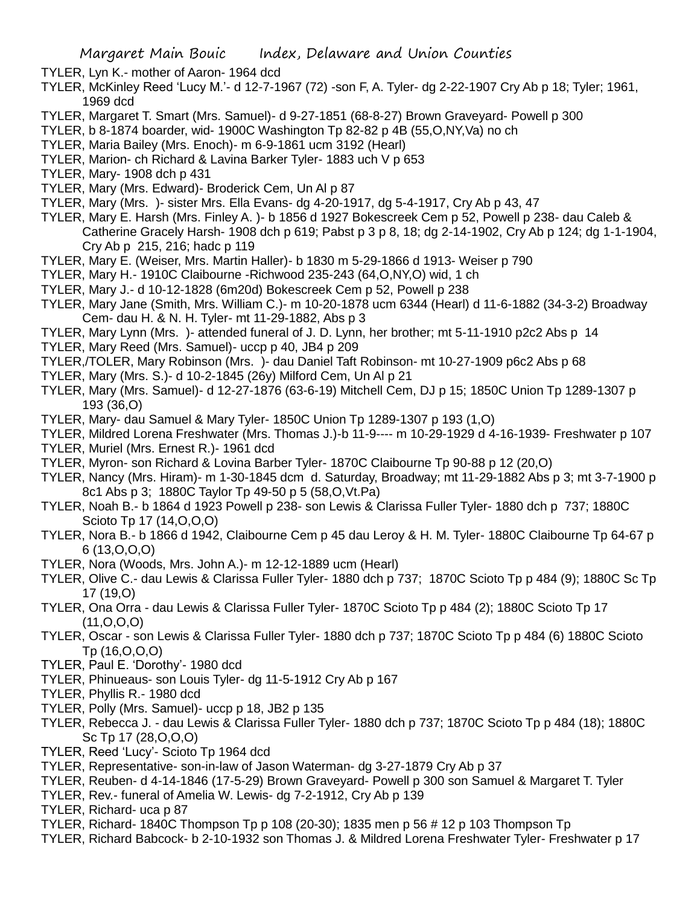TYLER, Lyn K.- mother of Aaron- 1964 dcd

- TYLER, McKinley Reed 'Lucy M.'- d 12-7-1967 (72) -son F, A. Tyler- dg 2-22-1907 Cry Ab p 18; Tyler; 1961, 1969 dcd
- TYLER, Margaret T. Smart (Mrs. Samuel)- d 9-27-1851 (68-8-27) Brown Graveyard- Powell p 300
- TYLER, b 8-1874 boarder, wid- 1900C Washington Tp 82-82 p 4B (55,O,NY,Va) no ch
- TYLER, Maria Bailey (Mrs. Enoch)- m 6-9-1861 ucm 3192 (Hearl)
- TYLER, Marion- ch Richard & Lavina Barker Tyler- 1883 uch V p 653
- TYLER, Mary- 1908 dch p 431
- TYLER, Mary (Mrs. Edward)- Broderick Cem, Un Al p 87
- TYLER, Mary (Mrs. )- sister Mrs. Ella Evans- dg 4-20-1917, dg 5-4-1917, Cry Ab p 43, 47
- TYLER, Mary E. Harsh (Mrs. Finley A. )- b 1856 d 1927 Bokescreek Cem p 52, Powell p 238- dau Caleb & Catherine Gracely Harsh- 1908 dch p 619; Pabst p 3 p 8, 18; dg 2-14-1902, Cry Ab p 124; dg 1-1-1904, Cry Ab p 215, 216; hadc p 119
- TYLER, Mary E. (Weiser, Mrs. Martin Haller)- b 1830 m 5-29-1866 d 1913- Weiser p 790
- TYLER, Mary H.- 1910C Claibourne -Richwood 235-243 (64,O,NY,O) wid, 1 ch
- TYLER, Mary J.- d 10-12-1828 (6m20d) Bokescreek Cem p 52, Powell p 238
- TYLER, Mary Jane (Smith, Mrs. William C.)- m 10-20-1878 ucm 6344 (Hearl) d 11-6-1882 (34-3-2) Broadway Cem- dau H. & N. H. Tyler- mt 11-29-1882, Abs p 3
- TYLER, Mary Lynn (Mrs. )- attended funeral of J. D. Lynn, her brother; mt 5-11-1910 p2c2 Abs p 14
- TYLER, Mary Reed (Mrs. Samuel)- uccp p 40, JB4 p 209
- TYLER,/TOLER, Mary Robinson (Mrs. )- dau Daniel Taft Robinson- mt 10-27-1909 p6c2 Abs p 68
- TYLER, Mary (Mrs. S.)- d 10-2-1845 (26y) Milford Cem, Un Al p 21
- TYLER, Mary (Mrs. Samuel)- d 12-27-1876 (63-6-19) Mitchell Cem, DJ p 15; 1850C Union Tp 1289-1307 p 193 (36,O)
- TYLER, Mary- dau Samuel & Mary Tyler- 1850C Union Tp 1289-1307 p 193 (1,O)
- TYLER, Mildred Lorena Freshwater (Mrs. Thomas J.)-b 11-9---- m 10-29-1929 d 4-16-1939- Freshwater p 107
- TYLER, Muriel (Mrs. Ernest R.)- 1961 dcd
- TYLER, Myron- son Richard & Lovina Barber Tyler- 1870C Claibourne Tp 90-88 p 12 (20,O)
- TYLER, Nancy (Mrs. Hiram)- m 1-30-1845 dcm d. Saturday, Broadway; mt 11-29-1882 Abs p 3; mt 3-7-1900 p 8c1 Abs p 3; 1880C Taylor Tp 49-50 p 5 (58,O,Vt.Pa)
- TYLER, Noah B.- b 1864 d 1923 Powell p 238- son Lewis & Clarissa Fuller Tyler- 1880 dch p 737; 1880C Scioto Tp 17 (14,O,O,O)
- TYLER, Nora B.- b 1866 d 1942, Claibourne Cem p 45 dau Leroy & H. M. Tyler- 1880C Claibourne Tp 64-67 p 6 (13,O,O,O)
- TYLER, Nora (Woods, Mrs. John A.)- m 12-12-1889 ucm (Hearl)
- TYLER, Olive C.- dau Lewis & Clarissa Fuller Tyler- 1880 dch p 737; 1870C Scioto Tp p 484 (9); 1880C Sc Tp 17 (19,O)
- TYLER, Ona Orra dau Lewis & Clarissa Fuller Tyler- 1870C Scioto Tp p 484 (2); 1880C Scioto Tp 17 (11,O,O,O)
- TYLER, Oscar son Lewis & Clarissa Fuller Tyler- 1880 dch p 737; 1870C Scioto Tp p 484 (6) 1880C Scioto Tp (16,O,O,O)
- TYLER, Paul E. 'Dorothy'- 1980 dcd
- TYLER, Phinueaus- son Louis Tyler- dg 11-5-1912 Cry Ab p 167
- TYLER, Phyllis R.- 1980 dcd
- TYLER, Polly (Mrs. Samuel)- uccp p 18, JB2 p 135
- TYLER, Rebecca J. dau Lewis & Clarissa Fuller Tyler- 1880 dch p 737; 1870C Scioto Tp p 484 (18); 1880C Sc Tp 17 (28,O,O,O)
- TYLER, Reed 'Lucy'- Scioto Tp 1964 dcd
- TYLER, Representative- son-in-law of Jason Waterman- dg 3-27-1879 Cry Ab p 37
- TYLER, Reuben- d 4-14-1846 (17-5-29) Brown Graveyard- Powell p 300 son Samuel & Margaret T. Tyler
- TYLER, Rev.- funeral of Amelia W. Lewis- dg 7-2-1912, Cry Ab p 139
- TYLER, Richard- uca p 87
- TYLER, Richard- 1840C Thompson Tp p 108 (20-30); 1835 men p 56 # 12 p 103 Thompson Tp
- TYLER, Richard Babcock- b 2-10-1932 son Thomas J. & Mildred Lorena Freshwater Tyler- Freshwater p 17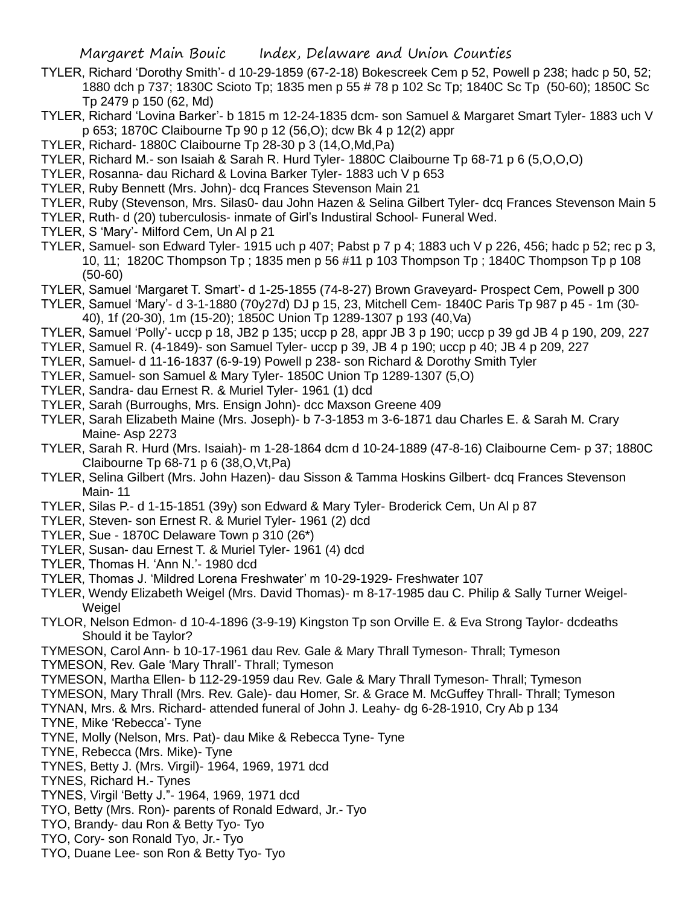- TYLER, Richard 'Dorothy Smith'- d 10-29-1859 (67-2-18) Bokescreek Cem p 52, Powell p 238; hadc p 50, 52; 1880 dch p 737; 1830C Scioto Tp; 1835 men p 55 # 78 p 102 Sc Tp; 1840C Sc Tp (50-60); 1850C Sc Tp 2479 p 150 (62, Md)
- TYLER, Richard 'Lovina Barker'- b 1815 m 12-24-1835 dcm- son Samuel & Margaret Smart Tyler- 1883 uch V p 653; 1870C Claibourne Tp 90 p 12 (56,O); dcw Bk 4 p 12(2) appr
- TYLER, Richard- 1880C Claibourne Tp 28-30 p 3 (14,O,Md,Pa)
- TYLER, Richard M.- son Isaiah & Sarah R. Hurd Tyler- 1880C Claibourne Tp 68-71 p 6 (5,O,O,O)
- TYLER, Rosanna- dau Richard & Lovina Barker Tyler- 1883 uch V p 653
- TYLER, Ruby Bennett (Mrs. John)- dcq Frances Stevenson Main 21
- TYLER, Ruby (Stevenson, Mrs. Silas0- dau John Hazen & Selina Gilbert Tyler- dcq Frances Stevenson Main 5
- TYLER, Ruth- d (20) tuberculosis- inmate of Girl's Industiral School- Funeral Wed.
- TYLER, S 'Mary'- Milford Cem, Un Al p 21
- TYLER, Samuel- son Edward Tyler- 1915 uch p 407; Pabst p 7 p 4; 1883 uch V p 226, 456; hadc p 52; rec p 3, 10, 11; 1820C Thompson Tp ; 1835 men p 56 #11 p 103 Thompson Tp ; 1840C Thompson Tp p 108 (50-60)
- TYLER, Samuel 'Margaret T. Smart'- d 1-25-1855 (74-8-27) Brown Graveyard- Prospect Cem, Powell p 300
- TYLER, Samuel 'Mary'- d 3-1-1880 (70y27d) DJ p 15, 23, Mitchell Cem- 1840C Paris Tp 987 p 45 1m (30- 40), 1f (20-30), 1m (15-20); 1850C Union Tp 1289-1307 p 193 (40,Va)
- TYLER, Samuel 'Polly'- uccp p 18, JB2 p 135; uccp p 28, appr JB 3 p 190; uccp p 39 gd JB 4 p 190, 209, 227
- TYLER, Samuel R. (4-1849)- son Samuel Tyler- uccp p 39, JB 4 p 190; uccp p 40; JB 4 p 209, 227
- TYLER, Samuel- d 11-16-1837 (6-9-19) Powell p 238- son Richard & Dorothy Smith Tyler
- TYLER, Samuel- son Samuel & Mary Tyler- 1850C Union Tp 1289-1307 (5,O)
- TYLER, Sandra- dau Ernest R. & Muriel Tyler- 1961 (1) dcd
- TYLER, Sarah (Burroughs, Mrs. Ensign John)- dcc Maxson Greene 409
- TYLER, Sarah Elizabeth Maine (Mrs. Joseph)- b 7-3-1853 m 3-6-1871 dau Charles E. & Sarah M. Crary Maine- Asp 2273
- TYLER, Sarah R. Hurd (Mrs. Isaiah)- m 1-28-1864 dcm d 10-24-1889 (47-8-16) Claibourne Cem- p 37; 1880C Claibourne Tp 68-71 p 6 (38,O,Vt,Pa)
- TYLER, Selina Gilbert (Mrs. John Hazen)- dau Sisson & Tamma Hoskins Gilbert- dcq Frances Stevenson Main- 11
- TYLER, Silas P.- d 1-15-1851 (39y) son Edward & Mary Tyler- Broderick Cem, Un Al p 87
- TYLER, Steven- son Ernest R. & Muriel Tyler- 1961 (2) dcd
- TYLER, Sue 1870C Delaware Town p 310 (26\*)
- TYLER, Susan- dau Ernest T. & Muriel Tyler- 1961 (4) dcd
- TYLER, Thomas H. 'Ann N.'- 1980 dcd
- TYLER, Thomas J. 'Mildred Lorena Freshwater' m 10-29-1929- Freshwater 107
- TYLER, Wendy Elizabeth Weigel (Mrs. David Thomas)- m 8-17-1985 dau C. Philip & Sally Turner Weigel-Weigel
- TYLOR, Nelson Edmon- d 10-4-1896 (3-9-19) Kingston Tp son Orville E. & Eva Strong Taylor- dcdeaths Should it be Taylor?
- TYMESON, Carol Ann- b 10-17-1961 dau Rev. Gale & Mary Thrall Tymeson- Thrall; Tymeson
- TYMESON, Rev. Gale 'Mary Thrall'- Thrall; Tymeson
- TYMESON, Martha Ellen- b 112-29-1959 dau Rev. Gale & Mary Thrall Tymeson- Thrall; Tymeson
- TYMESON, Mary Thrall (Mrs. Rev. Gale)- dau Homer, Sr. & Grace M. McGuffey Thrall- Thrall; Tymeson

TYNAN, Mrs. & Mrs. Richard- attended funeral of John J. Leahy- dg 6-28-1910, Cry Ab p 134

- TYNE, Mike 'Rebecca'- Tyne
- TYNE, Molly (Nelson, Mrs. Pat)- dau Mike & Rebecca Tyne- Tyne
- TYNE, Rebecca (Mrs. Mike)- Tyne
- TYNES, Betty J. (Mrs. Virgil)- 1964, 1969, 1971 dcd
- TYNES, Richard H.- Tynes
- TYNES, Virgil 'Betty J."- 1964, 1969, 1971 dcd
- TYO, Betty (Mrs. Ron)- parents of Ronald Edward, Jr.- Tyo
- TYO, Brandy- dau Ron & Betty Tyo- Tyo
- TYO, Cory- son Ronald Tyo, Jr.- Tyo
- TYO, Duane Lee- son Ron & Betty Tyo- Tyo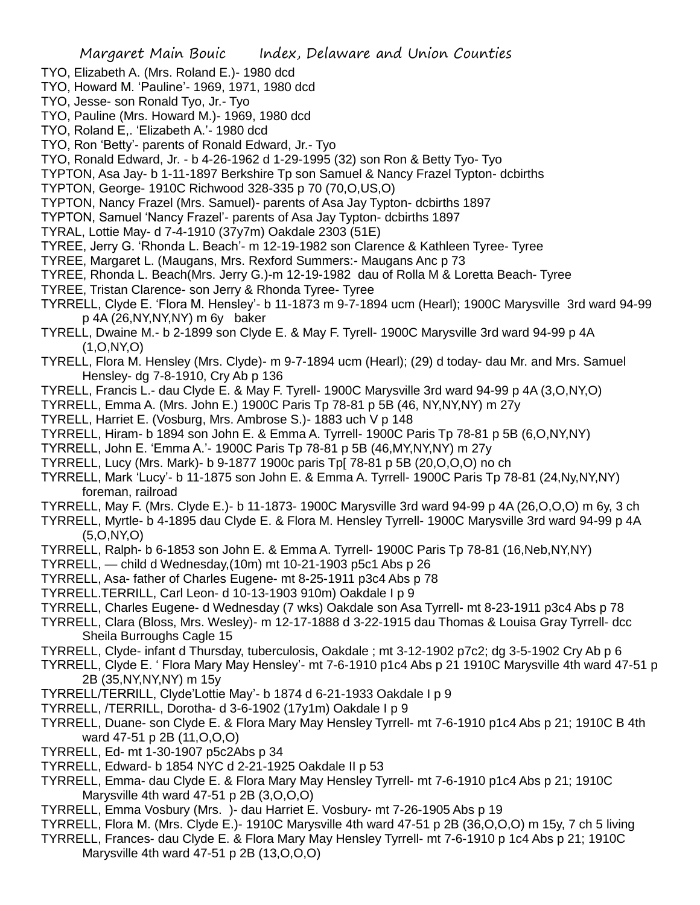- TYO, Elizabeth A. (Mrs. Roland E.)- 1980 dcd
- TYO, Howard M. 'Pauline'- 1969, 1971, 1980 dcd
- TYO, Jesse- son Ronald Tyo, Jr.- Tyo
- TYO, Pauline (Mrs. Howard M.)- 1969, 1980 dcd
- TYO, Roland E,. 'Elizabeth A.'- 1980 dcd
- TYO, Ron 'Betty'- parents of Ronald Edward, Jr.- Tyo
- TYO, Ronald Edward, Jr. b 4-26-1962 d 1-29-1995 (32) son Ron & Betty Tyo- Tyo
- TYPTON, Asa Jay- b 1-11-1897 Berkshire Tp son Samuel & Nancy Frazel Typton- dcbirths
- TYPTON, George- 1910C Richwood 328-335 p 70 (70,O,US,O)
- TYPTON, Nancy Frazel (Mrs. Samuel)- parents of Asa Jay Typton- dcbirths 1897
- TYPTON, Samuel 'Nancy Frazel'- parents of Asa Jay Typton- dcbirths 1897
- TYRAL, Lottie May- d 7-4-1910 (37y7m) Oakdale 2303 (51E)
- TYREE, Jerry G. 'Rhonda L. Beach'- m 12-19-1982 son Clarence & Kathleen Tyree- Tyree
- TYREE, Margaret L. (Maugans, Mrs. Rexford Summers:- Maugans Anc p 73
- TYREE, Rhonda L. Beach(Mrs. Jerry G.)-m 12-19-1982 dau of Rolla M & Loretta Beach- Tyree
- TYREE, Tristan Clarence- son Jerry & Rhonda Tyree- Tyree
- TYRRELL, Clyde E. 'Flora M. Hensley'- b 11-1873 m 9-7-1894 ucm (Hearl); 1900C Marysville 3rd ward 94-99 p 4A (26,NY,NY,NY) m 6y baker
- TYRELL, Dwaine M.- b 2-1899 son Clyde E. & May F. Tyrell- 1900C Marysville 3rd ward 94-99 p 4A (1,O,NY,O)
- TYRELL, Flora M. Hensley (Mrs. Clyde)- m 9-7-1894 ucm (Hearl); (29) d today- dau Mr. and Mrs. Samuel Hensley- dg 7-8-1910, Cry Ab p 136
- TYRELL, Francis L.- dau Clyde E. & May F. Tyrell- 1900C Marysville 3rd ward 94-99 p 4A (3,O,NY,O)
- TYRRELL, Emma A. (Mrs. John E.) 1900C Paris Tp 78-81 p 5B (46, NY,NY,NY) m 27y
- TYRELL, Harriet E. (Vosburg, Mrs. Ambrose S.)- 1883 uch V p 148
- TYRRELL, Hiram- b 1894 son John E. & Emma A. Tyrrell- 1900C Paris Tp 78-81 p 5B (6,O,NY,NY)
- TYRRELL, John E. 'Emma A.'- 1900C Paris Tp 78-81 p 5B (46,MY,NY,NY) m 27y
- TYRRELL, Lucy (Mrs. Mark)- b 9-1877 1900c paris Tp[ 78-81 p 5B (20,O,O,O) no ch
- TYRRELL, Mark 'Lucy'- b 11-1875 son John E. & Emma A. Tyrrell- 1900C Paris Tp 78-81 (24,Ny,NY,NY) foreman, railroad
- TYRRELL, May F. (Mrs. Clyde E.)- b 11-1873- 1900C Marysville 3rd ward 94-99 p 4A (26,O,O,O) m 6y, 3 ch
- TYRRELL, Myrtle- b 4-1895 dau Clyde E. & Flora M. Hensley Tyrrell- 1900C Marysville 3rd ward 94-99 p 4A (5,O,NY,O)
- TYRRELL, Ralph- b 6-1853 son John E. & Emma A. Tyrrell- 1900C Paris Tp 78-81 (16,Neb,NY,NY)
- TYRRELL, child d Wednesday,(10m) mt 10-21-1903 p5c1 Abs p 26
- TYRRELL, Asa- father of Charles Eugene- mt 8-25-1911 p3c4 Abs p 78
- TYRRELL.TERRILL, Carl Leon- d 10-13-1903 910m) Oakdale I p 9
- TYRRELL, Charles Eugene- d Wednesday (7 wks) Oakdale son Asa Tyrrell- mt 8-23-1911 p3c4 Abs p 78
- TYRRELL, Clara (Bloss, Mrs. Wesley)- m 12-17-1888 d 3-22-1915 dau Thomas & Louisa Gray Tyrrell- dcc Sheila Burroughs Cagle 15
- TYRRELL, Clyde- infant d Thursday, tuberculosis, Oakdale ; mt 3-12-1902 p7c2; dg 3-5-1902 Cry Ab p 6
- TYRRELL, Clyde E. ' Flora Mary May Hensley'- mt 7-6-1910 p1c4 Abs p 21 1910C Marysville 4th ward 47-51 p 2B (35,NY,NY,NY) m 15y
- TYRRELL/TERRILL, Clyde'Lottie May'- b 1874 d 6-21-1933 Oakdale I p 9
- TYRRELL, /TERRILL, Dorotha- d 3-6-1902 (17y1m) Oakdale I p 9
- TYRRELL, Duane- son Clyde E. & Flora Mary May Hensley Tyrrell- mt 7-6-1910 p1c4 Abs p 21; 1910C B 4th ward 47-51 p 2B (11,O,O,O)
- TYRRELL, Ed- mt 1-30-1907 p5c2Abs p 34
- TYRRELL, Edward- b 1854 NYC d 2-21-1925 Oakdale II p 53
- TYRRELL, Emma- dau Clyde E. & Flora Mary May Hensley Tyrrell- mt 7-6-1910 p1c4 Abs p 21; 1910C Marysville 4th ward 47-51 p 2B (3,O,O,O)
- TYRRELL, Emma Vosbury (Mrs. )- dau Harriet E. Vosbury- mt 7-26-1905 Abs p 19
- TYRRELL, Flora M. (Mrs. Clyde E.)- 1910C Marysville 4th ward 47-51 p 2B (36,O,O,O) m 15y, 7 ch 5 living
- TYRRELL, Frances- dau Clyde E. & Flora Mary May Hensley Tyrrell- mt 7-6-1910 p 1c4 Abs p 21; 1910C Marysville 4th ward 47-51 p 2B (13,O,O,O)